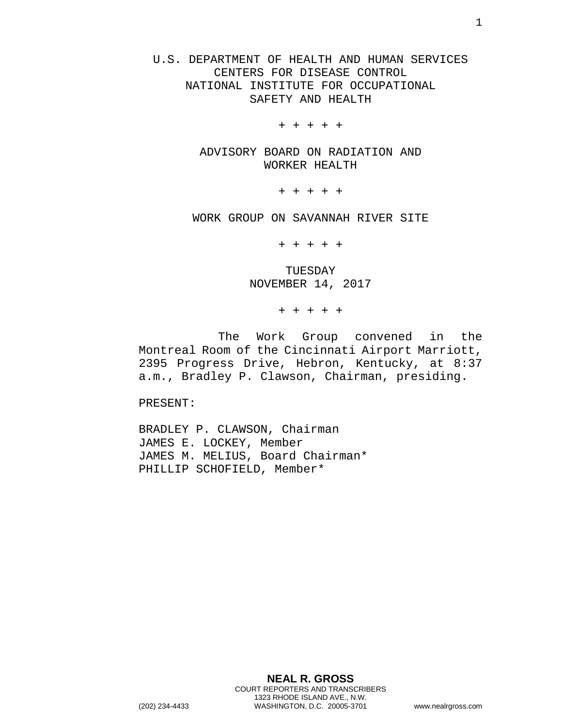U.S. DEPARTMENT OF HEALTH AND HUMAN SERVICES CENTERS FOR DISEASE CONTROL NATIONAL INSTITUTE FOR OCCUPATIONAL SAFETY AND HEALTH

+ + + + +

ADVISORY BOARD ON RADIATION AND WORKER HEALTH

+ + + + +

WORK GROUP ON SAVANNAH RIVER SITE

+ + + + +

TUESDAY NOVEMBER 14, 2017

+ + + + +

The Work Group convened in the Montreal Room of the Cincinnati Airport Marriott, 2395 Progress Drive, Hebron, Kentucky, at 8:37 a.m., Bradley P. Clawson, Chairman, presiding.

PRESENT:

BRADLEY P. CLAWSON, Chairman JAMES E. LOCKEY, Member JAMES M. MELIUS, Board Chairman\* PHILLIP SCHOFIELD, Member\*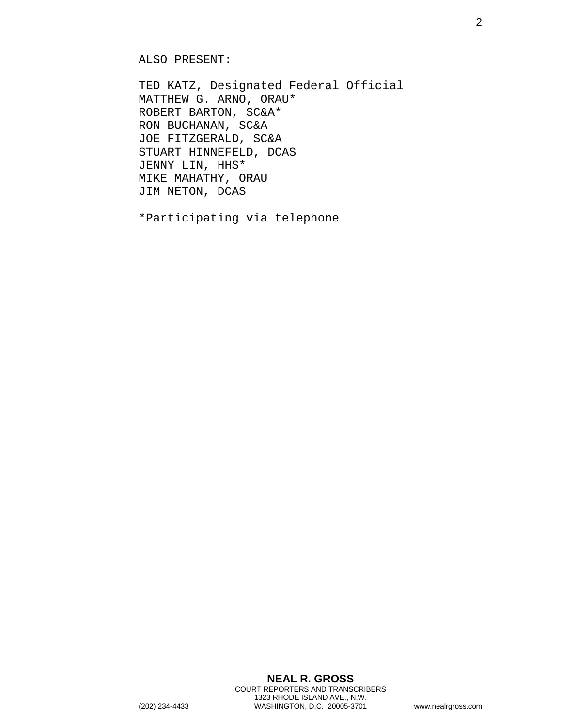ALSO PRESENT:

TED KATZ, Designated Federal Official MATTHEW G. ARNO, ORAU\* ROBERT BARTON, SC&A\* RON BUCHANAN, SC&A JOE FITZGERALD, SC&A STUART HINNEFELD, DCAS JENNY LIN, HHS\* MIKE MAHATHY, ORAU JIM NETON, DCAS

\*Participating via telephone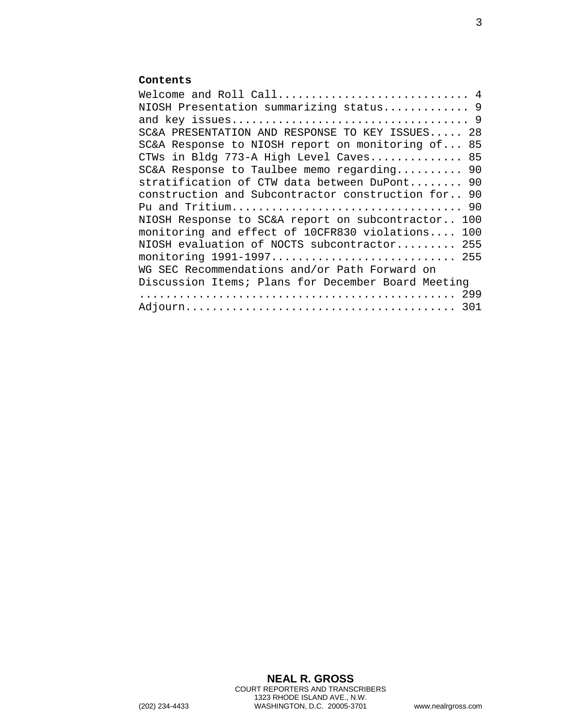## **Contents**

| NIOSH Presentation summarizing status 9            |     |
|----------------------------------------------------|-----|
|                                                    |     |
| SC&A PRESENTATION AND RESPONSE TO KEY ISSUES 28    |     |
| SC&A Response to NIOSH report on monitoring of 85  |     |
| CTWs in Bldg 773-A High Level Caves 85             |     |
| SC&A Response to Taulbee memo regarding            | 90  |
| stratification of CTW data between DuPont 90       |     |
| construction and Subcontractor construction for    | 90  |
|                                                    |     |
| NIOSH Response to SC&A report on subcontractor     | 100 |
| monitoring and effect of 10CFR830 violations       | 100 |
| NIOSH evaluation of NOCTS subcontractor            | 255 |
| monitoring 1991-1997 255                           |     |
| WG SEC Recommendations and/or Path Forward on      |     |
| Discussion Items; Plans for December Board Meeting |     |
|                                                    |     |
|                                                    |     |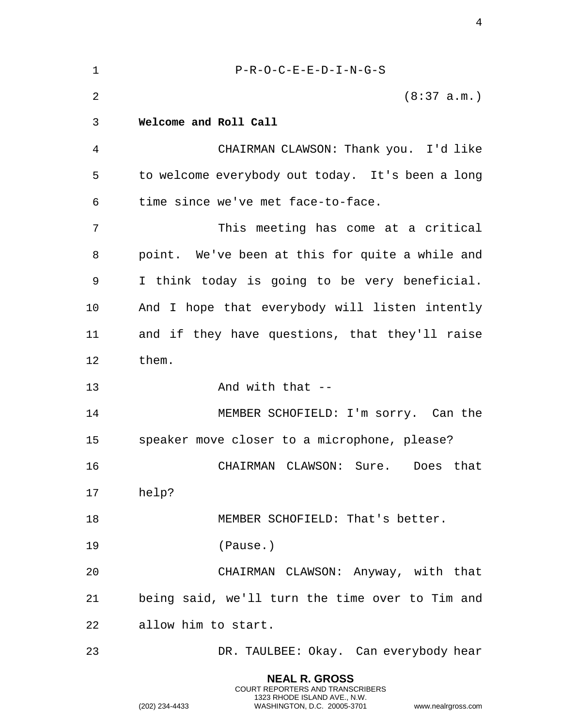<span id="page-3-0"></span>

| $\mathbf 1$    | $P-R-O-C-E-E-D-I-N-G-S$                          |
|----------------|--------------------------------------------------|
| $\overline{2}$ | (8:37 a.m.)                                      |
| 3              | Welcome and Roll Call                            |
| 4              | CHAIRMAN CLAWSON: Thank you. I'd like            |
| 5              | to welcome everybody out today. It's been a long |
| 6              | time since we've met face-to-face.               |
| 7              | This meeting has come at a critical              |
| 8              | point. We've been at this for quite a while and  |
| 9              | I think today is going to be very beneficial.    |
| 10             | And I hope that everybody will listen intently   |
| 11             | and if they have questions, that they'll raise   |
| 12             | them.                                            |
| 13             | And with that $-$                                |
| 14             | MEMBER SCHOFIELD: I'm sorry. Can the             |
| 15             | speaker move closer to a microphone, please?     |
| 16             | CHAIRMAN CLAWSON: Sure. Does that                |
| 17             | help?                                            |
| 18             | MEMBER SCHOFIELD: That's better.                 |
| 19             | (Pause.)                                         |
| 20             | CHAIRMAN CLAWSON: Anyway, with that              |
| 21             | being said, we'll turn the time over to Tim and  |
| 22             | allow him to start.                              |
| 23             | DR. TAULBEE: Okay. Can everybody hear            |
|                | <b>NEAL R. GROSS</b>                             |

COURT REPORTERS AND TRANSCRIBERS 1323 RHODE ISLAND AVE., N.W.

(202) 234-4433 WASHINGTON, D.C. 20005-3701 www.nealrgross.com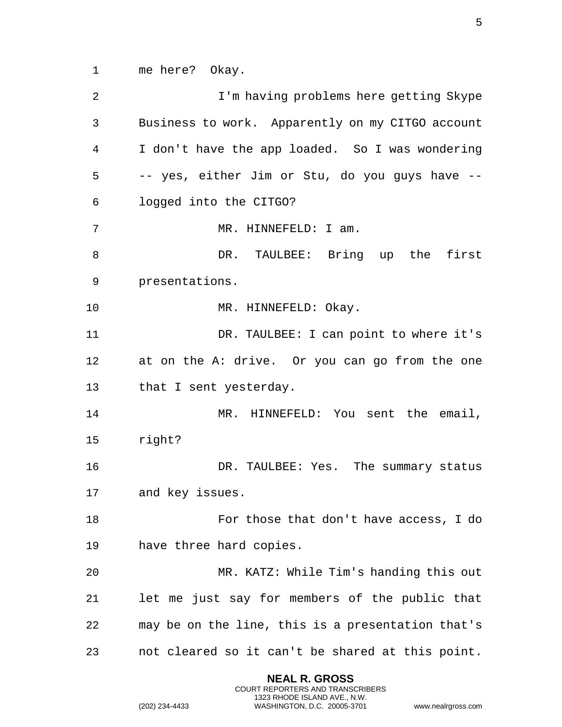1 me here? Okay.

2 I'm having problems here getting Skype 3 Business to work. Apparently on my CITGO account 4 I don't have the app loaded. So I was wondering 5 -- yes, either Jim or Stu, do you guys have -- 6 logged into the CITGO? 7 MR. HINNEFELD: I am. 8 DR. TAULBEE: Bring up the first 9 presentations. 10 MR. HINNEFELD: Okay. 11 DR. TAULBEE: I can point to where it's 12 at on the A: drive. Or you can go from the one 13 that I sent yesterday. 14 MR. HINNEFELD: You sent the email, 15 right? 16 DR. TAULBEE: Yes. The summary status 17 and key issues. 18 For those that don't have access, I do 19 have three hard copies. 20 MR. KATZ: While Tim's handing this out 21 let me just say for members of the public that 22 may be on the line, this is a presentation that's 23 not cleared so it can't be shared at this point.

> **NEAL R. GROSS** COURT REPORTERS AND TRANSCRIBERS 1323 RHODE ISLAND AVE., N.W.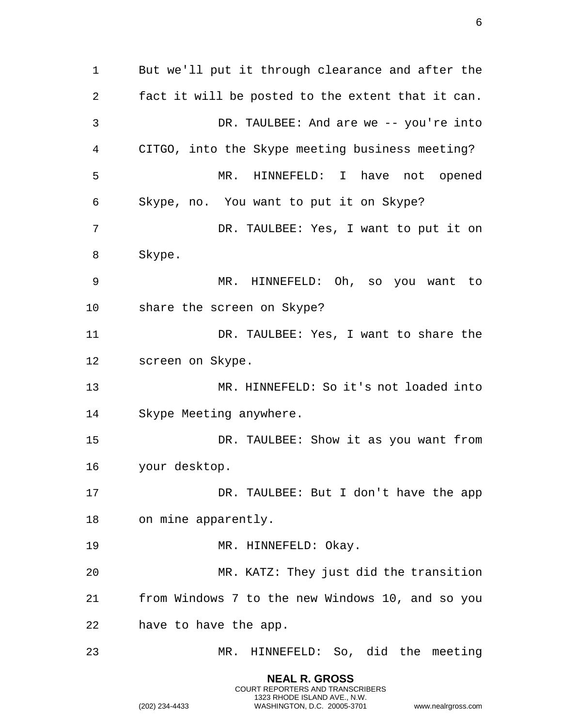But we'll put it through clearance and after the fact it will be posted to the extent that it can. DR. TAULBEE: And are we -- you're into CITGO, into the Skype meeting business meeting? MR. HINNEFELD: I have not opened Skype, no. You want to put it on Skype? DR. TAULBEE: Yes, I want to put it on Skype. MR. HINNEFELD: Oh, so you want to share the screen on Skype? DR. TAULBEE: Yes, I want to share the screen on Skype. MR. HINNEFELD: So it's not loaded into Skype Meeting anywhere. DR. TAULBEE: Show it as you want from your desktop. DR. TAULBEE: But I don't have the app on mine apparently. 19 MR. HINNEFELD: Okay. MR. KATZ: They just did the transition from Windows 7 to the new Windows 10, and so you have to have the app. MR. HINNEFELD: So, did the meeting

> **NEAL R. GROSS** COURT REPORTERS AND TRANSCRIBERS 1323 RHODE ISLAND AVE., N.W.

(202) 234-4433 WASHINGTON, D.C. 20005-3701 www.nealrgross.com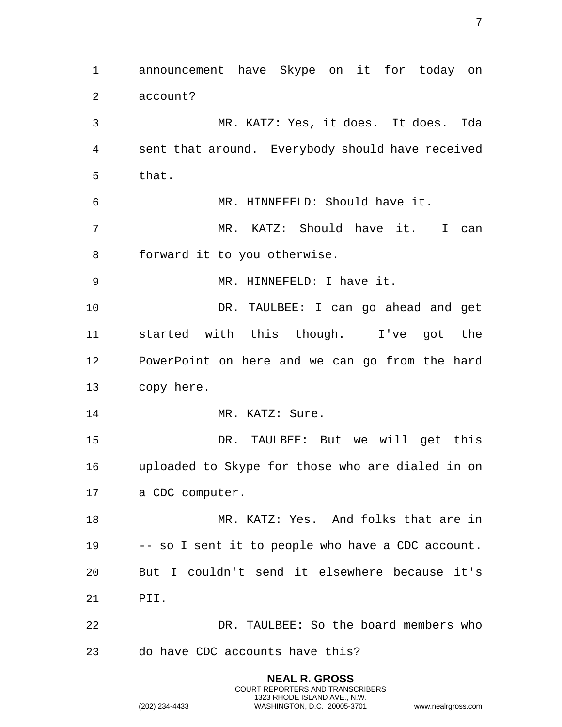**NEAL R. GROSS** announcement have Skype on it for today on account? MR. KATZ: Yes, it does. It does. Ida sent that around. Everybody should have received that. MR. HINNEFELD: Should have it. MR. KATZ: Should have it. I can forward it to you otherwise. MR. HINNEFELD: I have it. DR. TAULBEE: I can go ahead and get started with this though. I've got the PowerPoint on here and we can go from the hard copy here. 14 MR. KATZ: Sure. DR. TAULBEE: But we will get this uploaded to Skype for those who are dialed in on a CDC computer. MR. KATZ: Yes. And folks that are in -- so I sent it to people who have a CDC account. But I couldn't send it elsewhere because it's PII. DR. TAULBEE: So the board members who do have CDC accounts have this?

COURT REPORTERS AND TRANSCRIBERS 1323 RHODE ISLAND AVE., N.W.

(202) 234-4433 WASHINGTON, D.C. 20005-3701 www.nealrgross.com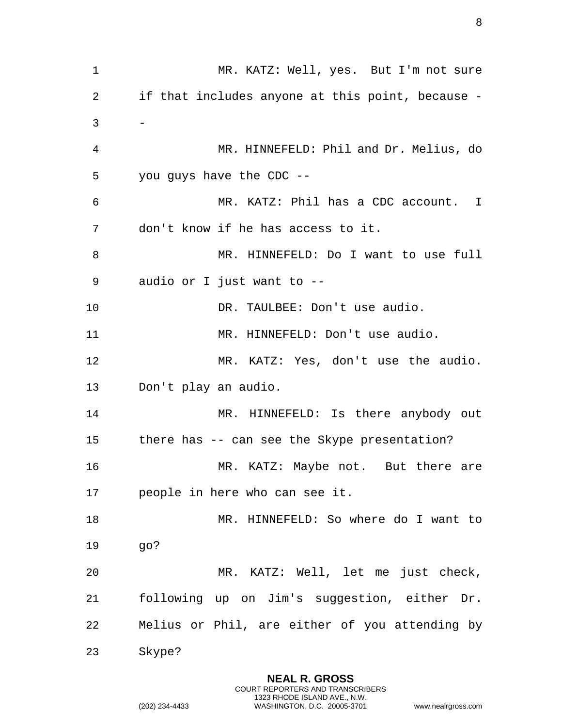MR. KATZ: Well, yes. But I'm not sure if that includes anyone at this point, because -  $3 -$  MR. HINNEFELD: Phil and Dr. Melius, do you guys have the CDC -- MR. KATZ: Phil has a CDC account. I don't know if he has access to it. MR. HINNEFELD: Do I want to use full audio or I just want to -- 10 DR. TAULBEE: Don't use audio. MR. HINNEFELD: Don't use audio. MR. KATZ: Yes, don't use the audio. Don't play an audio. 14 MR. HINNEFELD: Is there anybody out there has -- can see the Skype presentation? 16 MR. KATZ: Maybe not. But there are people in here who can see it. MR. HINNEFELD: So where do I want to go? MR. KATZ: Well, let me just check, following up on Jim's suggestion, either Dr. Melius or Phil, are either of you attending by Skype?

> **NEAL R. GROSS** COURT REPORTERS AND TRANSCRIBERS 1323 RHODE ISLAND AVE., N.W.

(202) 234-4433 WASHINGTON, D.C. 20005-3701 www.nealrgross.com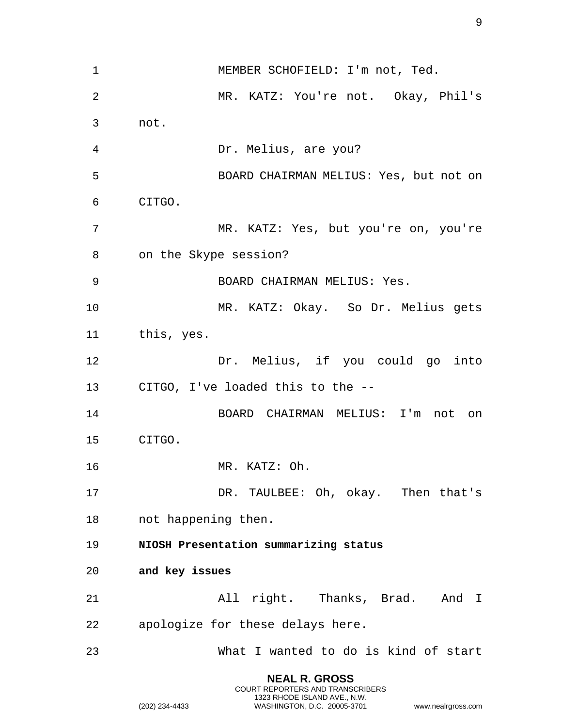| $\mathbf 1$ | MEMBER SCHOFIELD: I'm not, Ted.        |
|-------------|----------------------------------------|
| 2           | MR. KATZ: You're not. Okay, Phil's     |
| 3           | not.                                   |
| 4           | Dr. Melius, are you?                   |
| 5           | BOARD CHAIRMAN MELIUS: Yes, but not on |
| 6           | CITGO.                                 |
| 7           | MR. KATZ: Yes, but you're on, you're   |
| 8           | on the Skype session?                  |
| 9           | BOARD CHAIRMAN MELIUS: Yes.            |
| 10          | MR. KATZ: Okay. So Dr. Melius gets     |
| 11          | this, yes.                             |
| 12          | Dr. Melius, if you could go into       |
| 13          | CITGO, I've loaded this to the --      |
| 14          | BOARD CHAIRMAN MELIUS: I'm not on      |
| 15          | CITGO.                                 |
| 16          | MR. KATZ: Oh.                          |
| 17          | DR. TAULBEE: Oh, okay. Then that's     |
| 18          | not happening then.                    |
| 19          | NIOSH Presentation summarizing status  |
| 20          | and key issues                         |
| 21          | All right. Thanks, Brad. And I         |
| 22          | apologize for these delays here.       |
| 23          | What I wanted to do is kind of start   |
|             | <b>NEAL R. GROSS</b>                   |

COURT REPORTERS AND TRANSCRIBERS 1323 RHODE ISLAND AVE., N.W.

<span id="page-8-1"></span><span id="page-8-0"></span>(202) 234-4433 WASHINGTON, D.C. 20005-3701 www.nealrgross.com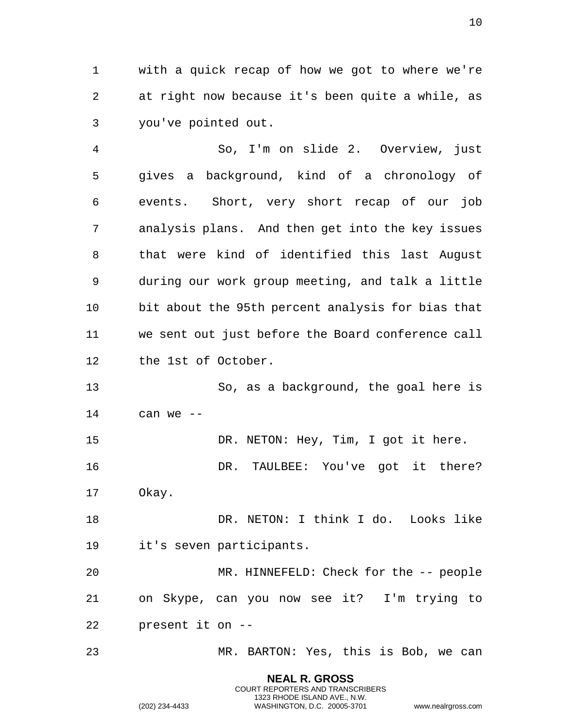with a quick recap of how we got to where we're at right now because it's been quite a while, as you've pointed out.

 So, I'm on slide 2. Overview, just gives a background, kind of a chronology of events. Short, very short recap of our job analysis plans. And then get into the key issues that were kind of identified this last August during our work group meeting, and talk a little bit about the 95th percent analysis for bias that we sent out just before the Board conference call the 1st of October.

 So, as a background, the goal here is can we --

15 DR. NETON: Hey, Tim, I got it here.

 DR. TAULBEE: You've got it there? Okay.

18 DR. NETON: I think I do. Looks like it's seven participants.

 MR. HINNEFELD: Check for the -- people on Skype, can you now see it? I'm trying to present it on --

MR. BARTON: Yes, this is Bob, we can

**NEAL R. GROSS** COURT REPORTERS AND TRANSCRIBERS 1323 RHODE ISLAND AVE., N.W.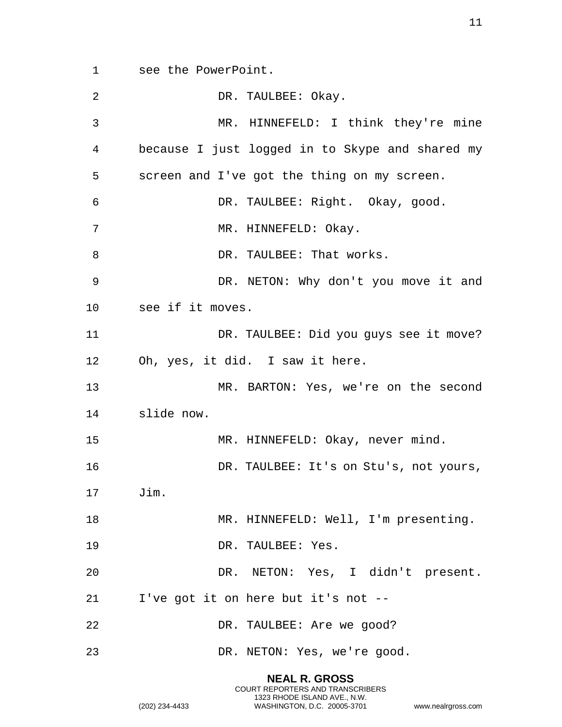see the PowerPoint.

| 2       | DR. TAULBEE: Okay.                              |
|---------|-------------------------------------------------|
| 3       | MR. HINNEFELD: I think they're mine             |
| 4       | because I just logged in to Skype and shared my |
| 5       | screen and I've got the thing on my screen.     |
| 6       | DR. TAULBEE: Right. Okay, good.                 |
| 7       | MR. HINNEFELD: Okay.                            |
| 8       | DR. TAULBEE: That works.                        |
| 9       | DR. NETON: Why don't you move it and            |
| $10 \,$ | see if it moves.                                |
| 11      | DR. TAULBEE: Did you guys see it move?          |
| 12      | Oh, yes, it did. I saw it here.                 |
| 13      | MR. BARTON: Yes, we're on the second            |
| 14      | slide now.                                      |
| 15      | MR. HINNEFELD: Okay, never mind.                |
| 16      | DR. TAULBEE: It's on Stu's, not yours,          |
| 17      | Jim.                                            |
| 18      | MR. HINNEFELD: Well, I'm presenting.            |
| 19      | DR. TAULBEE: Yes.                               |
| 20      | DR. NETON: Yes, I didn't present.               |
| 21      | I've got it on here but it's not --             |
| 22      | DR. TAULBEE: Are we good?                       |
| 23      | DR. NETON: Yes, we're good.                     |

COURT REPORTERS AND TRANSCRIBERS 1323 RHODE ISLAND AVE., N.W. (202) 234-4433 WASHINGTON, D.C. 20005-3701 www.nealrgross.com

**NEAL R. GROSS**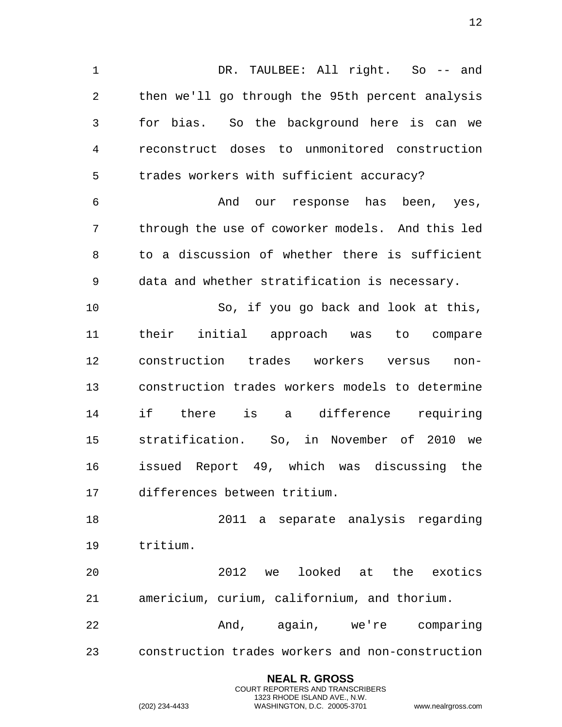1 DR. TAULBEE: All right. So -- and then we'll go through the 95th percent analysis for bias. So the background here is can we reconstruct doses to unmonitored construction trades workers with sufficient accuracy?

 And our response has been, yes, through the use of coworker models. And this led to a discussion of whether there is sufficient data and whether stratification is necessary.

 So, if you go back and look at this, their initial approach was to compare construction trades workers versus non- construction trades workers models to determine if there is a difference requiring stratification. So, in November of 2010 we issued Report 49, which was discussing the differences between tritium.

 2011 a separate analysis regarding tritium.

 2012 we looked at the exotics americium, curium, californium, and thorium.

 And, again, we're comparing construction trades workers and non-construction

> **NEAL R. GROSS** COURT REPORTERS AND TRANSCRIBERS 1323 RHODE ISLAND AVE., N.W.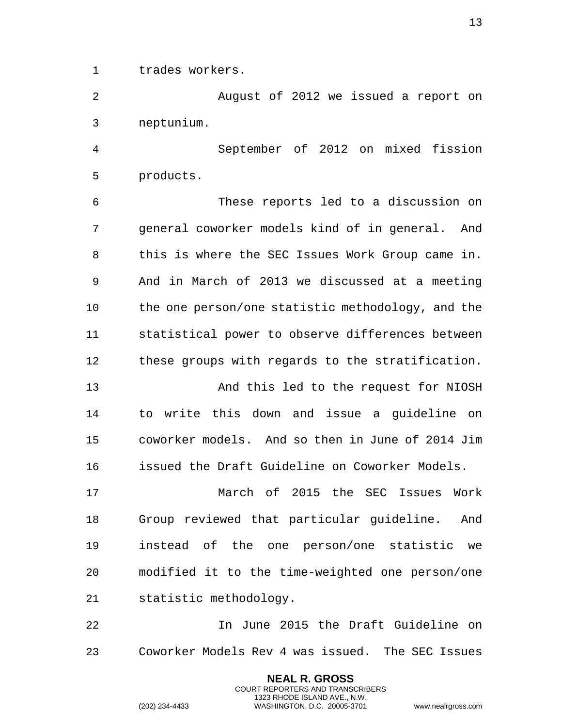trades workers.

 August of 2012 we issued a report on neptunium.

 September of 2012 on mixed fission products.

 These reports led to a discussion on general coworker models kind of in general. And this is where the SEC Issues Work Group came in. And in March of 2013 we discussed at a meeting the one person/one statistic methodology, and the statistical power to observe differences between these groups with regards to the stratification.

 And this led to the request for NIOSH to write this down and issue a guideline on coworker models. And so then in June of 2014 Jim issued the Draft Guideline on Coworker Models.

 March of 2015 the SEC Issues Work Group reviewed that particular guideline. And instead of the one person/one statistic we modified it to the time-weighted one person/one statistic methodology.

 In June 2015 the Draft Guideline on Coworker Models Rev 4 was issued. The SEC Issues

> **NEAL R. GROSS** COURT REPORTERS AND TRANSCRIBERS 1323 RHODE ISLAND AVE., N.W.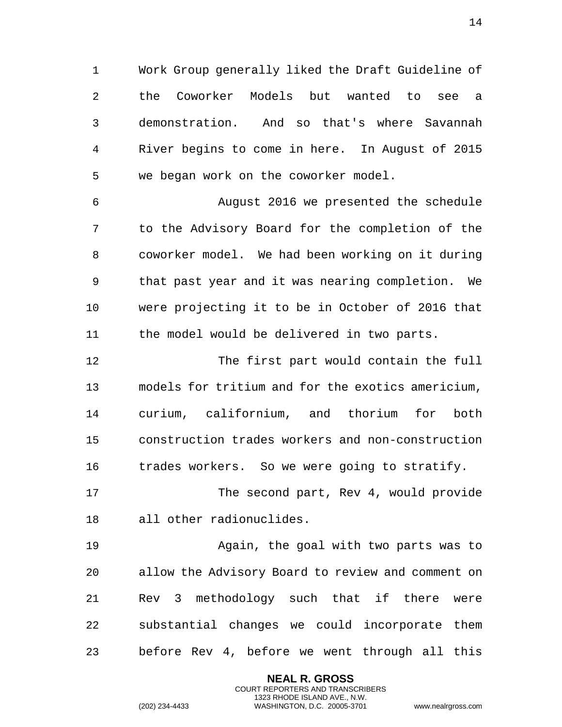Work Group generally liked the Draft Guideline of the Coworker Models but wanted to see a demonstration. And so that's where Savannah River begins to come in here. In August of 2015 we began work on the coworker model.

 August 2016 we presented the schedule to the Advisory Board for the completion of the coworker model. We had been working on it during that past year and it was nearing completion. We were projecting it to be in October of 2016 that the model would be delivered in two parts.

 The first part would contain the full models for tritium and for the exotics americium, curium, californium, and thorium for both construction trades workers and non-construction trades workers. So we were going to stratify.

 The second part, Rev 4, would provide all other radionuclides.

 Again, the goal with two parts was to allow the Advisory Board to review and comment on Rev 3 methodology such that if there were substantial changes we could incorporate them before Rev 4, before we went through all this

> **NEAL R. GROSS** COURT REPORTERS AND TRANSCRIBERS 1323 RHODE ISLAND AVE., N.W.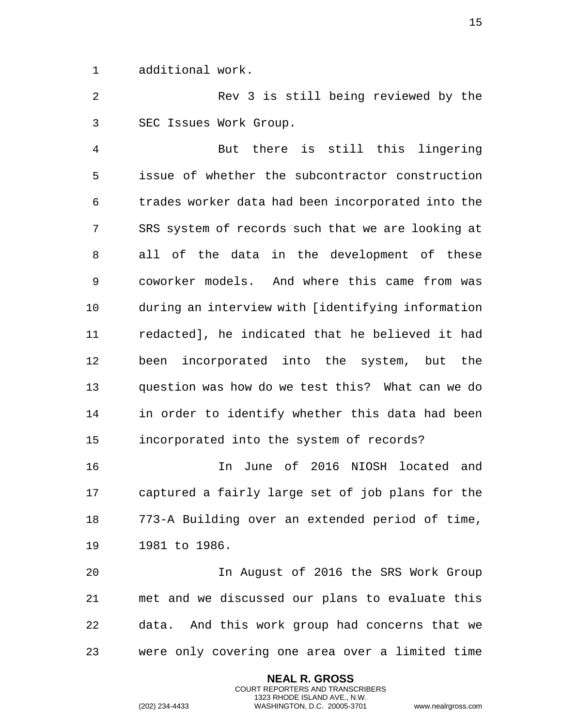additional work.

 Rev 3 is still being reviewed by the SEC Issues Work Group.

 But there is still this lingering issue of whether the subcontractor construction trades worker data had been incorporated into the SRS system of records such that we are looking at all of the data in the development of these coworker models. And where this came from was during an interview with [identifying information redacted], he indicated that he believed it had been incorporated into the system, but the question was how do we test this? What can we do in order to identify whether this data had been incorporated into the system of records?

 In June of 2016 NIOSH located and captured a fairly large set of job plans for the 773-A Building over an extended period of time, 1981 to 1986.

 In August of 2016 the SRS Work Group met and we discussed our plans to evaluate this data. And this work group had concerns that we were only covering one area over a limited time

> **NEAL R. GROSS** COURT REPORTERS AND TRANSCRIBERS 1323 RHODE ISLAND AVE., N.W.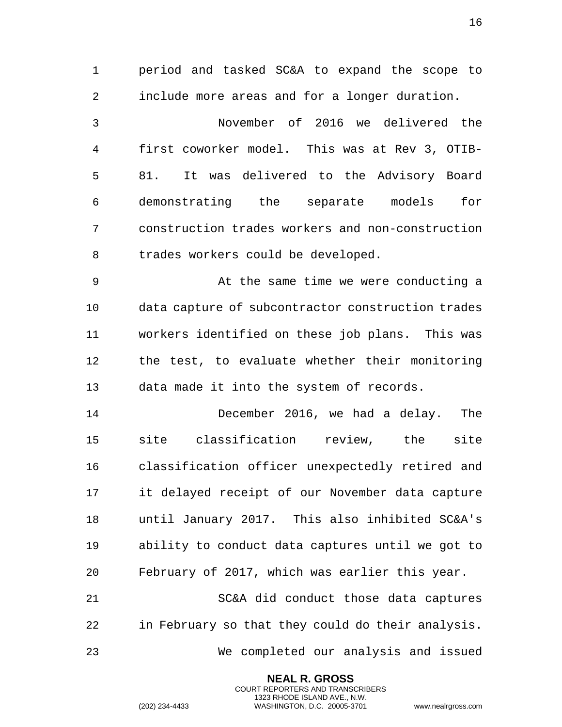period and tasked SC&A to expand the scope to include more areas and for a longer duration. November of 2016 we delivered the first coworker model. This was at Rev 3, OTIB- 81. It was delivered to the Advisory Board demonstrating the separate models for construction trades workers and non-construction trades workers could be developed. At the same time we were conducting a data capture of subcontractor construction trades workers identified on these job plans. This was the test, to evaluate whether their monitoring data made it into the system of records. December 2016, we had a delay. The site classification review, the site classification officer unexpectedly retired and it delayed receipt of our November data capture until January 2017. This also inhibited SC&A's ability to conduct data captures until we got to February of 2017, which was earlier this year. SC&A did conduct those data captures in February so that they could do their analysis. We completed our analysis and issued

> **NEAL R. GROSS** COURT REPORTERS AND TRANSCRIBERS 1323 RHODE ISLAND AVE., N.W.

(202) 234-4433 WASHINGTON, D.C. 20005-3701 www.nealrgross.com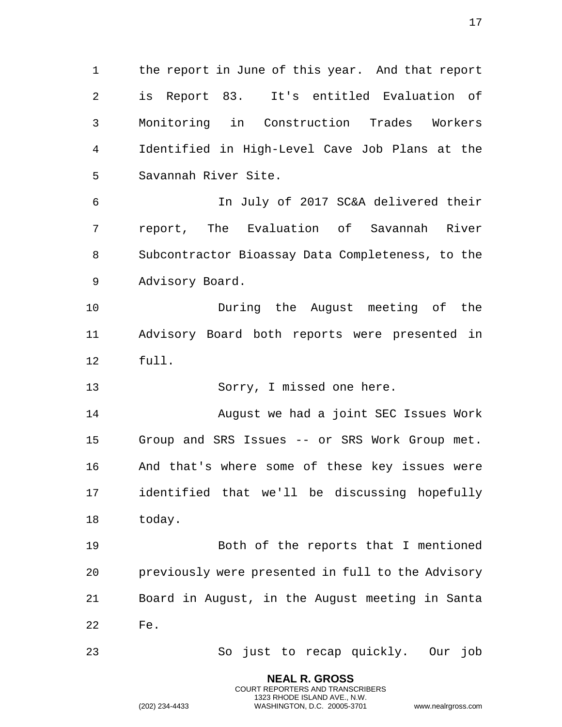the report in June of this year. And that report is Report 83. It's entitled Evaluation of Monitoring in Construction Trades Workers Identified in High-Level Cave Job Plans at the Savannah River Site.

 In July of 2017 SC&A delivered their report, The Evaluation of Savannah River Subcontractor Bioassay Data Completeness, to the Advisory Board.

 During the August meeting of the Advisory Board both reports were presented in full.

Sorry, I missed one here.

 August we had a joint SEC Issues Work Group and SRS Issues -- or SRS Work Group met. And that's where some of these key issues were identified that we'll be discussing hopefully today.

 Both of the reports that I mentioned previously were presented in full to the Advisory Board in August, in the August meeting in Santa Fe.

So just to recap quickly. Our job

**NEAL R. GROSS** COURT REPORTERS AND TRANSCRIBERS 1323 RHODE ISLAND AVE., N.W.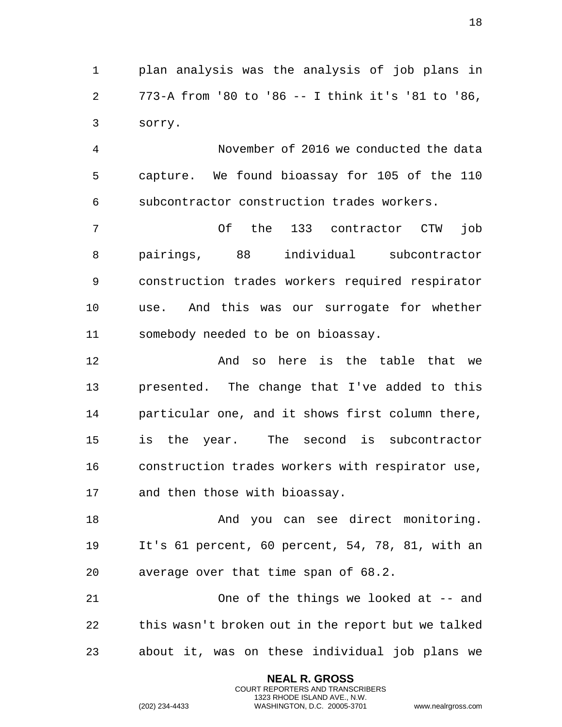plan analysis was the analysis of job plans in 773-A from '80 to '86 -- I think it's '81 to '86, sorry.

 November of 2016 we conducted the data capture. We found bioassay for 105 of the 110 subcontractor construction trades workers.

 Of the 133 contractor CTW job pairings, 88 individual subcontractor construction trades workers required respirator use. And this was our surrogate for whether somebody needed to be on bioassay.

**And so here is the table that we**  presented. The change that I've added to this particular one, and it shows first column there, is the year. The second is subcontractor construction trades workers with respirator use, and then those with bioassay.

18 And you can see direct monitoring. It's 61 percent, 60 percent, 54, 78, 81, with an average over that time span of 68.2.

 One of the things we looked at -- and this wasn't broken out in the report but we talked about it, was on these individual job plans we

> **NEAL R. GROSS** COURT REPORTERS AND TRANSCRIBERS 1323 RHODE ISLAND AVE., N.W.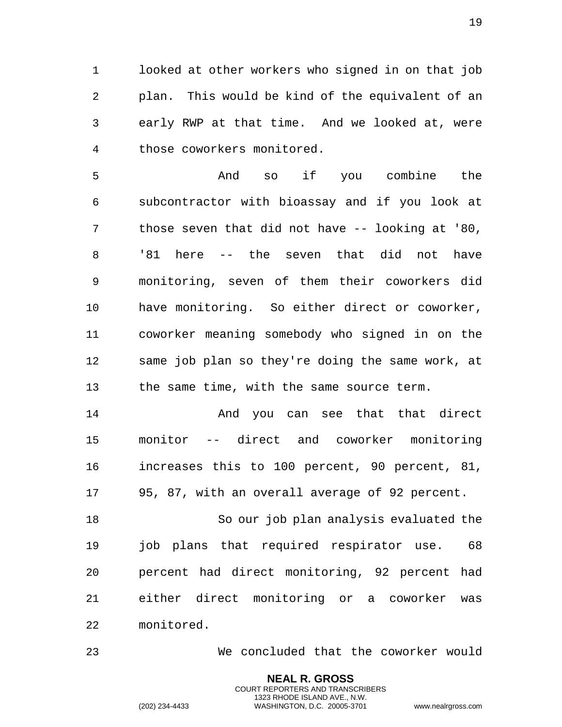looked at other workers who signed in on that job plan. This would be kind of the equivalent of an early RWP at that time. And we looked at, were those coworkers monitored.

 And so if you combine the subcontractor with bioassay and if you look at those seven that did not have -- looking at '80, '81 here -- the seven that did not have monitoring, seven of them their coworkers did have monitoring. So either direct or coworker, coworker meaning somebody who signed in on the same job plan so they're doing the same work, at the same time, with the same source term.

14 And you can see that that direct monitor -- direct and coworker monitoring increases this to 100 percent, 90 percent, 81, 95, 87, with an overall average of 92 percent.

 So our job plan analysis evaluated the job plans that required respirator use. 68 percent had direct monitoring, 92 percent had either direct monitoring or a coworker was monitored.

We concluded that the coworker would

**NEAL R. GROSS** COURT REPORTERS AND TRANSCRIBERS 1323 RHODE ISLAND AVE., N.W.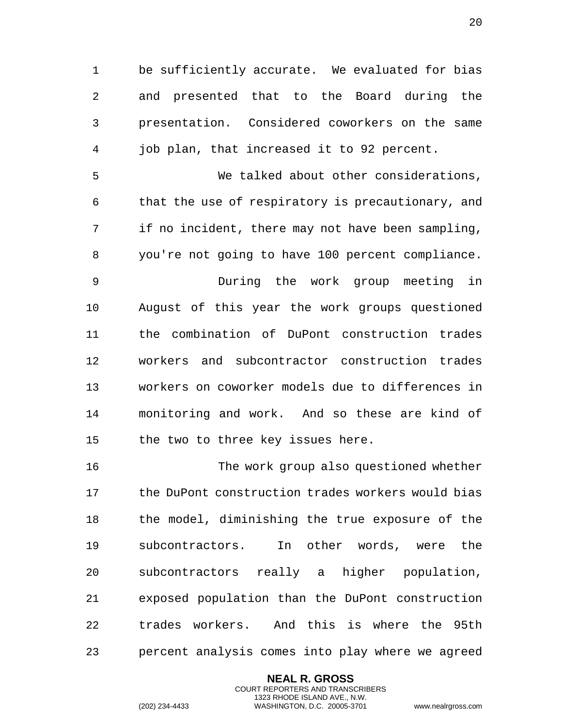be sufficiently accurate. We evaluated for bias and presented that to the Board during the presentation. Considered coworkers on the same job plan, that increased it to 92 percent.

 We talked about other considerations, that the use of respiratory is precautionary, and if no incident, there may not have been sampling, you're not going to have 100 percent compliance.

 During the work group meeting in August of this year the work groups questioned the combination of DuPont construction trades workers and subcontractor construction trades workers on coworker models due to differences in monitoring and work. And so these are kind of the two to three key issues here.

 The work group also questioned whether the DuPont construction trades workers would bias the model, diminishing the true exposure of the subcontractors. In other words, were the subcontractors really a higher population, exposed population than the DuPont construction trades workers. And this is where the 95th percent analysis comes into play where we agreed

> **NEAL R. GROSS** COURT REPORTERS AND TRANSCRIBERS 1323 RHODE ISLAND AVE., N.W.

```
(202) 234-4433 WASHINGTON, D.C. 20005-3701 www.nealrgross.com
```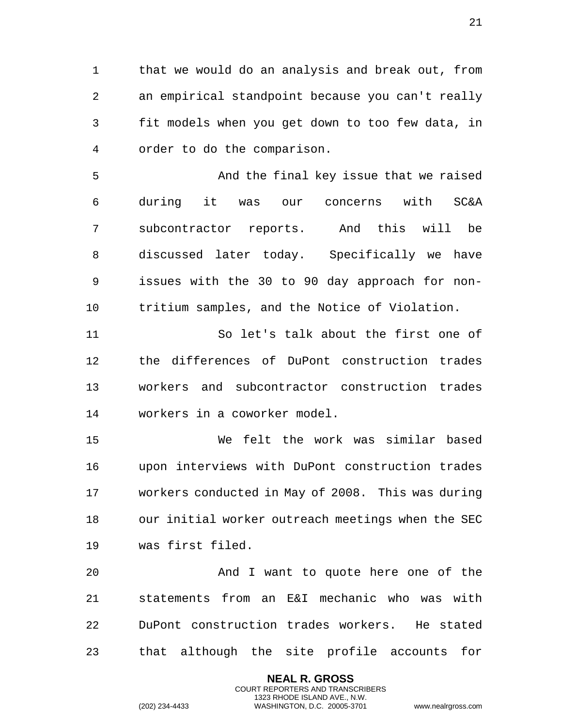that we would do an analysis and break out, from an empirical standpoint because you can't really fit models when you get down to too few data, in order to do the comparison.

 And the final key issue that we raised during it was our concerns with SC&A subcontractor reports. And this will be discussed later today. Specifically we have issues with the 30 to 90 day approach for non-tritium samples, and the Notice of Violation.

 So let's talk about the first one of the differences of DuPont construction trades workers and subcontractor construction trades workers in a coworker model.

 We felt the work was similar based upon interviews with DuPont construction trades workers conducted in May of 2008. This was during our initial worker outreach meetings when the SEC was first filed.

 And I want to quote here one of the statements from an E&I mechanic who was with DuPont construction trades workers. He stated that although the site profile accounts for

> **NEAL R. GROSS** COURT REPORTERS AND TRANSCRIBERS 1323 RHODE ISLAND AVE., N.W.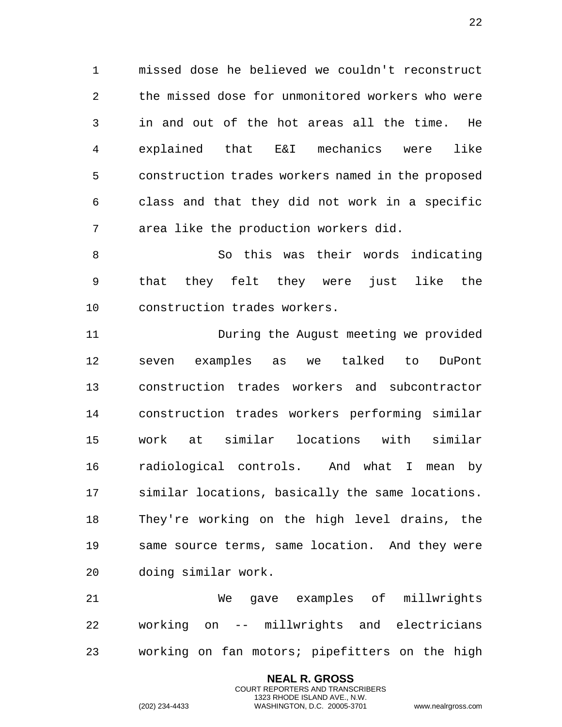missed dose he believed we couldn't reconstruct the missed dose for unmonitored workers who were in and out of the hot areas all the time. He explained that E&I mechanics were like construction trades workers named in the proposed class and that they did not work in a specific area like the production workers did.

 So this was their words indicating that they felt they were just like the construction trades workers.

 During the August meeting we provided seven examples as we talked to DuPont construction trades workers and subcontractor construction trades workers performing similar work at similar locations with similar radiological controls. And what I mean by similar locations, basically the same locations. They're working on the high level drains, the same source terms, same location. And they were doing similar work.

 We gave examples of millwrights working on -- millwrights and electricians working on fan motors; pipefitters on the high

> **NEAL R. GROSS** COURT REPORTERS AND TRANSCRIBERS 1323 RHODE ISLAND AVE., N.W.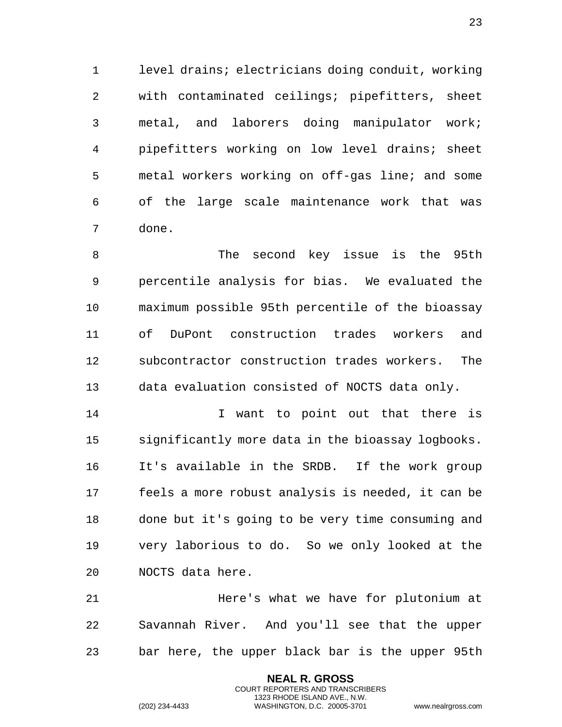level drains; electricians doing conduit, working with contaminated ceilings; pipefitters, sheet metal, and laborers doing manipulator work; pipefitters working on low level drains; sheet metal workers working on off-gas line; and some of the large scale maintenance work that was done.

 The second key issue is the 95th percentile analysis for bias. We evaluated the maximum possible 95th percentile of the bioassay of DuPont construction trades workers and subcontractor construction trades workers. The data evaluation consisted of NOCTS data only.

14 14 I want to point out that there is significantly more data in the bioassay logbooks. It's available in the SRDB. If the work group feels a more robust analysis is needed, it can be done but it's going to be very time consuming and very laborious to do. So we only looked at the NOCTS data here.

 Here's what we have for plutonium at Savannah River. And you'll see that the upper bar here, the upper black bar is the upper 95th

> **NEAL R. GROSS** COURT REPORTERS AND TRANSCRIBERS 1323 RHODE ISLAND AVE., N.W.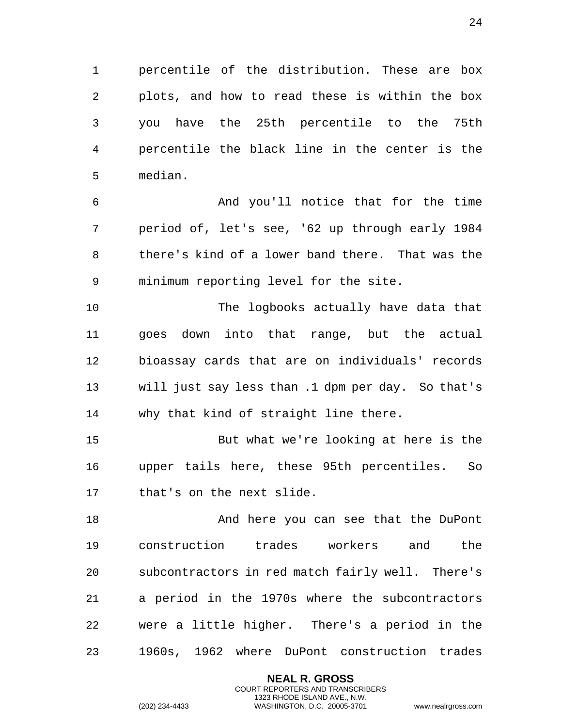percentile of the distribution. These are box plots, and how to read these is within the box you have the 25th percentile to the 75th percentile the black line in the center is the median.

 And you'll notice that for the time period of, let's see, '62 up through early 1984 there's kind of a lower band there. That was the minimum reporting level for the site.

 The logbooks actually have data that goes down into that range, but the actual bioassay cards that are on individuals' records will just say less than .1 dpm per day. So that's why that kind of straight line there.

 But what we're looking at here is the upper tails here, these 95th percentiles. So that's on the next slide.

18 And here you can see that the DuPont construction trades workers and the subcontractors in red match fairly well. There's a period in the 1970s where the subcontractors were a little higher. There's a period in the 1960s, 1962 where DuPont construction trades

> **NEAL R. GROSS** COURT REPORTERS AND TRANSCRIBERS 1323 RHODE ISLAND AVE., N.W.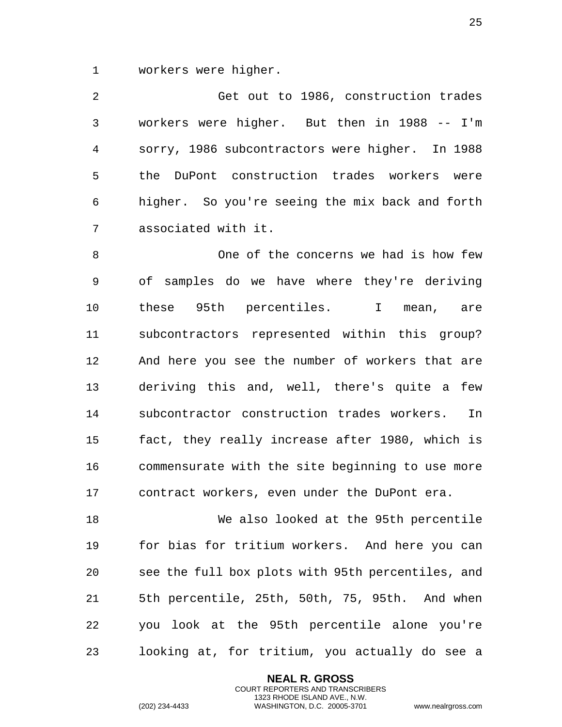workers were higher.

 Get out to 1986, construction trades workers were higher. But then in 1988 -- I'm sorry, 1986 subcontractors were higher. In 1988 the DuPont construction trades workers were higher. So you're seeing the mix back and forth associated with it.

 One of the concerns we had is how few of samples do we have where they're deriving these 95th percentiles. I mean, are subcontractors represented within this group? And here you see the number of workers that are deriving this and, well, there's quite a few subcontractor construction trades workers. In fact, they really increase after 1980, which is commensurate with the site beginning to use more contract workers, even under the DuPont era.

 We also looked at the 95th percentile for bias for tritium workers. And here you can see the full box plots with 95th percentiles, and 5th percentile, 25th, 50th, 75, 95th. And when you look at the 95th percentile alone you're looking at, for tritium, you actually do see a

> **NEAL R. GROSS** COURT REPORTERS AND TRANSCRIBERS 1323 RHODE ISLAND AVE., N.W.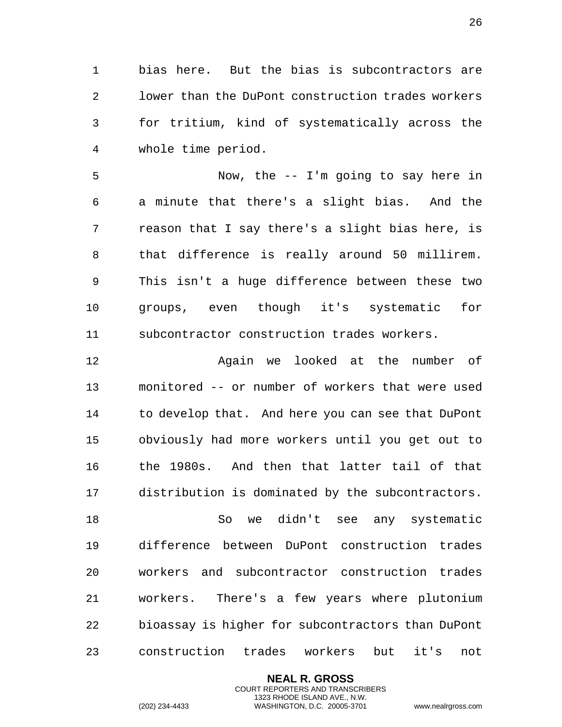bias here. But the bias is subcontractors are lower than the DuPont construction trades workers for tritium, kind of systematically across the whole time period.

 Now, the -- I'm going to say here in a minute that there's a slight bias. And the reason that I say there's a slight bias here, is that difference is really around 50 millirem. This isn't a huge difference between these two groups, even though it's systematic for subcontractor construction trades workers.

 Again we looked at the number of monitored -- or number of workers that were used to develop that. And here you can see that DuPont obviously had more workers until you get out to the 1980s. And then that latter tail of that distribution is dominated by the subcontractors.

 So we didn't see any systematic difference between DuPont construction trades workers and subcontractor construction trades workers. There's a few years where plutonium bioassay is higher for subcontractors than DuPont construction trades workers but it's not

> **NEAL R. GROSS** COURT REPORTERS AND TRANSCRIBERS 1323 RHODE ISLAND AVE., N.W.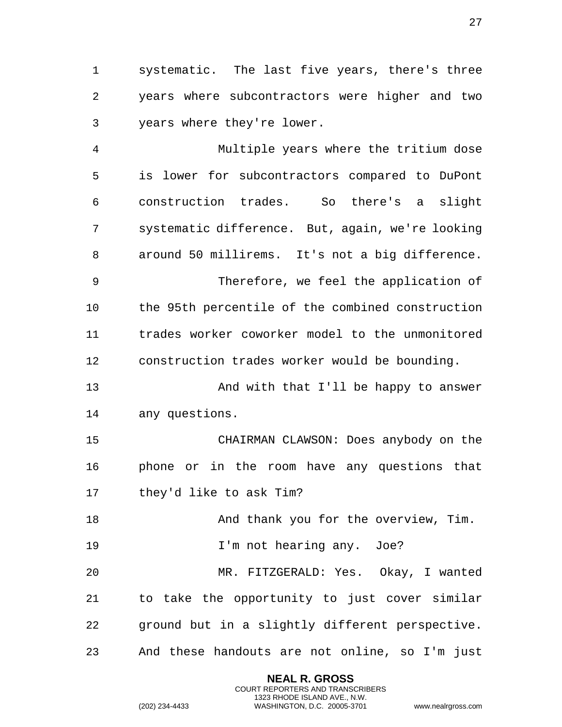systematic. The last five years, there's three years where subcontractors were higher and two years where they're lower.

 Multiple years where the tritium dose is lower for subcontractors compared to DuPont construction trades. So there's a slight systematic difference. But, again, we're looking around 50 millirems. It's not a big difference. Therefore, we feel the application of the 95th percentile of the combined construction trades worker coworker model to the unmonitored construction trades worker would be bounding. And with that I'll be happy to answer any questions. CHAIRMAN CLAWSON: Does anybody on the phone or in the room have any questions that they'd like to ask Tim? 18 And thank you for the overview, Tim. **I'm not hearing any.** Joe? MR. FITZGERALD: Yes. Okay, I wanted to take the opportunity to just cover similar ground but in a slightly different perspective. And these handouts are not online, so I'm just

> **NEAL R. GROSS** COURT REPORTERS AND TRANSCRIBERS 1323 RHODE ISLAND AVE., N.W.

(202) 234-4433 WASHINGTON, D.C. 20005-3701 www.nealrgross.com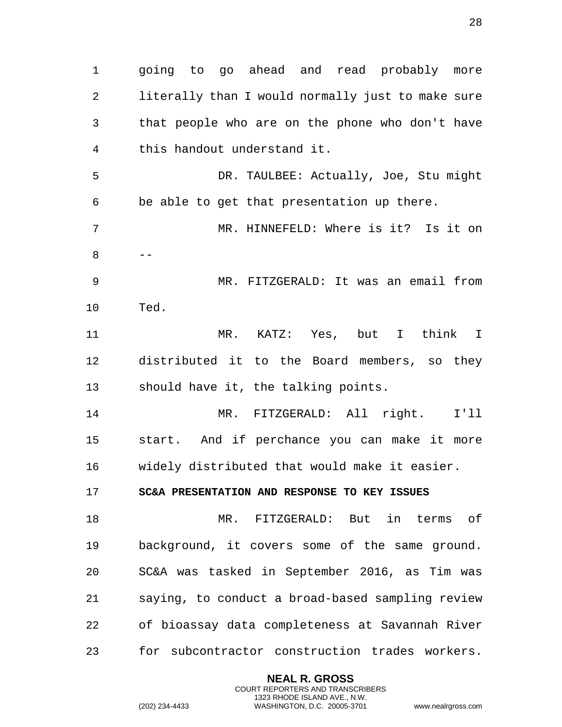1 going to go ahead and read probably more 2 literally than I would normally just to make sure 3 that people who are on the phone who don't have 4 this handout understand it. 5 DR. TAULBEE: Actually, Joe, Stu might 6 be able to get that presentation up there. 7 MR. HINNEFELD: Where is it? Is it on  $8 - -$ 9 MR. FITZGERALD: It was an email from 10 Ted. 11 MR. KATZ: Yes, but I think I 12 distributed it to the Board members, so they 13 should have it, the talking points. 14 MR. FITZGERALD: All right. I'll 15 start. And if perchance you can make it more 16 widely distributed that would make it easier. 17 **SC&A PRESENTATION AND RESPONSE TO KEY ISSUES**  18 MR. FITZGERALD: But in terms of 19 background, it covers some of the same ground. 20 SC&A was tasked in September 2016, as Tim was 21 saying, to conduct a broad-based sampling review 22 of bioassay data completeness at Savannah River 23 for subcontractor construction trades workers.

> <span id="page-27-0"></span>**NEAL R. GROSS** COURT REPORTERS AND TRANSCRIBERS 1323 RHODE ISLAND AVE., N.W.

(202) 234-4433 WASHINGTON, D.C. 20005-3701 www.nealrgross.com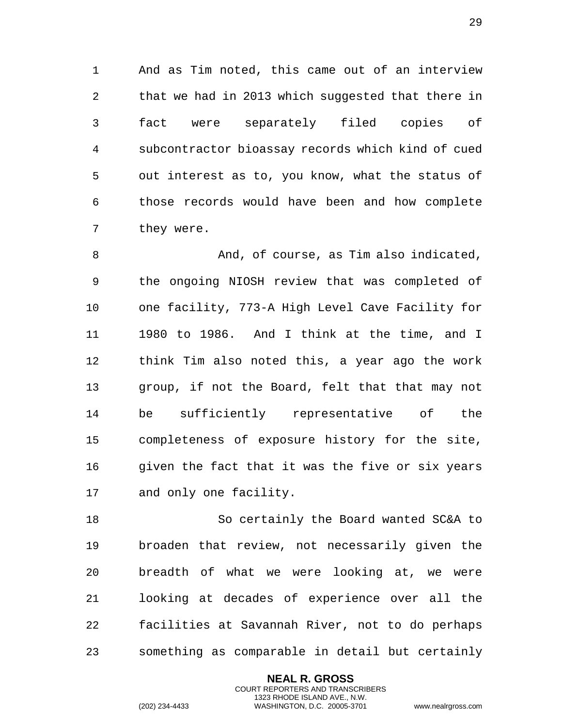And as Tim noted, this came out of an interview that we had in 2013 which suggested that there in fact were separately filed copies of subcontractor bioassay records which kind of cued out interest as to, you know, what the status of those records would have been and how complete they were.

 And, of course, as Tim also indicated, the ongoing NIOSH review that was completed of one facility, 773-A High Level Cave Facility for 1980 to 1986. And I think at the time, and I think Tim also noted this, a year ago the work group, if not the Board, felt that that may not be sufficiently representative of the completeness of exposure history for the site, 16 given the fact that it was the five or six years and only one facility.

 So certainly the Board wanted SC&A to broaden that review, not necessarily given the breadth of what we were looking at, we were looking at decades of experience over all the facilities at Savannah River, not to do perhaps something as comparable in detail but certainly

> **NEAL R. GROSS** COURT REPORTERS AND TRANSCRIBERS 1323 RHODE ISLAND AVE., N.W.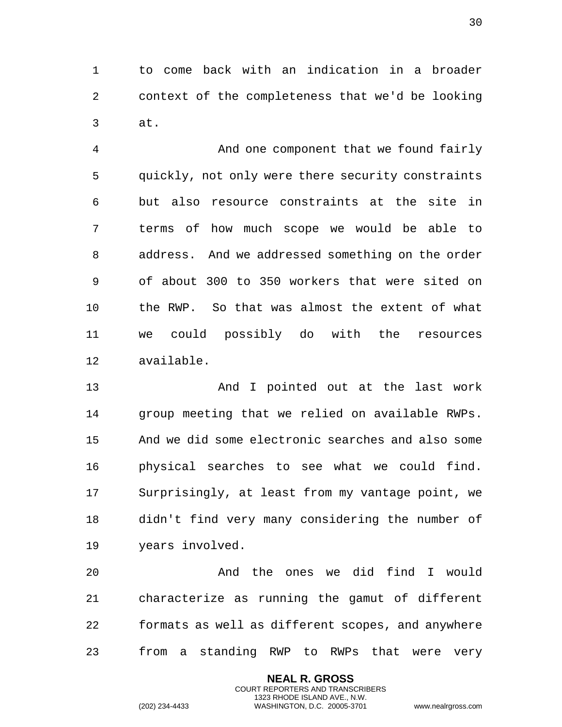to come back with an indication in a broader context of the completeness that we'd be looking at.

 And one component that we found fairly quickly, not only were there security constraints but also resource constraints at the site in terms of how much scope we would be able to address. And we addressed something on the order of about 300 to 350 workers that were sited on the RWP. So that was almost the extent of what we could possibly do with the resources available.

 And I pointed out at the last work group meeting that we relied on available RWPs. And we did some electronic searches and also some physical searches to see what we could find. Surprisingly, at least from my vantage point, we didn't find very many considering the number of years involved.

 And the ones we did find I would characterize as running the gamut of different formats as well as different scopes, and anywhere from a standing RWP to RWPs that were very

> **NEAL R. GROSS** COURT REPORTERS AND TRANSCRIBERS 1323 RHODE ISLAND AVE., N.W.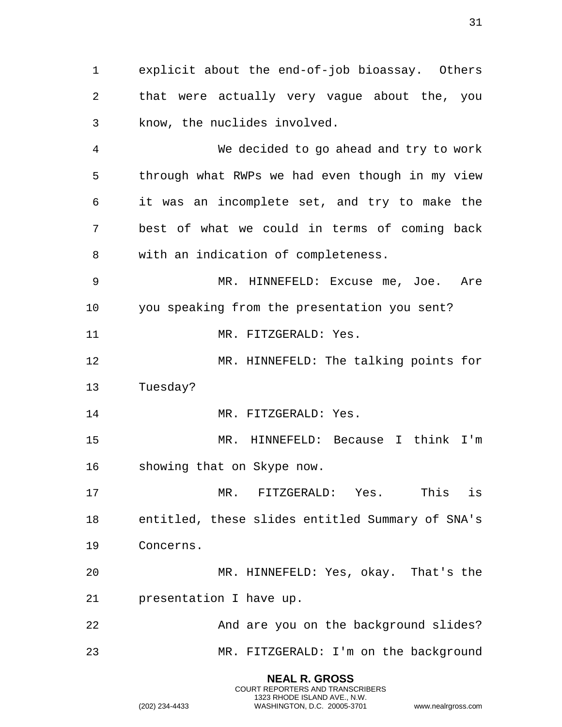explicit about the end-of-job bioassay. Others that were actually very vague about the, you know, the nuclides involved.

 We decided to go ahead and try to work through what RWPs we had even though in my view it was an incomplete set, and try to make the best of what we could in terms of coming back with an indication of completeness.

 MR. HINNEFELD: Excuse me, Joe. Are you speaking from the presentation you sent?

11 MR. FITZGERALD: Yes.

 MR. HINNEFELD: The talking points for Tuesday?

14 MR. FITZGERALD: Yes.

 MR. HINNEFELD: Because I think I'm showing that on Skype now.

 MR. FITZGERALD: Yes. This is entitled, these slides entitled Summary of SNA's Concerns.

 MR. HINNEFELD: Yes, okay. That's the presentation I have up.

 And are you on the background slides? MR. FITZGERALD: I'm on the background

> **NEAL R. GROSS** COURT REPORTERS AND TRANSCRIBERS 1323 RHODE ISLAND AVE., N.W. (202) 234-4433 WASHINGTON, D.C. 20005-3701 www.nealrgross.com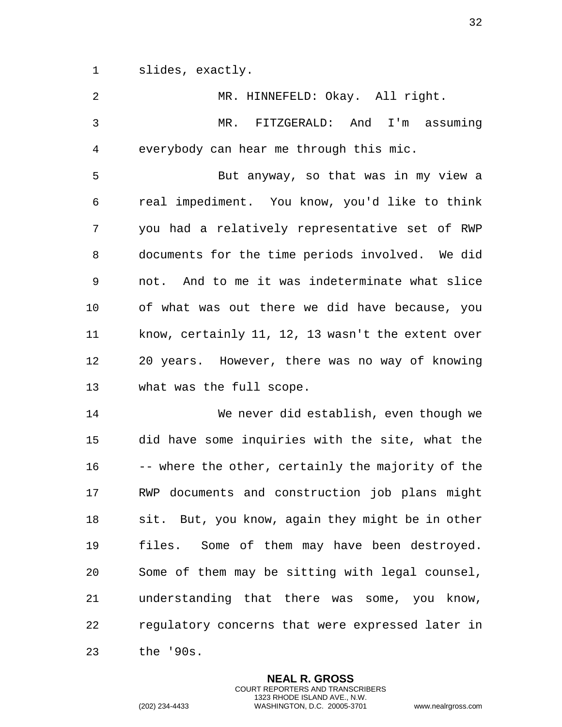slides, exactly.

| $\overline{a}$ | MR. HINNEFELD: Okay. All right.                   |
|----------------|---------------------------------------------------|
| 3              | MR. FITZGERALD: And<br>I'm assuming               |
| 4              | everybody can hear me through this mic.           |
| 5              | But anyway, so that was in my view a              |
| 6              | real impediment. You know, you'd like to think    |
| 7              | you had a relatively representative set of RWP    |
| 8              | documents for the time periods involved. We did   |
| 9              | not. And to me it was indeterminate what slice    |
| 10             | of what was out there we did have because, you    |
| 11             | know, certainly 11, 12, 13 wasn't the extent over |
| 12             | 20 years. However, there was no way of knowing    |
| 13             | what was the full scope.                          |
| 14             | We never did establish, even though we            |
| 15             | did have some inquiries with the site, what the   |
|                |                                                   |
| 16             | -- where the other, certainly the majority of the |
| 17             | RWP documents and construction job plans might    |
| 18             | sit. But, you know, again they might be in other  |
| 19             | files. Some of them may have been destroyed.      |
| 20             | Some of them may be sitting with legal counsel,   |
| 21             | understanding that there was some, you know,      |
| 22             | regulatory concerns that were expressed later in  |

**NEAL R. GROSS** COURT REPORTERS AND TRANSCRIBERS 1323 RHODE ISLAND AVE., N.W.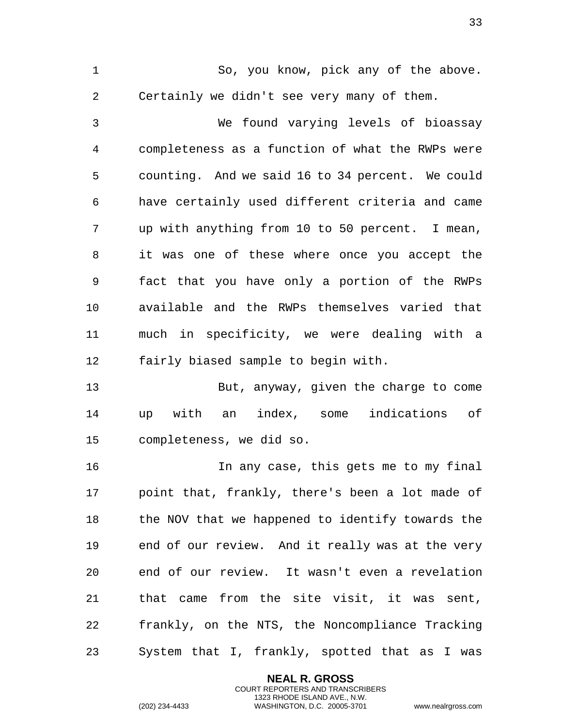So, you know, pick any of the above. Certainly we didn't see very many of them.

 We found varying levels of bioassay completeness as a function of what the RWPs were counting. And we said 16 to 34 percent. We could have certainly used different criteria and came up with anything from 10 to 50 percent. I mean, it was one of these where once you accept the fact that you have only a portion of the RWPs available and the RWPs themselves varied that much in specificity, we were dealing with a fairly biased sample to begin with.

 But, anyway, given the charge to come up with an index, some indications of completeness, we did so.

 In any case, this gets me to my final point that, frankly, there's been a lot made of the NOV that we happened to identify towards the end of our review. And it really was at the very end of our review. It wasn't even a revelation that came from the site visit, it was sent, frankly, on the NTS, the Noncompliance Tracking System that I, frankly, spotted that as I was

> **NEAL R. GROSS** COURT REPORTERS AND TRANSCRIBERS 1323 RHODE ISLAND AVE., N.W.

(202) 234-4433 WASHINGTON, D.C. 20005-3701 www.nealrgross.com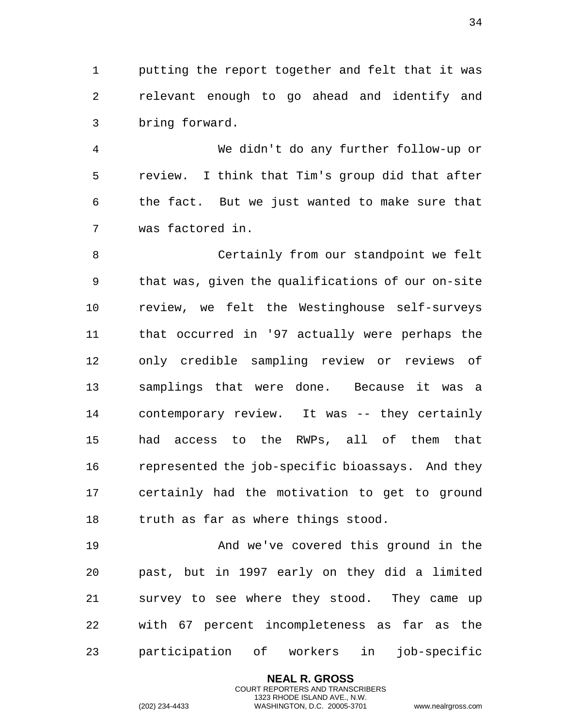putting the report together and felt that it was relevant enough to go ahead and identify and bring forward.

 We didn't do any further follow-up or review. I think that Tim's group did that after the fact. But we just wanted to make sure that was factored in.

 Certainly from our standpoint we felt that was, given the qualifications of our on-site review, we felt the Westinghouse self-surveys that occurred in '97 actually were perhaps the only credible sampling review or reviews of samplings that were done. Because it was a contemporary review. It was -- they certainly had access to the RWPs, all of them that represented the job-specific bioassays. And they certainly had the motivation to get to ground truth as far as where things stood.

 And we've covered this ground in the past, but in 1997 early on they did a limited survey to see where they stood. They came up with 67 percent incompleteness as far as the participation of workers in job-specific

> **NEAL R. GROSS** COURT REPORTERS AND TRANSCRIBERS 1323 RHODE ISLAND AVE., N.W.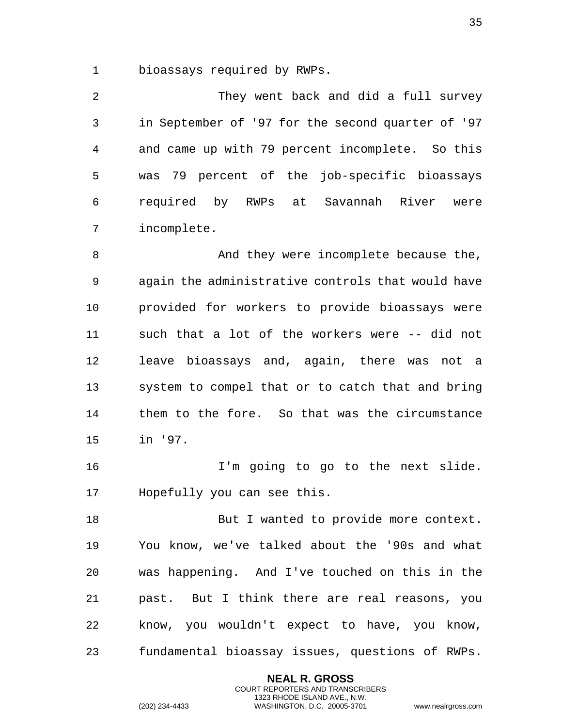bioassays required by RWPs.

 They went back and did a full survey in September of '97 for the second quarter of '97 and came up with 79 percent incomplete. So this was 79 percent of the job-specific bioassays required by RWPs at Savannah River were incomplete.

8 And they were incomplete because the, again the administrative controls that would have provided for workers to provide bioassays were such that a lot of the workers were -- did not leave bioassays and, again, there was not a system to compel that or to catch that and bring them to the fore. So that was the circumstance in '97.

16 1'm going to go to the next slide. Hopefully you can see this.

18 But I wanted to provide more context. You know, we've talked about the '90s and what was happening. And I've touched on this in the past. But I think there are real reasons, you know, you wouldn't expect to have, you know, fundamental bioassay issues, questions of RWPs.

> **NEAL R. GROSS** COURT REPORTERS AND TRANSCRIBERS 1323 RHODE ISLAND AVE., N.W.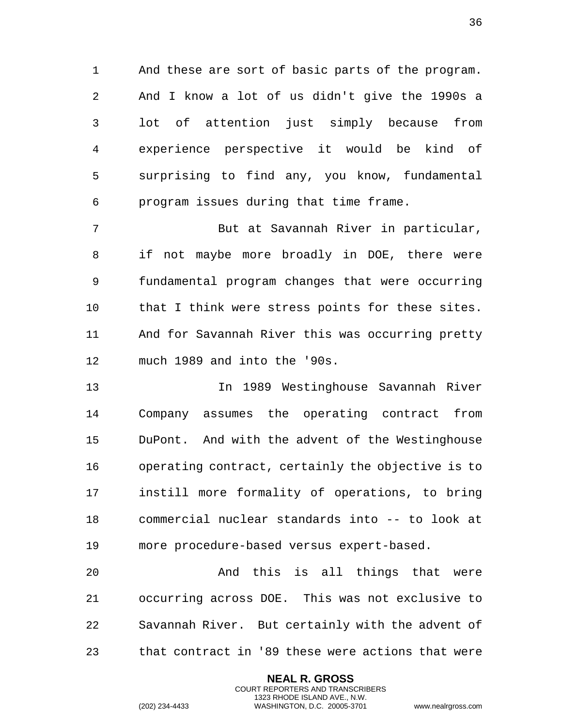And these are sort of basic parts of the program. And I know a lot of us didn't give the 1990s a lot of attention just simply because from experience perspective it would be kind of surprising to find any, you know, fundamental program issues during that time frame.

 But at Savannah River in particular, if not maybe more broadly in DOE, there were fundamental program changes that were occurring that I think were stress points for these sites. And for Savannah River this was occurring pretty much 1989 and into the '90s.

 In 1989 Westinghouse Savannah River Company assumes the operating contract from DuPont. And with the advent of the Westinghouse operating contract, certainly the objective is to instill more formality of operations, to bring commercial nuclear standards into -- to look at more procedure-based versus expert-based.

 And this is all things that were occurring across DOE. This was not exclusive to Savannah River. But certainly with the advent of that contract in '89 these were actions that were

> **NEAL R. GROSS** COURT REPORTERS AND TRANSCRIBERS 1323 RHODE ISLAND AVE., N.W.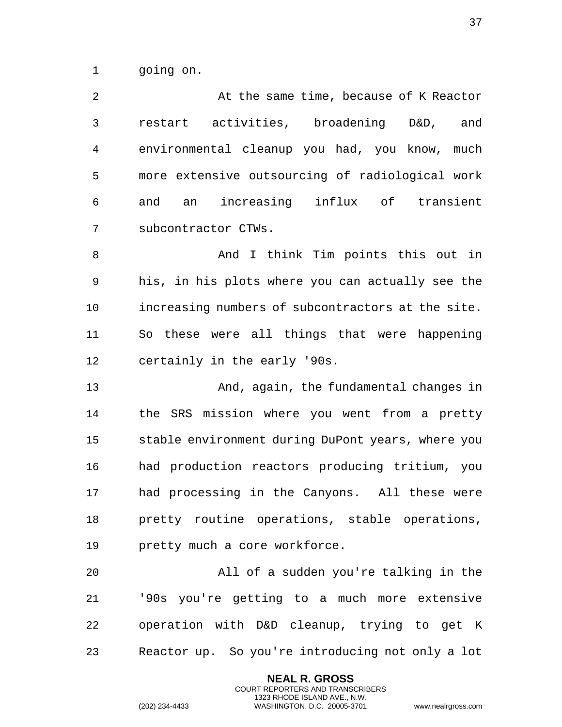going on.

 At the same time, because of K Reactor restart activities, broadening D&D, and environmental cleanup you had, you know, much more extensive outsourcing of radiological work and an increasing influx of transient subcontractor CTWs. And I think Tim points this out in

 his, in his plots where you can actually see the increasing numbers of subcontractors at the site. So these were all things that were happening certainly in the early '90s.

 And, again, the fundamental changes in the SRS mission where you went from a pretty stable environment during DuPont years, where you had production reactors producing tritium, you had processing in the Canyons. All these were pretty routine operations, stable operations, pretty much a core workforce.

 All of a sudden you're talking in the '90s you're getting to a much more extensive operation with D&D cleanup, trying to get K Reactor up. So you're introducing not only a lot

> **NEAL R. GROSS** COURT REPORTERS AND TRANSCRIBERS 1323 RHODE ISLAND AVE., N.W.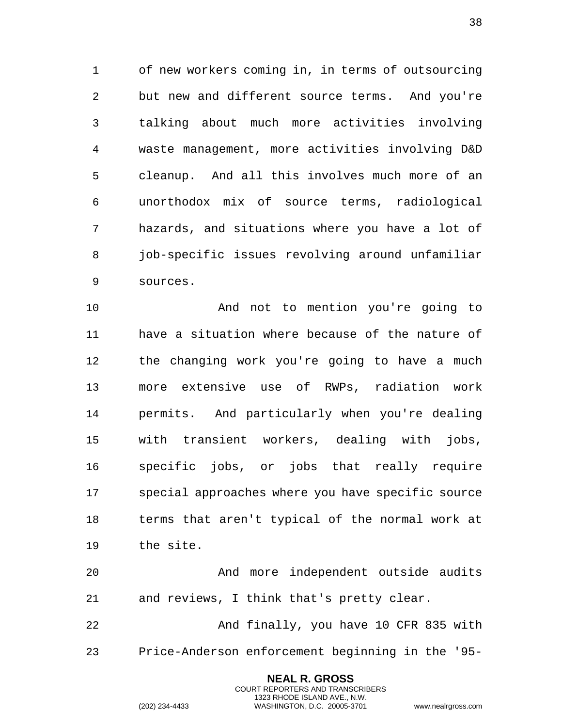of new workers coming in, in terms of outsourcing but new and different source terms. And you're talking about much more activities involving waste management, more activities involving D&D cleanup. And all this involves much more of an unorthodox mix of source terms, radiological hazards, and situations where you have a lot of job-specific issues revolving around unfamiliar sources.

 And not to mention you're going to have a situation where because of the nature of the changing work you're going to have a much more extensive use of RWPs, radiation work permits. And particularly when you're dealing with transient workers, dealing with jobs, specific jobs, or jobs that really require special approaches where you have specific source terms that aren't typical of the normal work at the site.

 And more independent outside audits and reviews, I think that's pretty clear.

 And finally, you have 10 CFR 835 with Price-Anderson enforcement beginning in the '95-

> **NEAL R. GROSS** COURT REPORTERS AND TRANSCRIBERS 1323 RHODE ISLAND AVE., N.W.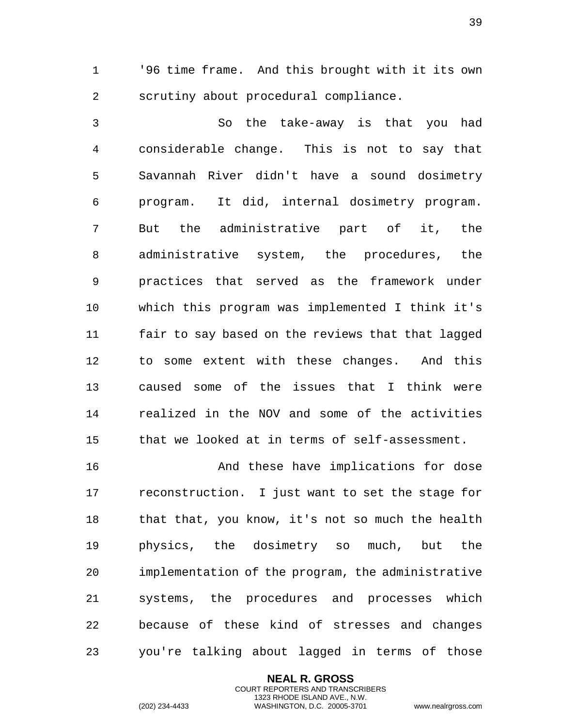'96 time frame. And this brought with it its own scrutiny about procedural compliance.

 So the take-away is that you had considerable change. This is not to say that Savannah River didn't have a sound dosimetry program. It did, internal dosimetry program. But the administrative part of it, the administrative system, the procedures, the practices that served as the framework under which this program was implemented I think it's fair to say based on the reviews that that lagged to some extent with these changes. And this caused some of the issues that I think were realized in the NOV and some of the activities that we looked at in terms of self-assessment.

 And these have implications for dose reconstruction. I just want to set the stage for that that, you know, it's not so much the health physics, the dosimetry so much, but the implementation of the program, the administrative systems, the procedures and processes which because of these kind of stresses and changes you're talking about lagged in terms of those

> **NEAL R. GROSS** COURT REPORTERS AND TRANSCRIBERS 1323 RHODE ISLAND AVE., N.W.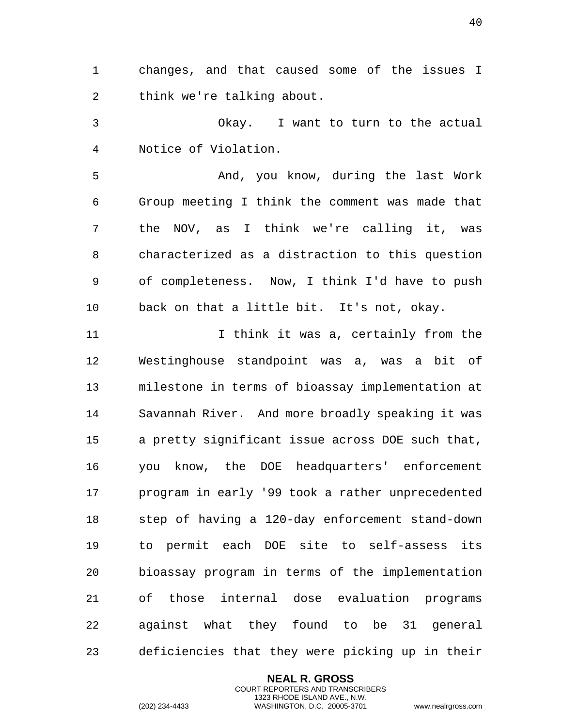changes, and that caused some of the issues I think we're talking about.

 Okay. I want to turn to the actual Notice of Violation.

5 And, you know, during the last Work Group meeting I think the comment was made that the NOV, as I think we're calling it, was characterized as a distraction to this question of completeness. Now, I think I'd have to push back on that a little bit. It's not, okay.

 I think it was a, certainly from the Westinghouse standpoint was a, was a bit of milestone in terms of bioassay implementation at Savannah River. And more broadly speaking it was a pretty significant issue across DOE such that, you know, the DOE headquarters' enforcement program in early '99 took a rather unprecedented step of having a 120-day enforcement stand-down to permit each DOE site to self-assess its bioassay program in terms of the implementation of those internal dose evaluation programs against what they found to be 31 general deficiencies that they were picking up in their

> **NEAL R. GROSS** COURT REPORTERS AND TRANSCRIBERS 1323 RHODE ISLAND AVE., N.W.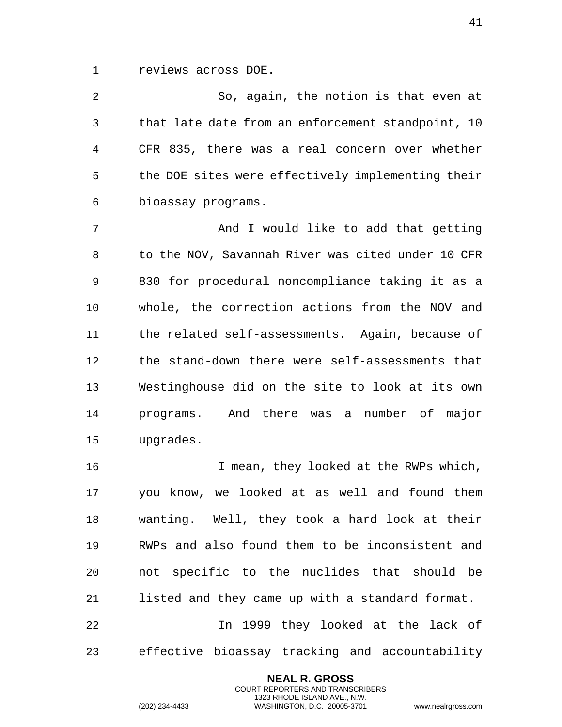reviews across DOE.

 So, again, the notion is that even at that late date from an enforcement standpoint, 10 CFR 835, there was a real concern over whether the DOE sites were effectively implementing their bioassay programs.

 And I would like to add that getting to the NOV, Savannah River was cited under 10 CFR 830 for procedural noncompliance taking it as a whole, the correction actions from the NOV and the related self-assessments. Again, because of the stand-down there were self-assessments that Westinghouse did on the site to look at its own programs. And there was a number of major upgrades.

 I mean, they looked at the RWPs which, you know, we looked at as well and found them wanting. Well, they took a hard look at their RWPs and also found them to be inconsistent and not specific to the nuclides that should be listed and they came up with a standard format. In 1999 they looked at the lack of

effective bioassay tracking and accountability

**NEAL R. GROSS** COURT REPORTERS AND TRANSCRIBERS 1323 RHODE ISLAND AVE., N.W.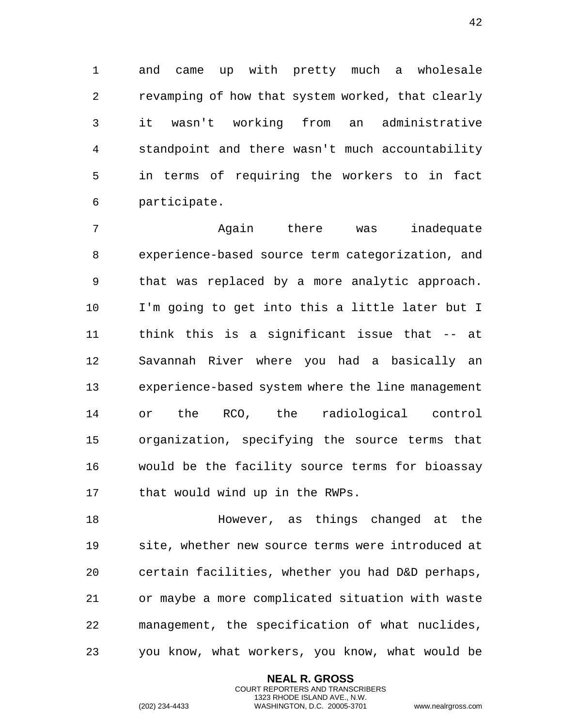and came up with pretty much a wholesale revamping of how that system worked, that clearly it wasn't working from an administrative standpoint and there wasn't much accountability in terms of requiring the workers to in fact participate.

 Again there was inadequate experience-based source term categorization, and that was replaced by a more analytic approach. I'm going to get into this a little later but I think this is a significant issue that -- at Savannah River where you had a basically an experience-based system where the line management or the RCO, the radiological control organization, specifying the source terms that would be the facility source terms for bioassay that would wind up in the RWPs.

 However, as things changed at the site, whether new source terms were introduced at certain facilities, whether you had D&D perhaps, or maybe a more complicated situation with waste management, the specification of what nuclides, you know, what workers, you know, what would be

> **NEAL R. GROSS** COURT REPORTERS AND TRANSCRIBERS 1323 RHODE ISLAND AVE., N.W.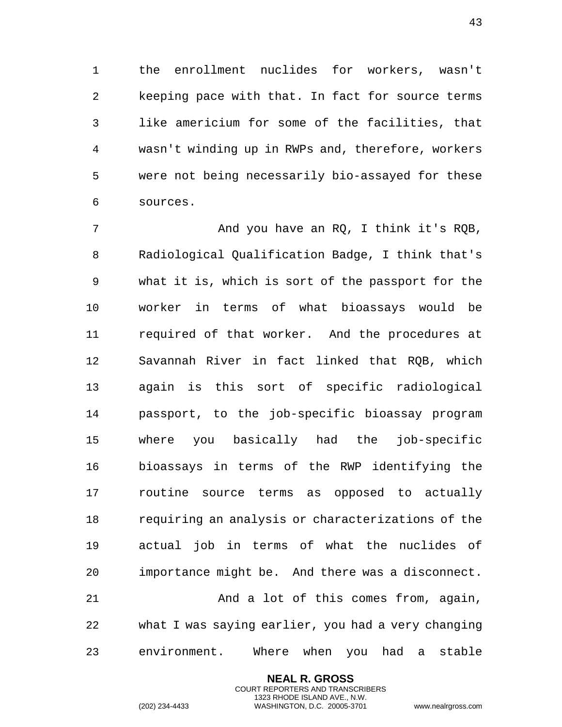the enrollment nuclides for workers, wasn't keeping pace with that. In fact for source terms like americium for some of the facilities, that wasn't winding up in RWPs and, therefore, workers were not being necessarily bio-assayed for these sources.

 And you have an RQ, I think it's RQB, Radiological Qualification Badge, I think that's what it is, which is sort of the passport for the worker in terms of what bioassays would be required of that worker. And the procedures at Savannah River in fact linked that RQB, which again is this sort of specific radiological passport, to the job-specific bioassay program where you basically had the job-specific bioassays in terms of the RWP identifying the routine source terms as opposed to actually requiring an analysis or characterizations of the actual job in terms of what the nuclides of importance might be. And there was a disconnect. And a lot of this comes from, again, what I was saying earlier, you had a very changing environment. Where when you had a stable

> **NEAL R. GROSS** COURT REPORTERS AND TRANSCRIBERS 1323 RHODE ISLAND AVE., N.W.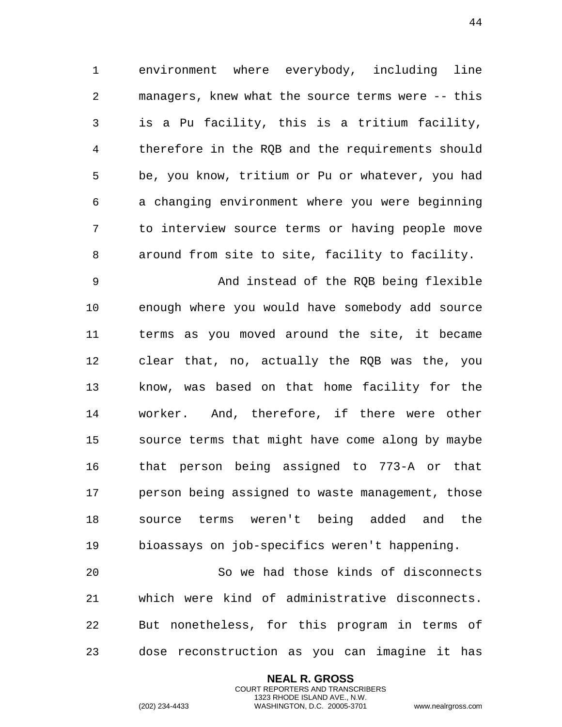environment where everybody, including line managers, knew what the source terms were -- this is a Pu facility, this is a tritium facility, therefore in the RQB and the requirements should be, you know, tritium or Pu or whatever, you had a changing environment where you were beginning to interview source terms or having people move around from site to site, facility to facility.

 And instead of the RQB being flexible enough where you would have somebody add source terms as you moved around the site, it became clear that, no, actually the RQB was the, you know, was based on that home facility for the worker. And, therefore, if there were other source terms that might have come along by maybe that person being assigned to 773-A or that person being assigned to waste management, those source terms weren't being added and the bioassays on job-specifics weren't happening.

 So we had those kinds of disconnects which were kind of administrative disconnects. But nonetheless, for this program in terms of dose reconstruction as you can imagine it has

> **NEAL R. GROSS** COURT REPORTERS AND TRANSCRIBERS 1323 RHODE ISLAND AVE., N.W.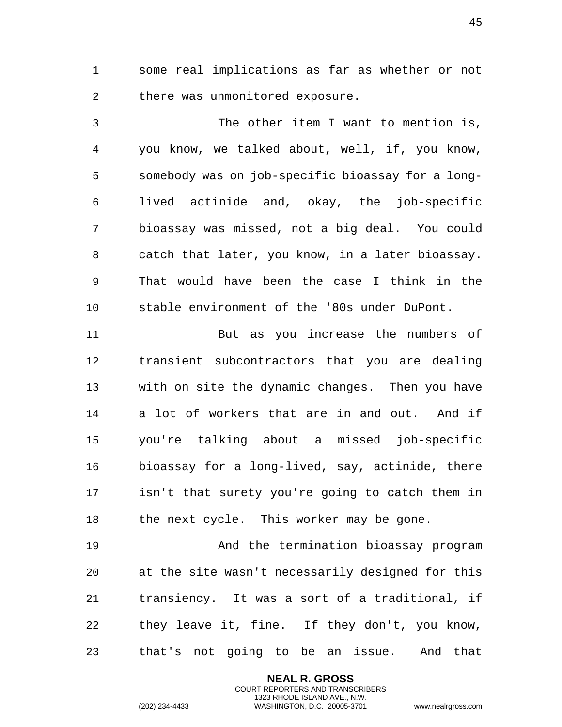some real implications as far as whether or not there was unmonitored exposure.

 The other item I want to mention is, you know, we talked about, well, if, you know, somebody was on job-specific bioassay for a long- lived actinide and, okay, the job-specific bioassay was missed, not a big deal. You could catch that later, you know, in a later bioassay. That would have been the case I think in the stable environment of the '80s under DuPont.

 But as you increase the numbers of transient subcontractors that you are dealing with on site the dynamic changes. Then you have a lot of workers that are in and out. And if you're talking about a missed job-specific bioassay for a long-lived, say, actinide, there isn't that surety you're going to catch them in 18 the next cycle. This worker may be gone.

 And the termination bioassay program at the site wasn't necessarily designed for this transiency. It was a sort of a traditional, if they leave it, fine. If they don't, you know, that's not going to be an issue. And that

> **NEAL R. GROSS** COURT REPORTERS AND TRANSCRIBERS 1323 RHODE ISLAND AVE., N.W.

(202) 234-4433 WASHINGTON, D.C. 20005-3701 www.nealrgross.com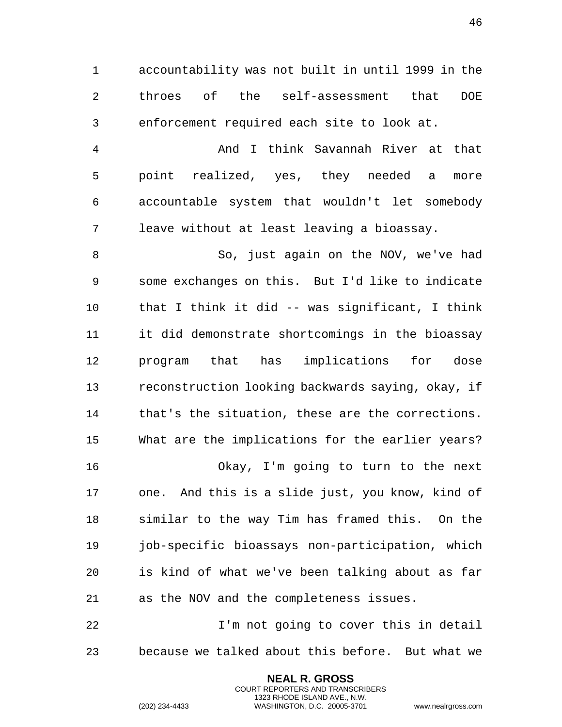accountability was not built in until 1999 in the throes of the self-assessment that DOE enforcement required each site to look at.

 And I think Savannah River at that point realized, yes, they needed a more accountable system that wouldn't let somebody leave without at least leaving a bioassay.

 So, just again on the NOV, we've had some exchanges on this. But I'd like to indicate that I think it did -- was significant, I think it did demonstrate shortcomings in the bioassay program that has implications for dose reconstruction looking backwards saying, okay, if that's the situation, these are the corrections. What are the implications for the earlier years? Okay, I'm going to turn to the next one. And this is a slide just, you know, kind of similar to the way Tim has framed this. On the job-specific bioassays non-participation, which is kind of what we've been talking about as far

as the NOV and the completeness issues.

 I'm not going to cover this in detail because we talked about this before. But what we

> **NEAL R. GROSS** COURT REPORTERS AND TRANSCRIBERS 1323 RHODE ISLAND AVE., N.W.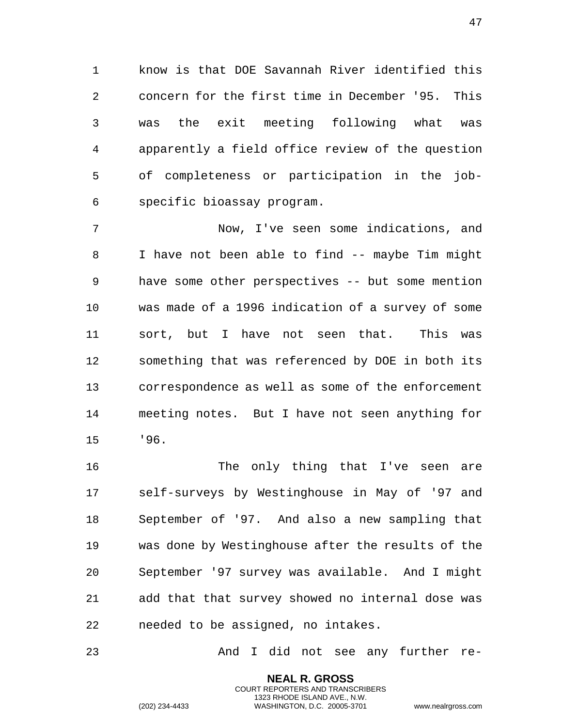know is that DOE Savannah River identified this concern for the first time in December '95. This was the exit meeting following what was apparently a field office review of the question of completeness or participation in the job-specific bioassay program.

 Now, I've seen some indications, and I have not been able to find -- maybe Tim might have some other perspectives -- but some mention was made of a 1996 indication of a survey of some sort, but I have not seen that. This was something that was referenced by DOE in both its correspondence as well as some of the enforcement meeting notes. But I have not seen anything for '96.

 The only thing that I've seen are self-surveys by Westinghouse in May of '97 and September of '97. And also a new sampling that was done by Westinghouse after the results of the September '97 survey was available. And I might add that that survey showed no internal dose was needed to be assigned, no intakes.

And I did not see any further re-

**NEAL R. GROSS** COURT REPORTERS AND TRANSCRIBERS 1323 RHODE ISLAND AVE., N.W.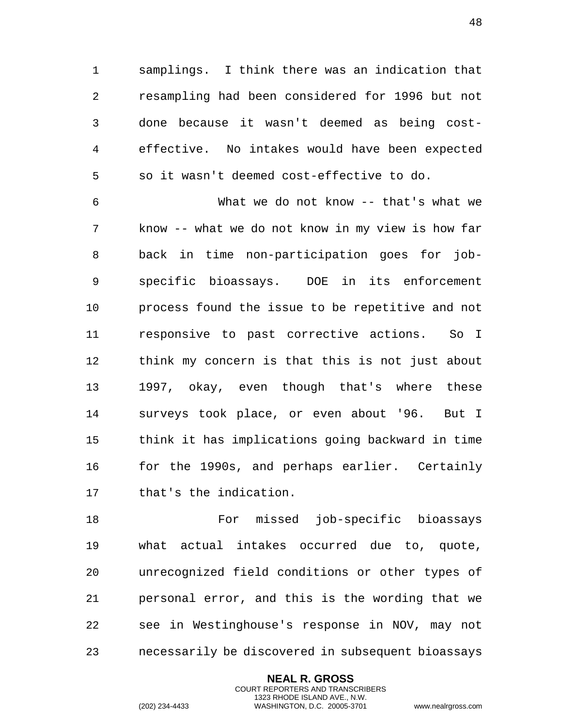samplings. I think there was an indication that resampling had been considered for 1996 but not done because it wasn't deemed as being cost- effective. No intakes would have been expected so it wasn't deemed cost-effective to do.

 What we do not know -- that's what we know -- what we do not know in my view is how far back in time non-participation goes for job- specific bioassays. DOE in its enforcement process found the issue to be repetitive and not responsive to past corrective actions. So I think my concern is that this is not just about 1997, okay, even though that's where these surveys took place, or even about '96. But I think it has implications going backward in time for the 1990s, and perhaps earlier. Certainly that's the indication.

 For missed job-specific bioassays what actual intakes occurred due to, quote, unrecognized field conditions or other types of personal error, and this is the wording that we see in Westinghouse's response in NOV, may not necessarily be discovered in subsequent bioassays

> **NEAL R. GROSS** COURT REPORTERS AND TRANSCRIBERS 1323 RHODE ISLAND AVE., N.W.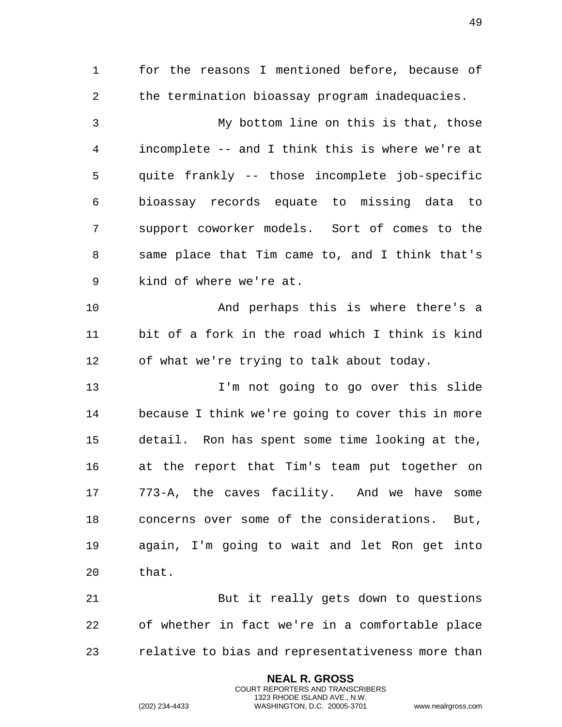for the reasons I mentioned before, because of the termination bioassay program inadequacies. My bottom line on this is that, those incomplete -- and I think this is where we're at quite frankly -- those incomplete job-specific bioassay records equate to missing data to support coworker models. Sort of comes to the same place that Tim came to, and I think that's kind of where we're at. And perhaps this is where there's a bit of a fork in the road which I think is kind of what we're trying to talk about today. I'm not going to go over this slide because I think we're going to cover this in more detail. Ron has spent some time looking at the, at the report that Tim's team put together on 773-A, the caves facility. And we have some concerns over some of the considerations. But, again, I'm going to wait and let Ron get into that. But it really gets down to questions of whether in fact we're in a comfortable place

relative to bias and representativeness more than

**NEAL R. GROSS** COURT REPORTERS AND TRANSCRIBERS 1323 RHODE ISLAND AVE., N.W.

(202) 234-4433 WASHINGTON, D.C. 20005-3701 www.nealrgross.com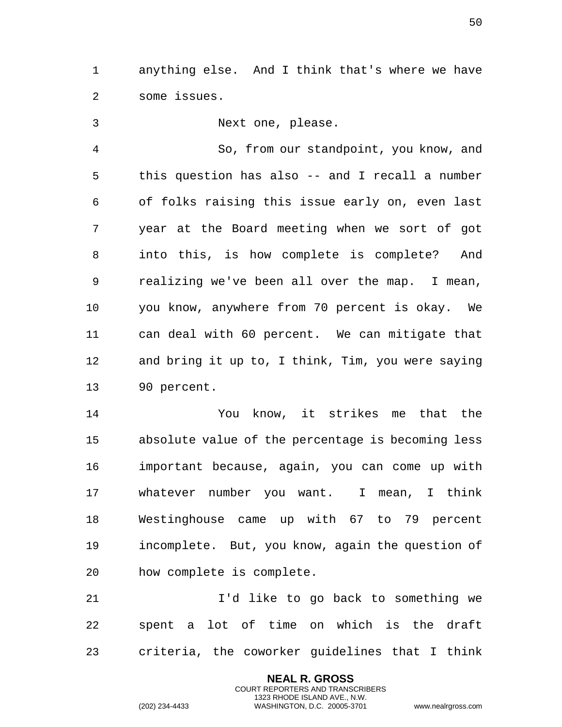anything else. And I think that's where we have some issues.

 Next one, please. So, from our standpoint, you know, and this question has also -- and I recall a number of folks raising this issue early on, even last year at the Board meeting when we sort of got into this, is how complete is complete? And realizing we've been all over the map. I mean, you know, anywhere from 70 percent is okay. We can deal with 60 percent. We can mitigate that and bring it up to, I think, Tim, you were saying 90 percent.

 You know, it strikes me that the absolute value of the percentage is becoming less important because, again, you can come up with whatever number you want. I mean, I think Westinghouse came up with 67 to 79 percent incomplete. But, you know, again the question of how complete is complete.

 I'd like to go back to something we spent a lot of time on which is the draft criteria, the coworker guidelines that I think

> **NEAL R. GROSS** COURT REPORTERS AND TRANSCRIBERS 1323 RHODE ISLAND AVE., N.W.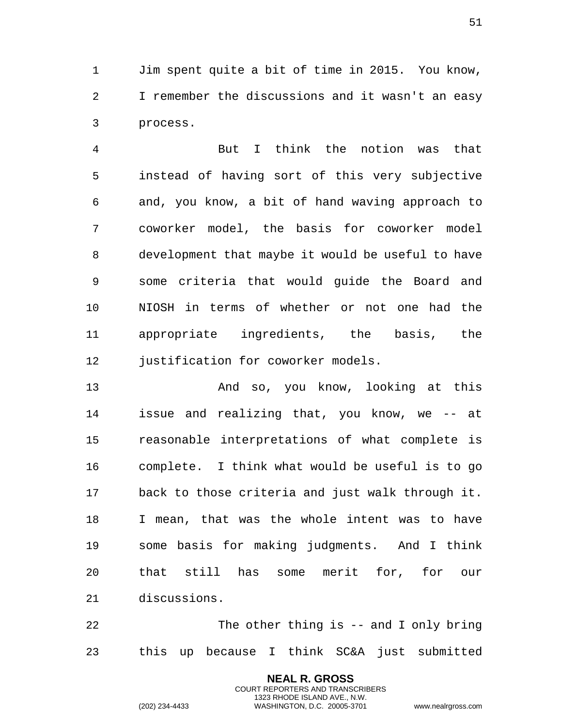Jim spent quite a bit of time in 2015. You know, I remember the discussions and it wasn't an easy process.

 But I think the notion was that instead of having sort of this very subjective and, you know, a bit of hand waving approach to coworker model, the basis for coworker model development that maybe it would be useful to have some criteria that would guide the Board and NIOSH in terms of whether or not one had the appropriate ingredients, the basis, the 12 justification for coworker models.

 And so, you know, looking at this issue and realizing that, you know, we -- at reasonable interpretations of what complete is complete. I think what would be useful is to go back to those criteria and just walk through it. I mean, that was the whole intent was to have some basis for making judgments. And I think that still has some merit for, for our discussions.

 The other thing is -- and I only bring this up because I think SC&A just submitted

> **NEAL R. GROSS** COURT REPORTERS AND TRANSCRIBERS 1323 RHODE ISLAND AVE., N.W.

(202) 234-4433 WASHINGTON, D.C. 20005-3701 www.nealrgross.com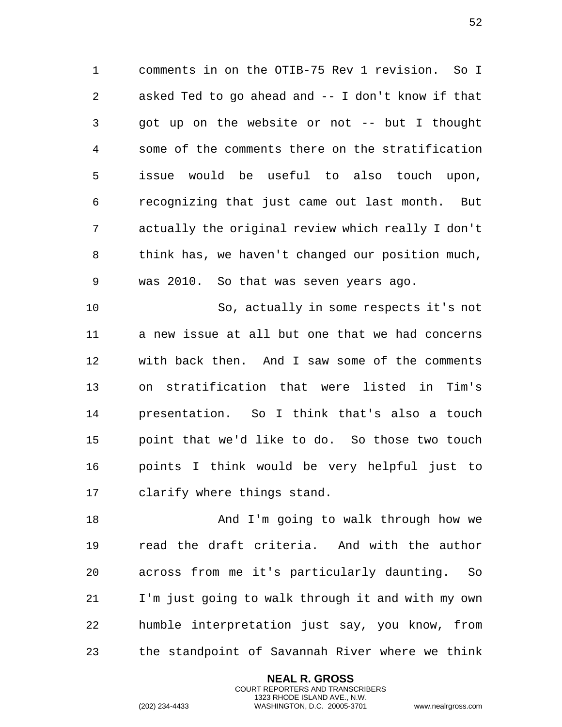comments in on the OTIB-75 Rev 1 revision. So I asked Ted to go ahead and -- I don't know if that got up on the website or not -- but I thought some of the comments there on the stratification issue would be useful to also touch upon, recognizing that just came out last month. But actually the original review which really I don't think has, we haven't changed our position much, was 2010. So that was seven years ago.

 So, actually in some respects it's not a new issue at all but one that we had concerns with back then. And I saw some of the comments on stratification that were listed in Tim's presentation. So I think that's also a touch point that we'd like to do. So those two touch points I think would be very helpful just to clarify where things stand.

18 And I'm going to walk through how we read the draft criteria. And with the author across from me it's particularly daunting. So I'm just going to walk through it and with my own humble interpretation just say, you know, from the standpoint of Savannah River where we think

> **NEAL R. GROSS** COURT REPORTERS AND TRANSCRIBERS 1323 RHODE ISLAND AVE., N.W.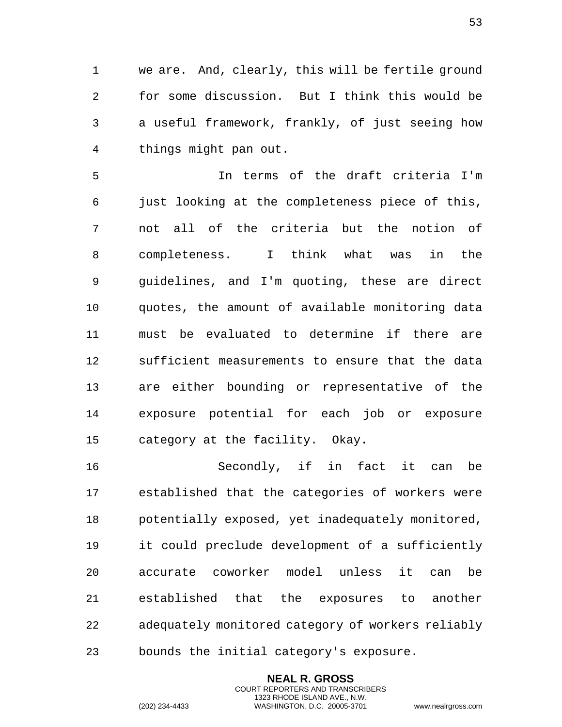we are. And, clearly, this will be fertile ground for some discussion. But I think this would be a useful framework, frankly, of just seeing how things might pan out.

 In terms of the draft criteria I'm just looking at the completeness piece of this, not all of the criteria but the notion of completeness. I think what was in the guidelines, and I'm quoting, these are direct quotes, the amount of available monitoring data must be evaluated to determine if there are sufficient measurements to ensure that the data are either bounding or representative of the exposure potential for each job or exposure category at the facility. Okay.

 Secondly, if in fact it can be established that the categories of workers were potentially exposed, yet inadequately monitored, it could preclude development of a sufficiently accurate coworker model unless it can be established that the exposures to another adequately monitored category of workers reliably bounds the initial category's exposure.

> **NEAL R. GROSS** COURT REPORTERS AND TRANSCRIBERS 1323 RHODE ISLAND AVE., N.W.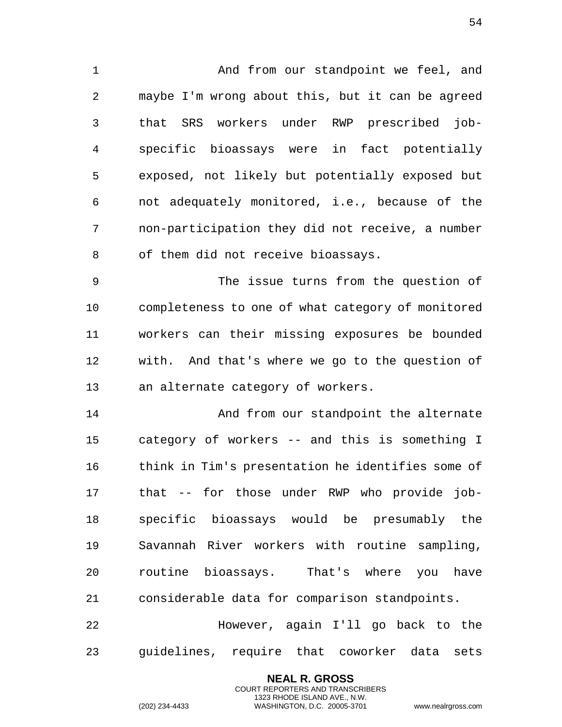And from our standpoint we feel, and maybe I'm wrong about this, but it can be agreed that SRS workers under RWP prescribed job- specific bioassays were in fact potentially exposed, not likely but potentially exposed but not adequately monitored, i.e., because of the non-participation they did not receive, a number of them did not receive bioassays.

 The issue turns from the question of completeness to one of what category of monitored workers can their missing exposures be bounded with. And that's where we go to the question of an alternate category of workers.

14 And from our standpoint the alternate category of workers -- and this is something I think in Tim's presentation he identifies some of that -- for those under RWP who provide job- specific bioassays would be presumably the Savannah River workers with routine sampling, routine bioassays. That's where you have considerable data for comparison standpoints.

 However, again I'll go back to the guidelines, require that coworker data sets

> **NEAL R. GROSS** COURT REPORTERS AND TRANSCRIBERS 1323 RHODE ISLAND AVE., N.W.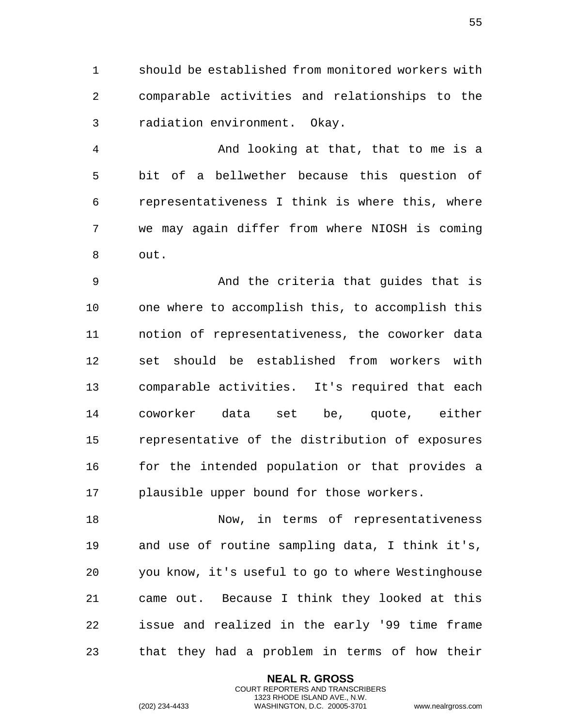should be established from monitored workers with comparable activities and relationships to the radiation environment. Okay.

 And looking at that, that to me is a bit of a bellwether because this question of representativeness I think is where this, where we may again differ from where NIOSH is coming out.

 And the criteria that guides that is one where to accomplish this, to accomplish this notion of representativeness, the coworker data set should be established from workers with comparable activities. It's required that each coworker data set be, quote, either representative of the distribution of exposures for the intended population or that provides a plausible upper bound for those workers.

18 Now, in terms of representativeness and use of routine sampling data, I think it's, you know, it's useful to go to where Westinghouse came out. Because I think they looked at this issue and realized in the early '99 time frame that they had a problem in terms of how their

> **NEAL R. GROSS** COURT REPORTERS AND TRANSCRIBERS 1323 RHODE ISLAND AVE., N.W.

(202) 234-4433 WASHINGTON, D.C. 20005-3701 www.nealrgross.com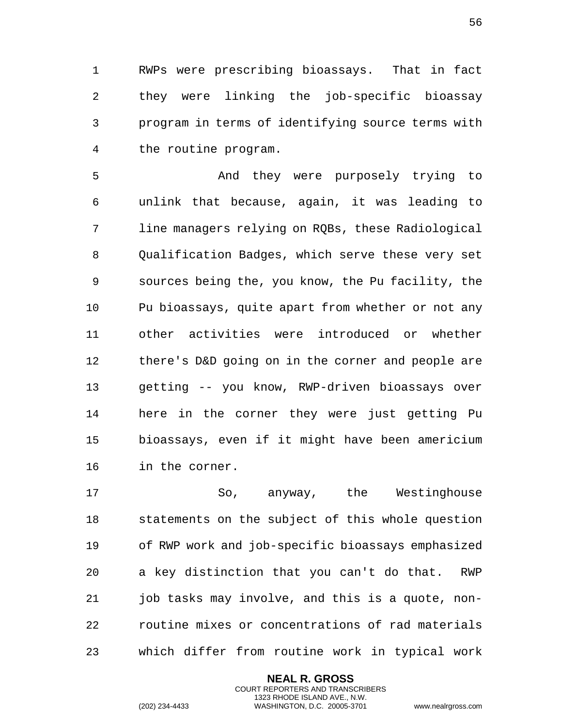RWPs were prescribing bioassays. That in fact they were linking the job-specific bioassay program in terms of identifying source terms with the routine program.

 And they were purposely trying to unlink that because, again, it was leading to line managers relying on RQBs, these Radiological Qualification Badges, which serve these very set sources being the, you know, the Pu facility, the Pu bioassays, quite apart from whether or not any other activities were introduced or whether there's D&D going on in the corner and people are getting -- you know, RWP-driven bioassays over here in the corner they were just getting Pu bioassays, even if it might have been americium in the corner.

 So, anyway, the Westinghouse statements on the subject of this whole question of RWP work and job-specific bioassays emphasized a key distinction that you can't do that. RWP job tasks may involve, and this is a quote, non- routine mixes or concentrations of rad materials which differ from routine work in typical work

> **NEAL R. GROSS** COURT REPORTERS AND TRANSCRIBERS 1323 RHODE ISLAND AVE., N.W.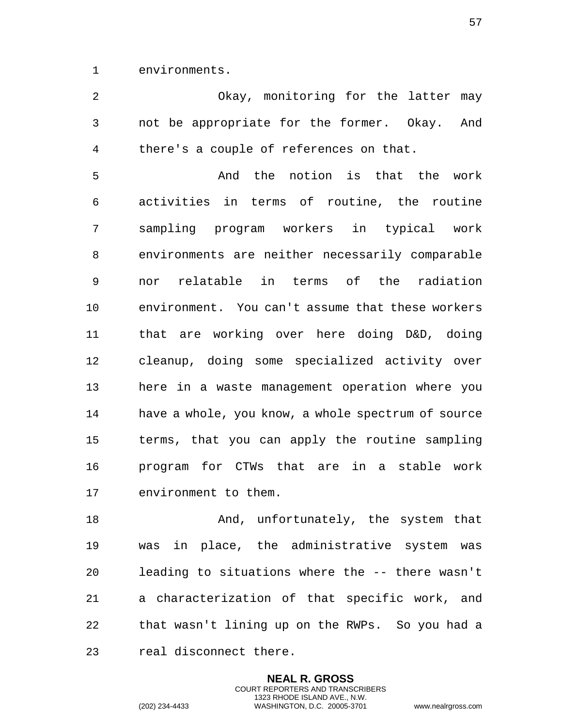environments.

 Okay, monitoring for the latter may not be appropriate for the former. Okay. And there's a couple of references on that.

 And the notion is that the work activities in terms of routine, the routine sampling program workers in typical work environments are neither necessarily comparable nor relatable in terms of the radiation environment. You can't assume that these workers that are working over here doing D&D, doing cleanup, doing some specialized activity over here in a waste management operation where you have a whole, you know, a whole spectrum of source terms, that you can apply the routine sampling program for CTWs that are in a stable work environment to them.

18 And, unfortunately, the system that was in place, the administrative system was leading to situations where the -- there wasn't a characterization of that specific work, and that wasn't lining up on the RWPs. So you had a real disconnect there.

> **NEAL R. GROSS** COURT REPORTERS AND TRANSCRIBERS 1323 RHODE ISLAND AVE., N.W.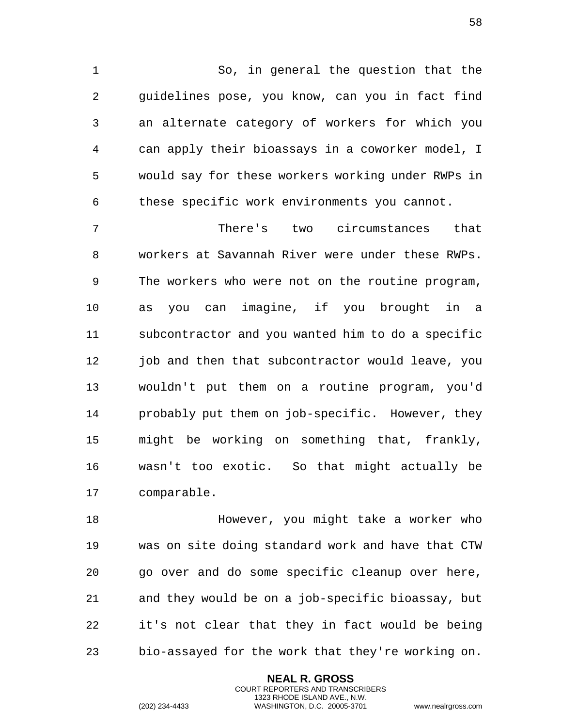So, in general the question that the guidelines pose, you know, can you in fact find an alternate category of workers for which you can apply their bioassays in a coworker model, I would say for these workers working under RWPs in these specific work environments you cannot.

 There's two circumstances that workers at Savannah River were under these RWPs. The workers who were not on the routine program, as you can imagine, if you brought in a subcontractor and you wanted him to do a specific 12 job and then that subcontractor would leave, you wouldn't put them on a routine program, you'd probably put them on job-specific. However, they might be working on something that, frankly, wasn't too exotic. So that might actually be comparable.

 However, you might take a worker who was on site doing standard work and have that CTW go over and do some specific cleanup over here, and they would be on a job-specific bioassay, but it's not clear that they in fact would be being bio-assayed for the work that they're working on.

> **NEAL R. GROSS** COURT REPORTERS AND TRANSCRIBERS 1323 RHODE ISLAND AVE., N.W.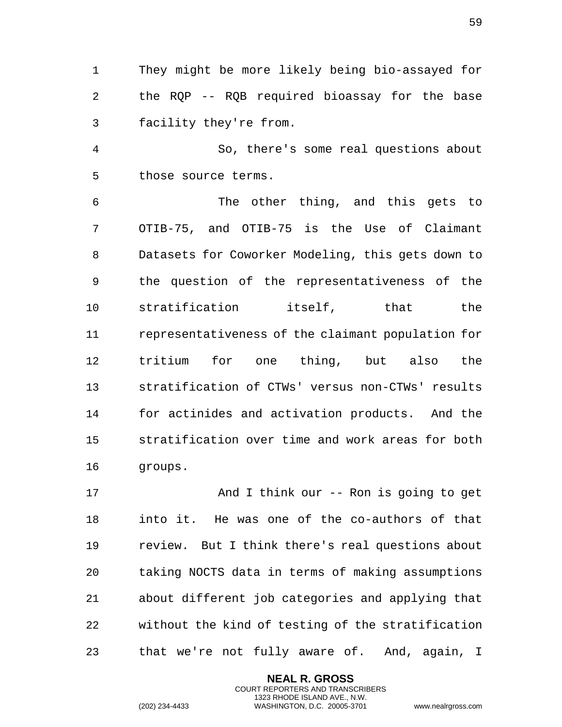They might be more likely being bio-assayed for the RQP -- RQB required bioassay for the base facility they're from.

 So, there's some real questions about those source terms.

 The other thing, and this gets to OTIB-75, and OTIB-75 is the Use of Claimant Datasets for Coworker Modeling, this gets down to the question of the representativeness of the stratification itself, that the representativeness of the claimant population for tritium for one thing, but also the stratification of CTWs' versus non-CTWs' results for actinides and activation products. And the stratification over time and work areas for both groups.

 And I think our -- Ron is going to get into it. He was one of the co-authors of that review. But I think there's real questions about taking NOCTS data in terms of making assumptions about different job categories and applying that without the kind of testing of the stratification that we're not fully aware of. And, again, I

> **NEAL R. GROSS** COURT REPORTERS AND TRANSCRIBERS 1323 RHODE ISLAND AVE., N.W.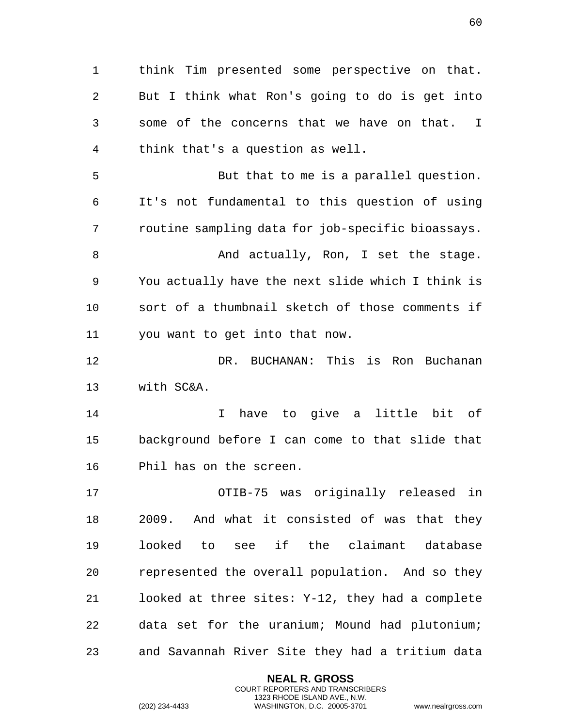think Tim presented some perspective on that. But I think what Ron's going to do is get into some of the concerns that we have on that. I think that's a question as well. But that to me is a parallel question. It's not fundamental to this question of using routine sampling data for job-specific bioassays. 8 And actually, Ron, I set the stage. You actually have the next slide which I think is sort of a thumbnail sketch of those comments if you want to get into that now. DR. BUCHANAN: This is Ron Buchanan with SC&A. I have to give a little bit of background before I can come to that slide that Phil has on the screen. OTIB-75 was originally released in 2009. And what it consisted of was that they looked to see if the claimant database represented the overall population. And so they looked at three sites: Y-12, they had a complete data set for the uranium; Mound had plutonium; and Savannah River Site they had a tritium data

> **NEAL R. GROSS** COURT REPORTERS AND TRANSCRIBERS 1323 RHODE ISLAND AVE., N.W.

(202) 234-4433 WASHINGTON, D.C. 20005-3701 www.nealrgross.com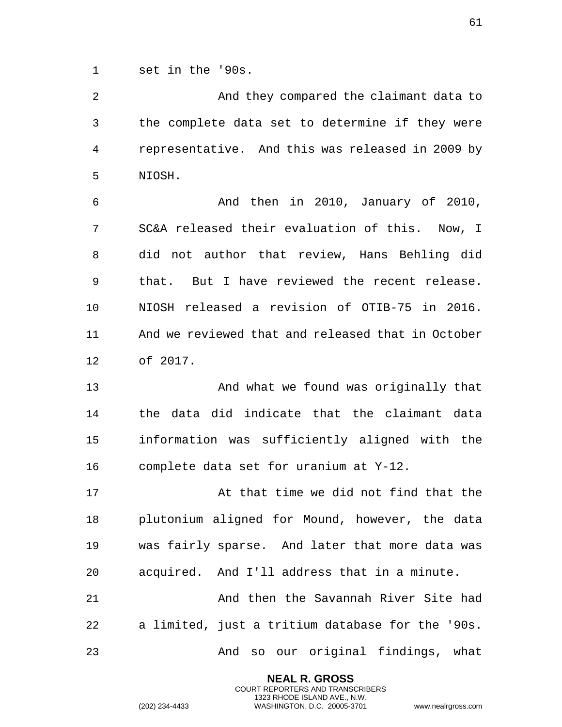set in the '90s.

 And they compared the claimant data to the complete data set to determine if they were representative. And this was released in 2009 by NIOSH.

 And then in 2010, January of 2010, SC&A released their evaluation of this. Now, I did not author that review, Hans Behling did that. But I have reviewed the recent release. NIOSH released a revision of OTIB-75 in 2016. And we reviewed that and released that in October of 2017.

 And what we found was originally that the data did indicate that the claimant data information was sufficiently aligned with the complete data set for uranium at Y-12.

 At that time we did not find that the plutonium aligned for Mound, however, the data was fairly sparse. And later that more data was acquired. And I'll address that in a minute. And then the Savannah River Site had a limited, just a tritium database for the '90s. And so our original findings, what

> **NEAL R. GROSS** COURT REPORTERS AND TRANSCRIBERS 1323 RHODE ISLAND AVE., N.W.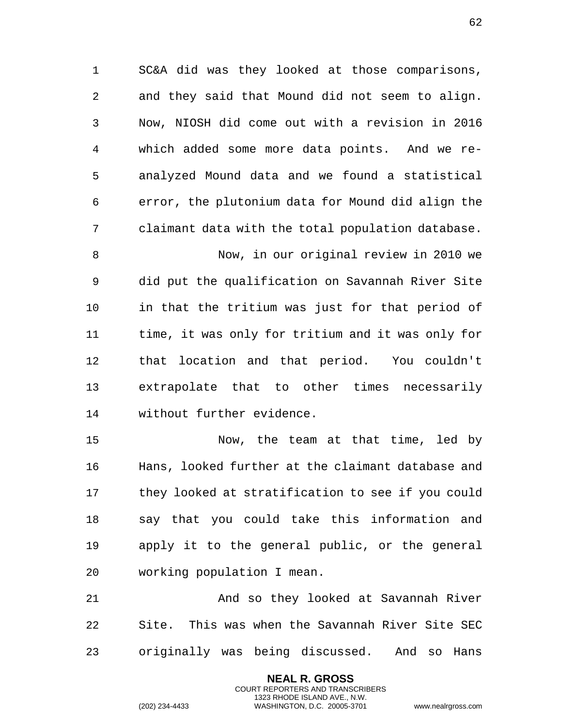SC&A did was they looked at those comparisons, and they said that Mound did not seem to align. Now, NIOSH did come out with a revision in 2016 which added some more data points. And we re- analyzed Mound data and we found a statistical error, the plutonium data for Mound did align the claimant data with the total population database.

 Now, in our original review in 2010 we did put the qualification on Savannah River Site in that the tritium was just for that period of time, it was only for tritium and it was only for that location and that period. You couldn't extrapolate that to other times necessarily without further evidence.

 Now, the team at that time, led by Hans, looked further at the claimant database and they looked at stratification to see if you could say that you could take this information and apply it to the general public, or the general working population I mean.

21 And so they looked at Savannah River Site. This was when the Savannah River Site SEC originally was being discussed. And so Hans

> **NEAL R. GROSS** COURT REPORTERS AND TRANSCRIBERS 1323 RHODE ISLAND AVE., N.W.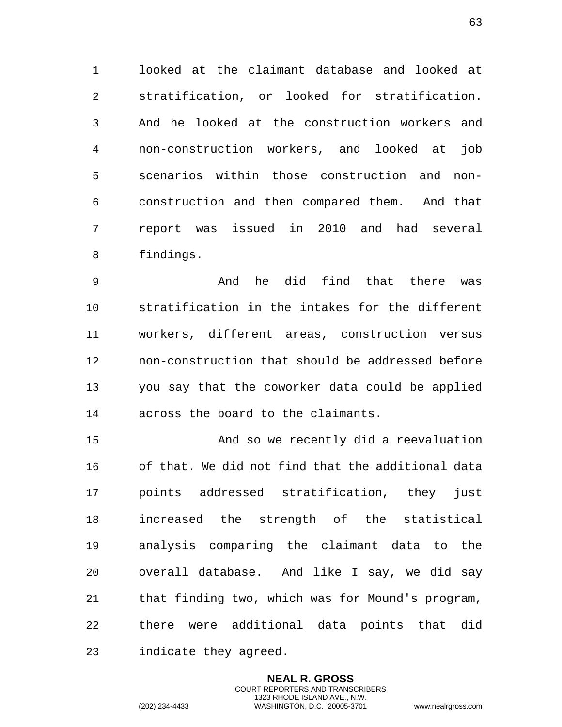looked at the claimant database and looked at stratification, or looked for stratification. And he looked at the construction workers and non-construction workers, and looked at job scenarios within those construction and non- construction and then compared them. And that report was issued in 2010 and had several findings.

 And he did find that there was stratification in the intakes for the different workers, different areas, construction versus non-construction that should be addressed before you say that the coworker data could be applied across the board to the claimants.

 And so we recently did a reevaluation of that. We did not find that the additional data points addressed stratification, they just increased the strength of the statistical analysis comparing the claimant data to the overall database. And like I say, we did say that finding two, which was for Mound's program, there were additional data points that did indicate they agreed.

> **NEAL R. GROSS** COURT REPORTERS AND TRANSCRIBERS 1323 RHODE ISLAND AVE., N.W.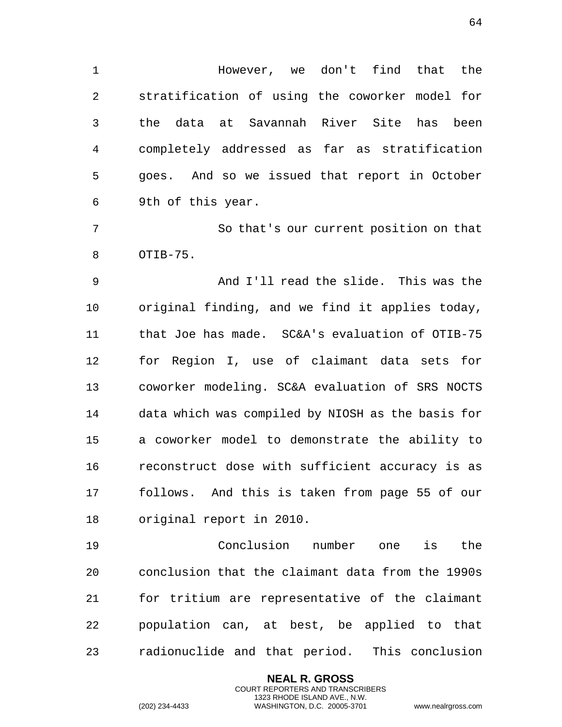However, we don't find that the stratification of using the coworker model for the data at Savannah River Site has been completely addressed as far as stratification goes. And so we issued that report in October 9th of this year.

 So that's our current position on that OTIB-75.

 And I'll read the slide. This was the original finding, and we find it applies today, that Joe has made. SC&A's evaluation of OTIB-75 for Region I, use of claimant data sets for coworker modeling. SC&A evaluation of SRS NOCTS data which was compiled by NIOSH as the basis for a coworker model to demonstrate the ability to reconstruct dose with sufficient accuracy is as follows. And this is taken from page 55 of our original report in 2010.

 Conclusion number one is the conclusion that the claimant data from the 1990s for tritium are representative of the claimant population can, at best, be applied to that radionuclide and that period. This conclusion

> **NEAL R. GROSS** COURT REPORTERS AND TRANSCRIBERS 1323 RHODE ISLAND AVE., N.W.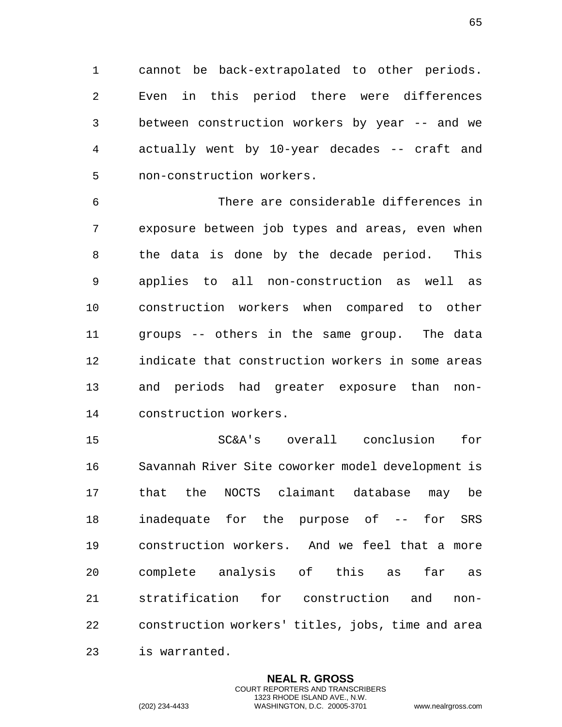cannot be back-extrapolated to other periods. Even in this period there were differences between construction workers by year -- and we actually went by 10-year decades -- craft and non-construction workers.

 There are considerable differences in exposure between job types and areas, even when the data is done by the decade period. This applies to all non-construction as well as construction workers when compared to other groups -- others in the same group. The data indicate that construction workers in some areas and periods had greater exposure than non-construction workers.

 SC&A's overall conclusion for Savannah River Site coworker model development is that the NOCTS claimant database may be inadequate for the purpose of -- for SRS construction workers. And we feel that a more complete analysis of this as far as stratification for construction and non- construction workers' titles, jobs, time and area is warranted.

> **NEAL R. GROSS** COURT REPORTERS AND TRANSCRIBERS 1323 RHODE ISLAND AVE., N.W.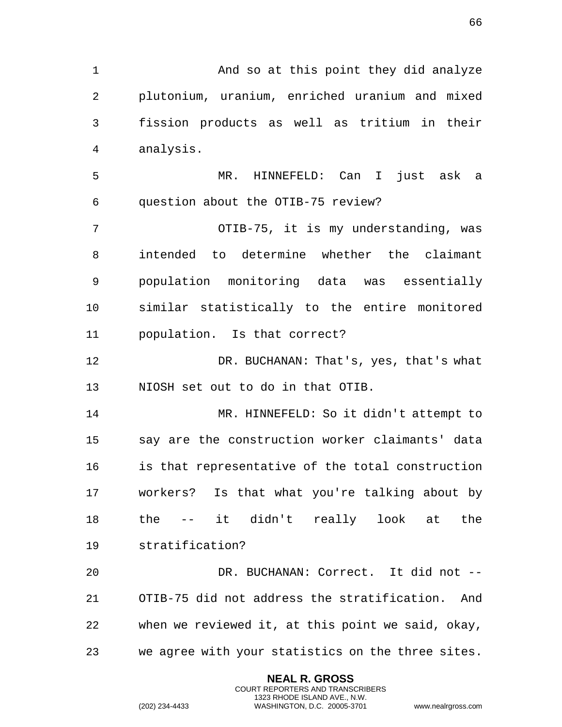1 And so at this point they did analyze plutonium, uranium, enriched uranium and mixed fission products as well as tritium in their analysis.

 MR. HINNEFELD: Can I just ask a question about the OTIB-75 review?

 OTIB-75, it is my understanding, was intended to determine whether the claimant population monitoring data was essentially similar statistically to the entire monitored population. Is that correct?

 DR. BUCHANAN: That's, yes, that's what NIOSH set out to do in that OTIB.

 MR. HINNEFELD: So it didn't attempt to say are the construction worker claimants' data is that representative of the total construction workers? Is that what you're talking about by the -- it didn't really look at the stratification?

 DR. BUCHANAN: Correct. It did not -- OTIB-75 did not address the stratification. And when we reviewed it, at this point we said, okay, we agree with your statistics on the three sites.

> **NEAL R. GROSS** COURT REPORTERS AND TRANSCRIBERS 1323 RHODE ISLAND AVE., N.W.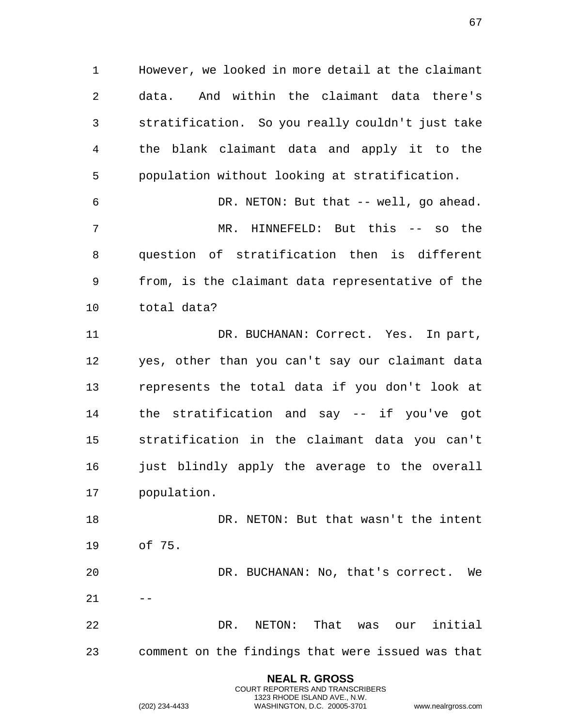However, we looked in more detail at the claimant data. And within the claimant data there's stratification. So you really couldn't just take the blank claimant data and apply it to the population without looking at stratification.

 DR. NETON: But that -- well, go ahead. MR. HINNEFELD: But this -- so the question of stratification then is different from, is the claimant data representative of the total data?

11 DR. BUCHANAN: Correct. Yes. In part, yes, other than you can't say our claimant data represents the total data if you don't look at the stratification and say -- if you've got stratification in the claimant data you can't just blindly apply the average to the overall population.

 DR. NETON: But that wasn't the intent of 75. DR. BUCHANAN: No, that's correct. We  $21 - -$ 

 DR. NETON: That was our initial comment on the findings that were issued was that

> **NEAL R. GROSS** COURT REPORTERS AND TRANSCRIBERS 1323 RHODE ISLAND AVE., N.W.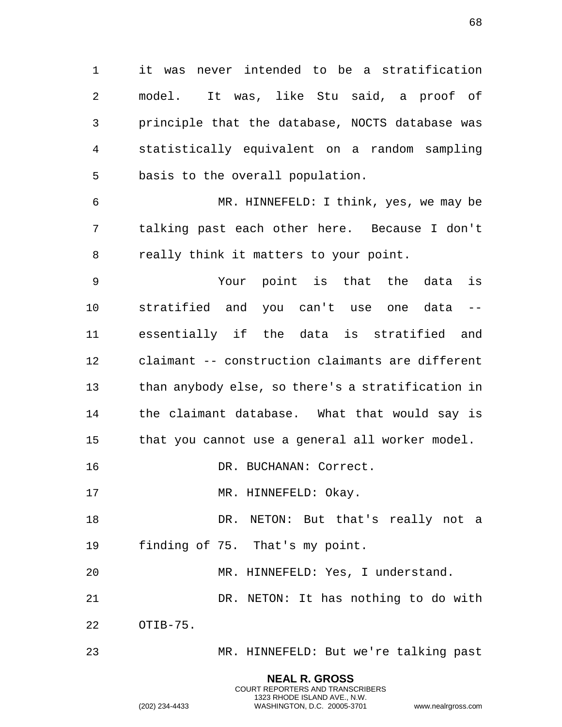it was never intended to be a stratification model. It was, like Stu said, a proof of principle that the database, NOCTS database was statistically equivalent on a random sampling basis to the overall population.

 MR. HINNEFELD: I think, yes, we may be talking past each other here. Because I don't really think it matters to your point.

 Your point is that the data is stratified and you can't use one data -- essentially if the data is stratified and claimant -- construction claimants are different than anybody else, so there's a stratification in the claimant database. What that would say is that you cannot use a general all worker model.

16 DR. BUCHANAN: Correct.

17 MR. HINNEFELD: Okay.

18 DR. NETON: But that's really not a finding of 75. That's my point.

MR. HINNEFELD: Yes, I understand.

DR. NETON: It has nothing to do with

OTIB-75.

MR. HINNEFELD: But we're talking past

**NEAL R. GROSS** COURT REPORTERS AND TRANSCRIBERS 1323 RHODE ISLAND AVE., N.W.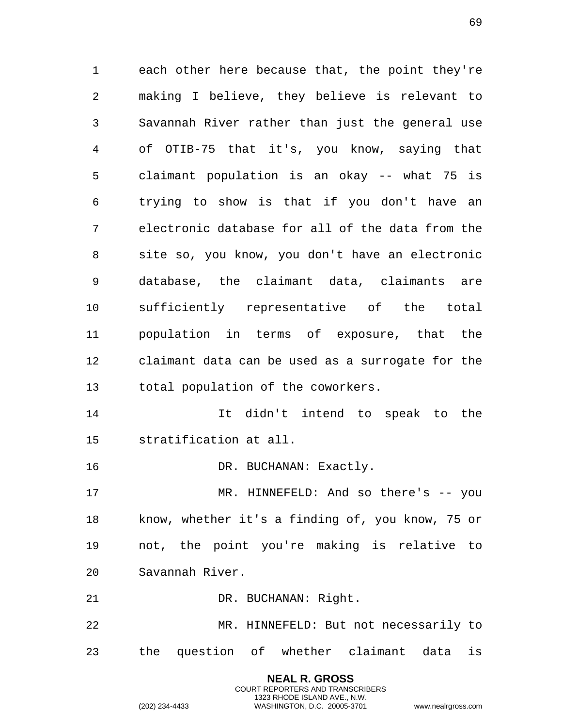each other here because that, the point they're making I believe, they believe is relevant to Savannah River rather than just the general use of OTIB-75 that it's, you know, saying that claimant population is an okay -- what 75 is trying to show is that if you don't have an electronic database for all of the data from the site so, you know, you don't have an electronic database, the claimant data, claimants are sufficiently representative of the total population in terms of exposure, that the claimant data can be used as a surrogate for the total population of the coworkers. It didn't intend to speak to the stratification at all. 16 DR. BUCHANAN: Exactly. MR. HINNEFELD: And so there's -- you

 know, whether it's a finding of, you know, 75 or not, the point you're making is relative to Savannah River.

21 DR. BUCHANAN: Right.

 MR. HINNEFELD: But not necessarily to the question of whether claimant data is

> **NEAL R. GROSS** COURT REPORTERS AND TRANSCRIBERS 1323 RHODE ISLAND AVE., N.W.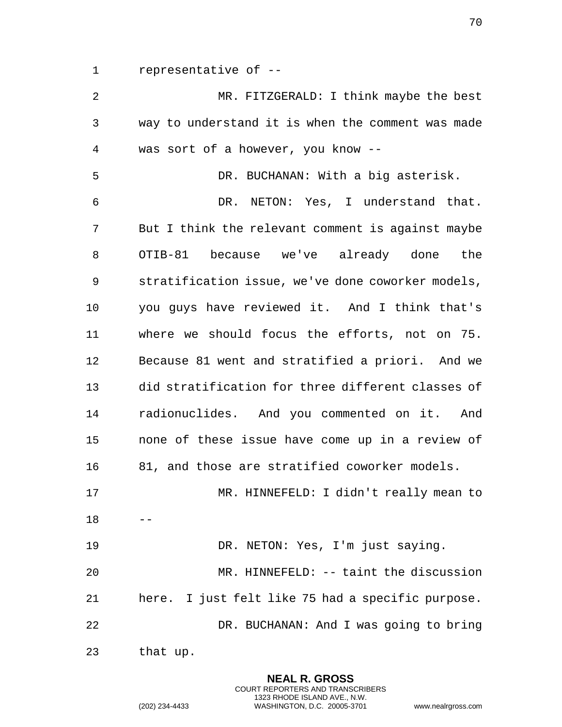representative of --

 MR. FITZGERALD: I think maybe the best way to understand it is when the comment was made was sort of a however, you know -- DR. BUCHANAN: With a big asterisk. DR. NETON: Yes, I understand that. But I think the relevant comment is against maybe OTIB-81 because we've already done the stratification issue, we've done coworker models, you guys have reviewed it. And I think that's where we should focus the efforts, not on 75. Because 81 went and stratified a priori. And we did stratification for three different classes of radionuclides. And you commented on it. And none of these issue have come up in a review of 81, and those are stratified coworker models. MR. HINNEFELD: I didn't really mean to DR. NETON: Yes, I'm just saying. MR. HINNEFELD: -- taint the discussion here. I just felt like 75 had a specific purpose. DR. BUCHANAN: And I was going to bring that up.

> **NEAL R. GROSS** COURT REPORTERS AND TRANSCRIBERS 1323 RHODE ISLAND AVE., N.W.

(202) 234-4433 WASHINGTON, D.C. 20005-3701 www.nealrgross.com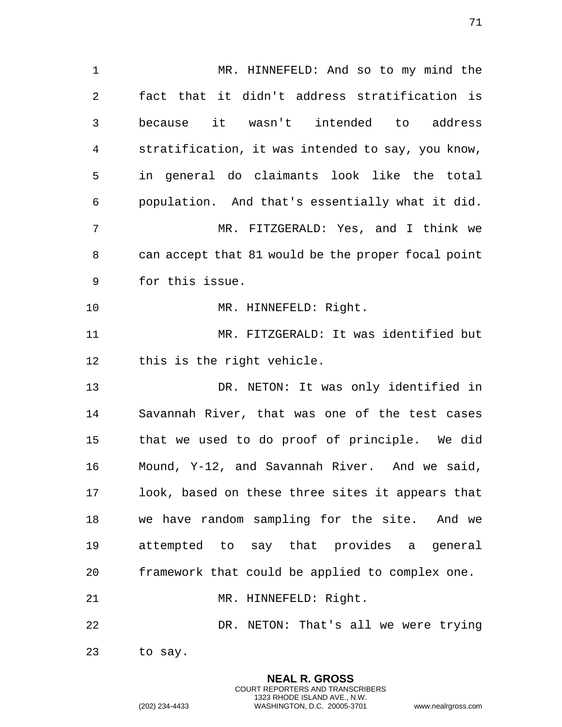MR. HINNEFELD: And so to my mind the fact that it didn't address stratification is because it wasn't intended to address stratification, it was intended to say, you know, in general do claimants look like the total population. And that's essentially what it did. MR. FITZGERALD: Yes, and I think we can accept that 81 would be the proper focal point for this issue. 10 MR. HINNEFELD: Right. MR. FITZGERALD: It was identified but this is the right vehicle. DR. NETON: It was only identified in Savannah River, that was one of the test cases that we used to do proof of principle. We did Mound, Y-12, and Savannah River. And we said, look, based on these three sites it appears that we have random sampling for the site. And we attempted to say that provides a general framework that could be applied to complex one. 21 MR. HINNEFELD: Right. DR. NETON: That's all we were trying to say.

> **NEAL R. GROSS** COURT REPORTERS AND TRANSCRIBERS 1323 RHODE ISLAND AVE., N.W.

(202) 234-4433 WASHINGTON, D.C. 20005-3701 www.nealrgross.com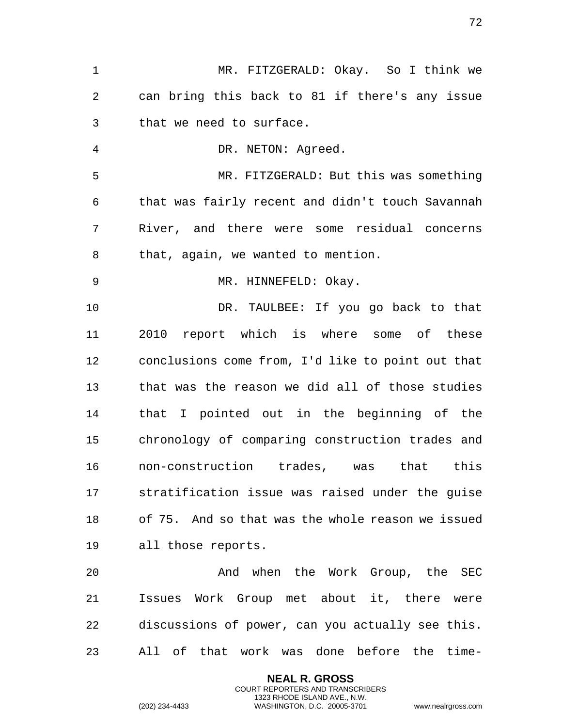MR. FITZGERALD: Okay. So I think we can bring this back to 81 if there's any issue that we need to surface. DR. NETON: Agreed. MR. FITZGERALD: But this was something that was fairly recent and didn't touch Savannah River, and there were some residual concerns that, again, we wanted to mention. 9 MR. HINNEFELD: Okay. DR. TAULBEE: If you go back to that 2010 report which is where some of these conclusions come from, I'd like to point out that that was the reason we did all of those studies that I pointed out in the beginning of the chronology of comparing construction trades and non-construction trades, was that this stratification issue was raised under the guise of 75. And so that was the whole reason we issued all those reports. And when the Work Group, the SEC Issues Work Group met about it, there were discussions of power, can you actually see this. All of that work was done before the time-

> **NEAL R. GROSS** COURT REPORTERS AND TRANSCRIBERS 1323 RHODE ISLAND AVE., N.W.

(202) 234-4433 WASHINGTON, D.C. 20005-3701 www.nealrgross.com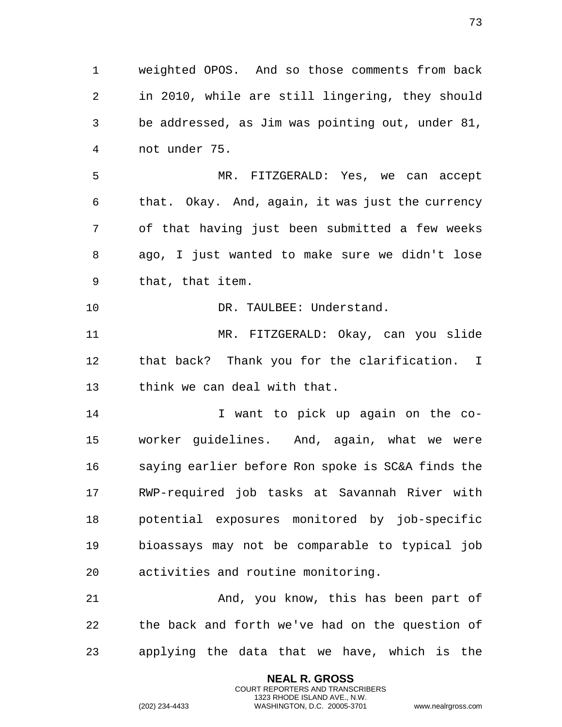weighted OPOS. And so those comments from back in 2010, while are still lingering, they should be addressed, as Jim was pointing out, under 81, not under 75. MR. FITZGERALD: Yes, we can accept that. Okay. And, again, it was just the currency of that having just been submitted a few weeks ago, I just wanted to make sure we didn't lose that, that item. 10 DR. TAULBEE: Understand. MR. FITZGERALD: Okay, can you slide that back? Thank you for the clarification. I think we can deal with that. I want to pick up again on the co- worker guidelines. And, again, what we were saying earlier before Ron spoke is SC&A finds the RWP-required job tasks at Savannah River with potential exposures monitored by job-specific bioassays may not be comparable to typical job activities and routine monitoring. 21 And, you know, this has been part of the back and forth we've had on the question of applying the data that we have, which is the

> **NEAL R. GROSS** COURT REPORTERS AND TRANSCRIBERS 1323 RHODE ISLAND AVE., N.W.

(202) 234-4433 WASHINGTON, D.C. 20005-3701 www.nealrgross.com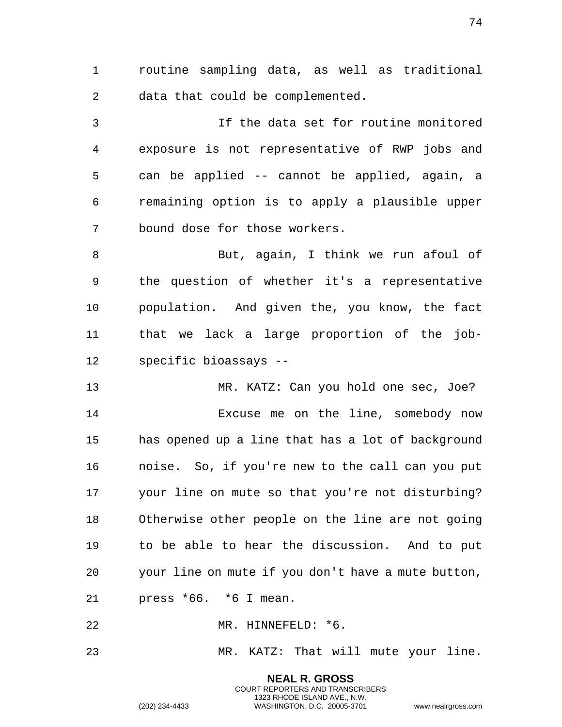routine sampling data, as well as traditional data that could be complemented.

 If the data set for routine monitored exposure is not representative of RWP jobs and can be applied -- cannot be applied, again, a remaining option is to apply a plausible upper bound dose for those workers.

 But, again, I think we run afoul of the question of whether it's a representative population. And given the, you know, the fact that we lack a large proportion of the job-specific bioassays --

 MR. KATZ: Can you hold one sec, Joe? Excuse me on the line, somebody now has opened up a line that has a lot of background noise. So, if you're new to the call can you put your line on mute so that you're not disturbing? Otherwise other people on the line are not going to be able to hear the discussion. And to put your line on mute if you don't have a mute button, press \*66. \*6 I mean.

MR. HINNEFELD: \*6.

MR. KATZ: That will mute your line.

**NEAL R. GROSS** COURT REPORTERS AND TRANSCRIBERS 1323 RHODE ISLAND AVE., N.W.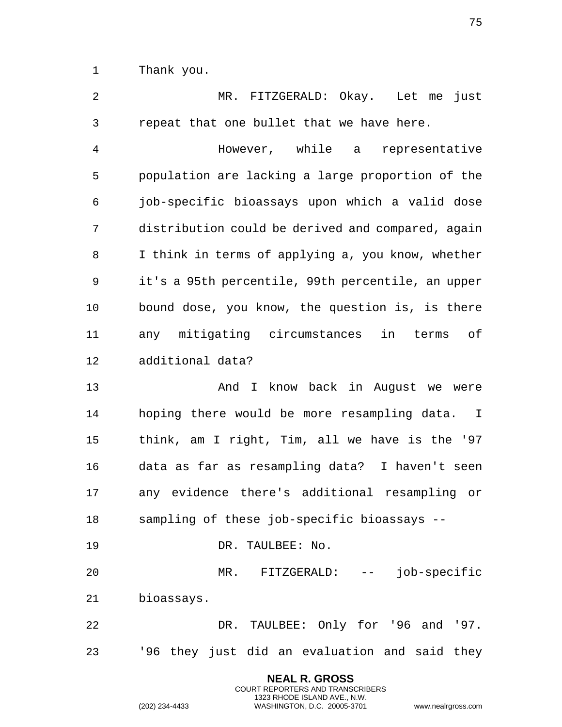Thank you.

 MR. FITZGERALD: Okay. Let me just repeat that one bullet that we have here. However, while a representative population are lacking a large proportion of the job-specific bioassays upon which a valid dose distribution could be derived and compared, again I think in terms of applying a, you know, whether it's a 95th percentile, 99th percentile, an upper bound dose, you know, the question is, is there any mitigating circumstances in terms of additional data? 13 And I know back in August we were hoping there would be more resampling data. I think, am I right, Tim, all we have is the '97 data as far as resampling data? I haven't seen any evidence there's additional resampling or sampling of these job-specific bioassays -- DR. TAULBEE: No. MR. FITZGERALD: -- job-specific bioassays. 22 DR. TAULBEE: Only for '96 and '97.

'96 they just did an evaluation and said they

**NEAL R. GROSS** COURT REPORTERS AND TRANSCRIBERS 1323 RHODE ISLAND AVE., N.W.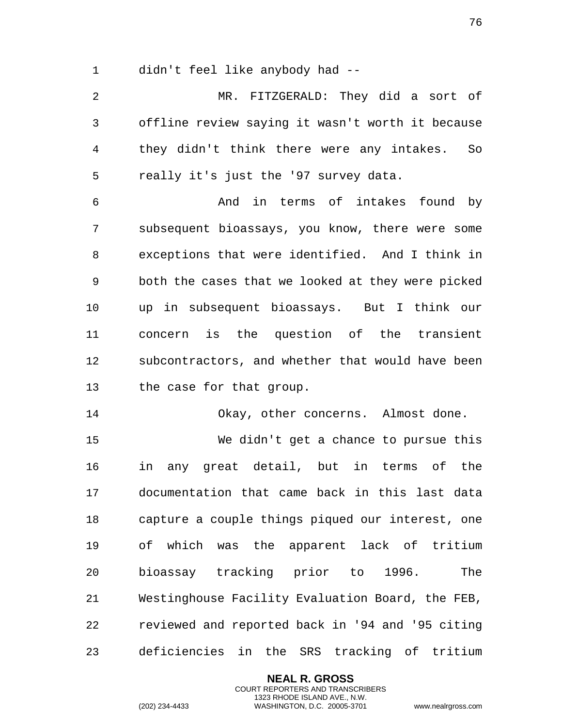didn't feel like anybody had --

 MR. FITZGERALD: They did a sort of offline review saying it wasn't worth it because they didn't think there were any intakes. So really it's just the '97 survey data.

 And in terms of intakes found by subsequent bioassays, you know, there were some exceptions that were identified. And I think in both the cases that we looked at they were picked up in subsequent bioassays. But I think our concern is the question of the transient subcontractors, and whether that would have been the case for that group.

14 Okay, other concerns. Almost done.

 We didn't get a chance to pursue this in any great detail, but in terms of the documentation that came back in this last data capture a couple things piqued our interest, one of which was the apparent lack of tritium bioassay tracking prior to 1996. The Westinghouse Facility Evaluation Board, the FEB, reviewed and reported back in '94 and '95 citing deficiencies in the SRS tracking of tritium

> **NEAL R. GROSS** COURT REPORTERS AND TRANSCRIBERS 1323 RHODE ISLAND AVE., N.W.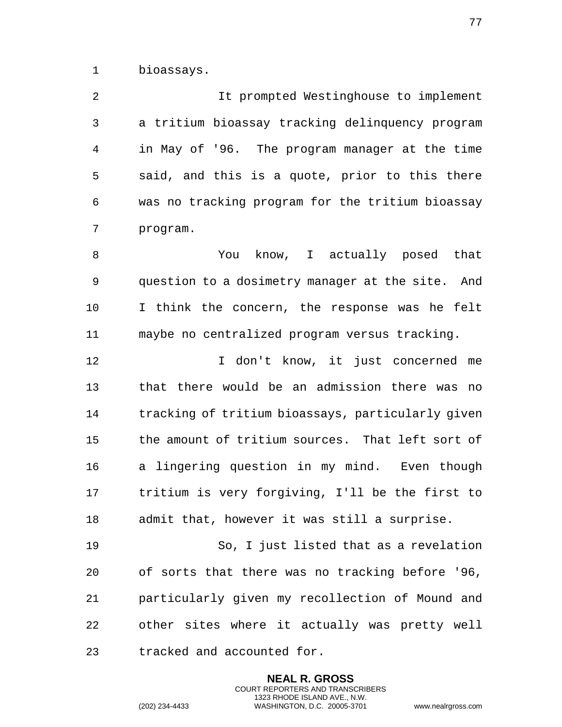bioassays.

 It prompted Westinghouse to implement a tritium bioassay tracking delinquency program in May of '96. The program manager at the time said, and this is a quote, prior to this there was no tracking program for the tritium bioassay program.

 You know, I actually posed that question to a dosimetry manager at the site. And I think the concern, the response was he felt maybe no centralized program versus tracking.

 I don't know, it just concerned me that there would be an admission there was no tracking of tritium bioassays, particularly given the amount of tritium sources. That left sort of a lingering question in my mind. Even though tritium is very forgiving, I'll be the first to admit that, however it was still a surprise.

 So, I just listed that as a revelation of sorts that there was no tracking before '96, particularly given my recollection of Mound and other sites where it actually was pretty well tracked and accounted for.

> **NEAL R. GROSS** COURT REPORTERS AND TRANSCRIBERS 1323 RHODE ISLAND AVE., N.W.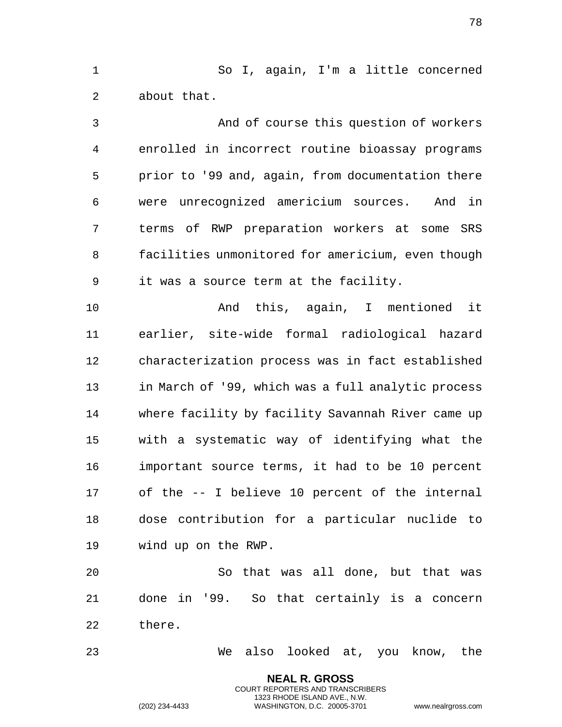So I, again, I'm a little concerned about that.

 And of course this question of workers enrolled in incorrect routine bioassay programs prior to '99 and, again, from documentation there were unrecognized americium sources. And in terms of RWP preparation workers at some SRS facilities unmonitored for americium, even though it was a source term at the facility.

 And this, again, I mentioned it earlier, site-wide formal radiological hazard characterization process was in fact established in March of '99, which was a full analytic process where facility by facility Savannah River came up with a systematic way of identifying what the important source terms, it had to be 10 percent of the -- I believe 10 percent of the internal dose contribution for a particular nuclide to wind up on the RWP.

 So that was all done, but that was done in '99. So that certainly is a concern there.

We also looked at, you know, the

**NEAL R. GROSS** COURT REPORTERS AND TRANSCRIBERS 1323 RHODE ISLAND AVE., N.W.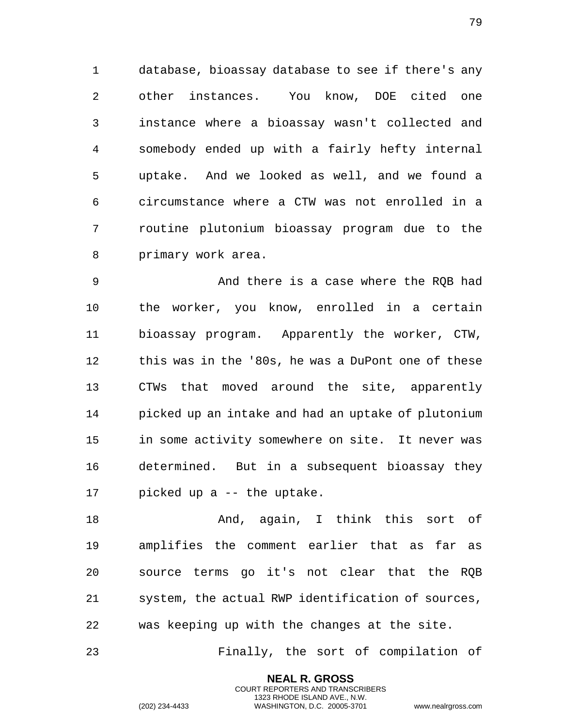database, bioassay database to see if there's any other instances. You know, DOE cited one instance where a bioassay wasn't collected and somebody ended up with a fairly hefty internal uptake. And we looked as well, and we found a circumstance where a CTW was not enrolled in a routine plutonium bioassay program due to the primary work area.

 And there is a case where the RQB had the worker, you know, enrolled in a certain bioassay program. Apparently the worker, CTW, this was in the '80s, he was a DuPont one of these CTWs that moved around the site, apparently picked up an intake and had an uptake of plutonium in some activity somewhere on site. It never was determined. But in a subsequent bioassay they picked up a -- the uptake.

 And, again, I think this sort of amplifies the comment earlier that as far as source terms go it's not clear that the RQB system, the actual RWP identification of sources, was keeping up with the changes at the site.

Finally, the sort of compilation of

**NEAL R. GROSS** COURT REPORTERS AND TRANSCRIBERS 1323 RHODE ISLAND AVE., N.W.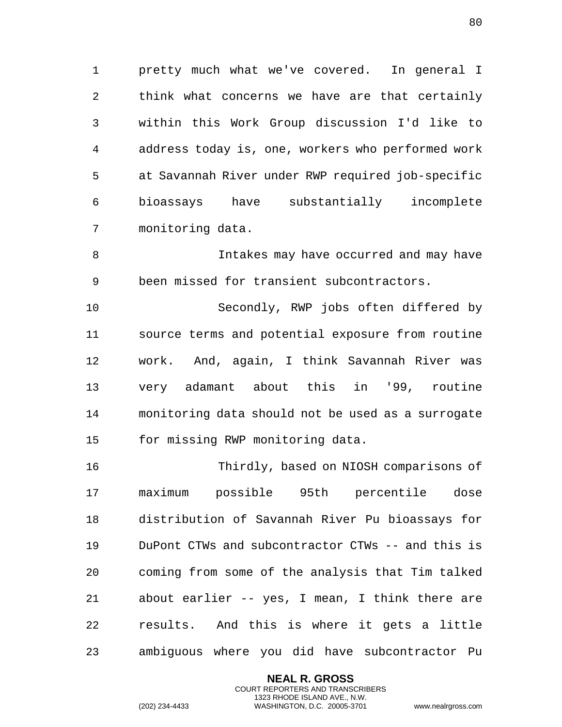pretty much what we've covered. In general I think what concerns we have are that certainly within this Work Group discussion I'd like to address today is, one, workers who performed work at Savannah River under RWP required job-specific bioassays have substantially incomplete monitoring data.

 Intakes may have occurred and may have been missed for transient subcontractors.

 Secondly, RWP jobs often differed by source terms and potential exposure from routine work. And, again, I think Savannah River was very adamant about this in '99, routine monitoring data should not be used as a surrogate for missing RWP monitoring data.

 Thirdly, based on NIOSH comparisons of maximum possible 95th percentile dose distribution of Savannah River Pu bioassays for DuPont CTWs and subcontractor CTWs -- and this is coming from some of the analysis that Tim talked about earlier -- yes, I mean, I think there are results. And this is where it gets a little ambiguous where you did have subcontractor Pu

> **NEAL R. GROSS** COURT REPORTERS AND TRANSCRIBERS 1323 RHODE ISLAND AVE., N.W.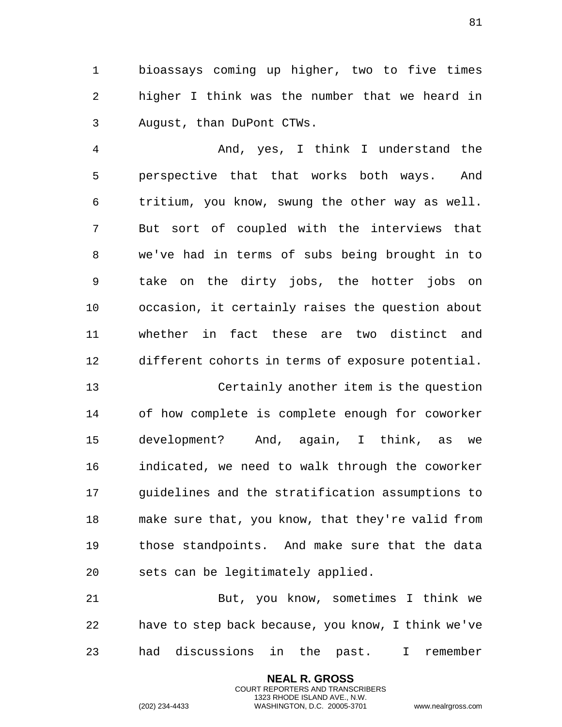bioassays coming up higher, two to five times higher I think was the number that we heard in August, than DuPont CTWs.

 And, yes, I think I understand the perspective that that works both ways. And tritium, you know, swung the other way as well. But sort of coupled with the interviews that we've had in terms of subs being brought in to take on the dirty jobs, the hotter jobs on occasion, it certainly raises the question about whether in fact these are two distinct and different cohorts in terms of exposure potential.

 Certainly another item is the question of how complete is complete enough for coworker development? And, again, I think, as we indicated, we need to walk through the coworker guidelines and the stratification assumptions to make sure that, you know, that they're valid from those standpoints. And make sure that the data sets can be legitimately applied.

 But, you know, sometimes I think we have to step back because, you know, I think we've had discussions in the past. I remember

> **NEAL R. GROSS** COURT REPORTERS AND TRANSCRIBERS 1323 RHODE ISLAND AVE., N.W.

(202) 234-4433 WASHINGTON, D.C. 20005-3701 www.nealrgross.com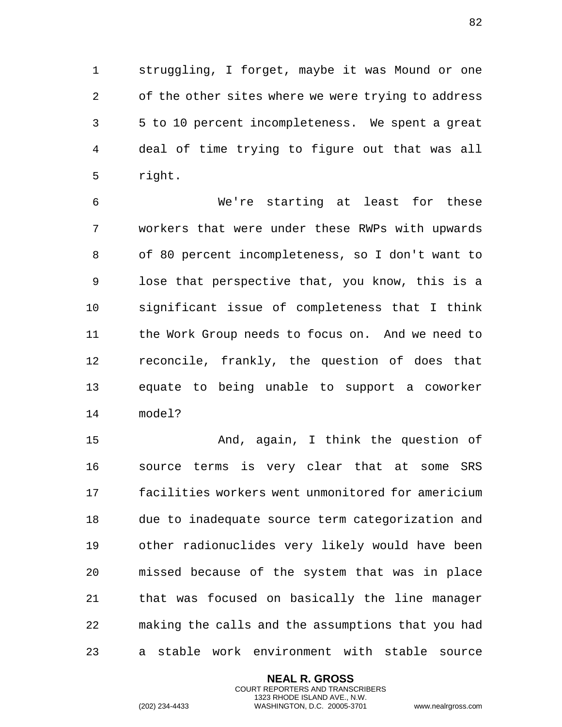struggling, I forget, maybe it was Mound or one of the other sites where we were trying to address 5 to 10 percent incompleteness. We spent a great deal of time trying to figure out that was all right.

 We're starting at least for these workers that were under these RWPs with upwards of 80 percent incompleteness, so I don't want to lose that perspective that, you know, this is a significant issue of completeness that I think the Work Group needs to focus on. And we need to reconcile, frankly, the question of does that equate to being unable to support a coworker model?

 And, again, I think the question of source terms is very clear that at some SRS facilities workers went unmonitored for americium due to inadequate source term categorization and other radionuclides very likely would have been missed because of the system that was in place that was focused on basically the line manager making the calls and the assumptions that you had a stable work environment with stable source

> **NEAL R. GROSS** COURT REPORTERS AND TRANSCRIBERS 1323 RHODE ISLAND AVE., N.W.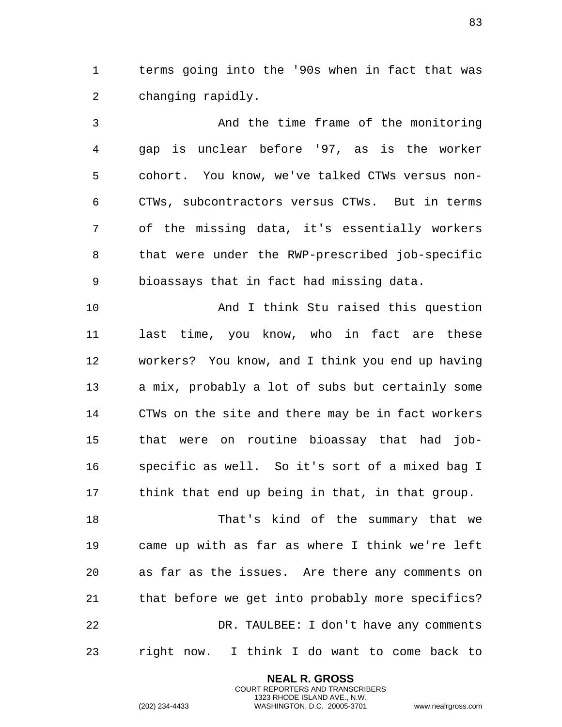terms going into the '90s when in fact that was changing rapidly.

 And the time frame of the monitoring gap is unclear before '97, as is the worker cohort. You know, we've talked CTWs versus non- CTWs, subcontractors versus CTWs. But in terms of the missing data, it's essentially workers that were under the RWP-prescribed job-specific bioassays that in fact had missing data.

 And I think Stu raised this question last time, you know, who in fact are these workers? You know, and I think you end up having a mix, probably a lot of subs but certainly some CTWs on the site and there may be in fact workers that were on routine bioassay that had job- specific as well. So it's sort of a mixed bag I think that end up being in that, in that group.

 That's kind of the summary that we came up with as far as where I think we're left as far as the issues. Are there any comments on that before we get into probably more specifics? DR. TAULBEE: I don't have any comments right now. I think I do want to come back to

> **NEAL R. GROSS** COURT REPORTERS AND TRANSCRIBERS 1323 RHODE ISLAND AVE., N.W.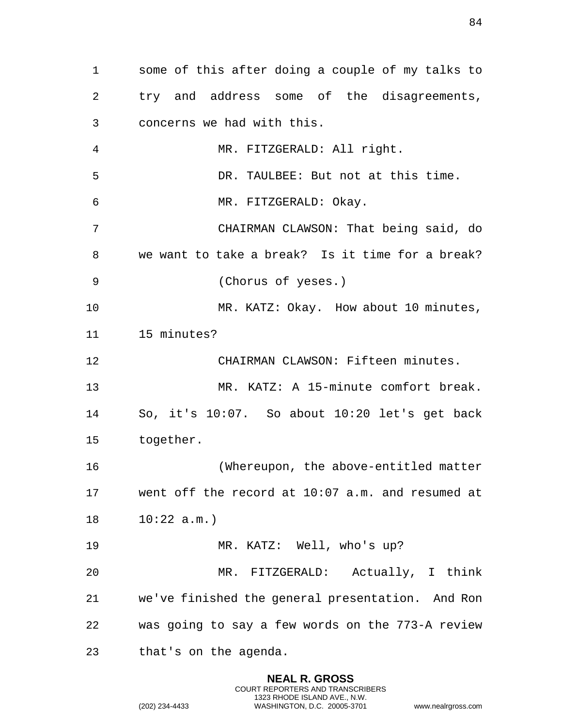some of this after doing a couple of my talks to try and address some of the disagreements, concerns we had with this. MR. FITZGERALD: All right. DR. TAULBEE: But not at this time. MR. FITZGERALD: Okay. CHAIRMAN CLAWSON: That being said, do we want to take a break? Is it time for a break? (Chorus of yeses.) MR. KATZ: Okay. How about 10 minutes, 15 minutes? CHAIRMAN CLAWSON: Fifteen minutes. MR. KATZ: A 15-minute comfort break. So, it's 10:07. So about 10:20 let's get back together. (Whereupon, the above-entitled matter went off the record at 10:07 a.m. and resumed at 10:22 a.m.) MR. KATZ: Well, who's up? MR. FITZGERALD: Actually, I think we've finished the general presentation. And Ron was going to say a few words on the 773-A review that's on the agenda.

> **NEAL R. GROSS** COURT REPORTERS AND TRANSCRIBERS 1323 RHODE ISLAND AVE., N.W.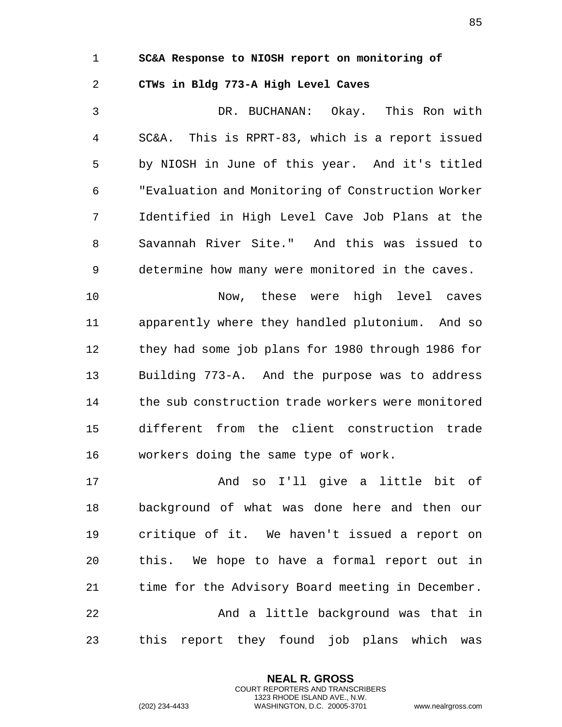## 1 **SC&A Response to NIOSH report on monitoring of**

## 2 **CTWs in Bldg 773-A High Level Caves**

3 DR. BUCHANAN: Okay. This Ron with 4 SC&A. This is RPRT-83, which is a report issued 5 by NIOSH in June of this year. And it's titled 6 "Evaluation and Monitoring of Construction Worker 7 Identified in High Level Cave Job Plans at the 8 Savannah River Site." And this was issued to 9 determine how many were monitored in the caves.

10 Now, these were high level caves 11 apparently where they handled plutonium. And so 12 they had some job plans for 1980 through 1986 for 13 Building 773-A. And the purpose was to address 14 the sub construction trade workers were monitored 15 different from the client construction trade 16 workers doing the same type of work.

17 And so I'll give a little bit of 18 background of what was done here and then our 19 critique of it. We haven't issued a report on 20 this. We hope to have a formal report out in 21 time for the Advisory Board meeting in December. 22 And a little background was that in 23 this report they found job plans which was

> **NEAL R. GROSS** COURT REPORTERS AND TRANSCRIBERS 1323 RHODE ISLAND AVE., N.W.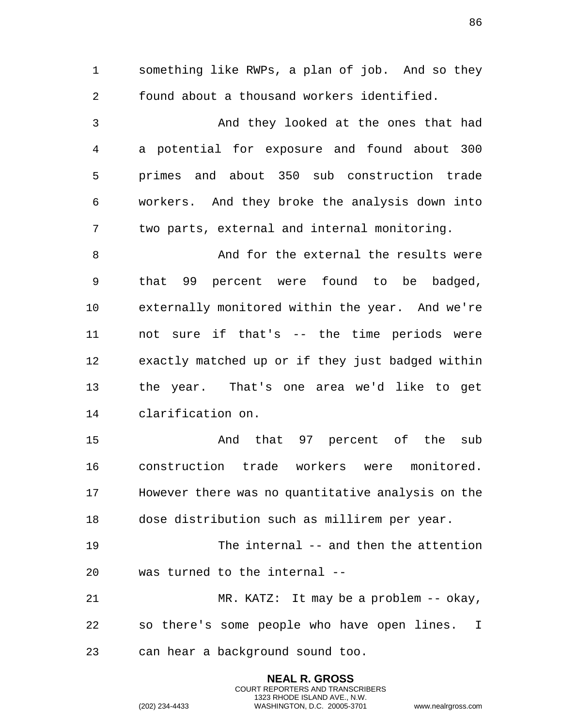something like RWPs, a plan of job. And so they found about a thousand workers identified. And they looked at the ones that had a potential for exposure and found about 300 primes and about 350 sub construction trade workers. And they broke the analysis down into two parts, external and internal monitoring. And for the external the results were that 99 percent were found to be badged, externally monitored within the year. And we're not sure if that's -- the time periods were exactly matched up or if they just badged within the year. That's one area we'd like to get clarification on. And that 97 percent of the sub construction trade workers were monitored. However there was no quantitative analysis on the dose distribution such as millirem per year. 19 The internal -- and then the attention was turned to the internal -- MR. KATZ: It may be a problem -- okay, so there's some people who have open lines. I can hear a background sound too.

> **NEAL R. GROSS** COURT REPORTERS AND TRANSCRIBERS 1323 RHODE ISLAND AVE., N.W.

(202) 234-4433 WASHINGTON, D.C. 20005-3701 www.nealrgross.com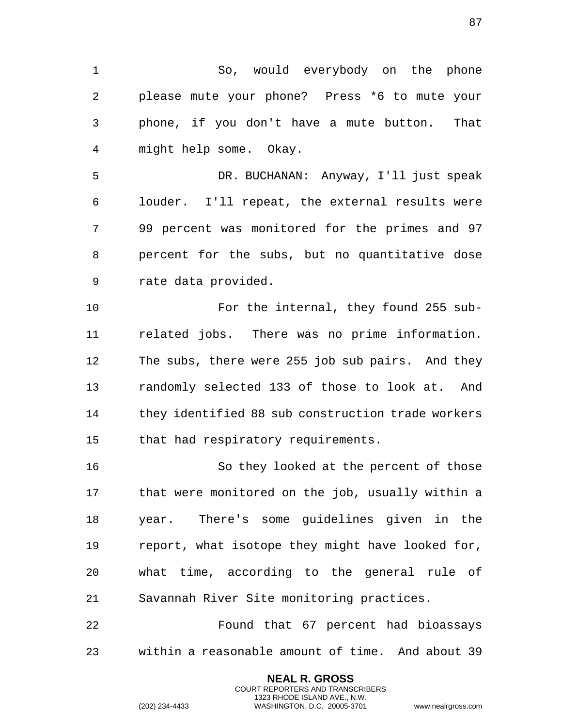So, would everybody on the phone please mute your phone? Press \*6 to mute your phone, if you don't have a mute button. That might help some. Okay. DR. BUCHANAN: Anyway, I'll just speak louder. I'll repeat, the external results were

 99 percent was monitored for the primes and 97 percent for the subs, but no quantitative dose rate data provided.

 For the internal, they found 255 sub- related jobs. There was no prime information. The subs, there were 255 job sub pairs. And they randomly selected 133 of those to look at. And they identified 88 sub construction trade workers that had respiratory requirements.

 So they looked at the percent of those that were monitored on the job, usually within a year. There's some guidelines given in the report, what isotope they might have looked for, what time, according to the general rule of Savannah River Site monitoring practices.

 Found that 67 percent had bioassays within a reasonable amount of time. And about 39

> **NEAL R. GROSS** COURT REPORTERS AND TRANSCRIBERS 1323 RHODE ISLAND AVE., N.W.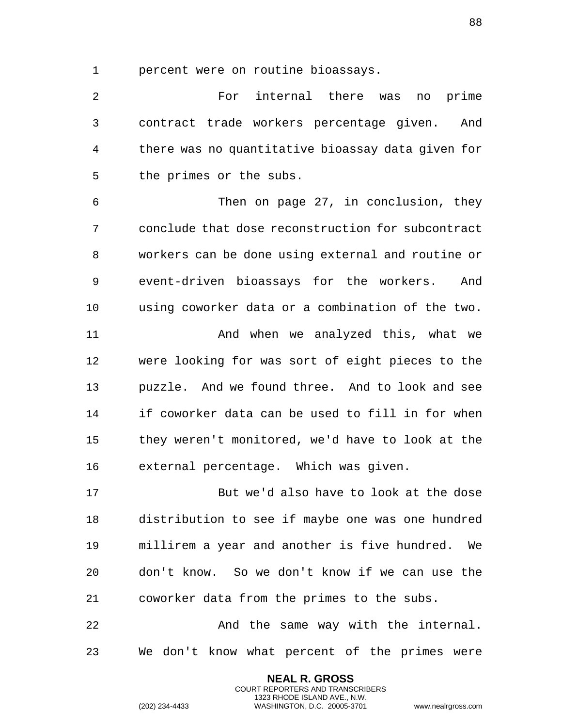percent were on routine bioassays.

 For internal there was no prime contract trade workers percentage given. And there was no quantitative bioassay data given for the primes or the subs.

 Then on page 27, in conclusion, they conclude that dose reconstruction for subcontract workers can be done using external and routine or event-driven bioassays for the workers. And using coworker data or a combination of the two. And when we analyzed this, what we were looking for was sort of eight pieces to the puzzle. And we found three. And to look and see if coworker data can be used to fill in for when they weren't monitored, we'd have to look at the external percentage. Which was given.

 But we'd also have to look at the dose distribution to see if maybe one was one hundred millirem a year and another is five hundred. We don't know. So we don't know if we can use the coworker data from the primes to the subs.

 And the same way with the internal. We don't know what percent of the primes were

> **NEAL R. GROSS** COURT REPORTERS AND TRANSCRIBERS 1323 RHODE ISLAND AVE., N.W.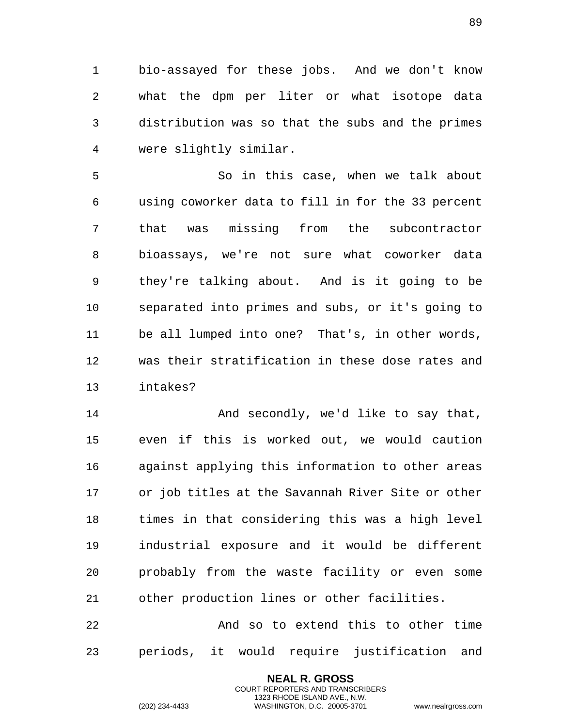bio-assayed for these jobs. And we don't know what the dpm per liter or what isotope data distribution was so that the subs and the primes were slightly similar.

 So in this case, when we talk about using coworker data to fill in for the 33 percent that was missing from the subcontractor bioassays, we're not sure what coworker data they're talking about. And is it going to be separated into primes and subs, or it's going to be all lumped into one? That's, in other words, was their stratification in these dose rates and intakes?

14 And secondly, we'd like to say that, even if this is worked out, we would caution against applying this information to other areas or job titles at the Savannah River Site or other times in that considering this was a high level industrial exposure and it would be different probably from the waste facility or even some other production lines or other facilities.

 And so to extend this to other time periods, it would require justification and

> **NEAL R. GROSS** COURT REPORTERS AND TRANSCRIBERS 1323 RHODE ISLAND AVE., N.W.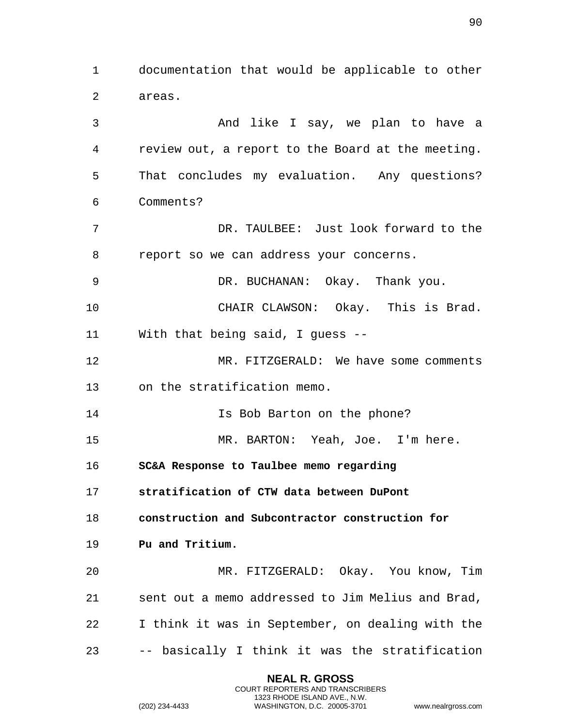1 documentation that would be applicable to other 2 areas. 3 And like I say, we plan to have a 4 review out, a report to the Board at the meeting. 5 That concludes my evaluation. Any questions? 6 Comments? 7 DR. TAULBEE: Just look forward to the 8 report so we can address your concerns. 9 DR. BUCHANAN: Okay. Thank you. 10 CHAIR CLAWSON: Okay. This is Brad. 11 With that being said, I guess -- 12 MR. FITZGERALD: We have some comments 13 on the stratification memo. 14 Is Bob Barton on the phone? 15 MR. BARTON: Yeah, Joe. I'm here. 16 **SC&A Response to Taulbee memo regarding**  17 **stratification of CTW data between DuPont**  18 **construction and Subcontractor construction for**  19 **Pu and Tritium.**  20 MR. FITZGERALD: Okay. You know, Tim 21 sent out a memo addressed to Jim Melius and Brad, 22 I think it was in September, on dealing with the 23 -- basically I think it was the stratification

> **NEAL R. GROSS** COURT REPORTERS AND TRANSCRIBERS 1323 RHODE ISLAND AVE., N.W.

(202) 234-4433 WASHINGTON, D.C. 20005-3701 www.nealrgross.com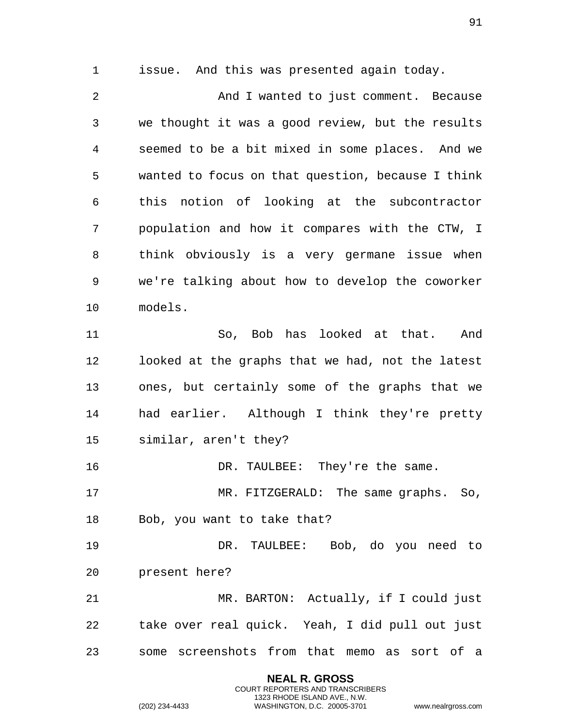issue. And this was presented again today.

 And I wanted to just comment. Because we thought it was a good review, but the results seemed to be a bit mixed in some places. And we wanted to focus on that question, because I think this notion of looking at the subcontractor population and how it compares with the CTW, I think obviously is a very germane issue when we're talking about how to develop the coworker models. So, Bob has looked at that. And looked at the graphs that we had, not the latest ones, but certainly some of the graphs that we

 had earlier. Although I think they're pretty similar, aren't they?

DR. TAULBEE: They're the same.

 MR. FITZGERALD: The same graphs. So, Bob, you want to take that?

 DR. TAULBEE: Bob, do you need to present here?

 MR. BARTON: Actually, if I could just take over real quick. Yeah, I did pull out just some screenshots from that memo as sort of a

> **NEAL R. GROSS** COURT REPORTERS AND TRANSCRIBERS 1323 RHODE ISLAND AVE., N.W.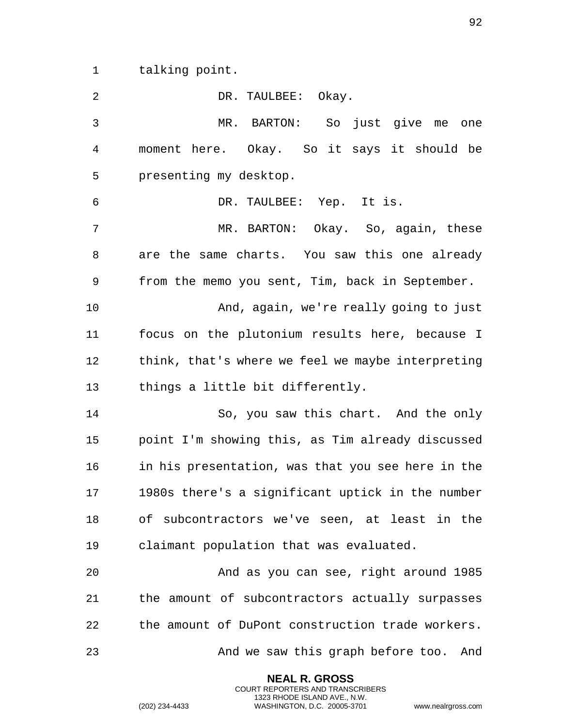talking point.

| $\overline{2}$ | DR. TAULBEE: Okay.                                |
|----------------|---------------------------------------------------|
| 3              | MR. BARTON: So just give me one                   |
| 4              | moment here. Okay. So it says it should be        |
| 5              | presenting my desktop.                            |
| 6              | DR. TAULBEE: Yep. It is.                          |
| 7              | MR. BARTON: Okay. So, again, these                |
| 8              | are the same charts. You saw this one already     |
| 9              | from the memo you sent, Tim, back in September.   |
| 10             | And, again, we're really going to just            |
| 11             | focus on the plutonium results here, because I    |
| 12             | think, that's where we feel we maybe interpreting |
| 13             | things a little bit differently.                  |
| 14             | So, you saw this chart. And the only              |
| 15             | point I'm showing this, as Tim already discussed  |
| 16             | in his presentation, was that you see here in the |
| 17             | 1980s there's a significant uptick in the number  |
| 18             | of subcontractors we've seen, at least in the     |
| 19             | claimant population that was evaluated.           |
| 20             | And as you can see, right around 1985             |
| 21             | the amount of subcontractors actually surpasses   |
| 22             | the amount of DuPont construction trade workers.  |
| 23             | And we saw this graph before too.<br>And          |

**NEAL R. GROSS** COURT REPORTERS AND TRANSCRIBERS 1323 RHODE ISLAND AVE., N.W.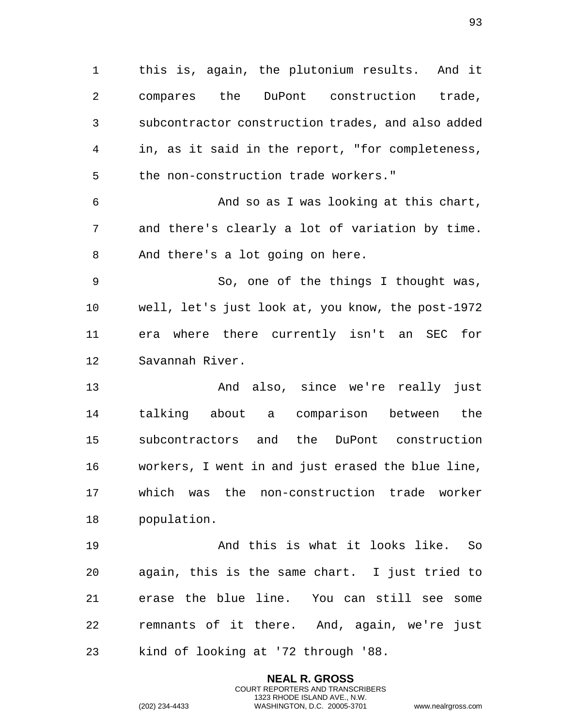this is, again, the plutonium results. And it compares the DuPont construction trade, subcontractor construction trades, and also added in, as it said in the report, "for completeness, the non-construction trade workers."

 And so as I was looking at this chart, and there's clearly a lot of variation by time. And there's a lot going on here.

 So, one of the things I thought was, well, let's just look at, you know, the post-1972 era where there currently isn't an SEC for Savannah River.

 And also, since we're really just talking about a comparison between the subcontractors and the DuPont construction workers, I went in and just erased the blue line, which was the non-construction trade worker population.

 And this is what it looks like. So again, this is the same chart. I just tried to erase the blue line. You can still see some remnants of it there. And, again, we're just kind of looking at '72 through '88.

> **NEAL R. GROSS** COURT REPORTERS AND TRANSCRIBERS 1323 RHODE ISLAND AVE., N.W.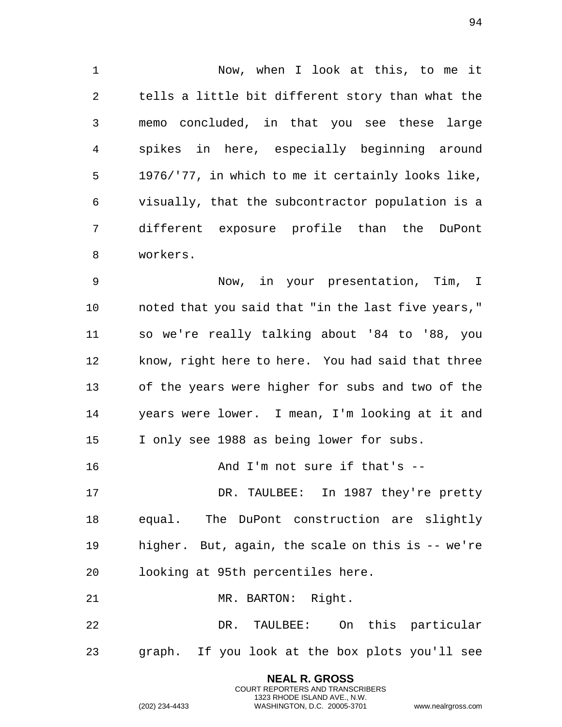Now, when I look at this, to me it tells a little bit different story than what the memo concluded, in that you see these large spikes in here, especially beginning around 1976/'77, in which to me it certainly looks like, visually, that the subcontractor population is a different exposure profile than the DuPont workers.

 Now, in your presentation, Tim, I noted that you said that "in the last five years," so we're really talking about '84 to '88, you know, right here to here. You had said that three of the years were higher for subs and two of the years were lower. I mean, I'm looking at it and I only see 1988 as being lower for subs.

16 And I'm not sure if that's --

 DR. TAULBEE: In 1987 they're pretty equal. The DuPont construction are slightly higher. But, again, the scale on this is -- we're looking at 95th percentiles here.

21 MR. BARTON: Right.

 DR. TAULBEE: On this particular graph. If you look at the box plots you'll see

> **NEAL R. GROSS** COURT REPORTERS AND TRANSCRIBERS 1323 RHODE ISLAND AVE., N.W.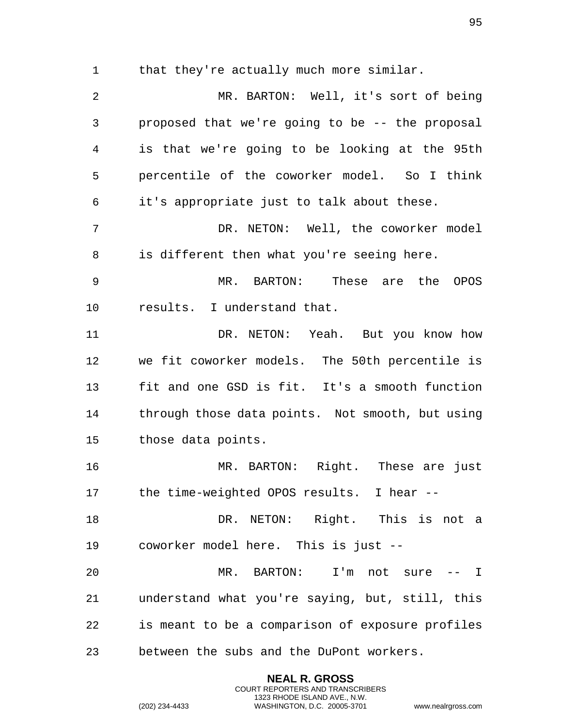1 that they're actually much more similar.

 MR. BARTON: Well, it's sort of being proposed that we're going to be -- the proposal is that we're going to be looking at the 95th percentile of the coworker model. So I think it's appropriate just to talk about these. DR. NETON: Well, the coworker model is different then what you're seeing here. MR. BARTON: These are the OPOS results. I understand that. DR. NETON: Yeah. But you know how we fit coworker models. The 50th percentile is fit and one GSD is fit. It's a smooth function through those data points. Not smooth, but using those data points. MR. BARTON: Right. These are just the time-weighted OPOS results. I hear -- DR. NETON: Right. This is not a coworker model here. This is just -- MR. BARTON: I'm not sure -- I understand what you're saying, but, still, this is meant to be a comparison of exposure profiles between the subs and the DuPont workers.

> **NEAL R. GROSS** COURT REPORTERS AND TRANSCRIBERS 1323 RHODE ISLAND AVE., N.W.

(202) 234-4433 WASHINGTON, D.C. 20005-3701 www.nealrgross.com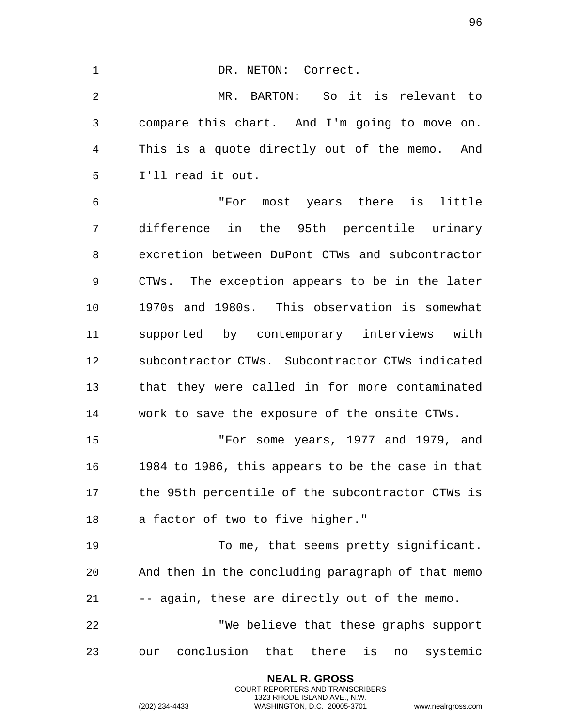1 DR. NETON: Correct. MR. BARTON: So it is relevant to compare this chart. And I'm going to move on. This is a quote directly out of the memo. And I'll read it out. "For most years there is little difference in the 95th percentile urinary excretion between DuPont CTWs and subcontractor CTWs. The exception appears to be in the later 1970s and 1980s. This observation is somewhat supported by contemporary interviews with subcontractor CTWs. Subcontractor CTWs indicated that they were called in for more contaminated work to save the exposure of the onsite CTWs. "For some years, 1977 and 1979, and 1984 to 1986, this appears to be the case in that the 95th percentile of the subcontractor CTWs is a factor of two to five higher." To me, that seems pretty significant. And then in the concluding paragraph of that memo -- again, these are directly out of the memo. "We believe that these graphs support

our conclusion that there is no systemic

**NEAL R. GROSS** COURT REPORTERS AND TRANSCRIBERS 1323 RHODE ISLAND AVE., N.W.

(202) 234-4433 WASHINGTON, D.C. 20005-3701 www.nealrgross.com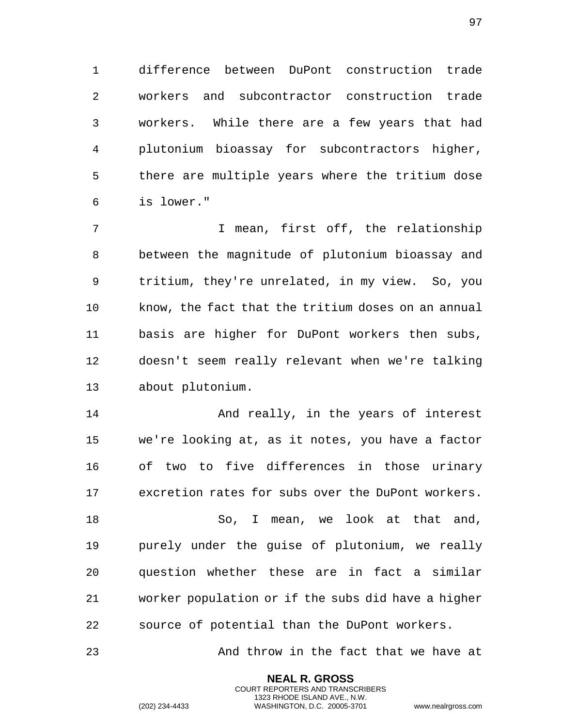difference between DuPont construction trade workers and subcontractor construction trade workers. While there are a few years that had plutonium bioassay for subcontractors higher, there are multiple years where the tritium dose is lower."

 I mean, first off, the relationship between the magnitude of plutonium bioassay and tritium, they're unrelated, in my view. So, you know, the fact that the tritium doses on an annual basis are higher for DuPont workers then subs, doesn't seem really relevant when we're talking about plutonium.

14 And really, in the years of interest we're looking at, as it notes, you have a factor of two to five differences in those urinary excretion rates for subs over the DuPont workers.

18 So, I mean, we look at that and, purely under the guise of plutonium, we really question whether these are in fact a similar worker population or if the subs did have a higher source of potential than the DuPont workers.

23 And throw in the fact that we have at

**NEAL R. GROSS** COURT REPORTERS AND TRANSCRIBERS 1323 RHODE ISLAND AVE., N.W.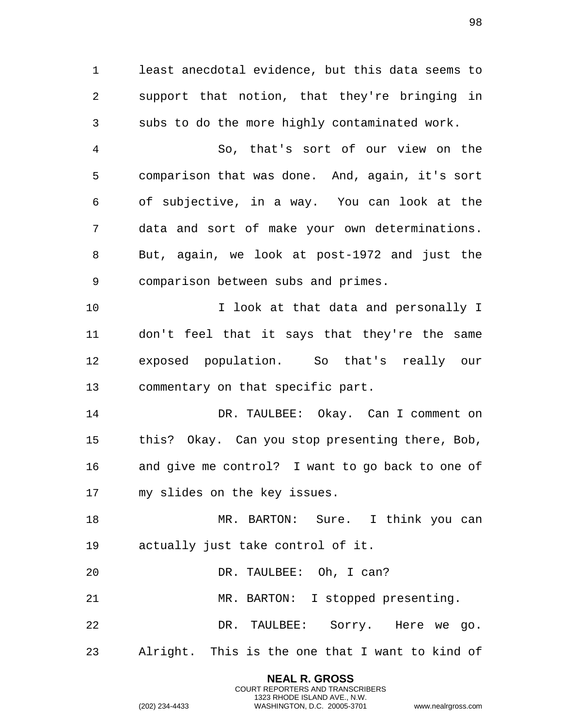least anecdotal evidence, but this data seems to support that notion, that they're bringing in subs to do the more highly contaminated work.

 So, that's sort of our view on the comparison that was done. And, again, it's sort of subjective, in a way. You can look at the data and sort of make your own determinations. But, again, we look at post-1972 and just the comparison between subs and primes.

 I look at that data and personally I don't feel that it says that they're the same exposed population. So that's really our commentary on that specific part.

 DR. TAULBEE: Okay. Can I comment on this? Okay. Can you stop presenting there, Bob, and give me control? I want to go back to one of my slides on the key issues.

 MR. BARTON: Sure. I think you can actually just take control of it.

DR. TAULBEE: Oh, I can?

MR. BARTON: I stopped presenting.

 DR. TAULBEE: Sorry. Here we go. Alright. This is the one that I want to kind of

> **NEAL R. GROSS** COURT REPORTERS AND TRANSCRIBERS 1323 RHODE ISLAND AVE., N.W.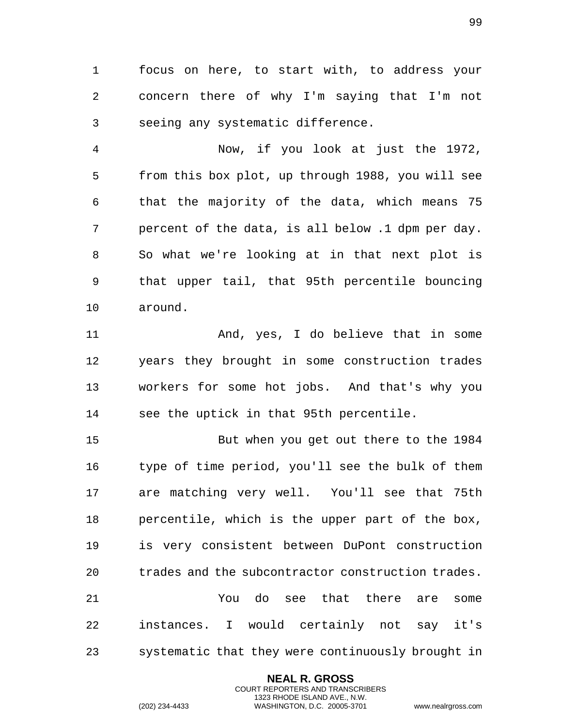focus on here, to start with, to address your concern there of why I'm saying that I'm not seeing any systematic difference.

 Now, if you look at just the 1972, from this box plot, up through 1988, you will see that the majority of the data, which means 75 percent of the data, is all below .1 dpm per day. So what we're looking at in that next plot is that upper tail, that 95th percentile bouncing around.

 And, yes, I do believe that in some years they brought in some construction trades workers for some hot jobs. And that's why you see the uptick in that 95th percentile.

 But when you get out there to the 1984 type of time period, you'll see the bulk of them are matching very well. You'll see that 75th percentile, which is the upper part of the box, is very consistent between DuPont construction trades and the subcontractor construction trades. You do see that there are some instances. I would certainly not say it's systematic that they were continuously brought in

> **NEAL R. GROSS** COURT REPORTERS AND TRANSCRIBERS 1323 RHODE ISLAND AVE., N.W.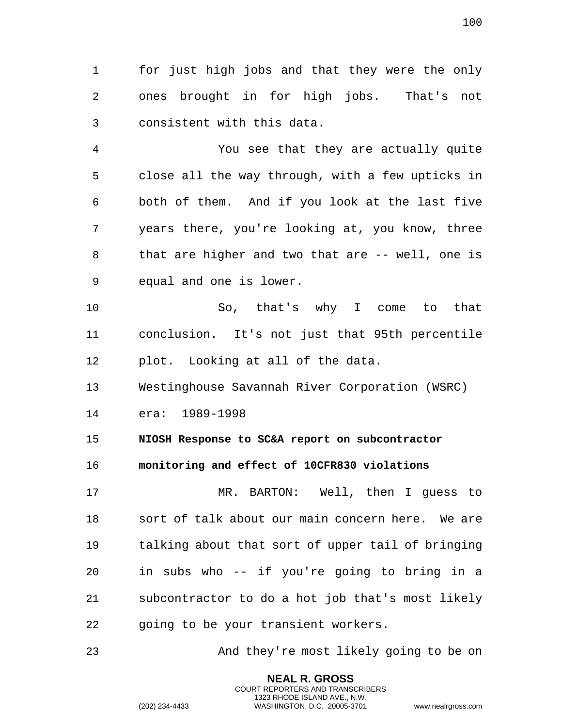1 for just high jobs and that they were the only 2 ones brought in for high jobs. That's not 3 consistent with this data.

4 You see that they are actually quite 5 close all the way through, with a few upticks in 6 both of them. And if you look at the last five 7 years there, you're looking at, you know, three 8 that are higher and two that are -- well, one is 9 equal and one is lower.

10 So, that's why I come to that 11 conclusion. It's not just that 95th percentile 12 plot. Looking at all of the data.

13 Westinghouse Savannah River Corporation (WSRC)

14 era: 1989-1998

15 **NIOSH Response to SC&A report on subcontractor** 

16 **monitoring and effect of 10CFR830 violations** 

17 MR. BARTON: Well, then I guess to 18 sort of talk about our main concern here. We are 19 talking about that sort of upper tail of bringing 20 in subs who -- if you're going to bring in a 21 subcontractor to do a hot job that's most likely 22 going to be your transient workers.

23 And they're most likely going to be on

**NEAL R. GROSS** COURT REPORTERS AND TRANSCRIBERS 1323 RHODE ISLAND AVE., N.W.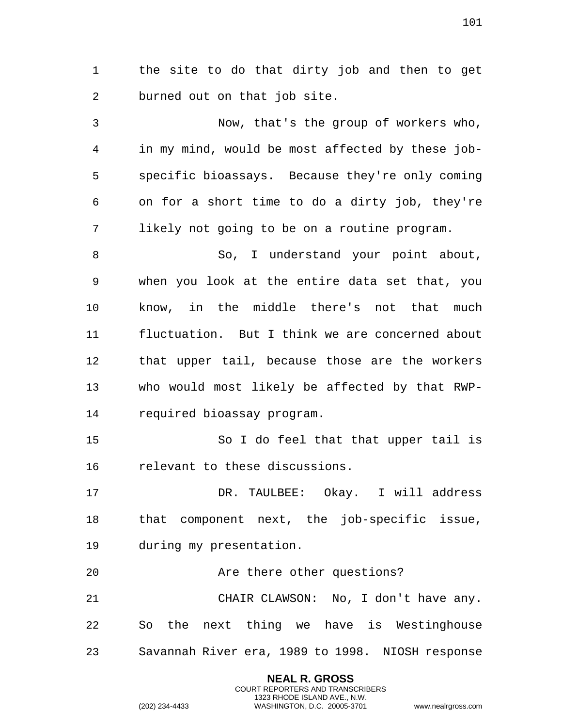the site to do that dirty job and then to get burned out on that job site.

 Now, that's the group of workers who, in my mind, would be most affected by these job- specific bioassays. Because they're only coming on for a short time to do a dirty job, they're likely not going to be on a routine program.

8 So, I understand your point about, when you look at the entire data set that, you know, in the middle there's not that much fluctuation. But I think we are concerned about that upper tail, because those are the workers who would most likely be affected by that RWP-required bioassay program.

 So I do feel that that upper tail is relevant to these discussions.

 DR. TAULBEE: Okay. I will address that component next, the job-specific issue, during my presentation.

**Are there other questions?**  CHAIR CLAWSON: No, I don't have any. So the next thing we have is Westinghouse Savannah River era, 1989 to 1998. NIOSH response

> **NEAL R. GROSS** COURT REPORTERS AND TRANSCRIBERS 1323 RHODE ISLAND AVE., N.W.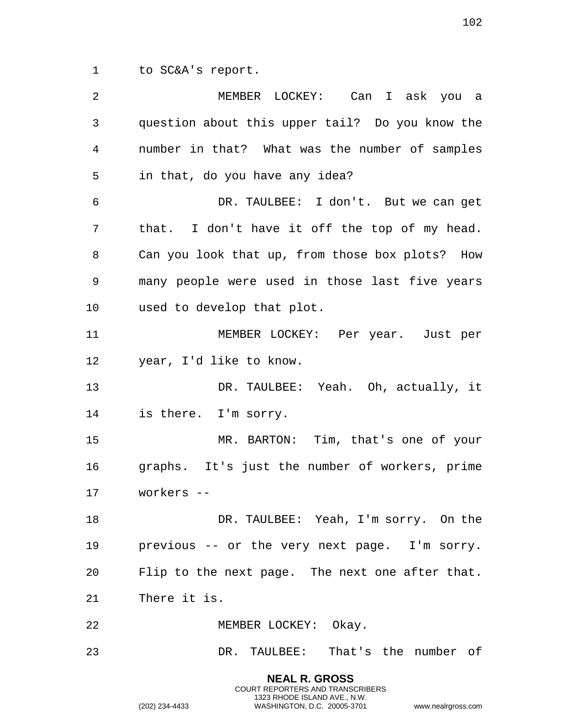to SC&A's report.

| 2  | MEMBER LOCKEY: Can I ask you a                  |
|----|-------------------------------------------------|
| 3  | question about this upper tail? Do you know the |
| 4  | number in that? What was the number of samples  |
| 5  | in that, do you have any idea?                  |
| 6  | DR. TAULBEE: I don't. But we can get            |
| 7  | that. I don't have it off the top of my head.   |
| 8  | Can you look that up, from those box plots? How |
| 9  | many people were used in those last five years  |
| 10 | used to develop that plot.                      |
| 11 | MEMBER LOCKEY: Per year. Just per               |
| 12 | year, I'd like to know.                         |
| 13 | DR. TAULBEE: Yeah. Oh, actually, it             |
| 14 | is there. I'm sorry.                            |
| 15 | MR. BARTON: Tim, that's one of your             |
| 16 | graphs. It's just the number of workers, prime  |
| 17 | workers --                                      |
| 18 | DR. TAULBEE: Yeah, I'm sorry. On the            |
| 19 | previous -- or the very next page. I'm sorry.   |
| 20 | Flip to the next page. The next one after that. |
| 21 | There it is.                                    |
| 22 | MEMBER LOCKEY: Okay.                            |
| 23 | DR. TAULBEE: That's the number of               |
|    | <b>NEAL R. GROSS</b>                            |

COURT REPORTERS AND TRANSCRIBERS 1323 RHODE ISLAND AVE., N.W.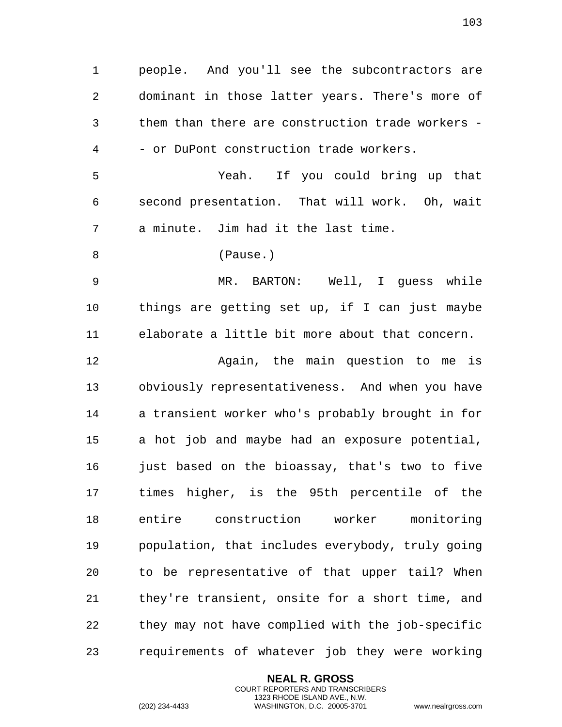people. And you'll see the subcontractors are dominant in those latter years. There's more of them than there are construction trade workers - - or DuPont construction trade workers. Yeah. If you could bring up that second presentation. That will work. Oh, wait a minute. Jim had it the last time. (Pause.) MR. BARTON: Well, I guess while things are getting set up, if I can just maybe elaborate a little bit more about that concern. Again, the main question to me is obviously representativeness. And when you have a transient worker who's probably brought in for a hot job and maybe had an exposure potential, just based on the bioassay, that's two to five times higher, is the 95th percentile of the entire construction worker monitoring population, that includes everybody, truly going to be representative of that upper tail? When they're transient, onsite for a short time, and they may not have complied with the job-specific requirements of whatever job they were working

> **NEAL R. GROSS** COURT REPORTERS AND TRANSCRIBERS 1323 RHODE ISLAND AVE., N.W.

(202) 234-4433 WASHINGTON, D.C. 20005-3701 www.nealrgross.com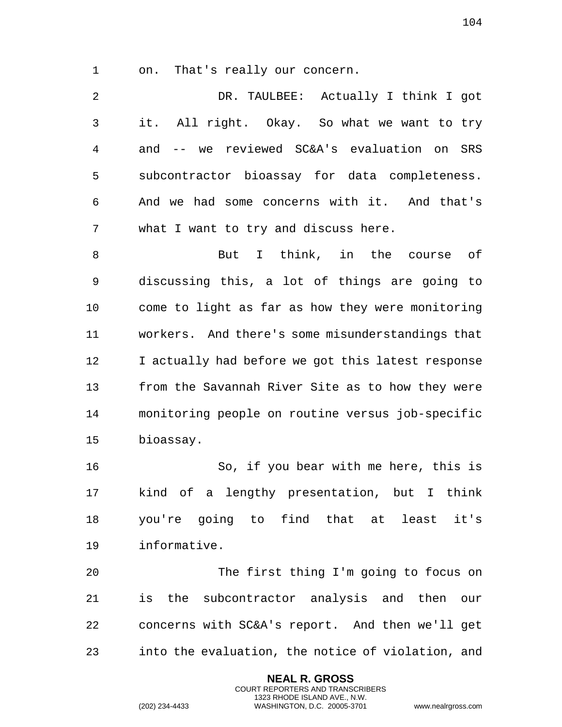on. That's really our concern.

 DR. TAULBEE: Actually I think I got it. All right. Okay. So what we want to try and -- we reviewed SC&A's evaluation on SRS subcontractor bioassay for data completeness. And we had some concerns with it. And that's what I want to try and discuss here.

8 But I think, in the course of discussing this, a lot of things are going to come to light as far as how they were monitoring workers. And there's some misunderstandings that I actually had before we got this latest response from the Savannah River Site as to how they were monitoring people on routine versus job-specific bioassay.

 So, if you bear with me here, this is kind of a lengthy presentation, but I think you're going to find that at least it's informative.

 The first thing I'm going to focus on is the subcontractor analysis and then our concerns with SC&A's report. And then we'll get into the evaluation, the notice of violation, and

> **NEAL R. GROSS** COURT REPORTERS AND TRANSCRIBERS 1323 RHODE ISLAND AVE., N.W.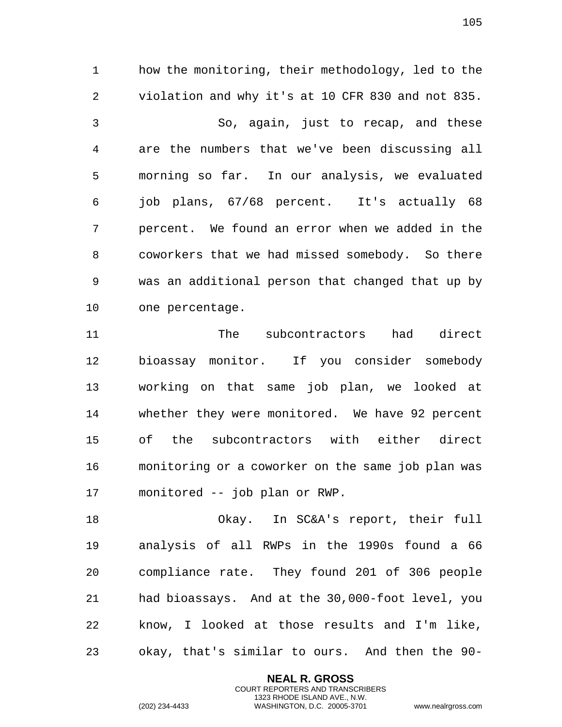how the monitoring, their methodology, led to the violation and why it's at 10 CFR 830 and not 835. So, again, just to recap, and these are the numbers that we've been discussing all morning so far. In our analysis, we evaluated job plans, 67/68 percent. It's actually 68 percent. We found an error when we added in the coworkers that we had missed somebody. So there was an additional person that changed that up by one percentage.

 The subcontractors had direct bioassay monitor. If you consider somebody working on that same job plan, we looked at whether they were monitored. We have 92 percent of the subcontractors with either direct monitoring or a coworker on the same job plan was monitored -- job plan or RWP.

 Okay. In SC&A's report, their full analysis of all RWPs in the 1990s found a 66 compliance rate. They found 201 of 306 people had bioassays. And at the 30,000-foot level, you know, I looked at those results and I'm like, okay, that's similar to ours. And then the 90-

> **NEAL R. GROSS** COURT REPORTERS AND TRANSCRIBERS 1323 RHODE ISLAND AVE., N.W.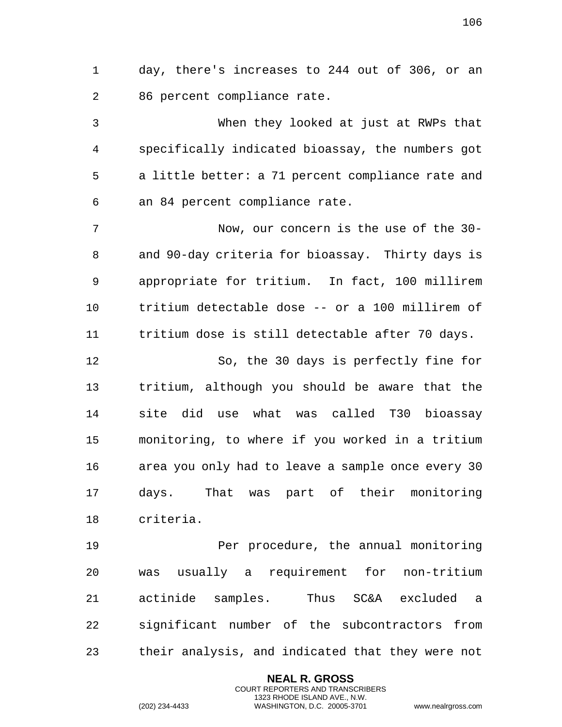day, there's increases to 244 out of 306, or an 86 percent compliance rate.

 When they looked at just at RWPs that specifically indicated bioassay, the numbers got a little better: a 71 percent compliance rate and an 84 percent compliance rate.

 Now, our concern is the use of the 30- and 90-day criteria for bioassay. Thirty days is appropriate for tritium. In fact, 100 millirem tritium detectable dose -- or a 100 millirem of tritium dose is still detectable after 70 days.

 So, the 30 days is perfectly fine for tritium, although you should be aware that the site did use what was called T30 bioassay monitoring, to where if you worked in a tritium area you only had to leave a sample once every 30 days. That was part of their monitoring criteria.

 Per procedure, the annual monitoring was usually a requirement for non-tritium actinide samples. Thus SC&A excluded a significant number of the subcontractors from their analysis, and indicated that they were not

> **NEAL R. GROSS** COURT REPORTERS AND TRANSCRIBERS 1323 RHODE ISLAND AVE., N.W.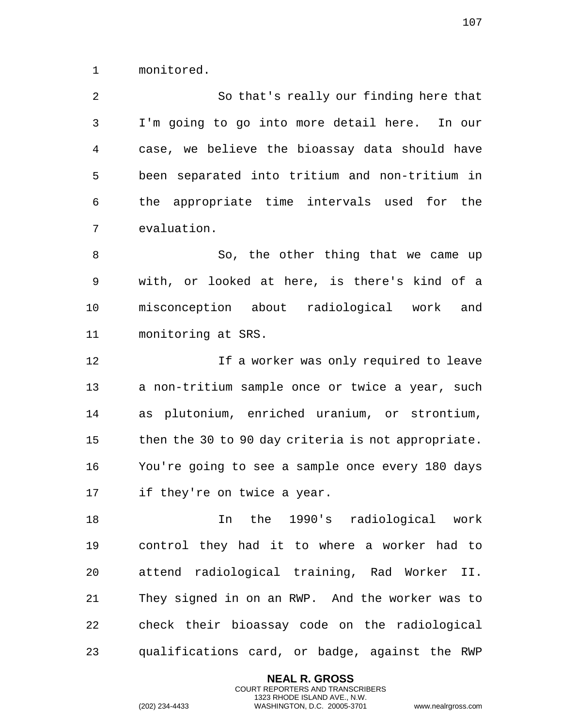monitored.

 So that's really our finding here that I'm going to go into more detail here. In our case, we believe the bioassay data should have been separated into tritium and non-tritium in the appropriate time intervals used for the evaluation.

8 So, the other thing that we came up with, or looked at here, is there's kind of a misconception about radiological work and monitoring at SRS.

 If a worker was only required to leave a non-tritium sample once or twice a year, such as plutonium, enriched uranium, or strontium, then the 30 to 90 day criteria is not appropriate. You're going to see a sample once every 180 days if they're on twice a year.

 In the 1990's radiological work control they had it to where a worker had to attend radiological training, Rad Worker II. They signed in on an RWP. And the worker was to check their bioassay code on the radiological qualifications card, or badge, against the RWP

> **NEAL R. GROSS** COURT REPORTERS AND TRANSCRIBERS 1323 RHODE ISLAND AVE., N.W.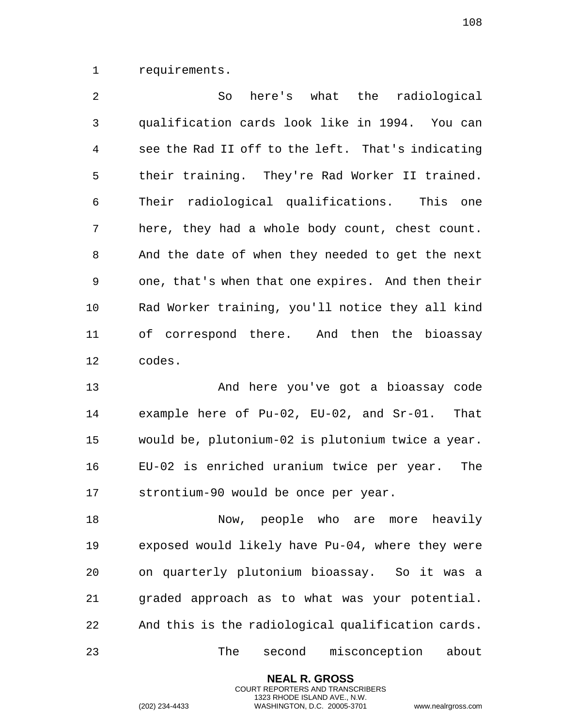requirements.

 So here's what the radiological qualification cards look like in 1994. You can see the Rad II off to the left. That's indicating their training. They're Rad Worker II trained. Their radiological qualifications. This one here, they had a whole body count, chest count. And the date of when they needed to get the next one, that's when that one expires. And then their Rad Worker training, you'll notice they all kind of correspond there. And then the bioassay codes.

 And here you've got a bioassay code example here of Pu-02, EU-02, and Sr-01. That would be, plutonium-02 is plutonium twice a year. EU-02 is enriched uranium twice per year. The strontium-90 would be once per year.

18 Now, people who are more heavily exposed would likely have Pu-04, where they were on quarterly plutonium bioassay. So it was a graded approach as to what was your potential. And this is the radiological qualification cards. The second misconception about

> **NEAL R. GROSS** COURT REPORTERS AND TRANSCRIBERS 1323 RHODE ISLAND AVE., N.W.

(202) 234-4433 WASHINGTON, D.C. 20005-3701 www.nealrgross.com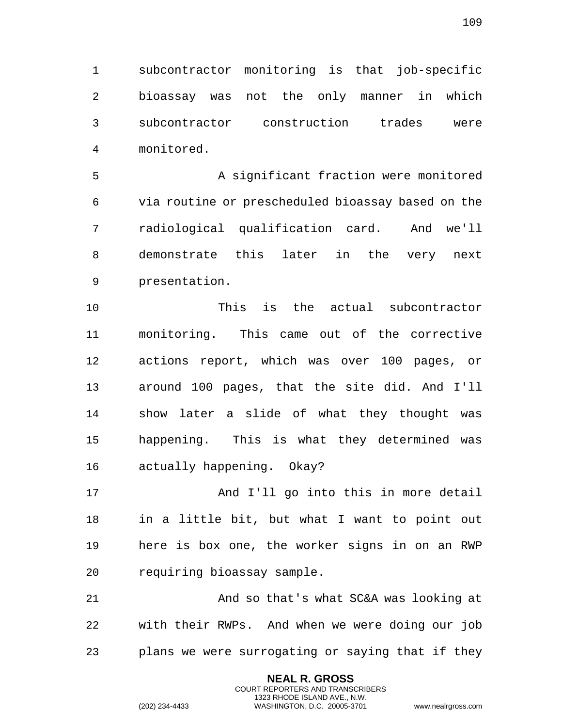subcontractor monitoring is that job-specific bioassay was not the only manner in which subcontractor construction trades were monitored.

 A significant fraction were monitored via routine or prescheduled bioassay based on the radiological qualification card. And we'll demonstrate this later in the very next presentation.

 This is the actual subcontractor monitoring. This came out of the corrective actions report, which was over 100 pages, or around 100 pages, that the site did. And I'll show later a slide of what they thought was happening. This is what they determined was actually happening. Okay?

17 And I'll go into this in more detail in a little bit, but what I want to point out here is box one, the worker signs in on an RWP requiring bioassay sample.

 And so that's what SC&A was looking at with their RWPs. And when we were doing our job plans we were surrogating or saying that if they

> **NEAL R. GROSS** COURT REPORTERS AND TRANSCRIBERS 1323 RHODE ISLAND AVE., N.W.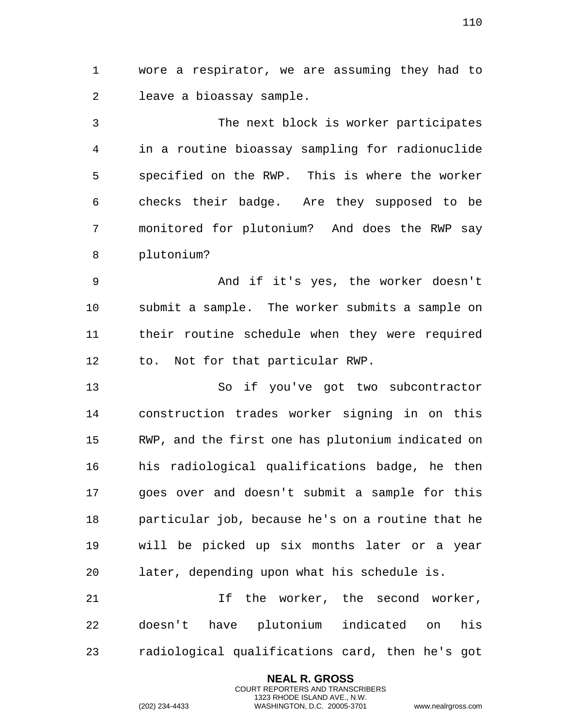wore a respirator, we are assuming they had to leave a bioassay sample.

 The next block is worker participates in a routine bioassay sampling for radionuclide specified on the RWP. This is where the worker checks their badge. Are they supposed to be monitored for plutonium? And does the RWP say plutonium?

 And if it's yes, the worker doesn't submit a sample. The worker submits a sample on their routine schedule when they were required to. Not for that particular RWP.

 So if you've got two subcontractor construction trades worker signing in on this RWP, and the first one has plutonium indicated on his radiological qualifications badge, he then goes over and doesn't submit a sample for this particular job, because he's on a routine that he will be picked up six months later or a year later, depending upon what his schedule is.

 If the worker, the second worker, doesn't have plutonium indicated on his radiological qualifications card, then he's got

> **NEAL R. GROSS** COURT REPORTERS AND TRANSCRIBERS 1323 RHODE ISLAND AVE., N.W.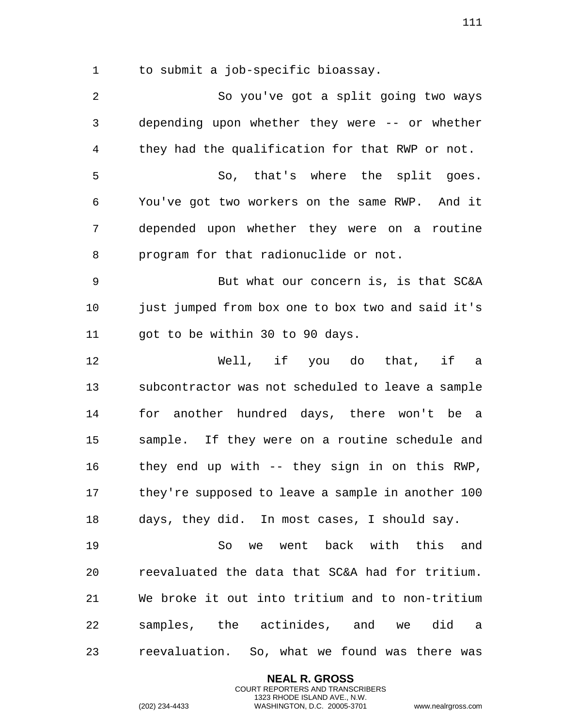to submit a job-specific bioassay.

 So you've got a split going two ways depending upon whether they were -- or whether they had the qualification for that RWP or not. So, that's where the split goes. You've got two workers on the same RWP. And it depended upon whether they were on a routine program for that radionuclide or not. But what our concern is, is that SC&A just jumped from box one to box two and said it's 11 got to be within 30 to 90 days. Well, if you do that, if a subcontractor was not scheduled to leave a sample for another hundred days, there won't be a sample. If they were on a routine schedule and they end up with -- they sign in on this RWP, they're supposed to leave a sample in another 100 days, they did. In most cases, I should say. So we went back with this and reevaluated the data that SC&A had for tritium. We broke it out into tritium and to non-tritium samples, the actinides, and we did a reevaluation. So, what we found was there was

> **NEAL R. GROSS** COURT REPORTERS AND TRANSCRIBERS 1323 RHODE ISLAND AVE., N.W.

(202) 234-4433 WASHINGTON, D.C. 20005-3701 www.nealrgross.com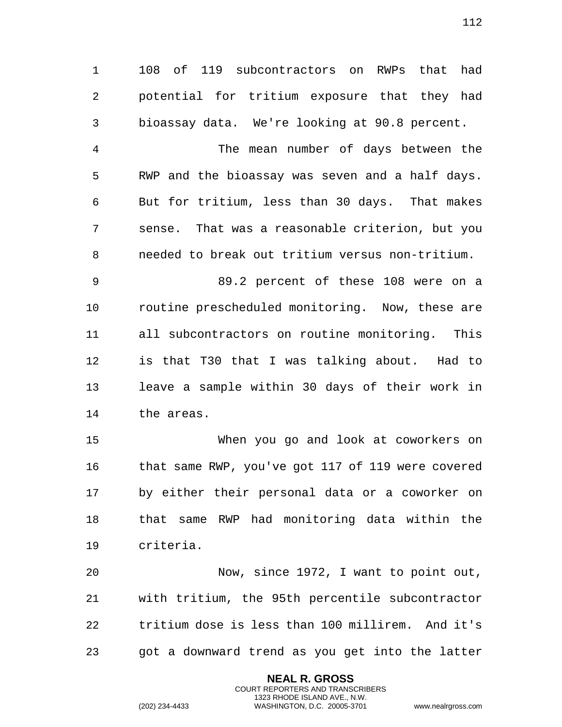108 of 119 subcontractors on RWPs that had potential for tritium exposure that they had bioassay data. We're looking at 90.8 percent.

 The mean number of days between the RWP and the bioassay was seven and a half days. But for tritium, less than 30 days. That makes sense. That was a reasonable criterion, but you needed to break out tritium versus non-tritium.

 89.2 percent of these 108 were on a routine prescheduled monitoring. Now, these are all subcontractors on routine monitoring. This is that T30 that I was talking about. Had to leave a sample within 30 days of their work in the areas.

 When you go and look at coworkers on that same RWP, you've got 117 of 119 were covered by either their personal data or a coworker on that same RWP had monitoring data within the criteria.

 Now, since 1972, I want to point out, with tritium, the 95th percentile subcontractor tritium dose is less than 100 millirem. And it's got a downward trend as you get into the latter

> **NEAL R. GROSS** COURT REPORTERS AND TRANSCRIBERS 1323 RHODE ISLAND AVE., N.W.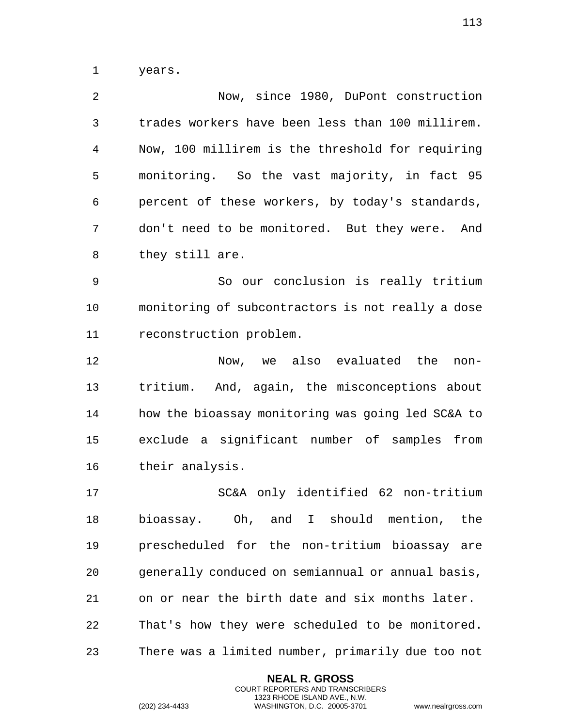years.

| 2 | Now, since 1980, DuPont construction             |
|---|--------------------------------------------------|
| 3 | trades workers have been less than 100 millirem. |
| 4 | Now, 100 millirem is the threshold for requiring |
| 5 | monitoring. So the vast majority, in fact 95     |
| 6 | percent of these workers, by today's standards,  |
| 7 | don't need to be monitored. But they were. And   |
| 8 | they still are.                                  |

 So our conclusion is really tritium monitoring of subcontractors is not really a dose reconstruction problem.

 Now, we also evaluated the non- tritium. And, again, the misconceptions about how the bioassay monitoring was going led SC&A to exclude a significant number of samples from their analysis.

 SC&A only identified 62 non-tritium bioassay. Oh, and I should mention, the prescheduled for the non-tritium bioassay are generally conduced on semiannual or annual basis, on or near the birth date and six months later. That's how they were scheduled to be monitored. There was a limited number, primarily due too not

> **NEAL R. GROSS** COURT REPORTERS AND TRANSCRIBERS 1323 RHODE ISLAND AVE., N.W.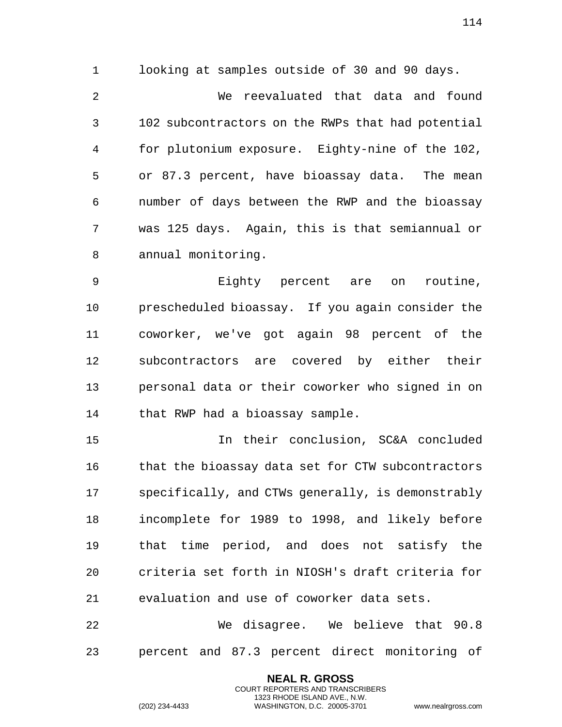looking at samples outside of 30 and 90 days. We reevaluated that data and found 102 subcontractors on the RWPs that had potential for plutonium exposure. Eighty-nine of the 102, or 87.3 percent, have bioassay data. The mean number of days between the RWP and the bioassay was 125 days. Again, this is that semiannual or annual monitoring.

 Eighty percent are on routine, prescheduled bioassay. If you again consider the coworker, we've got again 98 percent of the subcontractors are covered by either their personal data or their coworker who signed in on that RWP had a bioassay sample.

 In their conclusion, SC&A concluded that the bioassay data set for CTW subcontractors specifically, and CTWs generally, is demonstrably incomplete for 1989 to 1998, and likely before that time period, and does not satisfy the criteria set forth in NIOSH's draft criteria for evaluation and use of coworker data sets.

 We disagree. We believe that 90.8 percent and 87.3 percent direct monitoring of

> **NEAL R. GROSS** COURT REPORTERS AND TRANSCRIBERS 1323 RHODE ISLAND AVE., N.W.

(202) 234-4433 WASHINGTON, D.C. 20005-3701 www.nealrgross.com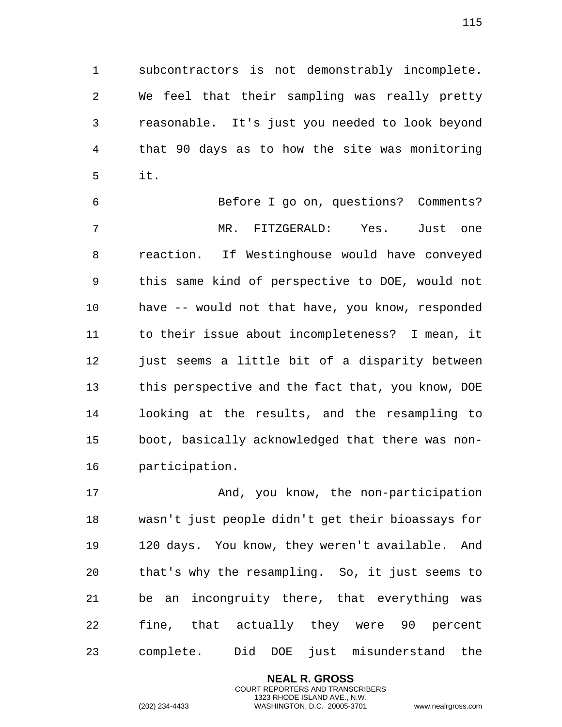subcontractors is not demonstrably incomplete. We feel that their sampling was really pretty reasonable. It's just you needed to look beyond that 90 days as to how the site was monitoring it.

 Before I go on, questions? Comments? MR. FITZGERALD: Yes. Just one reaction. If Westinghouse would have conveyed this same kind of perspective to DOE, would not have -- would not that have, you know, responded to their issue about incompleteness? I mean, it 12 just seems a little bit of a disparity between this perspective and the fact that, you know, DOE looking at the results, and the resampling to boot, basically acknowledged that there was non-participation.

17 And, you know, the non-participation wasn't just people didn't get their bioassays for 120 days. You know, they weren't available. And that's why the resampling. So, it just seems to be an incongruity there, that everything was fine, that actually they were 90 percent complete. Did DOE just misunderstand the

> **NEAL R. GROSS** COURT REPORTERS AND TRANSCRIBERS 1323 RHODE ISLAND AVE., N.W.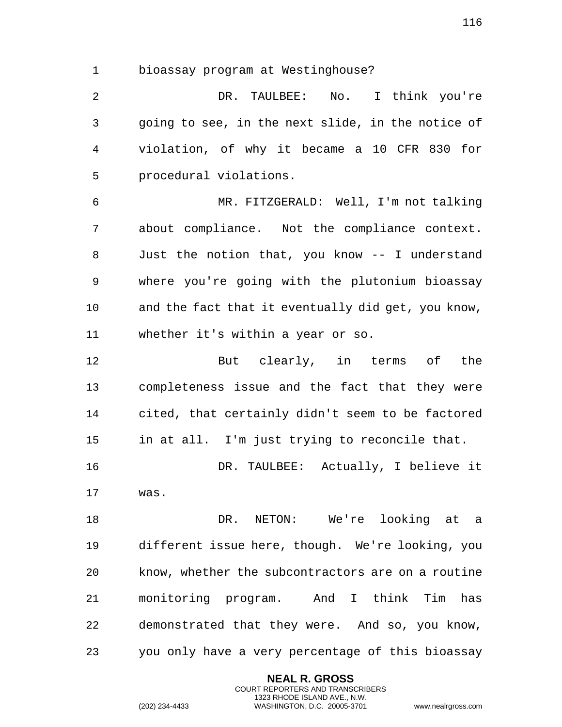bioassay program at Westinghouse?

 DR. TAULBEE: No. I think you're going to see, in the next slide, in the notice of violation, of why it became a 10 CFR 830 for procedural violations.

 MR. FITZGERALD: Well, I'm not talking about compliance. Not the compliance context. Just the notion that, you know -- I understand where you're going with the plutonium bioassay and the fact that it eventually did get, you know, whether it's within a year or so.

 But clearly, in terms of the completeness issue and the fact that they were cited, that certainly didn't seem to be factored in at all. I'm just trying to reconcile that.

 DR. TAULBEE: Actually, I believe it was.

 DR. NETON: We're looking at a different issue here, though. We're looking, you know, whether the subcontractors are on a routine monitoring program. And I think Tim has demonstrated that they were. And so, you know, you only have a very percentage of this bioassay

> **NEAL R. GROSS** COURT REPORTERS AND TRANSCRIBERS 1323 RHODE ISLAND AVE., N.W.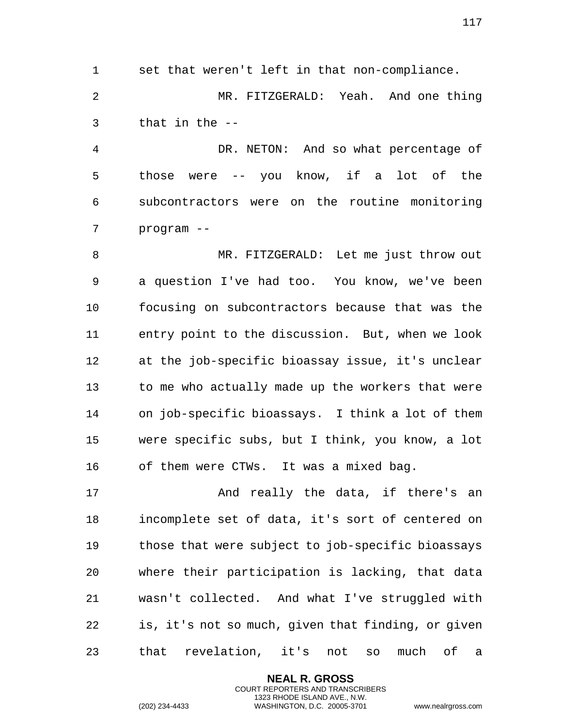set that weren't left in that non-compliance. MR. FITZGERALD: Yeah. And one thing that in the --

 DR. NETON: And so what percentage of those were -- you know, if a lot of the subcontractors were on the routine monitoring program --

 MR. FITZGERALD: Let me just throw out a question I've had too. You know, we've been focusing on subcontractors because that was the entry point to the discussion. But, when we look at the job-specific bioassay issue, it's unclear to me who actually made up the workers that were on job-specific bioassays. I think a lot of them were specific subs, but I think, you know, a lot of them were CTWs. It was a mixed bag.

17 And really the data, if there's an incomplete set of data, it's sort of centered on those that were subject to job-specific bioassays where their participation is lacking, that data wasn't collected. And what I've struggled with is, it's not so much, given that finding, or given that revelation, it's not so much of a

> **NEAL R. GROSS** COURT REPORTERS AND TRANSCRIBERS 1323 RHODE ISLAND AVE., N.W.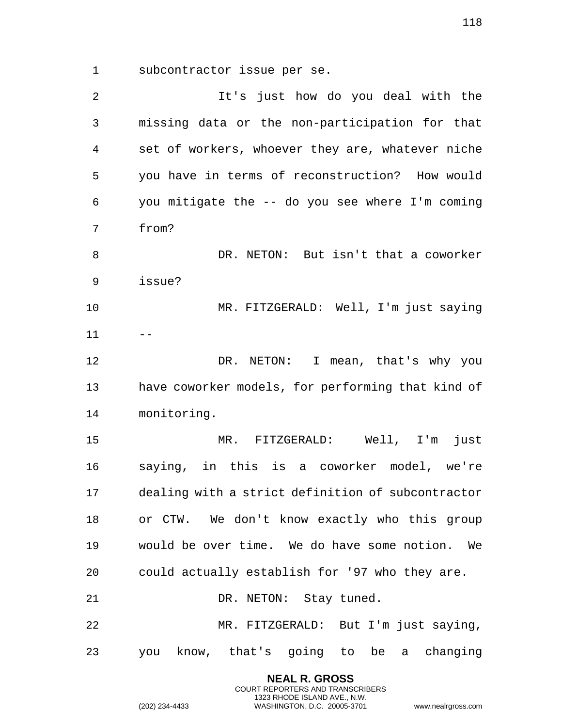subcontractor issue per se.

 It's just how do you deal with the missing data or the non-participation for that set of workers, whoever they are, whatever niche you have in terms of reconstruction? How would you mitigate the -- do you see where I'm coming from? DR. NETON: But isn't that a coworker issue? MR. FITZGERALD: Well, I'm just saying DR. NETON: I mean, that's why you have coworker models, for performing that kind of monitoring. MR. FITZGERALD: Well, I'm just saying, in this is a coworker model, we're dealing with a strict definition of subcontractor or CTW. We don't know exactly who this group would be over time. We do have some notion. We could actually establish for '97 who they are. 21 DR. NETON: Stay tuned. MR. FITZGERALD: But I'm just saying, you know, that's going to be a changing

> **NEAL R. GROSS** COURT REPORTERS AND TRANSCRIBERS 1323 RHODE ISLAND AVE., N.W.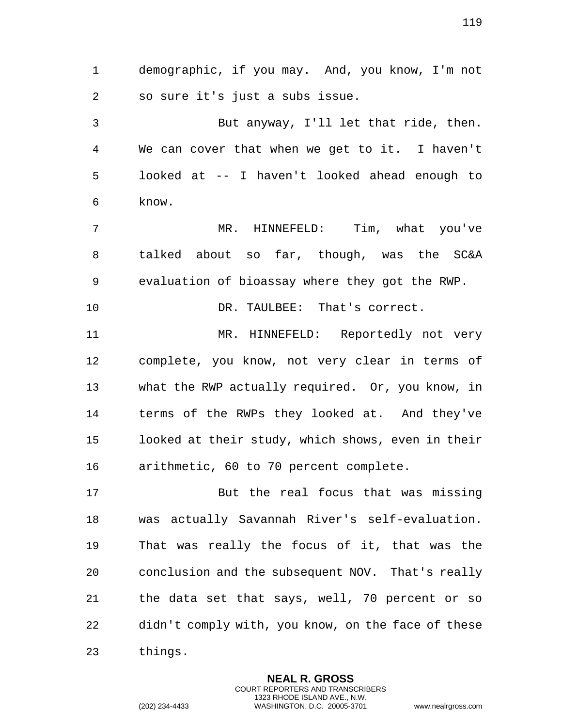demographic, if you may. And, you know, I'm not so sure it's just a subs issue.

 But anyway, I'll let that ride, then. We can cover that when we get to it. I haven't looked at -- I haven't looked ahead enough to know.

 MR. HINNEFELD: Tim, what you've talked about so far, though, was the SC&A evaluation of bioassay where they got the RWP.

DR. TAULBEE: That's correct.

 MR. HINNEFELD: Reportedly not very complete, you know, not very clear in terms of what the RWP actually required. Or, you know, in terms of the RWPs they looked at. And they've looked at their study, which shows, even in their arithmetic, 60 to 70 percent complete.

 But the real focus that was missing was actually Savannah River's self-evaluation. That was really the focus of it, that was the conclusion and the subsequent NOV. That's really the data set that says, well, 70 percent or so didn't comply with, you know, on the face of these things.

> **NEAL R. GROSS** COURT REPORTERS AND TRANSCRIBERS 1323 RHODE ISLAND AVE., N.W.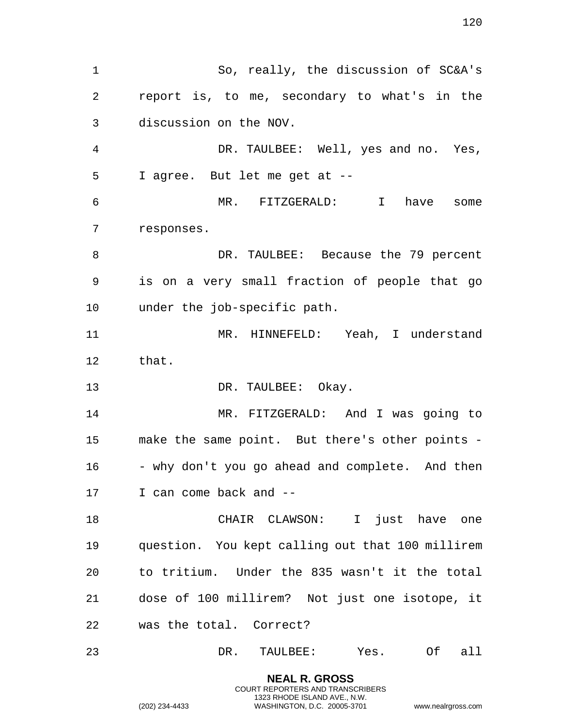So, really, the discussion of SC&A's report is, to me, secondary to what's in the discussion on the NOV. DR. TAULBEE: Well, yes and no. Yes, I agree. But let me get at -- MR. FITZGERALD: I have some responses. 8 DR. TAULBEE: Because the 79 percent is on a very small fraction of people that go under the job-specific path. 11 MR. HINNEFELD: Yeah, I understand that. 13 DR. TAULBEE: Okay. MR. FITZGERALD: And I was going to make the same point. But there's other points - 16 - why don't you go ahead and complete. And then I can come back and -- CHAIR CLAWSON: I just have one question. You kept calling out that 100 millirem to tritium. Under the 835 wasn't it the total dose of 100 millirem? Not just one isotope, it was the total. Correct? DR. TAULBEE: Yes. Of all

> **NEAL R. GROSS** COURT REPORTERS AND TRANSCRIBERS 1323 RHODE ISLAND AVE., N.W.

(202) 234-4433 WASHINGTON, D.C. 20005-3701 www.nealrgross.com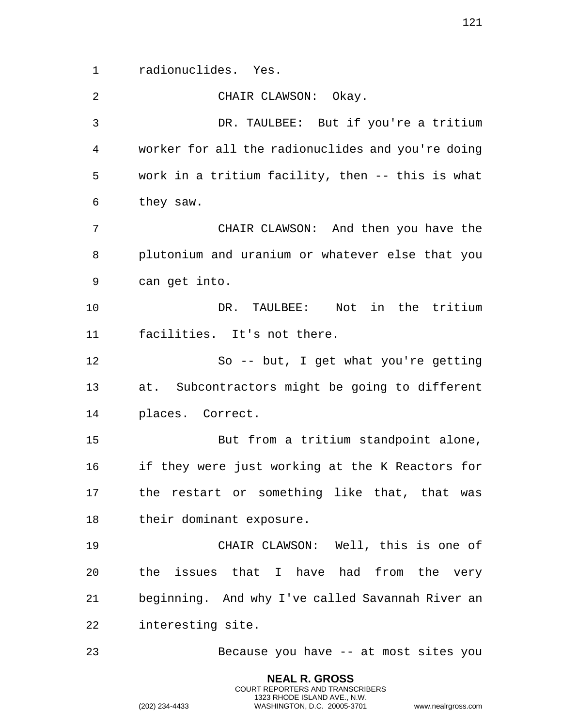radionuclides. Yes.

 CHAIR CLAWSON: Okay. DR. TAULBEE: But if you're a tritium worker for all the radionuclides and you're doing work in a tritium facility, then -- this is what they saw. CHAIR CLAWSON: And then you have the plutonium and uranium or whatever else that you can get into. DR. TAULBEE: Not in the tritium facilities. It's not there. So -- but, I get what you're getting at. Subcontractors might be going to different places. Correct. But from a tritium standpoint alone, if they were just working at the K Reactors for the restart or something like that, that was their dominant exposure. CHAIR CLAWSON: Well, this is one of the issues that I have had from the very beginning. And why I've called Savannah River an interesting site. Because you have -- at most sites you

> **NEAL R. GROSS** COURT REPORTERS AND TRANSCRIBERS 1323 RHODE ISLAND AVE., N.W.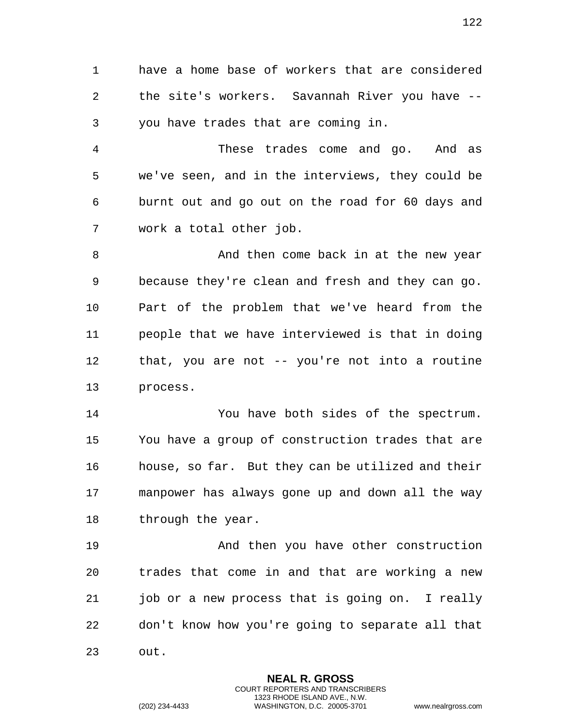have a home base of workers that are considered the site's workers. Savannah River you have -- you have trades that are coming in.

 These trades come and go. And as we've seen, and in the interviews, they could be burnt out and go out on the road for 60 days and work a total other job.

 And then come back in at the new year because they're clean and fresh and they can go. Part of the problem that we've heard from the people that we have interviewed is that in doing that, you are not -- you're not into a routine process.

 You have both sides of the spectrum. You have a group of construction trades that are house, so far. But they can be utilized and their manpower has always gone up and down all the way 18 through the year.

 And then you have other construction trades that come in and that are working a new job or a new process that is going on. I really don't know how you're going to separate all that out.

> **NEAL R. GROSS** COURT REPORTERS AND TRANSCRIBERS 1323 RHODE ISLAND AVE., N.W.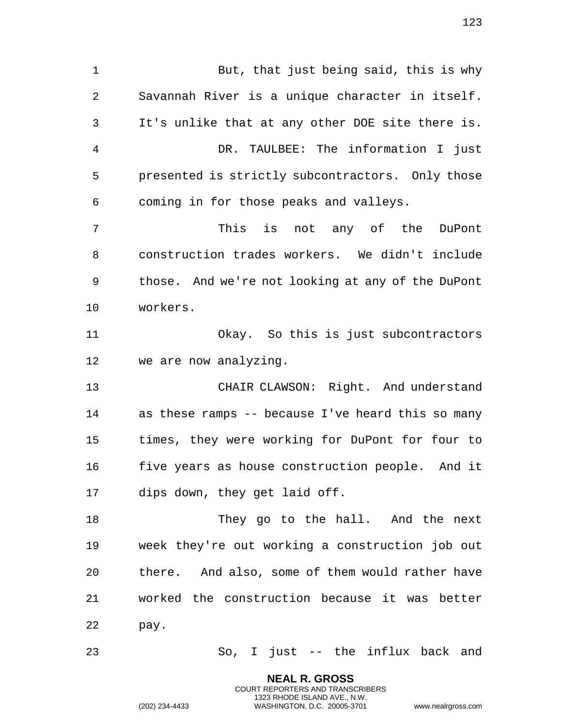But, that just being said, this is why Savannah River is a unique character in itself. It's unlike that at any other DOE site there is. DR. TAULBEE: The information I just presented is strictly subcontractors. Only those coming in for those peaks and valleys. This is not any of the DuPont construction trades workers. We didn't include those. And we're not looking at any of the DuPont workers. Okay. So this is just subcontractors we are now analyzing. CHAIR CLAWSON: Right. And understand as these ramps -- because I've heard this so many times, they were working for DuPont for four to five years as house construction people. And it dips down, they get laid off. 18 They go to the hall. And the next week they're out working a construction job out there. And also, some of them would rather have worked the construction because it was better pay. So, I just -- the influx back and

> **NEAL R. GROSS** COURT REPORTERS AND TRANSCRIBERS 1323 RHODE ISLAND AVE., N.W.

(202) 234-4433 WASHINGTON, D.C. 20005-3701 www.nealrgross.com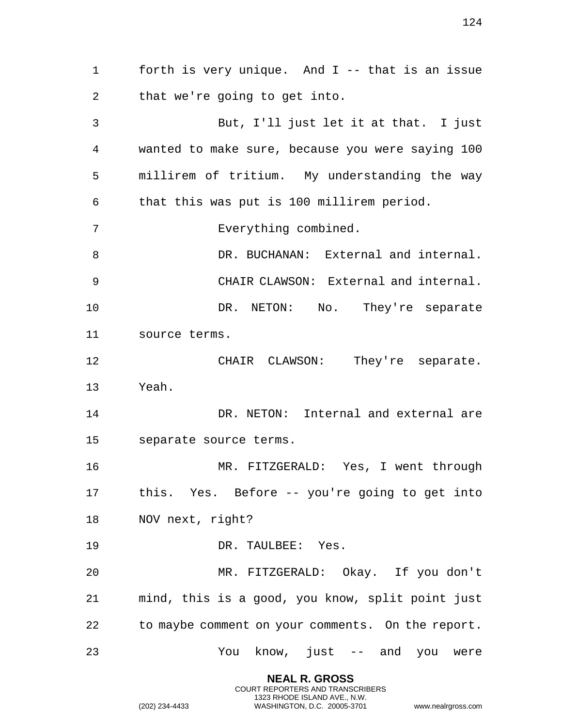forth is very unique. And I -- that is an issue that we're going to get into. But, I'll just let it at that. I just wanted to make sure, because you were saying 100 millirem of tritium. My understanding the way that this was put is 100 millirem period. Everything combined. DR. BUCHANAN: External and internal. CHAIR CLAWSON: External and internal. 10 DR. NETON: No. They're separate source terms. CHAIR CLAWSON: They're separate. Yeah. DR. NETON: Internal and external are separate source terms. MR. FITZGERALD: Yes, I went through this. Yes. Before -- you're going to get into NOV next, right? DR. TAULBEE: Yes. MR. FITZGERALD: Okay. If you don't mind, this is a good, you know, split point just to maybe comment on your comments. On the report. You know, just -- and you were

> **NEAL R. GROSS** COURT REPORTERS AND TRANSCRIBERS 1323 RHODE ISLAND AVE., N.W.

(202) 234-4433 WASHINGTON, D.C. 20005-3701 www.nealrgross.com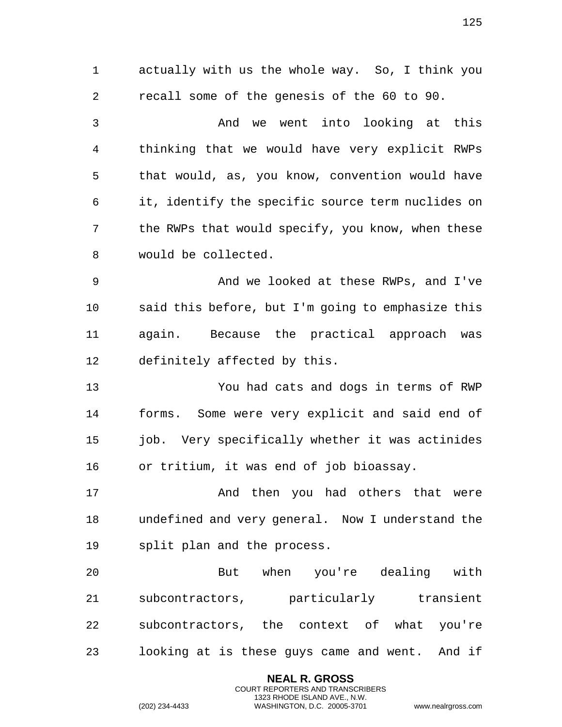actually with us the whole way. So, I think you recall some of the genesis of the 60 to 90. And we went into looking at this thinking that we would have very explicit RWPs that would, as, you know, convention would have it, identify the specific source term nuclides on the RWPs that would specify, you know, when these would be collected. And we looked at these RWPs, and I've said this before, but I'm going to emphasize this again. Because the practical approach was definitely affected by this. You had cats and dogs in terms of RWP forms. Some were very explicit and said end of 15 job. Very specifically whether it was actinides or tritium, it was end of job bioassay. 17 And then you had others that were undefined and very general. Now I understand the split plan and the process. But when you're dealing with subcontractors, particularly transient subcontractors, the context of what you're looking at is these guys came and went. And if

> **NEAL R. GROSS** COURT REPORTERS AND TRANSCRIBERS 1323 RHODE ISLAND AVE., N.W.

(202) 234-4433 WASHINGTON, D.C. 20005-3701 www.nealrgross.com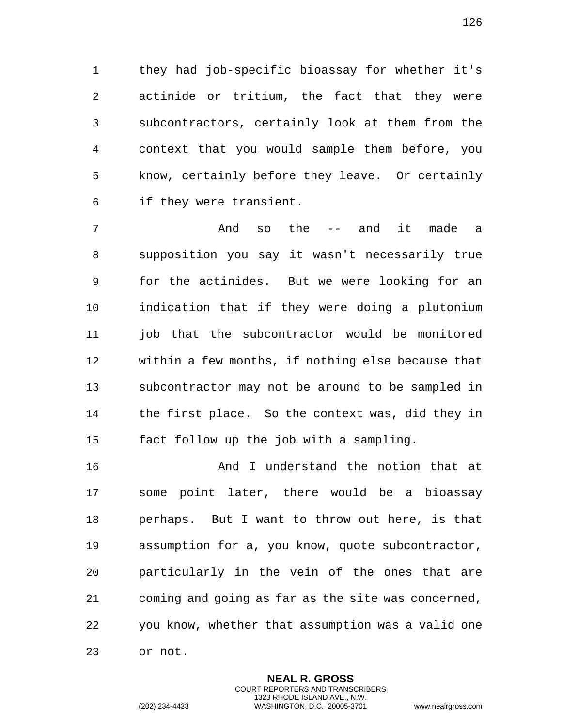they had job-specific bioassay for whether it's actinide or tritium, the fact that they were subcontractors, certainly look at them from the context that you would sample them before, you know, certainly before they leave. Or certainly if they were transient.

 And so the -- and it made a supposition you say it wasn't necessarily true for the actinides. But we were looking for an indication that if they were doing a plutonium job that the subcontractor would be monitored within a few months, if nothing else because that subcontractor may not be around to be sampled in the first place. So the context was, did they in fact follow up the job with a sampling.

 And I understand the notion that at some point later, there would be a bioassay perhaps. But I want to throw out here, is that assumption for a, you know, quote subcontractor, particularly in the vein of the ones that are coming and going as far as the site was concerned, you know, whether that assumption was a valid one or not.

> **NEAL R. GROSS** COURT REPORTERS AND TRANSCRIBERS 1323 RHODE ISLAND AVE., N.W.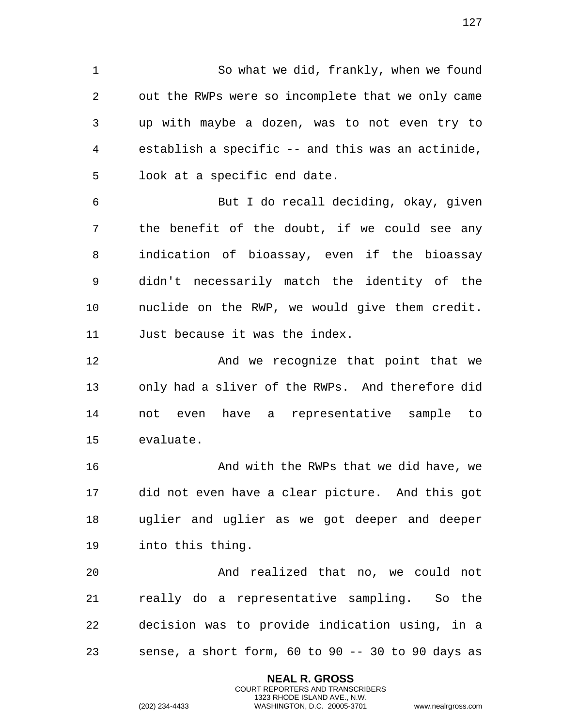So what we did, frankly, when we found out the RWPs were so incomplete that we only came up with maybe a dozen, was to not even try to establish a specific -- and this was an actinide, look at a specific end date.

 But I do recall deciding, okay, given the benefit of the doubt, if we could see any indication of bioassay, even if the bioassay didn't necessarily match the identity of the nuclide on the RWP, we would give them credit. Just because it was the index.

**And we recognize that point that we**  only had a sliver of the RWPs. And therefore did not even have a representative sample to evaluate.

**And with the RWPs that we did have, we** are the RWPs that we did have, we did not even have a clear picture. And this got uglier and uglier as we got deeper and deeper into this thing.

 And realized that no, we could not really do a representative sampling. So the decision was to provide indication using, in a sense, a short form, 60 to 90 -- 30 to 90 days as

> **NEAL R. GROSS** COURT REPORTERS AND TRANSCRIBERS 1323 RHODE ISLAND AVE., N.W.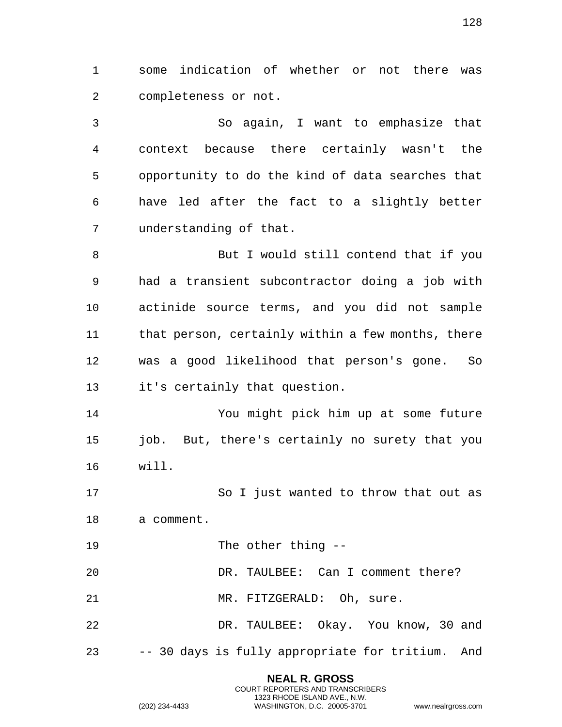some indication of whether or not there was completeness or not.

 So again, I want to emphasize that context because there certainly wasn't the opportunity to do the kind of data searches that have led after the fact to a slightly better understanding of that.

 But I would still contend that if you had a transient subcontractor doing a job with actinide source terms, and you did not sample that person, certainly within a few months, there was a good likelihood that person's gone. So it's certainly that question.

 You might pick him up at some future job. But, there's certainly no surety that you will.

 So I just wanted to throw that out as a comment.

The other thing --

DR. TAULBEE: Can I comment there?

21 MR. FITZGERALD: Oh, sure.

 DR. TAULBEE: Okay. You know, 30 and -- 30 days is fully appropriate for tritium. And

> **NEAL R. GROSS** COURT REPORTERS AND TRANSCRIBERS 1323 RHODE ISLAND AVE., N.W. (202) 234-4433 WASHINGTON, D.C. 20005-3701 www.nealrgross.com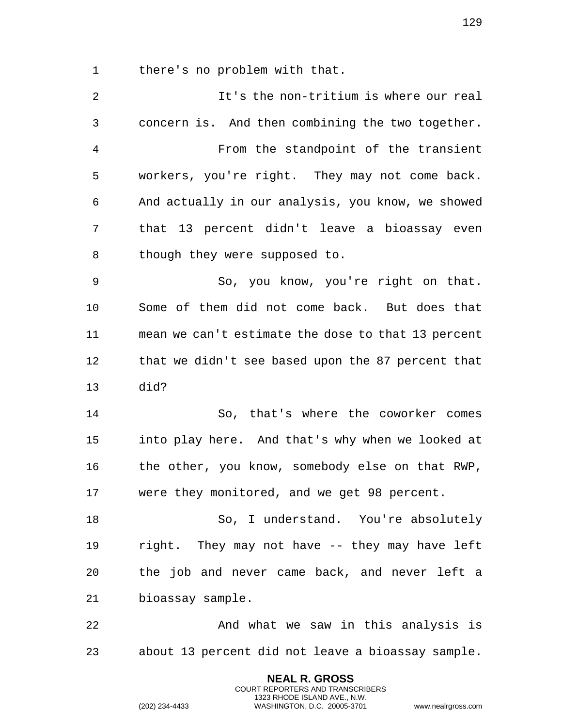there's no problem with that.

 It's the non-tritium is where our real concern is. And then combining the two together. From the standpoint of the transient workers, you're right. They may not come back. And actually in our analysis, you know, we showed that 13 percent didn't leave a bioassay even 8 though they were supposed to. So, you know, you're right on that. Some of them did not come back. But does that mean we can't estimate the dose to that 13 percent that we didn't see based upon the 87 percent that did? So, that's where the coworker comes into play here. And that's why when we looked at the other, you know, somebody else on that RWP, were they monitored, and we get 98 percent. So, I understand. You're absolutely right. They may not have -- they may have left the job and never came back, and never left a bioassay sample. 22 And what we saw in this analysis is about 13 percent did not leave a bioassay sample.

> **NEAL R. GROSS** COURT REPORTERS AND TRANSCRIBERS 1323 RHODE ISLAND AVE., N.W.

(202) 234-4433 WASHINGTON, D.C. 20005-3701 www.nealrgross.com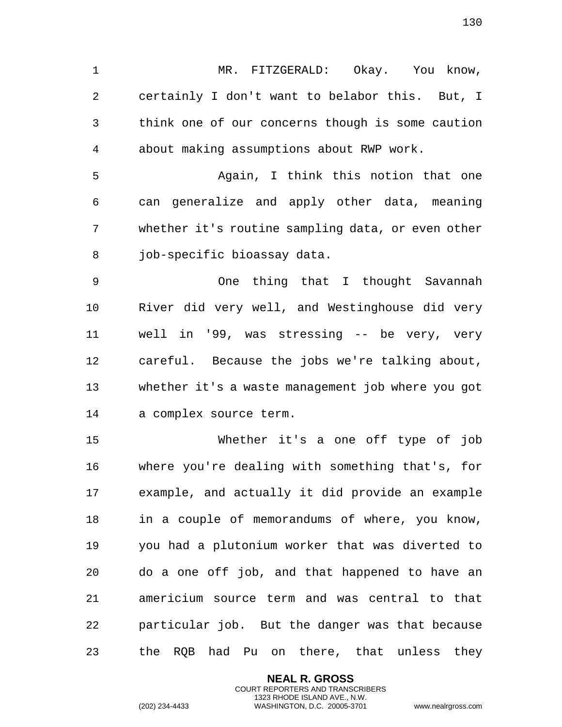MR. FITZGERALD: Okay. You know, certainly I don't want to belabor this. But, I think one of our concerns though is some caution about making assumptions about RWP work.

 Again, I think this notion that one can generalize and apply other data, meaning whether it's routine sampling data, or even other 8 job-specific bioassay data.

 One thing that I thought Savannah River did very well, and Westinghouse did very well in '99, was stressing -- be very, very careful. Because the jobs we're talking about, whether it's a waste management job where you got a complex source term.

 Whether it's a one off type of job where you're dealing with something that's, for example, and actually it did provide an example in a couple of memorandums of where, you know, you had a plutonium worker that was diverted to do a one off job, and that happened to have an americium source term and was central to that particular job. But the danger was that because the RQB had Pu on there, that unless they

> **NEAL R. GROSS** COURT REPORTERS AND TRANSCRIBERS 1323 RHODE ISLAND AVE., N.W.

(202) 234-4433 WASHINGTON, D.C. 20005-3701 www.nealrgross.com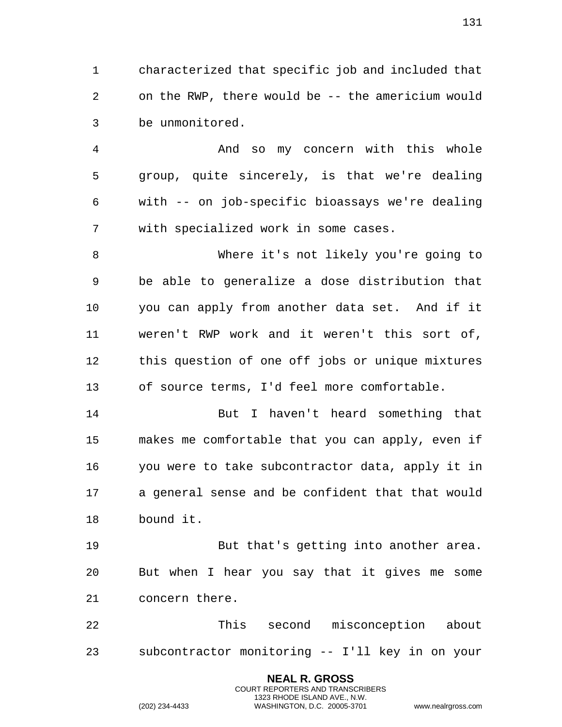characterized that specific job and included that on the RWP, there would be -- the americium would be unmonitored.

 And so my concern with this whole group, quite sincerely, is that we're dealing with -- on job-specific bioassays we're dealing with specialized work in some cases.

 Where it's not likely you're going to be able to generalize a dose distribution that you can apply from another data set. And if it weren't RWP work and it weren't this sort of, this question of one off jobs or unique mixtures of source terms, I'd feel more comfortable.

 But I haven't heard something that makes me comfortable that you can apply, even if you were to take subcontractor data, apply it in a general sense and be confident that that would bound it.

 But that's getting into another area. But when I hear you say that it gives me some concern there.

 This second misconception about subcontractor monitoring -- I'll key in on your

> **NEAL R. GROSS** COURT REPORTERS AND TRANSCRIBERS 1323 RHODE ISLAND AVE., N.W.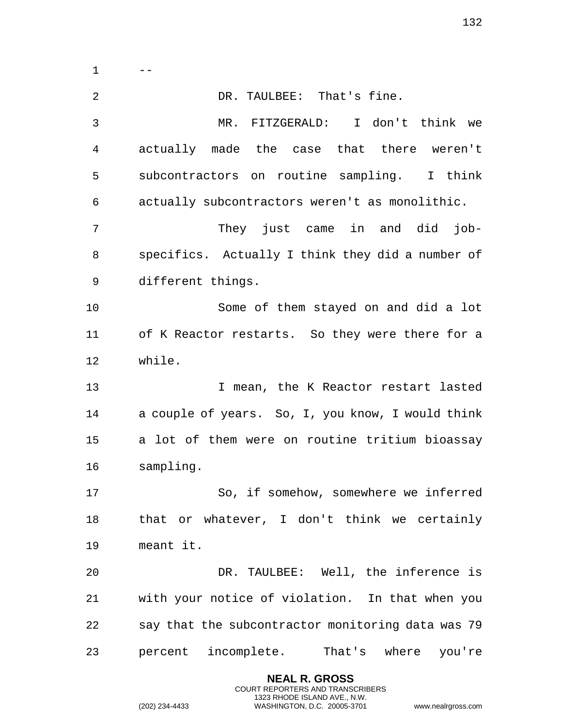$1 \qquad -$  DR. TAULBEE: That's fine. MR. FITZGERALD: I don't think we actually made the case that there weren't subcontractors on routine sampling. I think actually subcontractors weren't as monolithic. They just came in and did job- specifics. Actually I think they did a number of different things. Some of them stayed on and did a lot of K Reactor restarts. So they were there for a while. I mean, the K Reactor restart lasted a couple of years. So, I, you know, I would think a lot of them were on routine tritium bioassay sampling. So, if somehow, somewhere we inferred that or whatever, I don't think we certainly meant it. DR. TAULBEE: Well, the inference is with your notice of violation. In that when you say that the subcontractor monitoring data was 79 percent incomplete. That's where you're

> **NEAL R. GROSS** COURT REPORTERS AND TRANSCRIBERS 1323 RHODE ISLAND AVE., N.W.

(202) 234-4433 WASHINGTON, D.C. 20005-3701 www.nealrgross.com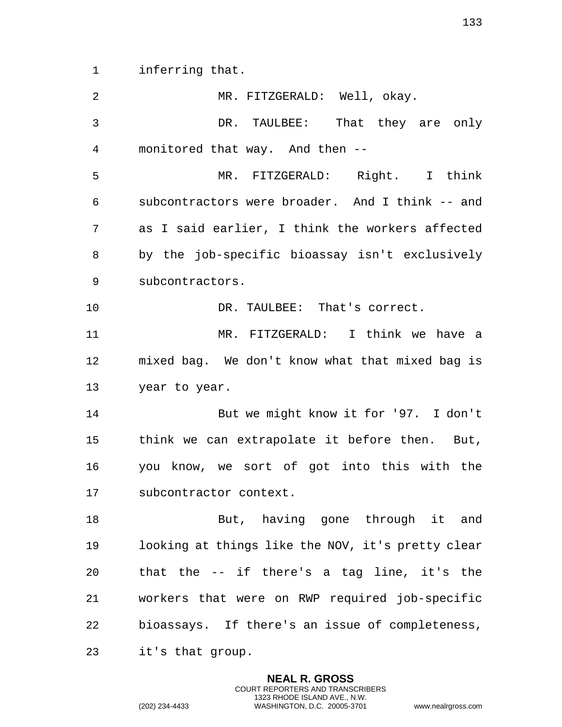inferring that.

| 2  | MR. FITZGERALD: Well, okay.                       |
|----|---------------------------------------------------|
| 3  | DR. TAULBEE: That they are only                   |
| 4  | monitored that way. And then --                   |
| 5  | MR. FITZGERALD: Right. I think                    |
| 6  | subcontractors were broader. And I think -- and   |
| 7  | as I said earlier, I think the workers affected   |
| 8  | by the job-specific bioassay isn't exclusively    |
| 9  | subcontractors.                                   |
| 10 | DR. TAULBEE: That's correct.                      |
| 11 | MR. FITZGERALD: I think we have a                 |
| 12 | mixed bag. We don't know what that mixed bag is   |
| 13 | year to year.                                     |
| 14 | But we might know it for '97. I don't             |
| 15 | think we can extrapolate it before then. But,     |
| 16 | you know, we sort of got into this with the       |
| 17 | subcontractor context.                            |
| 18 | But, having gone through it and                   |
| 19 | looking at things like the NOV, it's pretty clear |
| 20 | that the -- if there's a tag line, it's the       |
| 21 | workers that were on RWP required job-specific    |
| 22 | bioassays. If there's an issue of completeness,   |
| 23 | it's that group.                                  |

**NEAL R. GROSS** COURT REPORTERS AND TRANSCRIBERS 1323 RHODE ISLAND AVE., N.W.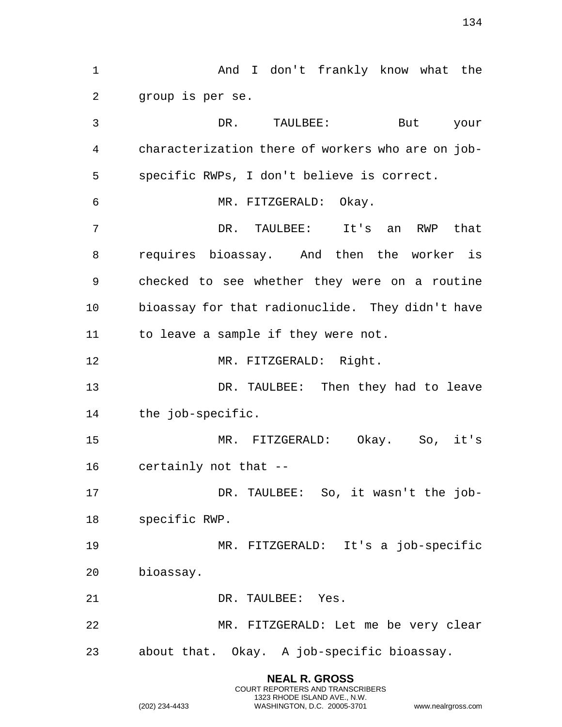And I don't frankly know what the group is per se. DR. TAULBEE: But your characterization there of workers who are on job- specific RWPs, I don't believe is correct. MR. FITZGERALD: Okay. DR. TAULBEE: It's an RWP that requires bioassay. And then the worker is checked to see whether they were on a routine bioassay for that radionuclide. They didn't have to leave a sample if they were not. MR. FITZGERALD: Right. DR. TAULBEE: Then they had to leave the job-specific. MR. FITZGERALD: Okay. So, it's certainly not that -- DR. TAULBEE: So, it wasn't the job- specific RWP. MR. FITZGERALD: It's a job-specific bioassay. DR. TAULBEE: Yes. MR. FITZGERALD: Let me be very clear about that. Okay. A job-specific bioassay.

> **NEAL R. GROSS** COURT REPORTERS AND TRANSCRIBERS 1323 RHODE ISLAND AVE., N.W.

(202) 234-4433 WASHINGTON, D.C. 20005-3701 www.nealrgross.com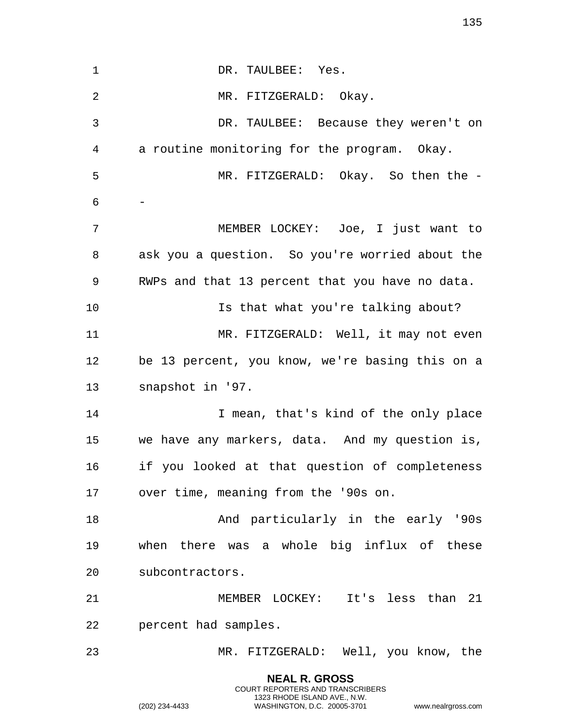**NEAL R. GROSS** 1 DR. TAULBEE: Yes. MR. FITZGERALD: Okay. DR. TAULBEE: Because they weren't on a routine monitoring for the program. Okay. MR. FITZGERALD: Okay. So then the - - MEMBER LOCKEY: Joe, I just want to ask you a question. So you're worried about the RWPs and that 13 percent that you have no data. Is that what you're talking about? 11 MR. FITZGERALD: Well, it may not even be 13 percent, you know, we're basing this on a snapshot in '97. 14 I mean, that's kind of the only place we have any markers, data. And my question is, if you looked at that question of completeness over time, meaning from the '90s on. And particularly in the early '90s when there was a whole big influx of these subcontractors. MEMBER LOCKEY: It's less than 21 percent had samples. MR. FITZGERALD: Well, you know, the

> COURT REPORTERS AND TRANSCRIBERS 1323 RHODE ISLAND AVE., N.W.

(202) 234-4433 WASHINGTON, D.C. 20005-3701 www.nealrgross.com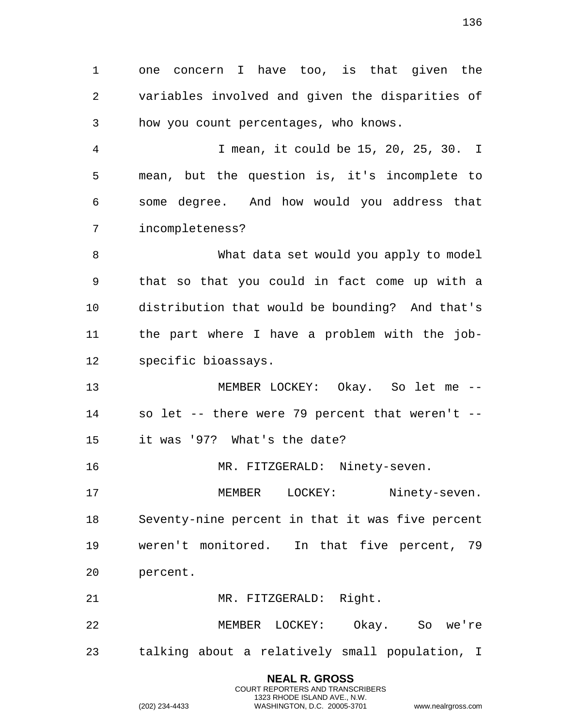one concern I have too, is that given the variables involved and given the disparities of how you count percentages, who knows. I mean, it could be 15, 20, 25, 30. I mean, but the question is, it's incomplete to some degree. And how would you address that incompleteness? What data set would you apply to model that so that you could in fact come up with a distribution that would be bounding? And that's the part where I have a problem with the job- specific bioassays. MEMBER LOCKEY: Okay. So let me -- so let -- there were 79 percent that weren't -- it was '97? What's the date? MR. FITZGERALD: Ninety-seven. MEMBER LOCKEY: Ninety-seven. Seventy-nine percent in that it was five percent weren't monitored. In that five percent, 79 percent. MR. FITZGERALD: Right. MEMBER LOCKEY: Okay. So we're talking about a relatively small population, I

> **NEAL R. GROSS** COURT REPORTERS AND TRANSCRIBERS 1323 RHODE ISLAND AVE., N.W.

(202) 234-4433 WASHINGTON, D.C. 20005-3701 www.nealrgross.com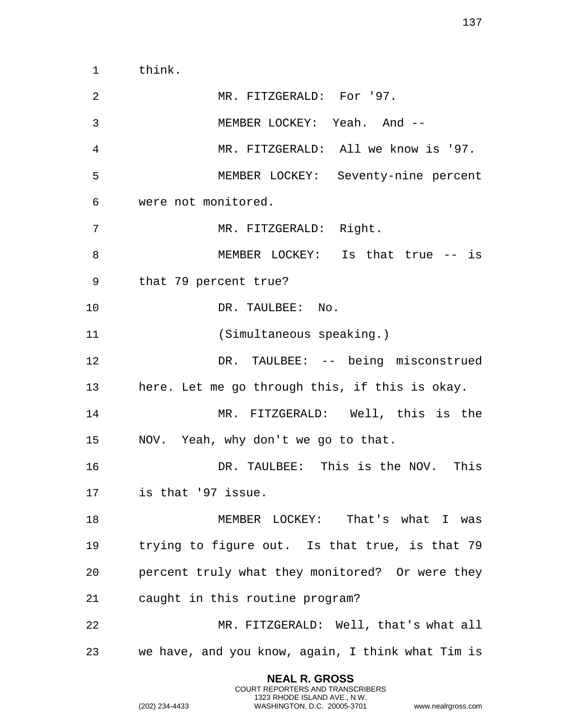think.

 MR. FITZGERALD: For '97. MEMBER LOCKEY: Yeah. And -- MR. FITZGERALD: All we know is '97. MEMBER LOCKEY: Seventy-nine percent were not monitored. 7 MR. FITZGERALD: Right. MEMBER LOCKEY: Is that true -- is that 79 percent true? 10 DR. TAULBEE: No. (Simultaneous speaking.) DR. TAULBEE: -- being misconstrued here. Let me go through this, if this is okay. MR. FITZGERALD: Well, this is the NOV. Yeah, why don't we go to that. DR. TAULBEE: This is the NOV. This is that '97 issue. 18 MEMBER LOCKEY: That's what I was trying to figure out. Is that true, is that 79 percent truly what they monitored? Or were they caught in this routine program? MR. FITZGERALD: Well, that's what all we have, and you know, again, I think what Tim is

> **NEAL R. GROSS** COURT REPORTERS AND TRANSCRIBERS 1323 RHODE ISLAND AVE., N.W.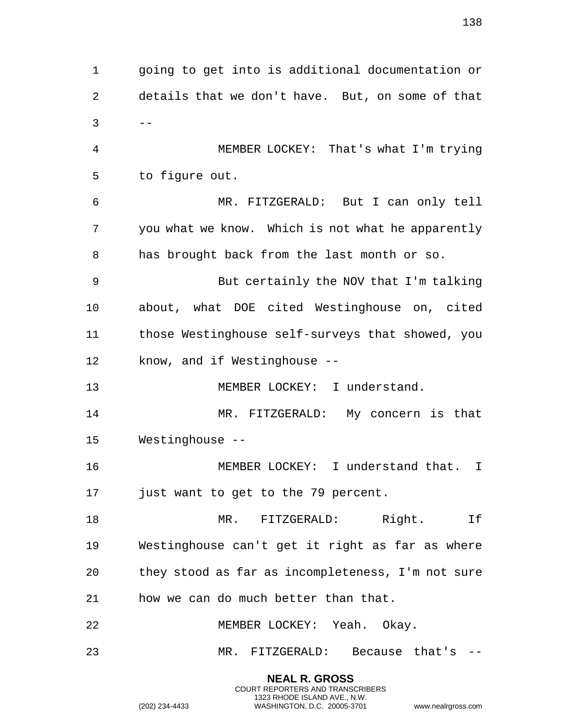going to get into is additional documentation or details that we don't have. But, on some of that  $3 - -$  MEMBER LOCKEY: That's what I'm trying to figure out. MR. FITZGERALD: But I can only tell you what we know. Which is not what he apparently has brought back from the last month or so. But certainly the NOV that I'm talking about, what DOE cited Westinghouse on, cited those Westinghouse self-surveys that showed, you know, and if Westinghouse -- MEMBER LOCKEY: I understand. MR. FITZGERALD: My concern is that Westinghouse -- MEMBER LOCKEY: I understand that. I just want to get to the 79 percent. MR. FITZGERALD: Right. If Westinghouse can't get it right as far as where they stood as far as incompleteness, I'm not sure how we can do much better than that. MEMBER LOCKEY: Yeah. Okay. MR. FITZGERALD: Because that's --

> **NEAL R. GROSS** COURT REPORTERS AND TRANSCRIBERS 1323 RHODE ISLAND AVE., N.W.

(202) 234-4433 WASHINGTON, D.C. 20005-3701 www.nealrgross.com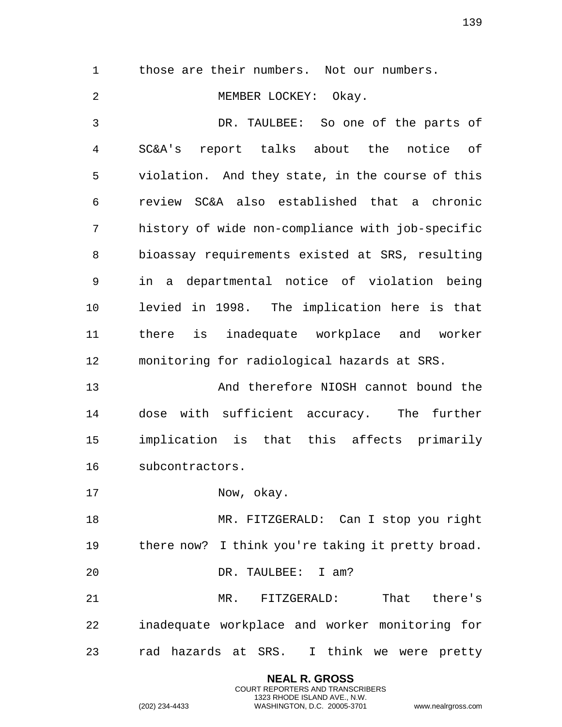those are their numbers. Not our numbers.

MEMBER LOCKEY: Okay.

 DR. TAULBEE: So one of the parts of SC&A's report talks about the notice of violation. And they state, in the course of this review SC&A also established that a chronic history of wide non-compliance with job-specific bioassay requirements existed at SRS, resulting in a departmental notice of violation being levied in 1998. The implication here is that there is inadequate workplace and worker monitoring for radiological hazards at SRS.

 And therefore NIOSH cannot bound the dose with sufficient accuracy. The further implication is that this affects primarily subcontractors.

17 Now, okay.

 MR. FITZGERALD: Can I stop you right there now? I think you're taking it pretty broad.

DR. TAULBEE: I am?

 MR. FITZGERALD: That there's inadequate workplace and worker monitoring for rad hazards at SRS. I think we were pretty

> **NEAL R. GROSS** COURT REPORTERS AND TRANSCRIBERS 1323 RHODE ISLAND AVE., N.W.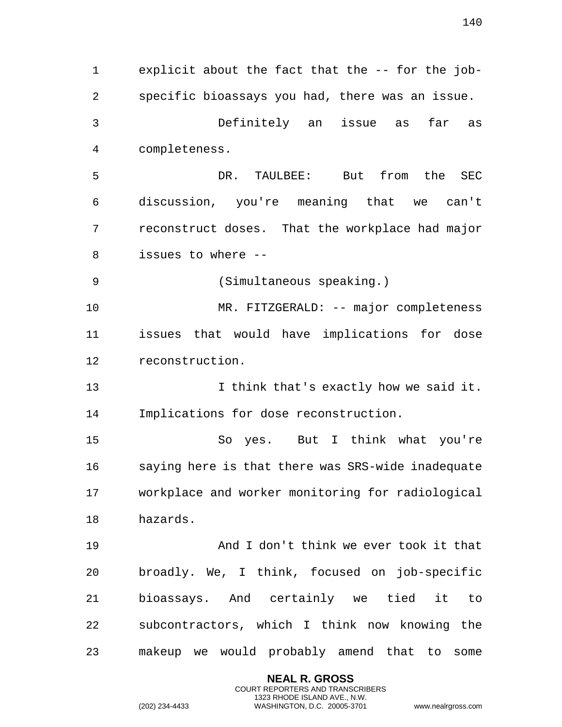explicit about the fact that the -- for the job- specific bioassays you had, there was an issue. Definitely an issue as far as completeness. DR. TAULBEE: But from the SEC discussion, you're meaning that we can't reconstruct doses. That the workplace had major issues to where -- (Simultaneous speaking.) MR. FITZGERALD: -- major completeness issues that would have implications for dose reconstruction. I think that's exactly how we said it. Implications for dose reconstruction. So yes. But I think what you're saying here is that there was SRS-wide inadequate workplace and worker monitoring for radiological hazards. And I don't think we ever took it that broadly. We, I think, focused on job-specific bioassays. And certainly we tied it to subcontractors, which I think now knowing the makeup we would probably amend that to some

> **NEAL R. GROSS** COURT REPORTERS AND TRANSCRIBERS 1323 RHODE ISLAND AVE., N.W.

(202) 234-4433 WASHINGTON, D.C. 20005-3701 www.nealrgross.com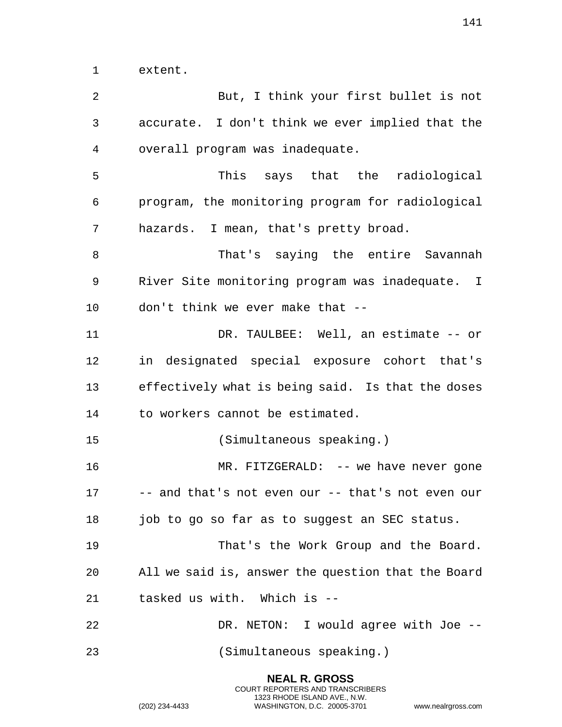extent.

| 2  | But, I think your first bullet is not              |
|----|----------------------------------------------------|
| 3  | accurate. I don't think we ever implied that the   |
| 4  | overall program was inadequate.                    |
| 5  | This says that the radiological                    |
| 6  | program, the monitoring program for radiological   |
| 7  | hazards. I mean, that's pretty broad.              |
| 8  | That's saying the entire Savannah                  |
| 9  | River Site monitoring program was inadequate. I    |
| 10 | don't think we ever make that --                   |
| 11 | DR. TAULBEE: Well, an estimate -- or               |
| 12 | in designated special exposure cohort that's       |
| 13 | effectively what is being said. Is that the doses  |
| 14 | to workers cannot be estimated.                    |
| 15 | (Simultaneous speaking.)                           |
| 16 | $MR. FITZGERALD: -- we have never gone$            |
| 17 | -- and that's not even our -- that's not even our  |
| 18 | job to go so far as to suggest an SEC status.      |
| 19 | That's the Work Group and the Board.               |
| 20 | All we said is, answer the question that the Board |
| 21 | tasked us with. Which is --                        |
| 22 | DR. NETON: I would agree with Joe --               |
| 23 | (Simultaneous speaking.)                           |

**NEAL R. GROSS** COURT REPORTERS AND TRANSCRIBERS 1323 RHODE ISLAND AVE., N.W.

(202) 234-4433 WASHINGTON, D.C. 20005-3701 www.nealrgross.com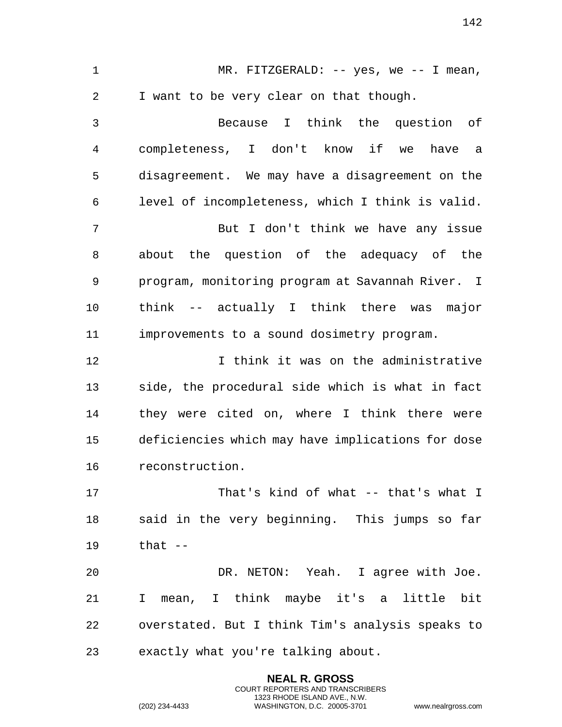1 MR. FITZGERALD: -- yes, we -- I mean, I want to be very clear on that though. Because I think the question of completeness, I don't know if we have a disagreement. We may have a disagreement on the level of incompleteness, which I think is valid. But I don't think we have any issue about the question of the adequacy of the program, monitoring program at Savannah River. I think -- actually I think there was major improvements to a sound dosimetry program. I think it was on the administrative side, the procedural side which is what in fact they were cited on, where I think there were deficiencies which may have implications for dose reconstruction. That's kind of what -- that's what I said in the very beginning. This jumps so far that -- DR. NETON: Yeah. I agree with Joe. I mean, I think maybe it's a little bit overstated. But I think Tim's analysis speaks to exactly what you're talking about.

> **NEAL R. GROSS** COURT REPORTERS AND TRANSCRIBERS 1323 RHODE ISLAND AVE., N.W.

(202) 234-4433 WASHINGTON, D.C. 20005-3701 www.nealrgross.com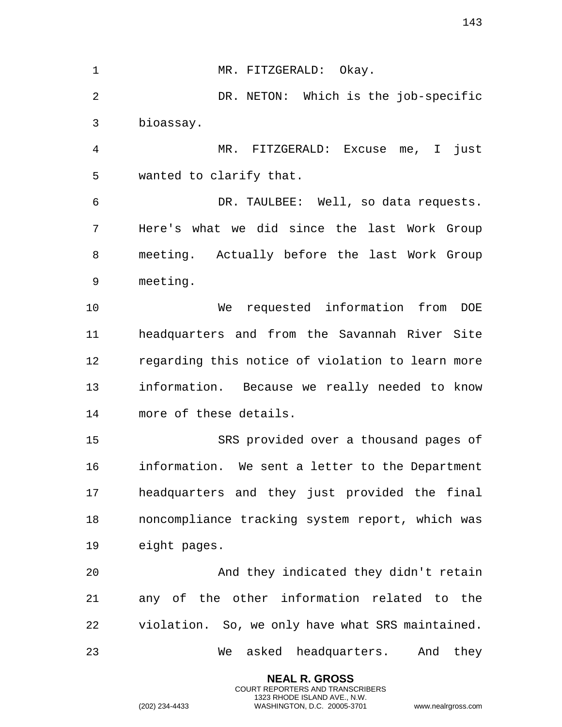**NEAL R. GROSS** 1 MR. FITZGERALD: Okay. DR. NETON: Which is the job-specific bioassay. MR. FITZGERALD: Excuse me, I just wanted to clarify that. DR. TAULBEE: Well, so data requests. Here's what we did since the last Work Group meeting. Actually before the last Work Group meeting. We requested information from DOE headquarters and from the Savannah River Site regarding this notice of violation to learn more information. Because we really needed to know more of these details. SRS provided over a thousand pages of information. We sent a letter to the Department headquarters and they just provided the final noncompliance tracking system report, which was eight pages. And they indicated they didn't retain any of the other information related to the violation. So, we only have what SRS maintained. We asked headquarters. And they

> COURT REPORTERS AND TRANSCRIBERS 1323 RHODE ISLAND AVE., N.W.

(202) 234-4433 WASHINGTON, D.C. 20005-3701 www.nealrgross.com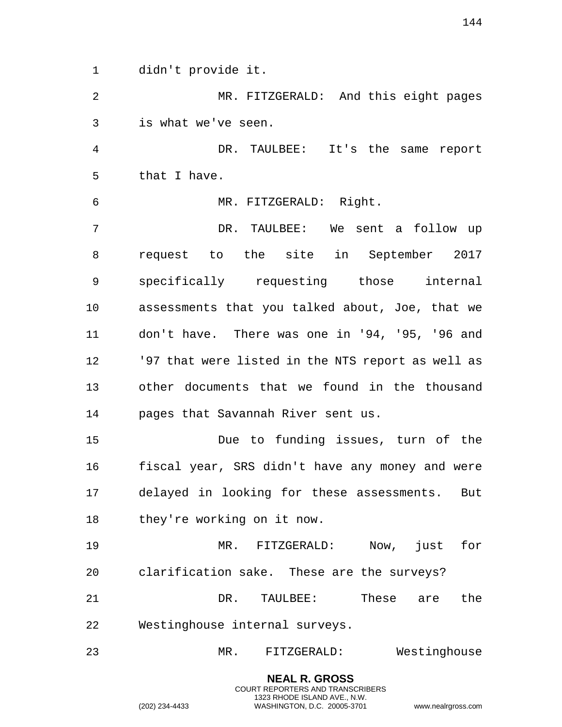didn't provide it.

 MR. FITZGERALD: And this eight pages is what we've seen.

 DR. TAULBEE: It's the same report that I have.

MR. FITZGERALD: Right.

 DR. TAULBEE: We sent a follow up request to the site in September 2017 specifically requesting those internal assessments that you talked about, Joe, that we don't have. There was one in '94, '95, '96 and '97 that were listed in the NTS report as well as other documents that we found in the thousand pages that Savannah River sent us.

 Due to funding issues, turn of the fiscal year, SRS didn't have any money and were delayed in looking for these assessments. But they're working on it now.

 MR. FITZGERALD: Now, just for clarification sake. These are the surveys? 21 DR. TAULBEE: These are the Westinghouse internal surveys.

MR. FITZGERALD: Westinghouse

1323 RHODE ISLAND AVE., N.W.

**NEAL R. GROSS** COURT REPORTERS AND TRANSCRIBERS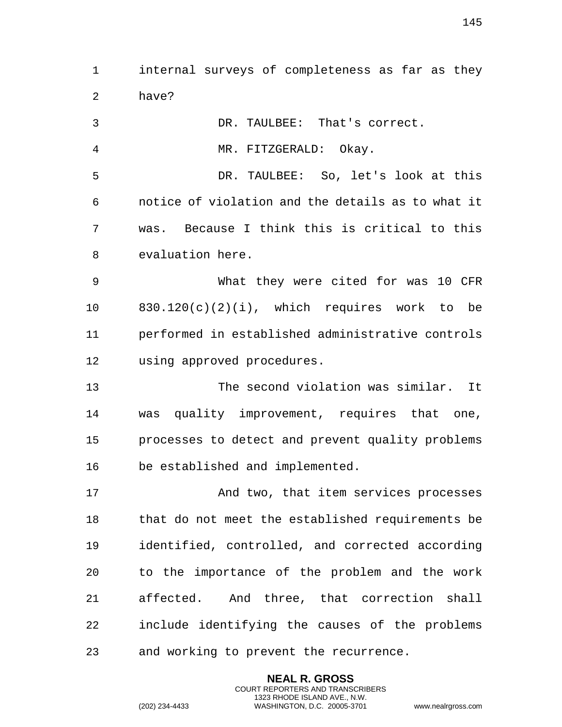internal surveys of completeness as far as they have?

| 3              | DR. TAULBEE: That's correct.                      |
|----------------|---------------------------------------------------|
| $\overline{4}$ | MR. FITZGERALD: Okay.                             |
| 5              | DR. TAULBEE: So, let's look at this               |
| 6              | notice of violation and the details as to what it |
| 7              | Because I think this is critical to this<br>was.  |
| 8              | evaluation here.                                  |
| 9              | What they were cited for was 10 CFR               |
| 10             | $830.120(c)(2)(i)$ , which requires work to be    |
| 11             | performed in established administrative controls  |
| 12             | using approved procedures.                        |
| 13             | The second violation was similar. It              |
| 14             | was quality improvement, requires that one,       |
| 15             | processes to detect and prevent quality problems  |
| 16             | be established and implemented.                   |
| 17             | And two, that item services processes             |
| 18             | that do not meet the established requirements be  |
| 19             | identified, controlled, and corrected according   |
| 20             | to the importance of the problem and the work     |
| 21             | affected. And three, that correction shall        |
| 22             | include identifying the causes of the problems    |
|                |                                                   |

and working to prevent the recurrence.

**NEAL R. GROSS** COURT REPORTERS AND TRANSCRIBERS 1323 RHODE ISLAND AVE., N.W.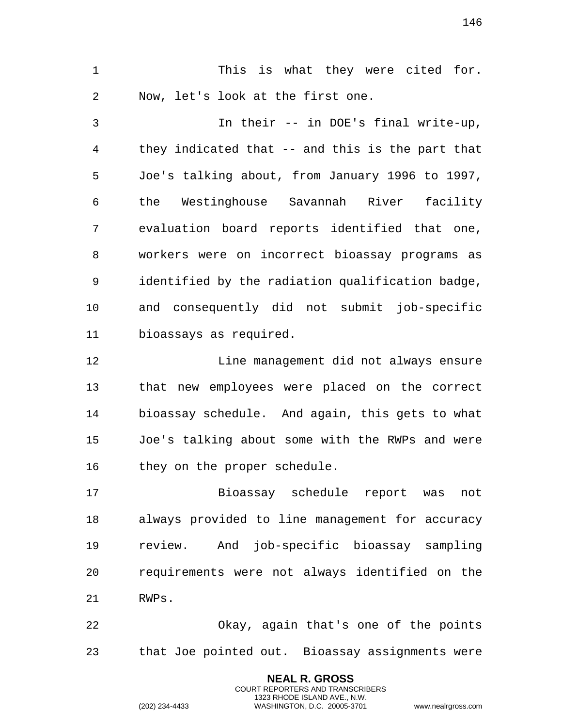This is what they were cited for. Now, let's look at the first one. In their -- in DOE's final write-up, they indicated that -- and this is the part that Joe's talking about, from January 1996 to 1997, the Westinghouse Savannah River facility evaluation board reports identified that one, workers were on incorrect bioassay programs as identified by the radiation qualification badge, and consequently did not submit job-specific bioassays as required. Line management did not always ensure that new employees were placed on the correct bioassay schedule. And again, this gets to what Joe's talking about some with the RWPs and were they on the proper schedule. Bioassay schedule report was not always provided to line management for accuracy review. And job-specific bioassay sampling requirements were not always identified on the RWPs.

 Okay, again that's one of the points that Joe pointed out. Bioassay assignments were

> **NEAL R. GROSS** COURT REPORTERS AND TRANSCRIBERS 1323 RHODE ISLAND AVE., N.W.

(202) 234-4433 WASHINGTON, D.C. 20005-3701 www.nealrgross.com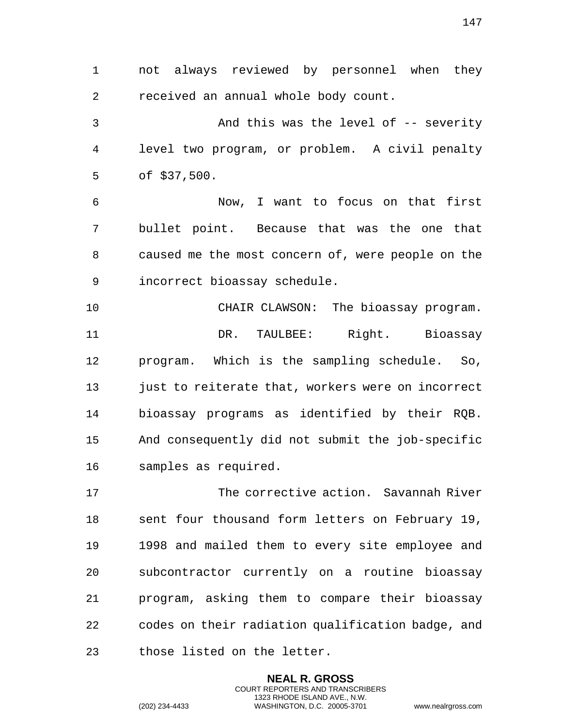not always reviewed by personnel when they received an annual whole body count. And this was the level of -- severity level two program, or problem. A civil penalty of \$37,500. Now, I want to focus on that first bullet point. Because that was the one that caused me the most concern of, were people on the incorrect bioassay schedule.

 CHAIR CLAWSON: The bioassay program. DR. TAULBEE: Right. Bioassay program. Which is the sampling schedule. So, just to reiterate that, workers were on incorrect bioassay programs as identified by their RQB. And consequently did not submit the job-specific samples as required.

 The corrective action. Savannah River sent four thousand form letters on February 19, 1998 and mailed them to every site employee and subcontractor currently on a routine bioassay program, asking them to compare their bioassay codes on their radiation qualification badge, and those listed on the letter.

> **NEAL R. GROSS** COURT REPORTERS AND TRANSCRIBERS 1323 RHODE ISLAND AVE., N.W.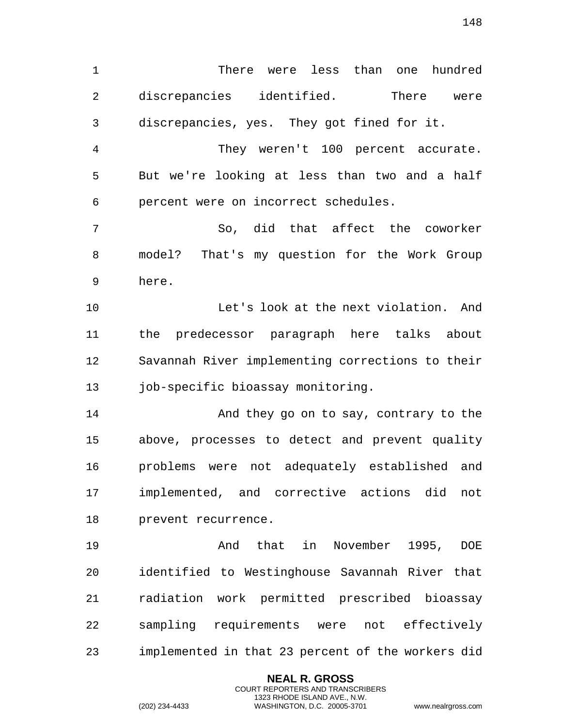There were less than one hundred discrepancies identified. There were discrepancies, yes. They got fined for it.

 They weren't 100 percent accurate. But we're looking at less than two and a half percent were on incorrect schedules.

 So, did that affect the coworker model? That's my question for the Work Group here.

 Let's look at the next violation. And the predecessor paragraph here talks about Savannah River implementing corrections to their job-specific bioassay monitoring.

14 And they go on to say, contrary to the above, processes to detect and prevent quality problems were not adequately established and implemented, and corrective actions did not prevent recurrence.

 And that in November 1995, DOE identified to Westinghouse Savannah River that radiation work permitted prescribed bioassay sampling requirements were not effectively implemented in that 23 percent of the workers did

> **NEAL R. GROSS** COURT REPORTERS AND TRANSCRIBERS 1323 RHODE ISLAND AVE., N.W.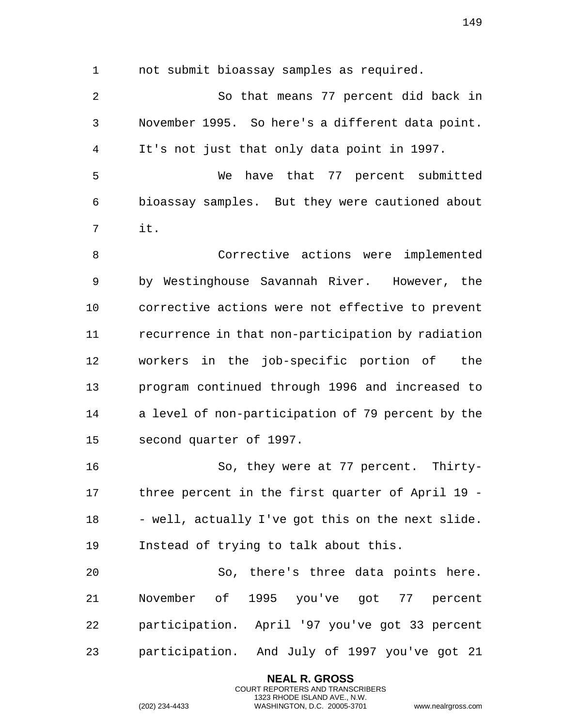not submit bioassay samples as required. So that means 77 percent did back in November 1995. So here's a different data point. It's not just that only data point in 1997. We have that 77 percent submitted bioassay samples. But they were cautioned about it. Corrective actions were implemented by Westinghouse Savannah River. However, the

 corrective actions were not effective to prevent recurrence in that non-participation by radiation workers in the job-specific portion of the program continued through 1996 and increased to a level of non-participation of 79 percent by the second quarter of 1997.

 So, they were at 77 percent. Thirty- three percent in the first quarter of April 19 - 18 - well, actually I've got this on the next slide. Instead of trying to talk about this.

 So, there's three data points here. November of 1995 you've got 77 percent participation. April '97 you've got 33 percent participation. And July of 1997 you've got 21

> **NEAL R. GROSS** COURT REPORTERS AND TRANSCRIBERS 1323 RHODE ISLAND AVE., N.W.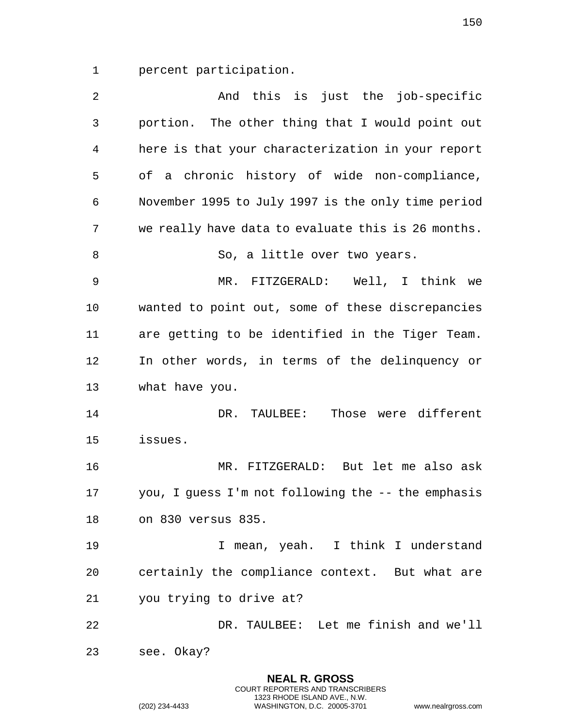percent participation.

| $\overline{2}$ | And this is just the job-specific                  |
|----------------|----------------------------------------------------|
| 3              | portion. The other thing that I would point out    |
| 4              | here is that your characterization in your report  |
| 5              | of a chronic history of wide non-compliance,       |
| 6              | November 1995 to July 1997 is the only time period |
| 7              | we really have data to evaluate this is 26 months. |
| 8              | So, a little over two years.                       |
| $\mathsf 9$    | MR. FITZGERALD: Well, I think we                   |
| 10             | wanted to point out, some of these discrepancies   |
| 11             | are getting to be identified in the Tiger Team.    |
| 12             | In other words, in terms of the delinquency or     |
| 13             | what have you.                                     |
| 14             | Those were different<br>DR. TAULBEE:               |
| 15             | issues.                                            |
| 16             | MR. FITZGERALD: But let me also ask                |
| 17             | you, I guess I'm not following the -- the emphasis |
| 18             | on 830 versus 835.                                 |
| 19             | I mean, yeah. I think I understand                 |
| 20             | certainly the compliance context. But what are     |
| 21             | you trying to drive at?                            |
| 22             | DR. TAULBEE: Let me finish and we'll               |
| 23             | see. Okay?                                         |
|                |                                                    |

**NEAL R. GROSS** COURT REPORTERS AND TRANSCRIBERS 1323 RHODE ISLAND AVE., N.W.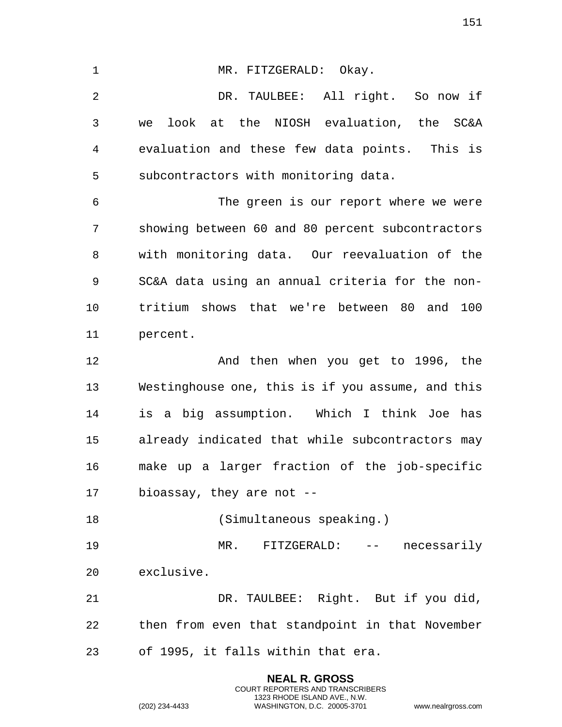1 MR. FITZGERALD: Okay. DR. TAULBEE: All right. So now if we look at the NIOSH evaluation, the SC&A evaluation and these few data points. This is subcontractors with monitoring data. The green is our report where we were showing between 60 and 80 percent subcontractors with monitoring data. Our reevaluation of the SC&A data using an annual criteria for the non- tritium shows that we're between 80 and 100 percent. And then when you get to 1996, the Westinghouse one, this is if you assume, and this is a big assumption. Which I think Joe has already indicated that while subcontractors may make up a larger fraction of the job-specific bioassay, they are not -- (Simultaneous speaking.) MR. FITZGERALD: -- necessarily exclusive. DR. TAULBEE: Right. But if you did, then from even that standpoint in that November of 1995, it falls within that era.

> **NEAL R. GROSS** COURT REPORTERS AND TRANSCRIBERS 1323 RHODE ISLAND AVE., N.W.

(202) 234-4433 WASHINGTON, D.C. 20005-3701 www.nealrgross.com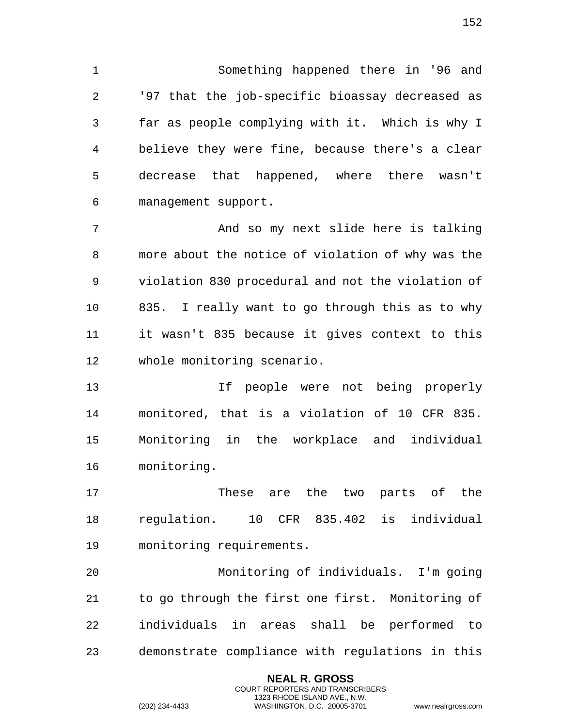Something happened there in '96 and '97 that the job-specific bioassay decreased as far as people complying with it. Which is why I believe they were fine, because there's a clear decrease that happened, where there wasn't management support.

 And so my next slide here is talking more about the notice of violation of why was the violation 830 procedural and not the violation of 835. I really want to go through this as to why it wasn't 835 because it gives context to this whole monitoring scenario.

 If people were not being properly monitored, that is a violation of 10 CFR 835. Monitoring in the workplace and individual monitoring.

 These are the two parts of the regulation. 10 CFR 835.402 is individual monitoring requirements.

 Monitoring of individuals. I'm going to go through the first one first. Monitoring of individuals in areas shall be performed to demonstrate compliance with regulations in this

> **NEAL R. GROSS** COURT REPORTERS AND TRANSCRIBERS 1323 RHODE ISLAND AVE., N.W.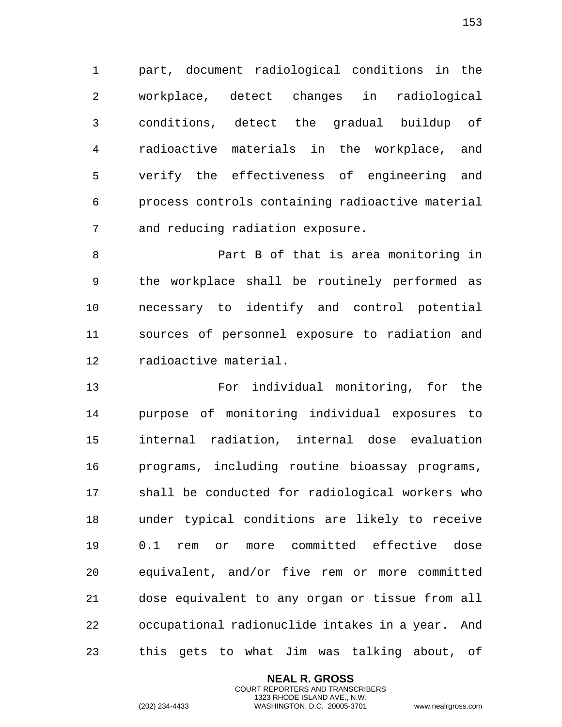part, document radiological conditions in the workplace, detect changes in radiological conditions, detect the gradual buildup of radioactive materials in the workplace, and verify the effectiveness of engineering and process controls containing radioactive material and reducing radiation exposure.

 Part B of that is area monitoring in the workplace shall be routinely performed as necessary to identify and control potential sources of personnel exposure to radiation and radioactive material.

 For individual monitoring, for the purpose of monitoring individual exposures to internal radiation, internal dose evaluation programs, including routine bioassay programs, shall be conducted for radiological workers who under typical conditions are likely to receive 0.1 rem or more committed effective dose equivalent, and/or five rem or more committed dose equivalent to any organ or tissue from all occupational radionuclide intakes in a year. And this gets to what Jim was talking about, of

> **NEAL R. GROSS** COURT REPORTERS AND TRANSCRIBERS 1323 RHODE ISLAND AVE., N.W.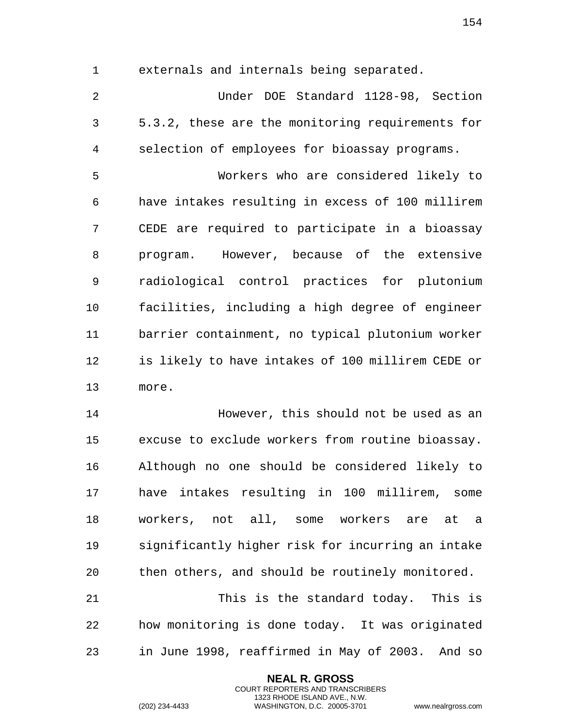externals and internals being separated.

 Under DOE Standard 1128-98, Section 5.3.2, these are the monitoring requirements for selection of employees for bioassay programs.

 Workers who are considered likely to have intakes resulting in excess of 100 millirem CEDE are required to participate in a bioassay program. However, because of the extensive radiological control practices for plutonium facilities, including a high degree of engineer barrier containment, no typical plutonium worker is likely to have intakes of 100 millirem CEDE or more.

 However, this should not be used as an excuse to exclude workers from routine bioassay. Although no one should be considered likely to have intakes resulting in 100 millirem, some workers, not all, some workers are at a significantly higher risk for incurring an intake then others, and should be routinely monitored.

 This is the standard today. This is how monitoring is done today. It was originated in June 1998, reaffirmed in May of 2003. And so

> **NEAL R. GROSS** COURT REPORTERS AND TRANSCRIBERS 1323 RHODE ISLAND AVE., N.W.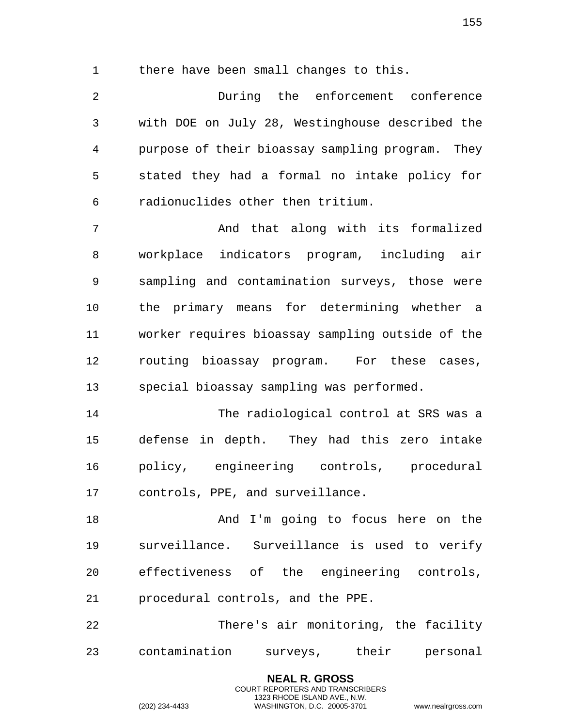there have been small changes to this.

 During the enforcement conference with DOE on July 28, Westinghouse described the purpose of their bioassay sampling program. They stated they had a formal no intake policy for radionuclides other then tritium.

 And that along with its formalized workplace indicators program, including air sampling and contamination surveys, those were the primary means for determining whether a worker requires bioassay sampling outside of the routing bioassay program. For these cases, special bioassay sampling was performed.

 The radiological control at SRS was a defense in depth. They had this zero intake policy, engineering controls, procedural controls, PPE, and surveillance.

 And I'm going to focus here on the surveillance. Surveillance is used to verify effectiveness of the engineering controls, procedural controls, and the PPE.

 There's air monitoring, the facility contamination surveys, their personal

> **NEAL R. GROSS** COURT REPORTERS AND TRANSCRIBERS 1323 RHODE ISLAND AVE., N.W.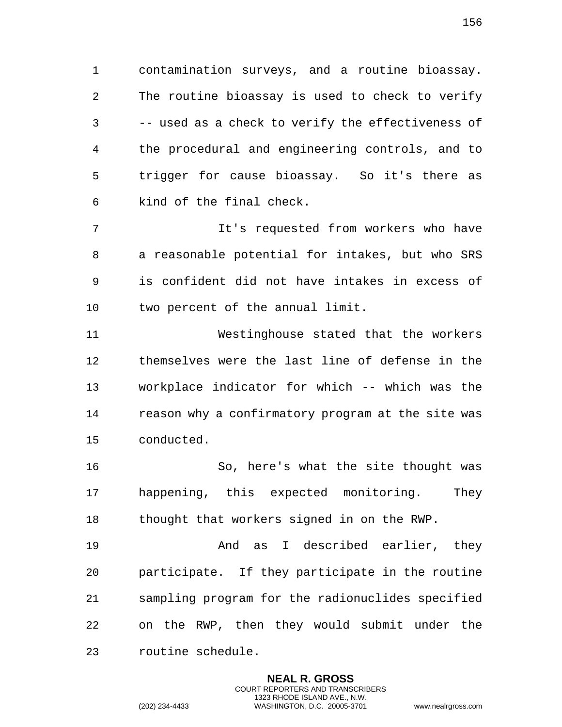contamination surveys, and a routine bioassay. The routine bioassay is used to check to verify -- used as a check to verify the effectiveness of the procedural and engineering controls, and to trigger for cause bioassay. So it's there as kind of the final check.

 It's requested from workers who have a reasonable potential for intakes, but who SRS is confident did not have intakes in excess of two percent of the annual limit.

 Westinghouse stated that the workers themselves were the last line of defense in the workplace indicator for which -- which was the reason why a confirmatory program at the site was conducted.

 So, here's what the site thought was happening, this expected monitoring. They thought that workers signed in on the RWP.

 And as I described earlier, they participate. If they participate in the routine sampling program for the radionuclides specified on the RWP, then they would submit under the routine schedule.

> **NEAL R. GROSS** COURT REPORTERS AND TRANSCRIBERS 1323 RHODE ISLAND AVE., N.W.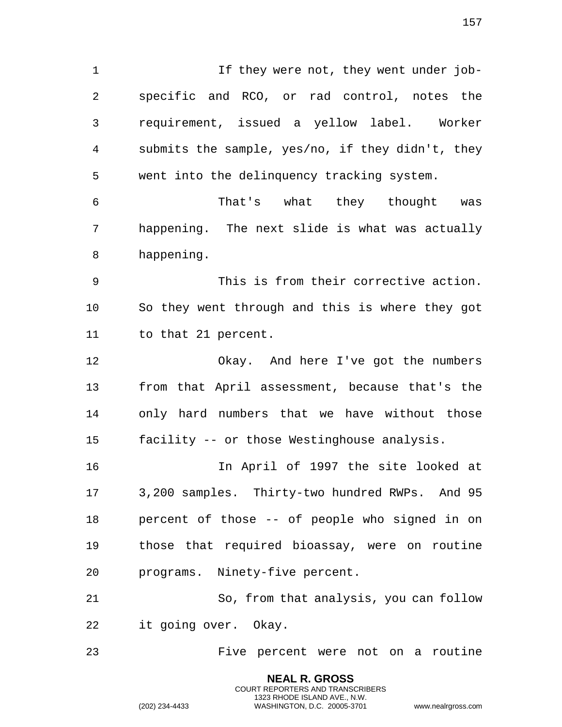1 1 If they were not, they went under job- specific and RCO, or rad control, notes the requirement, issued a yellow label. Worker submits the sample, yes/no, if they didn't, they went into the delinquency tracking system. That's what they thought was happening. The next slide is what was actually happening. This is from their corrective action. So they went through and this is where they got to that 21 percent.

 Okay. And here I've got the numbers from that April assessment, because that's the only hard numbers that we have without those facility -- or those Westinghouse analysis.

 In April of 1997 the site looked at 3,200 samples. Thirty-two hundred RWPs. And 95 percent of those -- of people who signed in on those that required bioassay, were on routine programs. Ninety-five percent.

 So, from that analysis, you can follow it going over. Okay.

Five percent were not on a routine

**NEAL R. GROSS** COURT REPORTERS AND TRANSCRIBERS 1323 RHODE ISLAND AVE., N.W.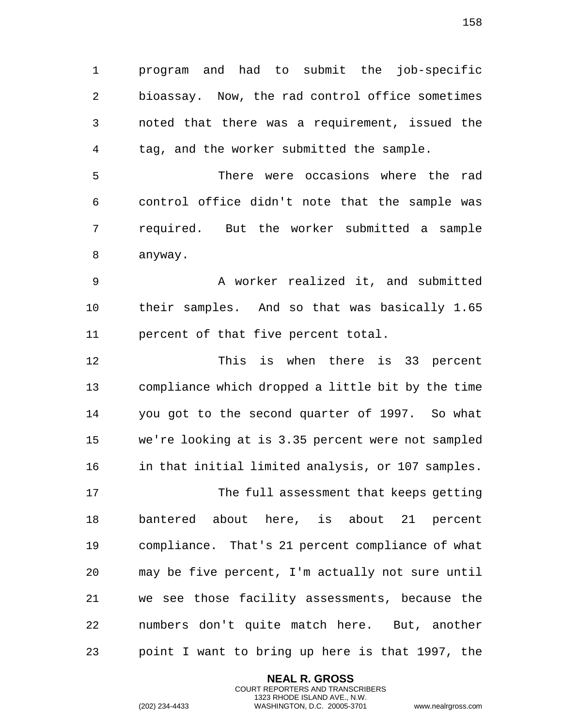program and had to submit the job-specific bioassay. Now, the rad control office sometimes noted that there was a requirement, issued the tag, and the worker submitted the sample.

 There were occasions where the rad control office didn't note that the sample was required. But the worker submitted a sample anyway.

 A worker realized it, and submitted their samples. And so that was basically 1.65 percent of that five percent total.

 This is when there is 33 percent compliance which dropped a little bit by the time you got to the second quarter of 1997. So what we're looking at is 3.35 percent were not sampled in that initial limited analysis, or 107 samples. The full assessment that keeps getting bantered about here, is about 21 percent

 compliance. That's 21 percent compliance of what may be five percent, I'm actually not sure until we see those facility assessments, because the numbers don't quite match here. But, another point I want to bring up here is that 1997, the

> **NEAL R. GROSS** COURT REPORTERS AND TRANSCRIBERS 1323 RHODE ISLAND AVE., N.W.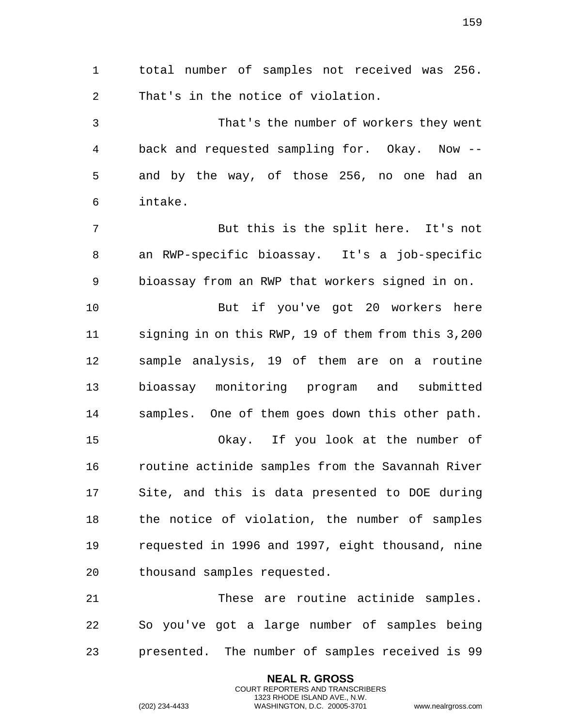total number of samples not received was 256. That's in the notice of violation. That's the number of workers they went back and requested sampling for. Okay. Now -- and by the way, of those 256, no one had an intake. But this is the split here. It's not an RWP-specific bioassay. It's a job-specific bioassay from an RWP that workers signed in on. But if you've got 20 workers here signing in on this RWP, 19 of them from this 3,200 sample analysis, 19 of them are on a routine bioassay monitoring program and submitted samples. One of them goes down this other path. Okay. If you look at the number of routine actinide samples from the Savannah River Site, and this is data presented to DOE during the notice of violation, the number of samples requested in 1996 and 1997, eight thousand, nine thousand samples requested. These are routine actinide samples.

 So you've got a large number of samples being presented. The number of samples received is 99

> **NEAL R. GROSS** COURT REPORTERS AND TRANSCRIBERS 1323 RHODE ISLAND AVE., N.W.

(202) 234-4433 WASHINGTON, D.C. 20005-3701 www.nealrgross.com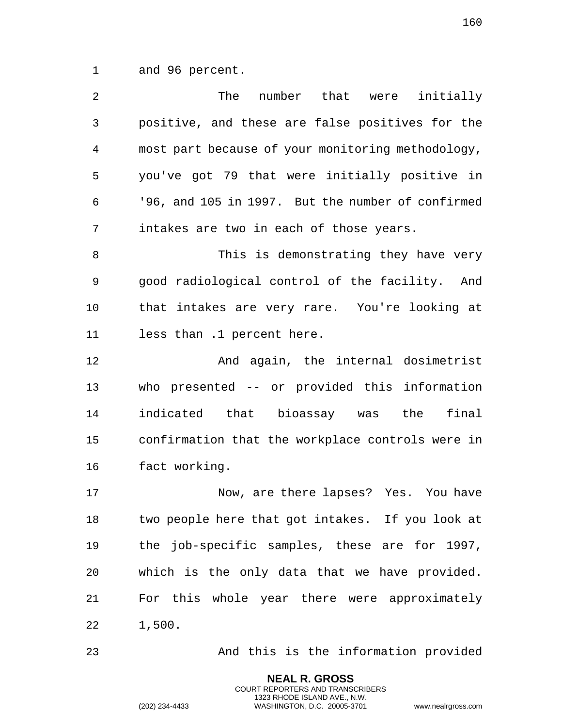and 96 percent.

| 2  | The<br>number that were<br>initially              |
|----|---------------------------------------------------|
| 3  | positive, and these are false positives for the   |
| 4  | most part because of your monitoring methodology, |
| 5  | you've got 79 that were initially positive in     |
| 6  | '96, and 105 in 1997. But the number of confirmed |
| 7  | intakes are two in each of those years.           |
| 8  | This is demonstrating they have very              |
| 9  | good radiological control of the facility. And    |
| 10 | that intakes are very rare. You're looking at     |
| 11 | less than .1 percent here.                        |
| 12 | And again, the internal dosimetrist               |
| 13 | who presented -- or provided this information     |
| 14 | indicated that bioassay was the<br>final          |
| 15 | confirmation that the workplace controls were in  |
| 16 | fact working.                                     |
| 17 | Now, are there lapses? Yes. You have              |
| 18 | two people here that got intakes. If you look at  |
| 19 | the job-specific samples, these are for 1997,     |
| 20 | which is the only data that we have provided.     |
| 21 | For this whole year there were approximately      |
| 22 | 1,500.                                            |

And this is the information provided

**NEAL R. GROSS** COURT REPORTERS AND TRANSCRIBERS 1323 RHODE ISLAND AVE., N.W.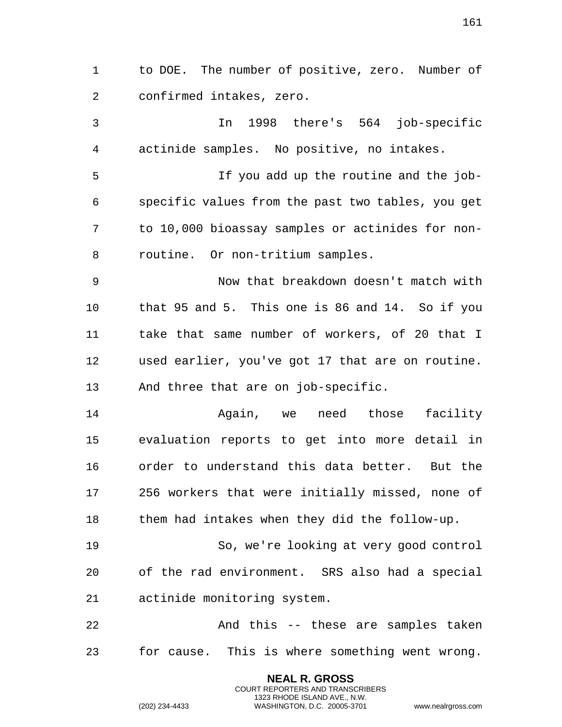to DOE. The number of positive, zero. Number of confirmed intakes, zero. In 1998 there's 564 job-specific actinide samples. No positive, no intakes. If you add up the routine and the job- specific values from the past two tables, you get to 10,000 bioassay samples or actinides for non- routine. Or non-tritium samples. Now that breakdown doesn't match with that 95 and 5. This one is 86 and 14. So if you take that same number of workers, of 20 that I used earlier, you've got 17 that are on routine. And three that are on job-specific. Again, we need those facility evaluation reports to get into more detail in order to understand this data better. But the 256 workers that were initially missed, none of them had intakes when they did the follow-up. So, we're looking at very good control of the rad environment. SRS also had a special actinide monitoring system. And this -- these are samples taken for cause. This is where something went wrong.

> **NEAL R. GROSS** COURT REPORTERS AND TRANSCRIBERS 1323 RHODE ISLAND AVE., N.W.

(202) 234-4433 WASHINGTON, D.C. 20005-3701 www.nealrgross.com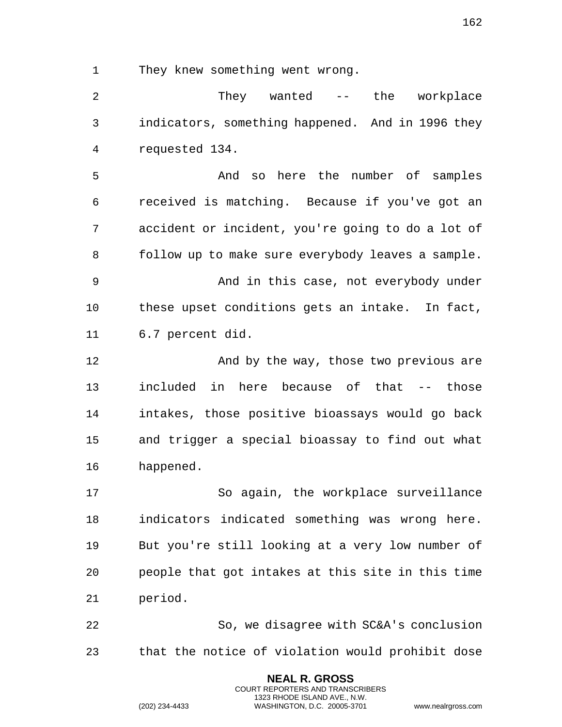They knew something went wrong.

2 They wanted -- the workplace indicators, something happened. And in 1996 they requested 134.

 And so here the number of samples received is matching. Because if you've got an accident or incident, you're going to do a lot of follow up to make sure everybody leaves a sample. And in this case, not everybody under these upset conditions gets an intake. In fact, 6.7 percent did.

**And by the way, those two previous are**  included in here because of that -- those intakes, those positive bioassays would go back and trigger a special bioassay to find out what happened.

 So again, the workplace surveillance indicators indicated something was wrong here. But you're still looking at a very low number of people that got intakes at this site in this time period.

 So, we disagree with SC&A's conclusion that the notice of violation would prohibit dose

> **NEAL R. GROSS** COURT REPORTERS AND TRANSCRIBERS 1323 RHODE ISLAND AVE., N.W.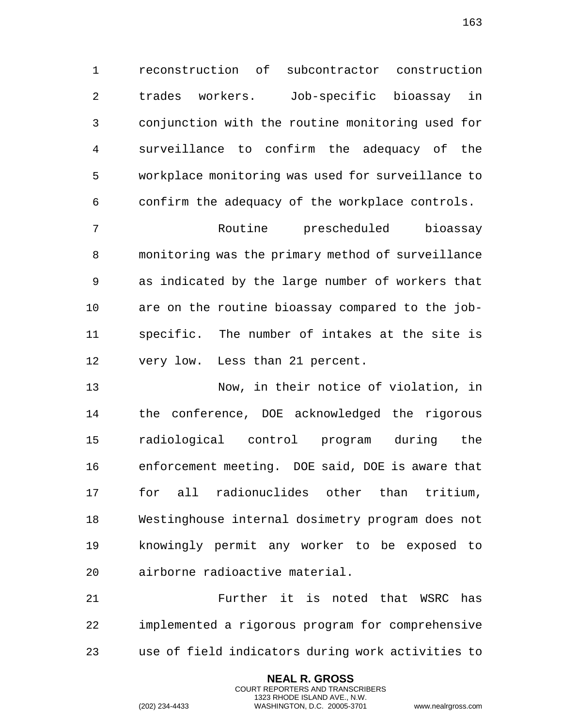reconstruction of subcontractor construction trades workers. Job-specific bioassay in conjunction with the routine monitoring used for surveillance to confirm the adequacy of the workplace monitoring was used for surveillance to confirm the adequacy of the workplace controls.

 Routine prescheduled bioassay monitoring was the primary method of surveillance as indicated by the large number of workers that are on the routine bioassay compared to the job- specific. The number of intakes at the site is very low. Less than 21 percent.

 Now, in their notice of violation, in the conference, DOE acknowledged the rigorous radiological control program during the enforcement meeting. DOE said, DOE is aware that for all radionuclides other than tritium, Westinghouse internal dosimetry program does not knowingly permit any worker to be exposed to airborne radioactive material.

 Further it is noted that WSRC has implemented a rigorous program for comprehensive use of field indicators during work activities to

> **NEAL R. GROSS** COURT REPORTERS AND TRANSCRIBERS 1323 RHODE ISLAND AVE., N.W.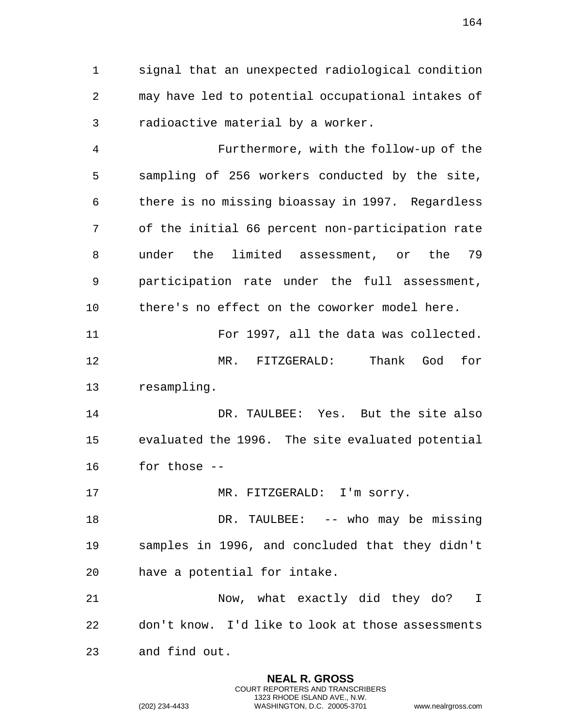signal that an unexpected radiological condition may have led to potential occupational intakes of radioactive material by a worker.

 Furthermore, with the follow-up of the sampling of 256 workers conducted by the site, there is no missing bioassay in 1997. Regardless of the initial 66 percent non-participation rate under the limited assessment, or the 79 participation rate under the full assessment, there's no effect on the coworker model here.

 For 1997, all the data was collected. MR. FITZGERALD: Thank God for resampling.

14 DR. TAULBEE: Yes. But the site also evaluated the 1996. The site evaluated potential for those --

17 MR. FITZGERALD: I'm sorry.

18 DR. TAULBEE: -- who may be missing samples in 1996, and concluded that they didn't have a potential for intake.

 Now, what exactly did they do? I don't know. I'd like to look at those assessments and find out.

> **NEAL R. GROSS** COURT REPORTERS AND TRANSCRIBERS 1323 RHODE ISLAND AVE., N.W.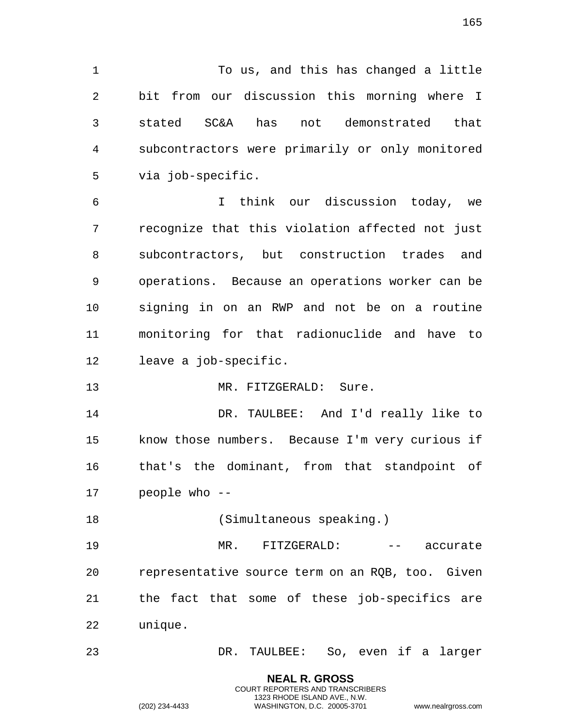To us, and this has changed a little bit from our discussion this morning where I stated SC&A has not demonstrated that subcontractors were primarily or only monitored via job-specific.

 I think our discussion today, we recognize that this violation affected not just subcontractors, but construction trades and operations. Because an operations worker can be signing in on an RWP and not be on a routine monitoring for that radionuclide and have to leave a job-specific.

MR. FITZGERALD: Sure.

 DR. TAULBEE: And I'd really like to know those numbers. Because I'm very curious if that's the dominant, from that standpoint of people who --

18 (Simultaneous speaking.)

 MR. FITZGERALD: -- accurate representative source term on an RQB, too. Given the fact that some of these job-specifics are unique.

DR. TAULBEE: So, even if a larger

**NEAL R. GROSS** COURT REPORTERS AND TRANSCRIBERS 1323 RHODE ISLAND AVE., N.W.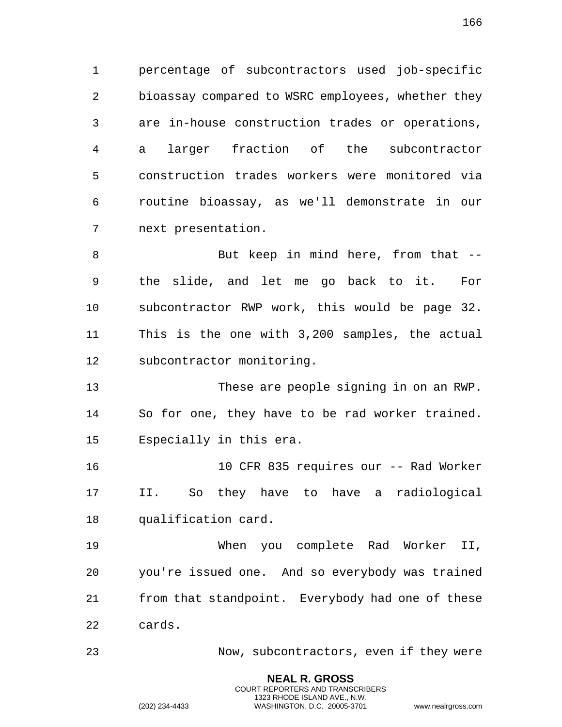percentage of subcontractors used job-specific bioassay compared to WSRC employees, whether they are in-house construction trades or operations, a larger fraction of the subcontractor construction trades workers were monitored via routine bioassay, as we'll demonstrate in our next presentation.

8 But keep in mind here, from that -- the slide, and let me go back to it. For subcontractor RWP work, this would be page 32. This is the one with 3,200 samples, the actual subcontractor monitoring.

 These are people signing in on an RWP. So for one, they have to be rad worker trained. Especially in this era.

 10 CFR 835 requires our -- Rad Worker II. So they have to have a radiological qualification card.

 When you complete Rad Worker II, you're issued one. And so everybody was trained from that standpoint. Everybody had one of these cards.

Now, subcontractors, even if they were

**NEAL R. GROSS** COURT REPORTERS AND TRANSCRIBERS 1323 RHODE ISLAND AVE., N.W.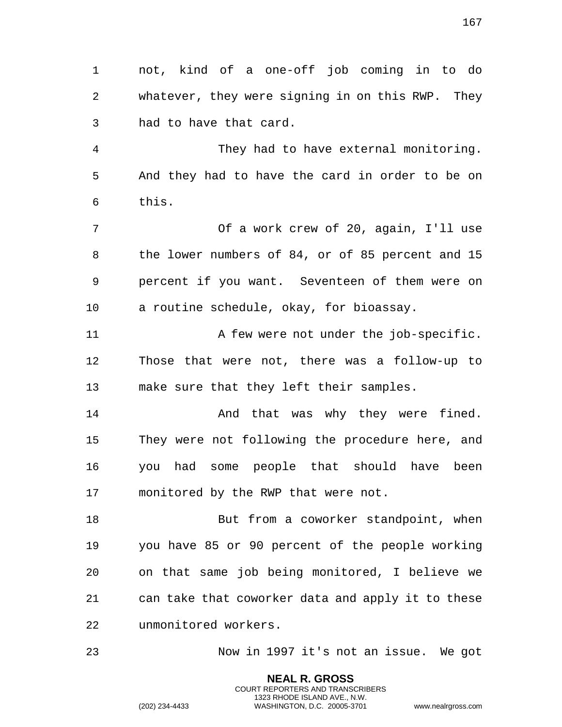not, kind of a one-off job coming in to do whatever, they were signing in on this RWP. They had to have that card.

 They had to have external monitoring. And they had to have the card in order to be on this.

 Of a work crew of 20, again, I'll use the lower numbers of 84, or of 85 percent and 15 percent if you want. Seventeen of them were on a routine schedule, okay, for bioassay.

11 A few were not under the job-specific. Those that were not, there was a follow-up to make sure that they left their samples.

14 And that was why they were fined. They were not following the procedure here, and you had some people that should have been monitored by the RWP that were not.

18 But from a coworker standpoint, when you have 85 or 90 percent of the people working on that same job being monitored, I believe we can take that coworker data and apply it to these unmonitored workers.

Now in 1997 it's not an issue. We got

**NEAL R. GROSS** COURT REPORTERS AND TRANSCRIBERS 1323 RHODE ISLAND AVE., N.W.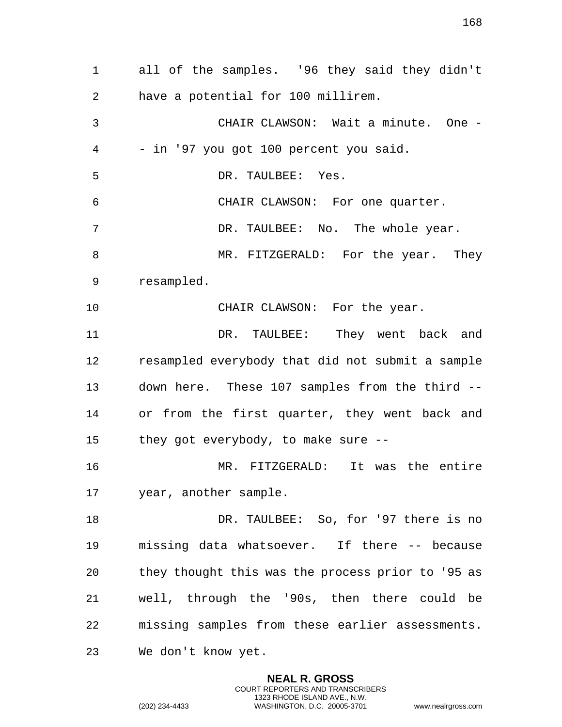all of the samples. '96 they said they didn't have a potential for 100 millirem. CHAIR CLAWSON: Wait a minute. One - - in '97 you got 100 percent you said. DR. TAULBEE: Yes. CHAIR CLAWSON: For one quarter. DR. TAULBEE: No. The whole year. 8 MR. FITZGERALD: For the year. They resampled. 10 CHAIR CLAWSON: For the year. DR. TAULBEE: They went back and resampled everybody that did not submit a sample down here. These 107 samples from the third -- or from the first quarter, they went back and they got everybody, to make sure -- MR. FITZGERALD: It was the entire year, another sample. 18 DR. TAULBEE: So, for '97 there is no missing data whatsoever. If there -- because they thought this was the process prior to '95 as well, through the '90s, then there could be missing samples from these earlier assessments. We don't know yet.

> **NEAL R. GROSS** COURT REPORTERS AND TRANSCRIBERS 1323 RHODE ISLAND AVE., N.W.

(202) 234-4433 WASHINGTON, D.C. 20005-3701 www.nealrgross.com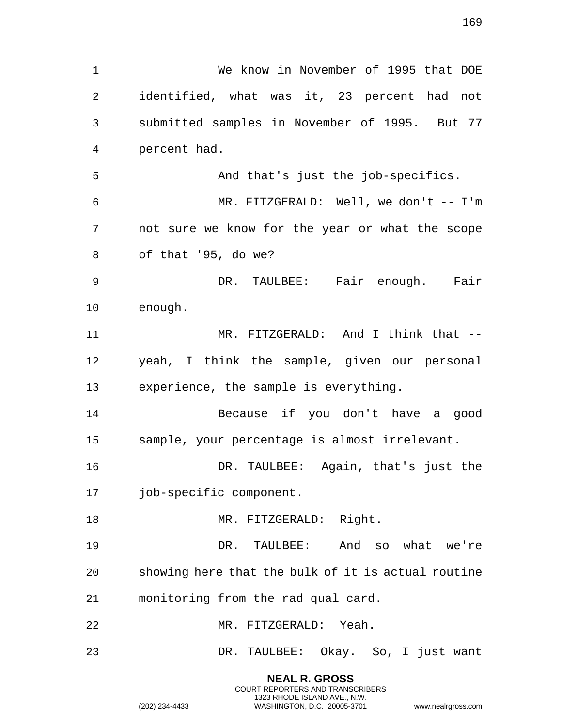We know in November of 1995 that DOE identified, what was it, 23 percent had not submitted samples in November of 1995. But 77 percent had. And that's just the job-specifics. MR. FITZGERALD: Well, we don't -- I'm not sure we know for the year or what the scope of that '95, do we? DR. TAULBEE: Fair enough. Fair enough. MR. FITZGERALD: And I think that -- yeah, I think the sample, given our personal experience, the sample is everything. Because if you don't have a good sample, your percentage is almost irrelevant. DR. TAULBEE: Again, that's just the job-specific component. 18 MR. FITZGERALD: Right. DR. TAULBEE: And so what we're showing here that the bulk of it is actual routine monitoring from the rad qual card. MR. FITZGERALD: Yeah. DR. TAULBEE: Okay. So, I just want

> **NEAL R. GROSS** COURT REPORTERS AND TRANSCRIBERS 1323 RHODE ISLAND AVE., N.W.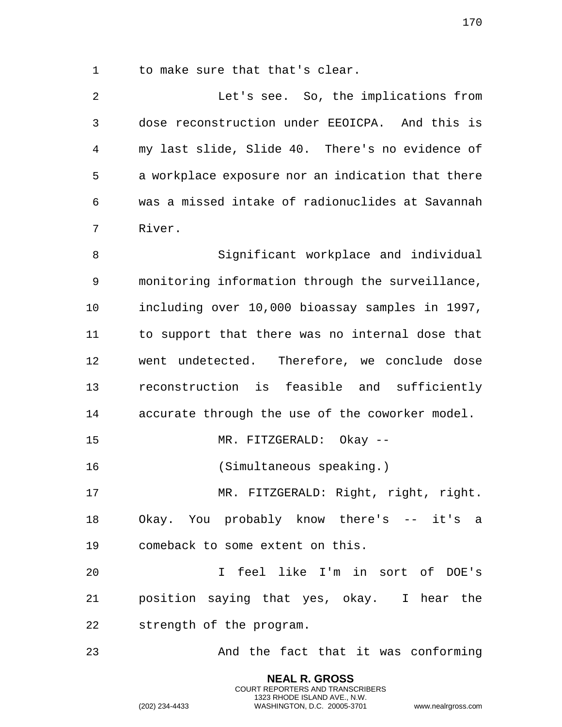to make sure that that's clear.

 Let's see. So, the implications from dose reconstruction under EEOICPA. And this is my last slide, Slide 40. There's no evidence of a workplace exposure nor an indication that there was a missed intake of radionuclides at Savannah River.

 Significant workplace and individual monitoring information through the surveillance, including over 10,000 bioassay samples in 1997, to support that there was no internal dose that went undetected. Therefore, we conclude dose reconstruction is feasible and sufficiently accurate through the use of the coworker model. MR. FITZGERALD: Okay -- (Simultaneous speaking.) MR. FITZGERALD: Right, right, right. Okay. You probably know there's -- it's a

comeback to some extent on this.

 I feel like I'm in sort of DOE's position saying that yes, okay. I hear the strength of the program.

And the fact that it was conforming

**NEAL R. GROSS** COURT REPORTERS AND TRANSCRIBERS 1323 RHODE ISLAND AVE., N.W.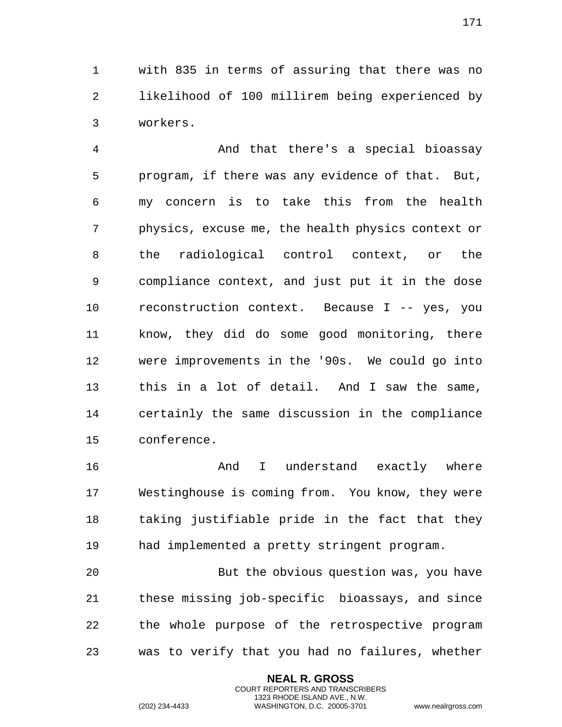with 835 in terms of assuring that there was no likelihood of 100 millirem being experienced by workers.

 And that there's a special bioassay program, if there was any evidence of that. But, my concern is to take this from the health physics, excuse me, the health physics context or the radiological control context, or the compliance context, and just put it in the dose reconstruction context. Because I -- yes, you know, they did do some good monitoring, there were improvements in the '90s. We could go into this in a lot of detail. And I saw the same, certainly the same discussion in the compliance conference.

 And I understand exactly where Westinghouse is coming from. You know, they were taking justifiable pride in the fact that they had implemented a pretty stringent program.

 But the obvious question was, you have these missing job-specific bioassays, and since the whole purpose of the retrospective program was to verify that you had no failures, whether

> **NEAL R. GROSS** COURT REPORTERS AND TRANSCRIBERS 1323 RHODE ISLAND AVE., N.W.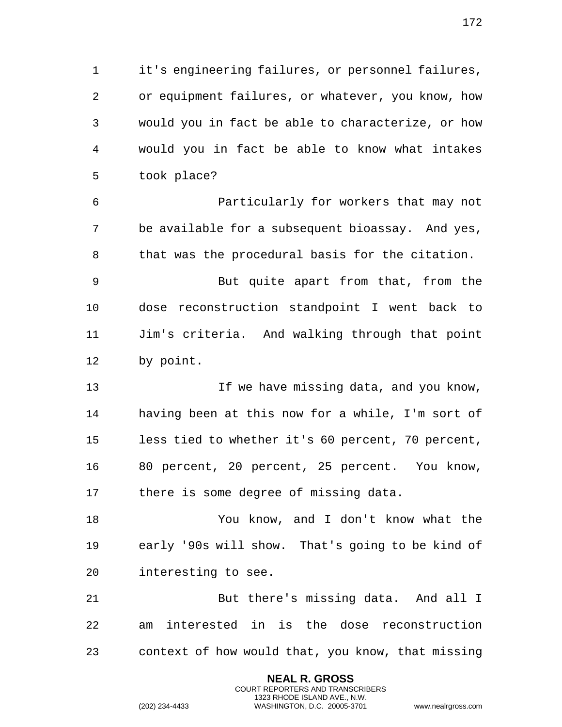it's engineering failures, or personnel failures, or equipment failures, or whatever, you know, how would you in fact be able to characterize, or how would you in fact be able to know what intakes took place?

 Particularly for workers that may not be available for a subsequent bioassay. And yes, that was the procedural basis for the citation.

 But quite apart from that, from the dose reconstruction standpoint I went back to Jim's criteria. And walking through that point by point.

13 13 If we have missing data, and you know, having been at this now for a while, I'm sort of less tied to whether it's 60 percent, 70 percent, 80 percent, 20 percent, 25 percent. You know, there is some degree of missing data.

 You know, and I don't know what the early '90s will show. That's going to be kind of interesting to see.

 But there's missing data. And all I am interested in is the dose reconstruction context of how would that, you know, that missing

> **NEAL R. GROSS** COURT REPORTERS AND TRANSCRIBERS 1323 RHODE ISLAND AVE., N.W.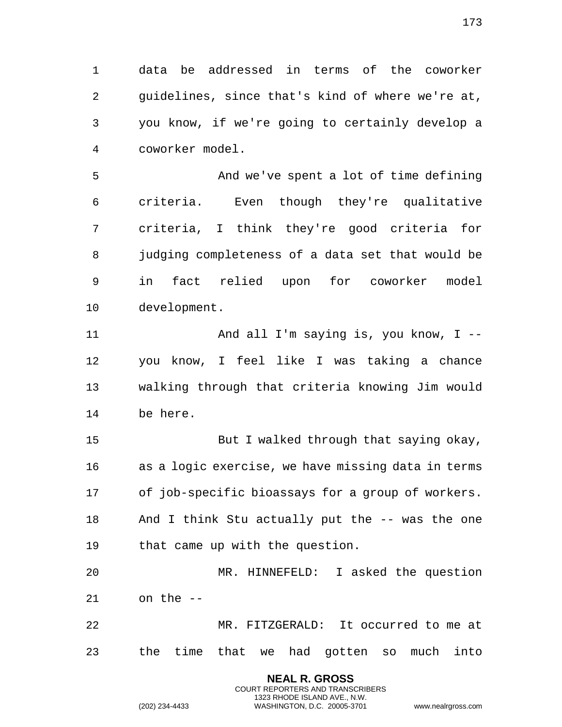data be addressed in terms of the coworker guidelines, since that's kind of where we're at, you know, if we're going to certainly develop a coworker model.

 And we've spent a lot of time defining criteria. Even though they're qualitative criteria, I think they're good criteria for judging completeness of a data set that would be in fact relied upon for coworker model development.

 And all I'm saying is, you know, I -- you know, I feel like I was taking a chance walking through that criteria knowing Jim would be here.

 But I walked through that saying okay, as a logic exercise, we have missing data in terms of job-specific bioassays for a group of workers. And I think Stu actually put the -- was the one that came up with the question.

 MR. HINNEFELD: I asked the question on the --

 MR. FITZGERALD: It occurred to me at the time that we had gotten so much into

> **NEAL R. GROSS** COURT REPORTERS AND TRANSCRIBERS 1323 RHODE ISLAND AVE., N.W.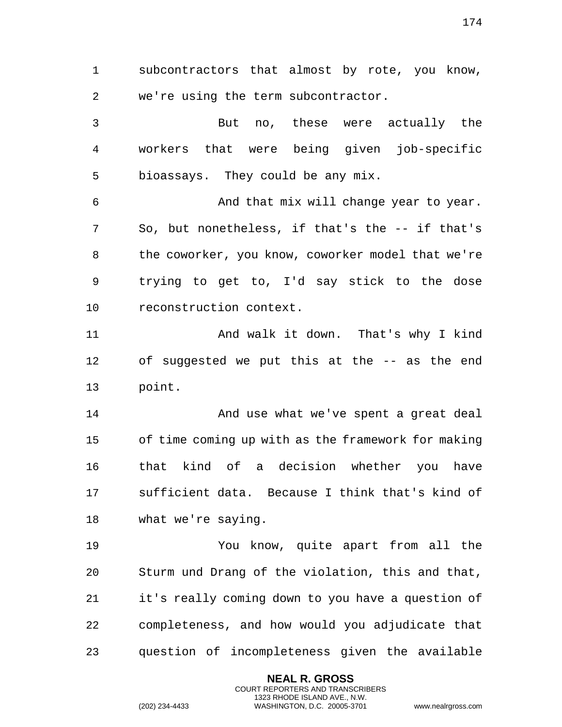subcontractors that almost by rote, you know, we're using the term subcontractor. But no, these were actually the workers that were being given job-specific bioassays. They could be any mix. And that mix will change year to year. So, but nonetheless, if that's the -- if that's the coworker, you know, coworker model that we're trying to get to, I'd say stick to the dose reconstruction context. And walk it down. That's why I kind of suggested we put this at the -- as the end point. 14 And use what we've spent a great deal of time coming up with as the framework for making that kind of a decision whether you have sufficient data. Because I think that's kind of what we're saying. You know, quite apart from all the Sturm und Drang of the violation, this and that, it's really coming down to you have a question of completeness, and how would you adjudicate that question of incompleteness given the available

> **NEAL R. GROSS** COURT REPORTERS AND TRANSCRIBERS 1323 RHODE ISLAND AVE., N.W.

(202) 234-4433 WASHINGTON, D.C. 20005-3701 www.nealrgross.com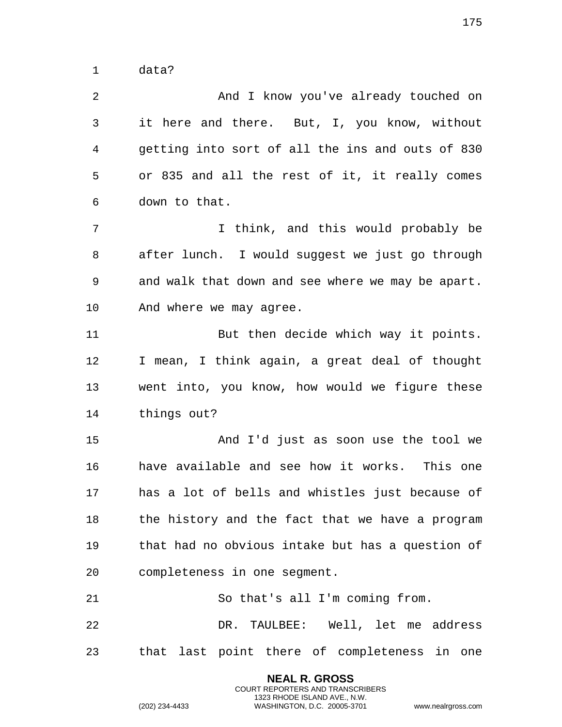data?

 And I know you've already touched on it here and there. But, I, you know, without getting into sort of all the ins and outs of 830 or 835 and all the rest of it, it really comes down to that. I think, and this would probably be after lunch. I would suggest we just go through and walk that down and see where we may be apart. And where we may agree. But then decide which way it points. I mean, I think again, a great deal of thought went into, you know, how would we figure these things out? And I'd just as soon use the tool we have available and see how it works. This one has a lot of bells and whistles just because of 18 the history and the fact that we have a program that had no obvious intake but has a question of completeness in one segment. So that's all I'm coming from. DR. TAULBEE: Well, let me address that last point there of completeness in one

> **NEAL R. GROSS** COURT REPORTERS AND TRANSCRIBERS 1323 RHODE ISLAND AVE., N.W.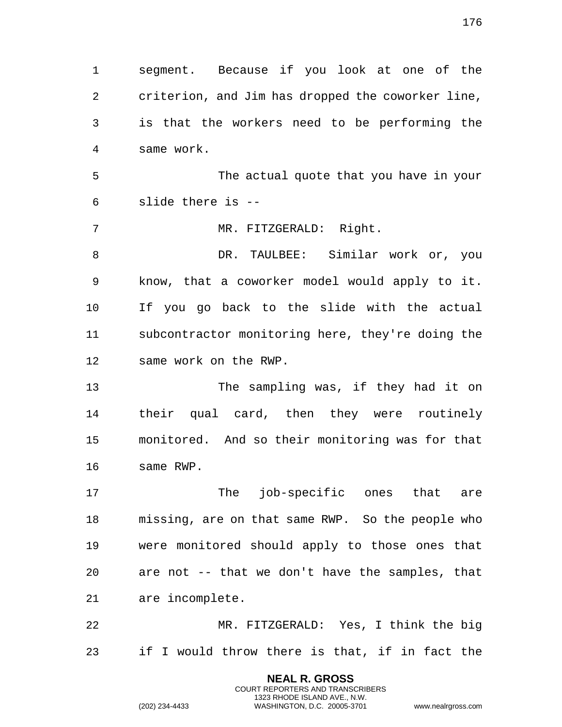segment. Because if you look at one of the criterion, and Jim has dropped the coworker line, is that the workers need to be performing the same work. The actual quote that you have in your slide there is -- MR. FITZGERALD: Right. DR. TAULBEE: Similar work or, you know, that a coworker model would apply to it. If you go back to the slide with the actual subcontractor monitoring here, they're doing the same work on the RWP. The sampling was, if they had it on their qual card, then they were routinely monitored. And so their monitoring was for that same RWP. 17 The job-specific ones that are missing, are on that same RWP. So the people who were monitored should apply to those ones that are not -- that we don't have the samples, that are incomplete. MR. FITZGERALD: Yes, I think the big if I would throw there is that, if in fact the

> **NEAL R. GROSS** COURT REPORTERS AND TRANSCRIBERS 1323 RHODE ISLAND AVE., N.W.

(202) 234-4433 WASHINGTON, D.C. 20005-3701 www.nealrgross.com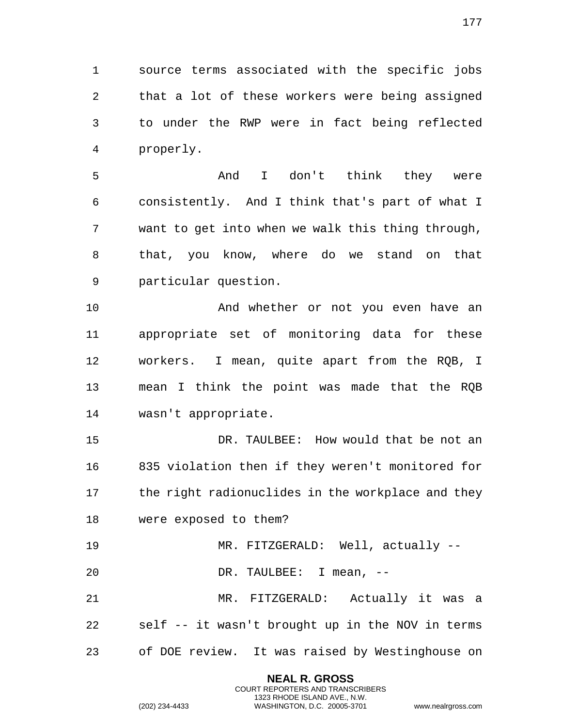source terms associated with the specific jobs that a lot of these workers were being assigned to under the RWP were in fact being reflected properly.

 And I don't think they were consistently. And I think that's part of what I want to get into when we walk this thing through, that, you know, where do we stand on that particular question.

 And whether or not you even have an appropriate set of monitoring data for these workers. I mean, quite apart from the RQB, I mean I think the point was made that the RQB wasn't appropriate.

 DR. TAULBEE: How would that be not an 835 violation then if they weren't monitored for 17 the right radionuclides in the workplace and they were exposed to them?

MR. FITZGERALD: Well, actually --

DR. TAULBEE: I mean, --

 MR. FITZGERALD: Actually it was a self -- it wasn't brought up in the NOV in terms of DOE review. It was raised by Westinghouse on

> **NEAL R. GROSS** COURT REPORTERS AND TRANSCRIBERS 1323 RHODE ISLAND AVE., N.W.

(202) 234-4433 WASHINGTON, D.C. 20005-3701 www.nealrgross.com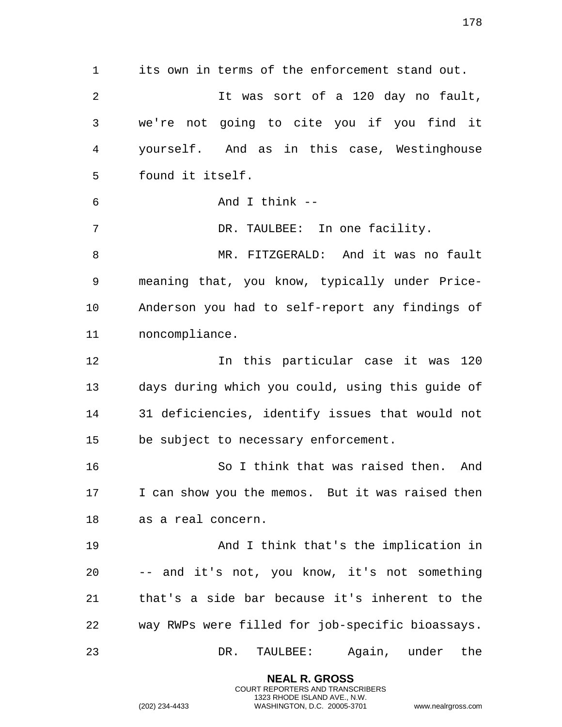its own in terms of the enforcement stand out. It was sort of a 120 day no fault, we're not going to cite you if you find it yourself. And as in this case, Westinghouse found it itself. And I think -- DR. TAULBEE: In one facility. MR. FITZGERALD: And it was no fault meaning that, you know, typically under Price- Anderson you had to self-report any findings of noncompliance. In this particular case it was 120 days during which you could, using this guide of 31 deficiencies, identify issues that would not be subject to necessary enforcement. So I think that was raised then. And I can show you the memos. But it was raised then as a real concern. And I think that's the implication in -- and it's not, you know, it's not something that's a side bar because it's inherent to the way RWPs were filled for job-specific bioassays. DR. TAULBEE: Again, under the

> **NEAL R. GROSS** COURT REPORTERS AND TRANSCRIBERS 1323 RHODE ISLAND AVE., N.W.

(202) 234-4433 WASHINGTON, D.C. 20005-3701 www.nealrgross.com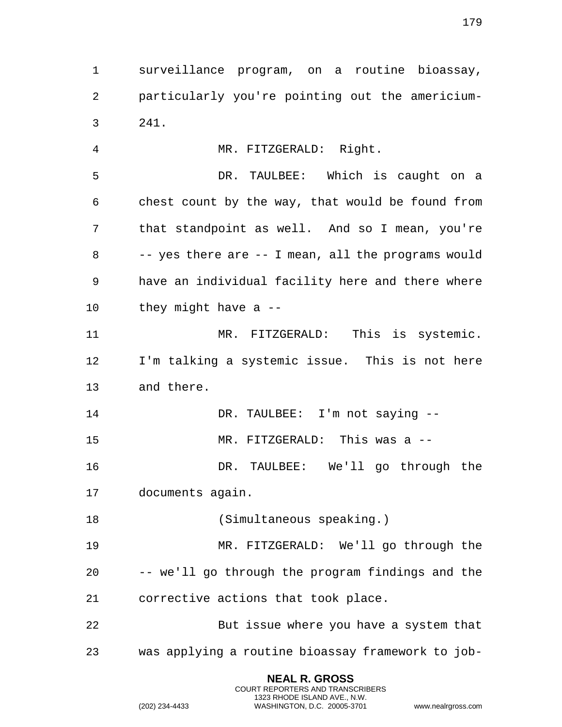surveillance program, on a routine bioassay, particularly you're pointing out the americium-241.

 MR. FITZGERALD: Right. DR. TAULBEE: Which is caught on a chest count by the way, that would be found from that standpoint as well. And so I mean, you're -- yes there are -- I mean, all the programs would have an individual facility here and there where they might have a -- MR. FITZGERALD: This is systemic. I'm talking a systemic issue. This is not here and there. DR. TAULBEE: I'm not saying -- MR. FITZGERALD: This was a -- DR. TAULBEE: We'll go through the documents again. 18 (Simultaneous speaking.) MR. FITZGERALD: We'll go through the -- we'll go through the program findings and the

 But issue where you have a system that was applying a routine bioassay framework to job-

> **NEAL R. GROSS** COURT REPORTERS AND TRANSCRIBERS 1323 RHODE ISLAND AVE., N.W. (202) 234-4433 WASHINGTON, D.C. 20005-3701 www.nealrgross.com

corrective actions that took place.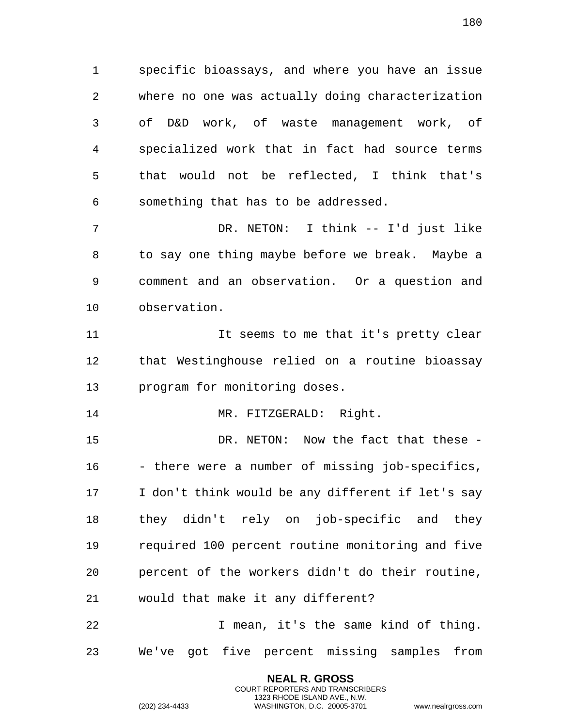specific bioassays, and where you have an issue where no one was actually doing characterization of D&D work, of waste management work, of specialized work that in fact had source terms that would not be reflected, I think that's something that has to be addressed.

 DR. NETON: I think -- I'd just like to say one thing maybe before we break. Maybe a comment and an observation. Or a question and observation.

 It seems to me that it's pretty clear that Westinghouse relied on a routine bioassay program for monitoring doses.

14 MR. FITZGERALD: Right.

 DR. NETON: Now the fact that these - - there were a number of missing job-specifics, I don't think would be any different if let's say they didn't rely on job-specific and they required 100 percent routine monitoring and five percent of the workers didn't do their routine, would that make it any different?

 I mean, it's the same kind of thing. We've got five percent missing samples from

> **NEAL R. GROSS** COURT REPORTERS AND TRANSCRIBERS 1323 RHODE ISLAND AVE., N.W.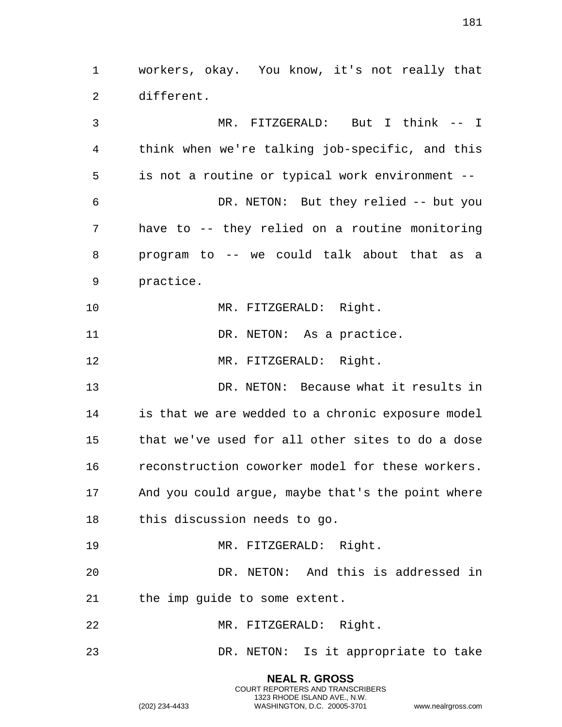workers, okay. You know, it's not really that different. MR. FITZGERALD: But I think -- I

 think when we're talking job-specific, and this is not a routine or typical work environment -- DR. NETON: But they relied -- but you have to -- they relied on a routine monitoring program to -- we could talk about that as a practice.

10 MR. FITZGERALD: Right.

11 DR. NETON: As a practice.

MR. FITZGERALD: Right.

 DR. NETON: Because what it results in is that we are wedded to a chronic exposure model that we've used for all other sites to do a dose reconstruction coworker model for these workers. And you could argue, maybe that's the point where this discussion needs to go.

MR. FITZGERALD: Right.

 DR. NETON: And this is addressed in the imp guide to some extent.

MR. FITZGERALD: Right.

DR. NETON: Is it appropriate to take

**NEAL R. GROSS** COURT REPORTERS AND TRANSCRIBERS 1323 RHODE ISLAND AVE., N.W.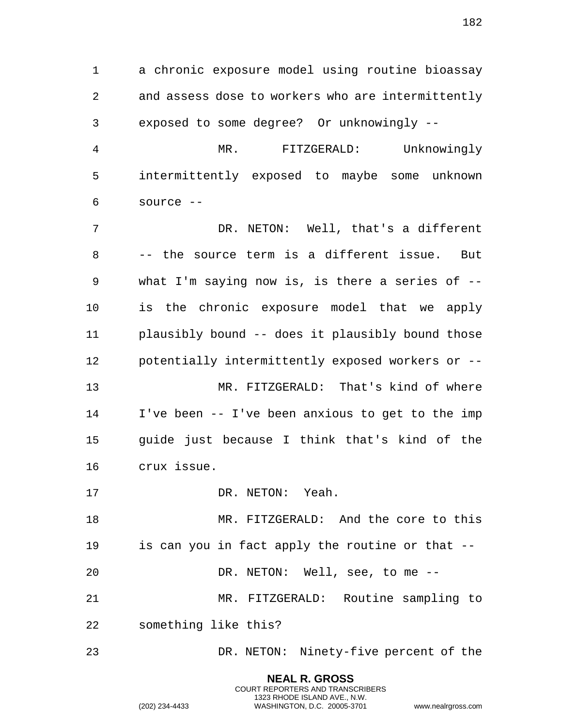a chronic exposure model using routine bioassay and assess dose to workers who are intermittently exposed to some degree? Or unknowingly --

 MR. FITZGERALD: Unknowingly intermittently exposed to maybe some unknown source --

 DR. NETON: Well, that's a different -- the source term is a different issue. But what I'm saying now is, is there a series of -- is the chronic exposure model that we apply plausibly bound -- does it plausibly bound those potentially intermittently exposed workers or -- MR. FITZGERALD: That's kind of where I've been -- I've been anxious to get to the imp guide just because I think that's kind of the crux issue.

17 DR. NETON: Yeah.

 MR. FITZGERALD: And the core to this is can you in fact apply the routine or that -- DR. NETON: Well, see, to me -- MR. FITZGERALD: Routine sampling to something like this?

DR. NETON: Ninety-five percent of the

**NEAL R. GROSS** COURT REPORTERS AND TRANSCRIBERS 1323 RHODE ISLAND AVE., N.W.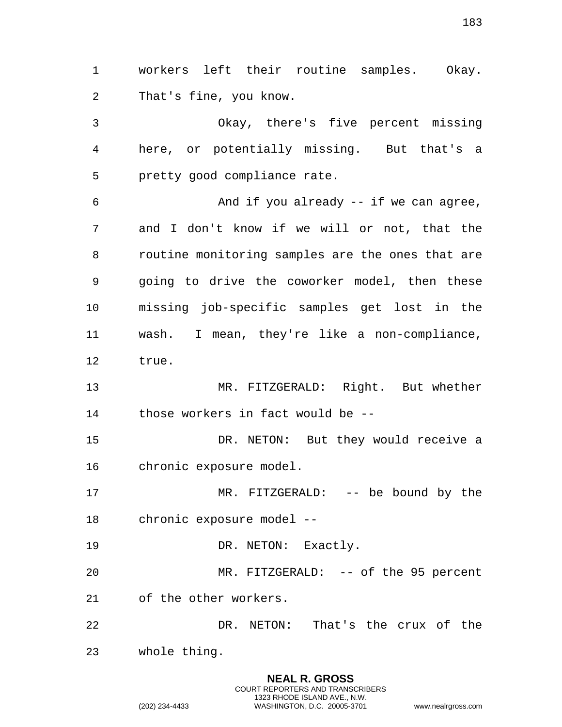That's fine, you know. Okay, there's five percent missing here, or potentially missing. But that's a pretty good compliance rate. And if you already -- if we can agree, and I don't know if we will or not, that the routine monitoring samples are the ones that are going to drive the coworker model, then these missing job-specific samples get lost in the wash. I mean, they're like a non-compliance, true. MR. FITZGERALD: Right. But whether those workers in fact would be -- DR. NETON: But they would receive a chronic exposure model. MR. FITZGERALD: -- be bound by the chronic exposure model -- 19 DR. NETON: Exactly. MR. FITZGERALD: -- of the 95 percent of the other workers.

workers left their routine samples. Okay.

 DR. NETON: That's the crux of the whole thing.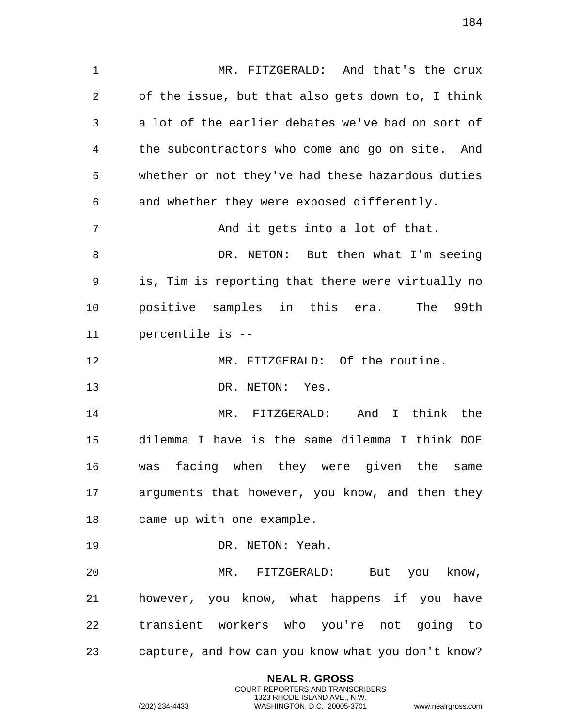MR. FITZGERALD: And that's the crux of the issue, but that also gets down to, I think a lot of the earlier debates we've had on sort of the subcontractors who come and go on site. And whether or not they've had these hazardous duties and whether they were exposed differently. And it gets into a lot of that.

 DR. NETON: But then what I'm seeing is, Tim is reporting that there were virtually no positive samples in this era. The 99th percentile is --

MR. FITZGERALD: Of the routine.

DR. NETON: Yes.

 MR. FITZGERALD: And I think the dilemma I have is the same dilemma I think DOE was facing when they were given the same arguments that however, you know, and then they came up with one example.

19 DR. NETON: Yeah.

 MR. FITZGERALD: But you know, however, you know, what happens if you have transient workers who you're not going to capture, and how can you know what you don't know?

> **NEAL R. GROSS** COURT REPORTERS AND TRANSCRIBERS 1323 RHODE ISLAND AVE., N.W.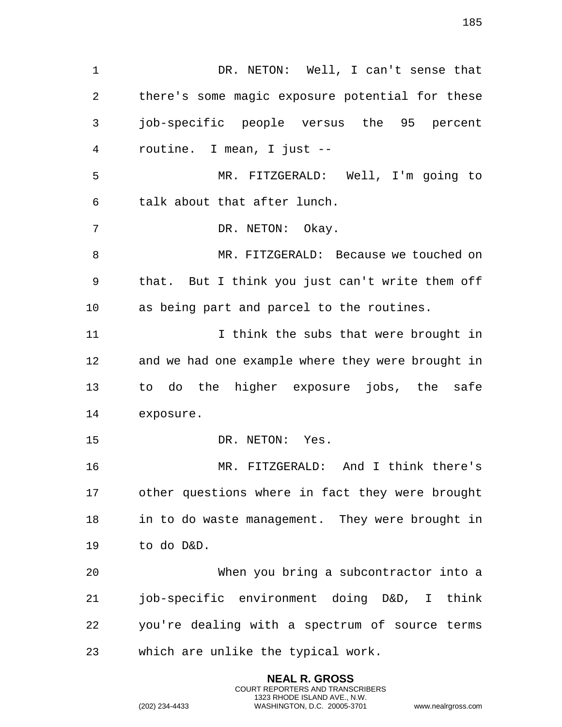DR. NETON: Well, I can't sense that there's some magic exposure potential for these job-specific people versus the 95 percent routine. I mean, I just -- MR. FITZGERALD: Well, I'm going to talk about that after lunch. DR. NETON: Okay. MR. FITZGERALD: Because we touched on that. But I think you just can't write them off as being part and parcel to the routines. 11 11 I think the subs that were brought in and we had one example where they were brought in to do the higher exposure jobs, the safe exposure. 15 DR. NETON: Yes. MR. FITZGERALD: And I think there's other questions where in fact they were brought in to do waste management. They were brought in to do D&D. When you bring a subcontractor into a job-specific environment doing D&D, I think you're dealing with a spectrum of source terms which are unlike the typical work.

> **NEAL R. GROSS** COURT REPORTERS AND TRANSCRIBERS 1323 RHODE ISLAND AVE., N.W.

(202) 234-4433 WASHINGTON, D.C. 20005-3701 www.nealrgross.com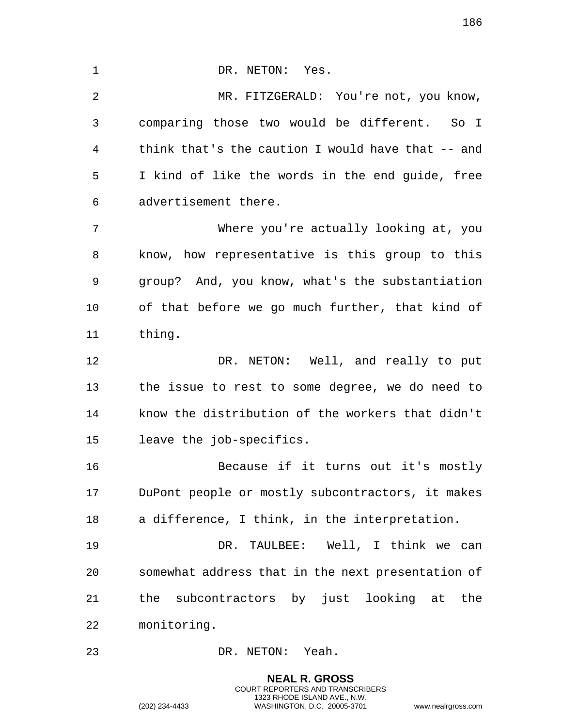1 DR. NETON: Yes. MR. FITZGERALD: You're not, you know, comparing those two would be different. So I think that's the caution I would have that -- and I kind of like the words in the end guide, free advertisement there. Where you're actually looking at, you know, how representative is this group to this group? And, you know, what's the substantiation of that before we go much further, that kind of thing. 12 DR. NETON: Well, and really to put the issue to rest to some degree, we do need to know the distribution of the workers that didn't leave the job-specifics. Because if it turns out it's mostly DuPont people or mostly subcontractors, it makes a difference, I think, in the interpretation. DR. TAULBEE: Well, I think we can somewhat address that in the next presentation of the subcontractors by just looking at the monitoring. DR. NETON: Yeah.

> **NEAL R. GROSS** COURT REPORTERS AND TRANSCRIBERS 1323 RHODE ISLAND AVE., N.W.

(202) 234-4433 WASHINGTON, D.C. 20005-3701 www.nealrgross.com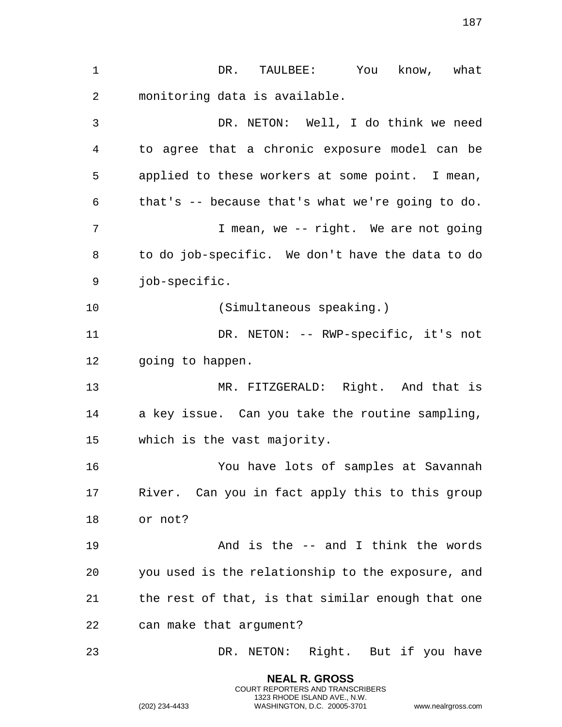DR. TAULBEE: You know, what monitoring data is available. DR. NETON: Well, I do think we need to agree that a chronic exposure model can be applied to these workers at some point. I mean, that's -- because that's what we're going to do. I mean, we -- right. We are not going to do job-specific. We don't have the data to do job-specific. (Simultaneous speaking.) DR. NETON: -- RWP-specific, it's not 12 going to happen. MR. FITZGERALD: Right. And that is a key issue. Can you take the routine sampling, which is the vast majority. You have lots of samples at Savannah River. Can you in fact apply this to this group or not? And is the -- and I think the words you used is the relationship to the exposure, and the rest of that, is that similar enough that one can make that argument? DR. NETON: Right. But if you have

> **NEAL R. GROSS** COURT REPORTERS AND TRANSCRIBERS 1323 RHODE ISLAND AVE., N.W.

(202) 234-4433 WASHINGTON, D.C. 20005-3701 www.nealrgross.com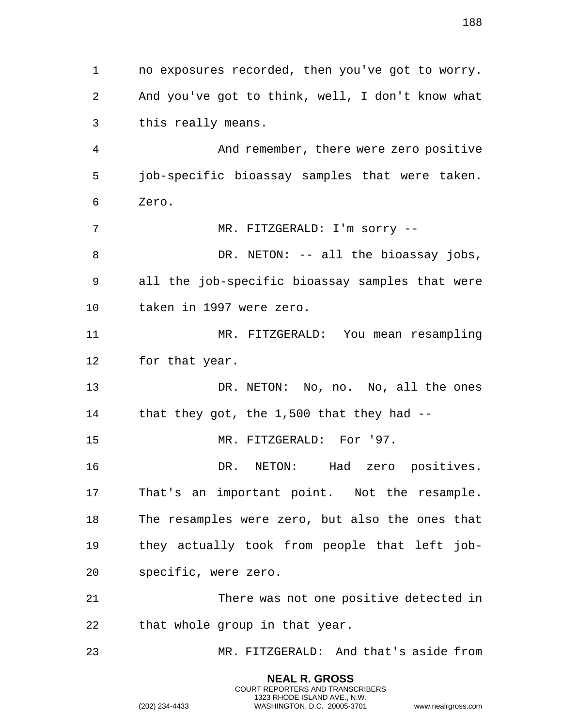no exposures recorded, then you've got to worry. And you've got to think, well, I don't know what this really means. And remember, there were zero positive job-specific bioassay samples that were taken. Zero. 7 MR. FITZGERALD: I'm sorry --8 DR. NETON: -- all the bioassay jobs, all the job-specific bioassay samples that were taken in 1997 were zero. MR. FITZGERALD: You mean resampling for that year. DR. NETON: No, no. No, all the ones that they got, the 1,500 that they had -- 15 MR. FITZGERALD: For '97. DR. NETON: Had zero positives. That's an important point. Not the resample. The resamples were zero, but also the ones that they actually took from people that left job- specific, were zero. There was not one positive detected in that whole group in that year. MR. FITZGERALD: And that's aside from

> **NEAL R. GROSS** COURT REPORTERS AND TRANSCRIBERS 1323 RHODE ISLAND AVE., N.W.

(202) 234-4433 WASHINGTON, D.C. 20005-3701 www.nealrgross.com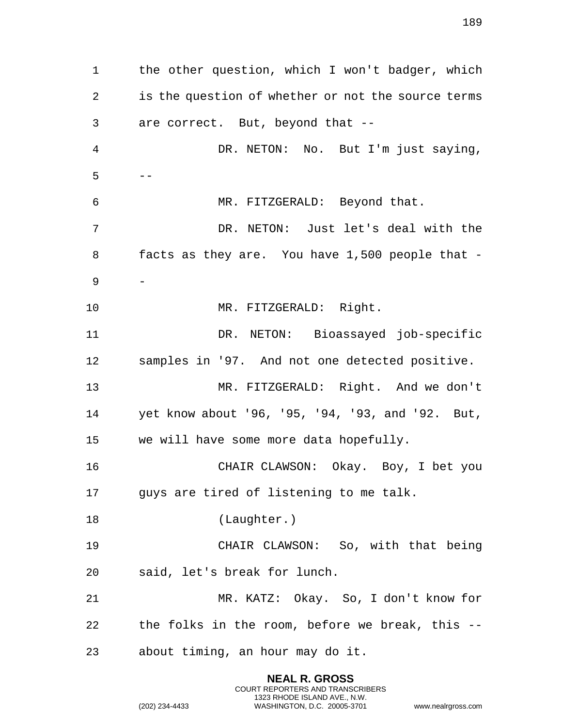the other question, which I won't badger, which is the question of whether or not the source terms are correct. But, beyond that -- DR. NETON: No. But I'm just saying,  $5 - -$  MR. FITZGERALD: Beyond that. DR. NETON: Just let's deal with the facts as they are. You have 1,500 people that - - 10 MR. FITZGERALD: Right. DR. NETON: Bioassayed job-specific samples in '97. And not one detected positive. MR. FITZGERALD: Right. And we don't yet know about '96, '95, '94, '93, and '92. But, we will have some more data hopefully. CHAIR CLAWSON: Okay. Boy, I bet you guys are tired of listening to me talk. 18 (Laughter.) CHAIR CLAWSON: So, with that being said, let's break for lunch. MR. KATZ: Okay. So, I don't know for the folks in the room, before we break, this -- about timing, an hour may do it.

> **NEAL R. GROSS** COURT REPORTERS AND TRANSCRIBERS 1323 RHODE ISLAND AVE., N.W.

(202) 234-4433 WASHINGTON, D.C. 20005-3701 www.nealrgross.com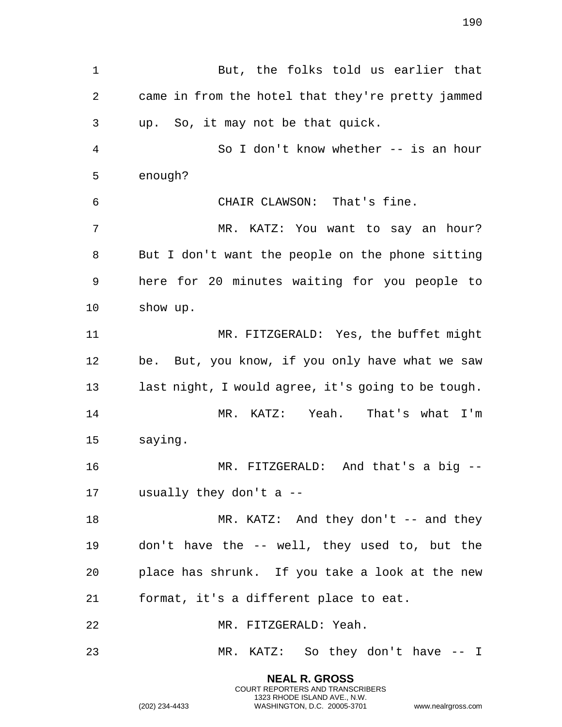But, the folks told us earlier that came in from the hotel that they're pretty jammed up. So, it may not be that quick. So I don't know whether -- is an hour enough? CHAIR CLAWSON: That's fine. MR. KATZ: You want to say an hour? But I don't want the people on the phone sitting here for 20 minutes waiting for you people to show up. MR. FITZGERALD: Yes, the buffet might be. But, you know, if you only have what we saw last night, I would agree, it's going to be tough. MR. KATZ: Yeah. That's what I'm saying. MR. FITZGERALD: And that's a big -- usually they don't a -- 18 MR. KATZ: And they don't -- and they don't have the -- well, they used to, but the place has shrunk. If you take a look at the new format, it's a different place to eat. MR. FITZGERALD: Yeah. MR. KATZ: So they don't have -- I

> **NEAL R. GROSS** COURT REPORTERS AND TRANSCRIBERS 1323 RHODE ISLAND AVE., N.W.

(202) 234-4433 WASHINGTON, D.C. 20005-3701 www.nealrgross.com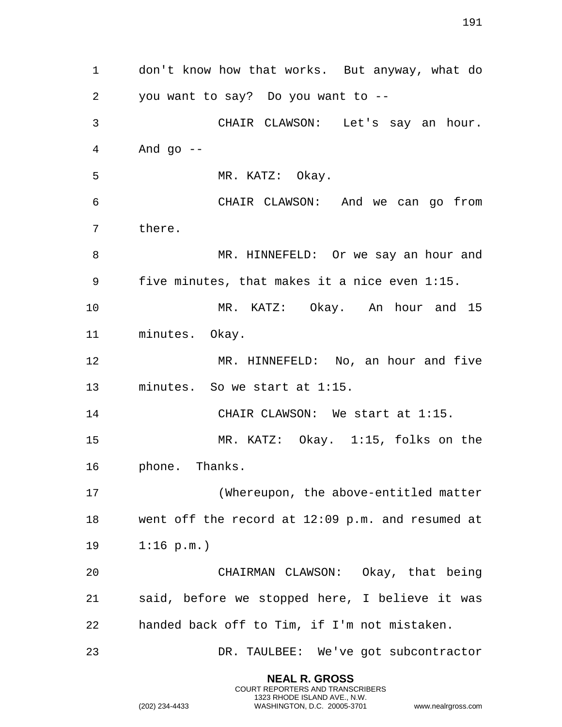don't know how that works. But anyway, what do you want to say? Do you want to -- CHAIR CLAWSON: Let's say an hour. And  $90$   $-$ 5 MR. KATZ: Okay. CHAIR CLAWSON: And we can go from there. MR. HINNEFELD: Or we say an hour and five minutes, that makes it a nice even 1:15. MR. KATZ: Okay. An hour and 15 minutes. Okay. MR. HINNEFELD: No, an hour and five minutes. So we start at 1:15. CHAIR CLAWSON: We start at 1:15. MR. KATZ: Okay. 1:15, folks on the phone. Thanks. (Whereupon, the above-entitled matter went off the record at 12:09 p.m. and resumed at 1:16 p.m.) CHAIRMAN CLAWSON: Okay, that being said, before we stopped here, I believe it was handed back off to Tim, if I'm not mistaken. DR. TAULBEE: We've got subcontractor

> **NEAL R. GROSS** COURT REPORTERS AND TRANSCRIBERS 1323 RHODE ISLAND AVE., N.W.

(202) 234-4433 WASHINGTON, D.C. 20005-3701 www.nealrgross.com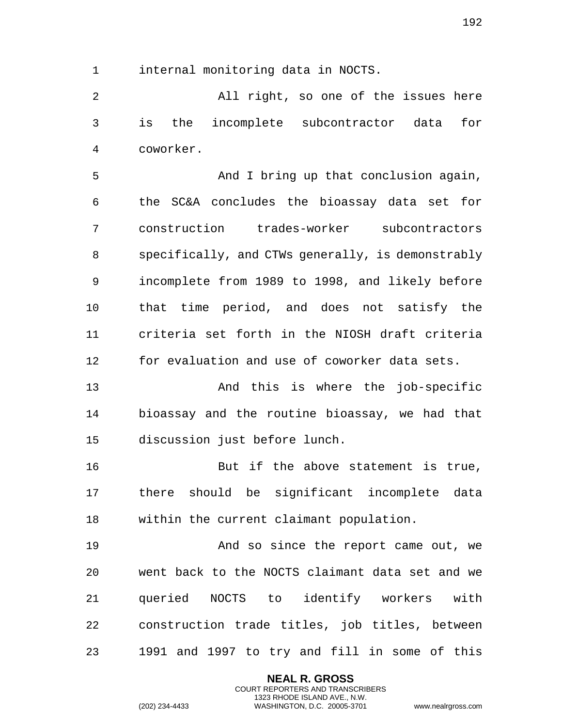internal monitoring data in NOCTS.

 All right, so one of the issues here is the incomplete subcontractor data for coworker.

5 And I bring up that conclusion again, the SC&A concludes the bioassay data set for construction trades-worker subcontractors specifically, and CTWs generally, is demonstrably incomplete from 1989 to 1998, and likely before that time period, and does not satisfy the criteria set forth in the NIOSH draft criteria for evaluation and use of coworker data sets.

 And this is where the job-specific bioassay and the routine bioassay, we had that discussion just before lunch.

 But if the above statement is true, there should be significant incomplete data within the current claimant population.

**And so since the report came out, we**  went back to the NOCTS claimant data set and we queried NOCTS to identify workers with construction trade titles, job titles, between 1991 and 1997 to try and fill in some of this

> **NEAL R. GROSS** COURT REPORTERS AND TRANSCRIBERS 1323 RHODE ISLAND AVE., N.W.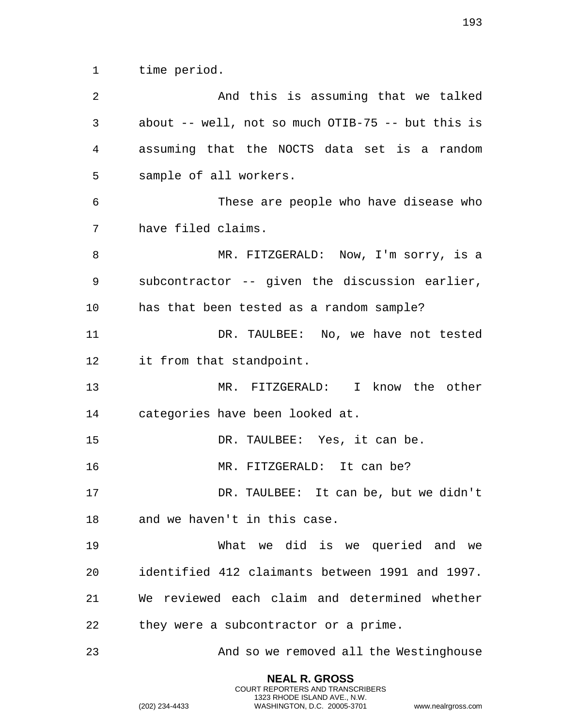time period.

 And this is assuming that we talked about -- well, not so much OTIB-75 -- but this is assuming that the NOCTS data set is a random sample of all workers. These are people who have disease who have filed claims. 8 MR. FITZGERALD: Now, I'm sorry, is a subcontractor -- given the discussion earlier, has that been tested as a random sample? DR. TAULBEE: No, we have not tested it from that standpoint. MR. FITZGERALD: I know the other categories have been looked at. DR. TAULBEE: Yes, it can be. MR. FITZGERALD: It can be? DR. TAULBEE: It can be, but we didn't and we haven't in this case. What we did is we queried and we identified 412 claimants between 1991 and 1997. We reviewed each claim and determined whether they were a subcontractor or a prime. And so we removed all the Westinghouse

> **NEAL R. GROSS** COURT REPORTERS AND TRANSCRIBERS 1323 RHODE ISLAND AVE., N.W.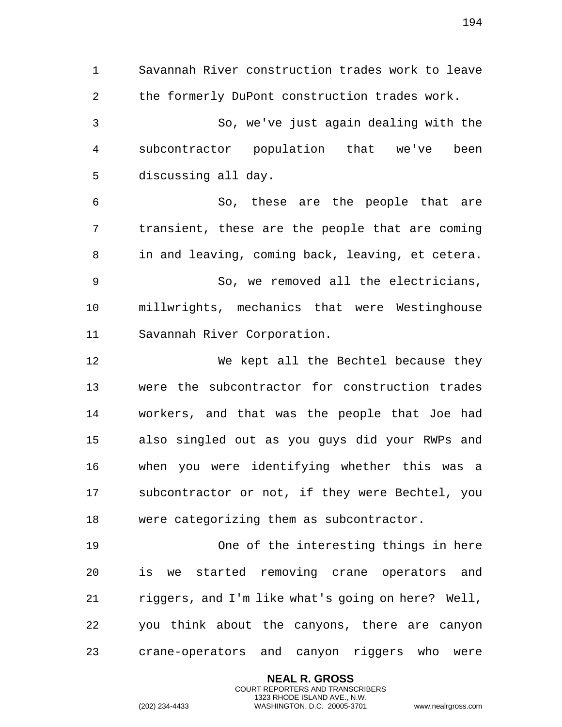Savannah River construction trades work to leave the formerly DuPont construction trades work. So, we've just again dealing with the subcontractor population that we've been discussing all day. So, these are the people that are transient, these are the people that are coming in and leaving, coming back, leaving, et cetera. So, we removed all the electricians, millwrights, mechanics that were Westinghouse Savannah River Corporation. We kept all the Bechtel because they were the subcontractor for construction trades workers, and that was the people that Joe had also singled out as you guys did your RWPs and when you were identifying whether this was a subcontractor or not, if they were Bechtel, you were categorizing them as subcontractor. One of the interesting things in here

 is we started removing crane operators and riggers, and I'm like what's going on here? Well, you think about the canyons, there are canyon crane-operators and canyon riggers who were

> **NEAL R. GROSS** COURT REPORTERS AND TRANSCRIBERS 1323 RHODE ISLAND AVE., N.W.

(202) 234-4433 WASHINGTON, D.C. 20005-3701 www.nealrgross.com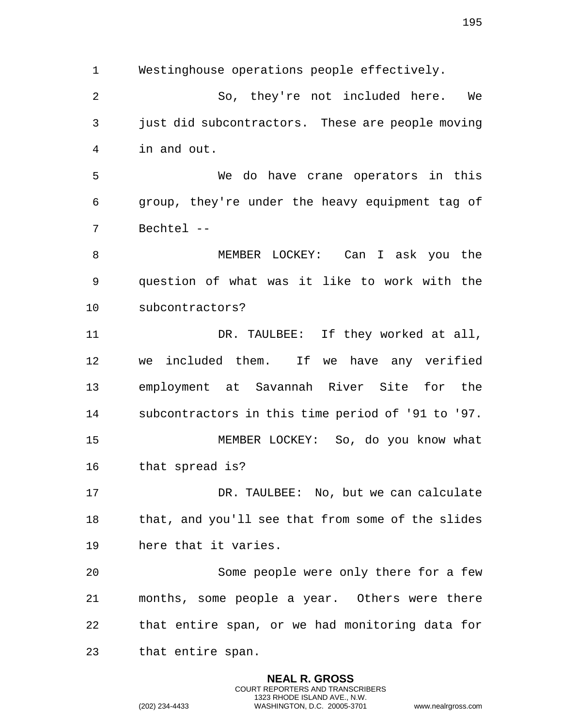Westinghouse operations people effectively.

 So, they're not included here. We just did subcontractors. These are people moving in and out.

 We do have crane operators in this group, they're under the heavy equipment tag of Bechtel --

 MEMBER LOCKEY: Can I ask you the question of what was it like to work with the subcontractors?

 DR. TAULBEE: If they worked at all, we included them. If we have any verified employment at Savannah River Site for the subcontractors in this time period of '91 to '97. MEMBER LOCKEY: So, do you know what

that spread is?

 DR. TAULBEE: No, but we can calculate that, and you'll see that from some of the slides here that it varies.

 Some people were only there for a few months, some people a year. Others were there that entire span, or we had monitoring data for that entire span.

> **NEAL R. GROSS** COURT REPORTERS AND TRANSCRIBERS 1323 RHODE ISLAND AVE., N.W.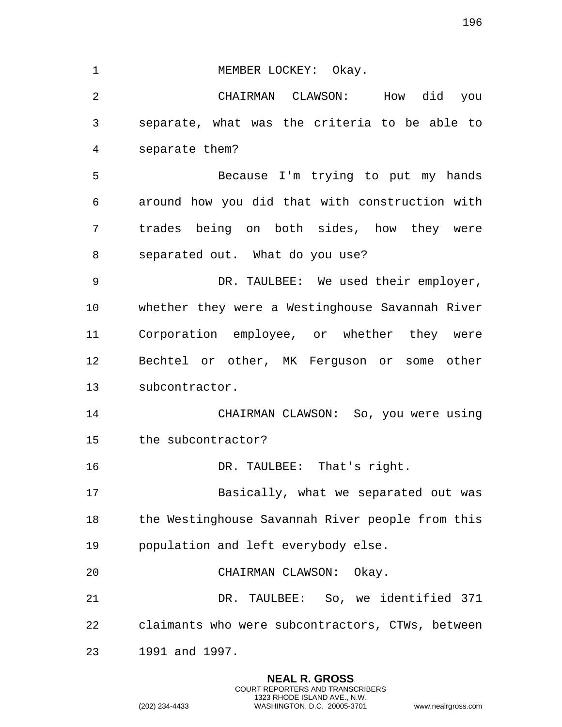1 MEMBER LOCKEY: Okay. CHAIRMAN CLAWSON: How did you separate, what was the criteria to be able to separate them? Because I'm trying to put my hands around how you did that with construction with trades being on both sides, how they were separated out. What do you use? DR. TAULBEE: We used their employer, whether they were a Westinghouse Savannah River Corporation employee, or whether they were Bechtel or other, MK Ferguson or some other subcontractor. CHAIRMAN CLAWSON: So, you were using the subcontractor? 16 DR. TAULBEE: That's right. Basically, what we separated out was the Westinghouse Savannah River people from this population and left everybody else. CHAIRMAN CLAWSON: Okay. DR. TAULBEE: So, we identified 371 claimants who were subcontractors, CTWs, between 1991 and 1997.

> **NEAL R. GROSS** COURT REPORTERS AND TRANSCRIBERS 1323 RHODE ISLAND AVE., N.W.

(202) 234-4433 WASHINGTON, D.C. 20005-3701 www.nealrgross.com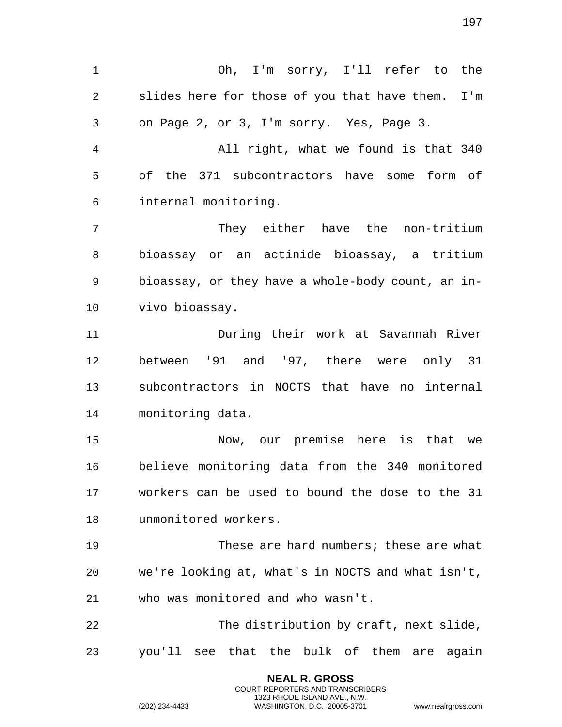Oh, I'm sorry, I'll refer to the slides here for those of you that have them. I'm on Page 2, or 3, I'm sorry. Yes, Page 3. All right, what we found is that 340 of the 371 subcontractors have some form of internal monitoring. They either have the non-tritium bioassay or an actinide bioassay, a tritium bioassay, or they have a whole-body count, an in- vivo bioassay. During their work at Savannah River between '91 and '97, there were only 31 subcontractors in NOCTS that have no internal monitoring data. Now, our premise here is that we believe monitoring data from the 340 monitored workers can be used to bound the dose to the 31 unmonitored workers. These are hard numbers; these are what we're looking at, what's in NOCTS and what isn't, who was monitored and who wasn't. The distribution by craft, next slide, you'll see that the bulk of them are again

> **NEAL R. GROSS** COURT REPORTERS AND TRANSCRIBERS 1323 RHODE ISLAND AVE., N.W.

(202) 234-4433 WASHINGTON, D.C. 20005-3701 www.nealrgross.com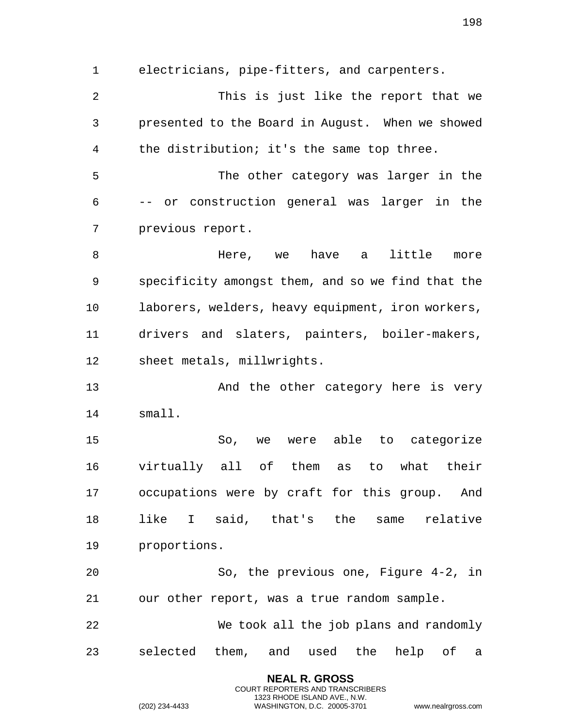electricians, pipe-fitters, and carpenters. This is just like the report that we presented to the Board in August. When we showed the distribution; it's the same top three. The other category was larger in the -- or construction general was larger in the previous report. 8 Mere, we have a little more specificity amongst them, and so we find that the laborers, welders, heavy equipment, iron workers, drivers and slaters, painters, boiler-makers, sheet metals, millwrights. And the other category here is very small. So, we were able to categorize virtually all of them as to what their occupations were by craft for this group. And like I said, that's the same relative proportions. So, the previous one, Figure 4-2, in our other report, was a true random sample. We took all the job plans and randomly selected them, and used the help of a

> **NEAL R. GROSS** COURT REPORTERS AND TRANSCRIBERS 1323 RHODE ISLAND AVE., N.W.

(202) 234-4433 WASHINGTON, D.C. 20005-3701 www.nealrgross.com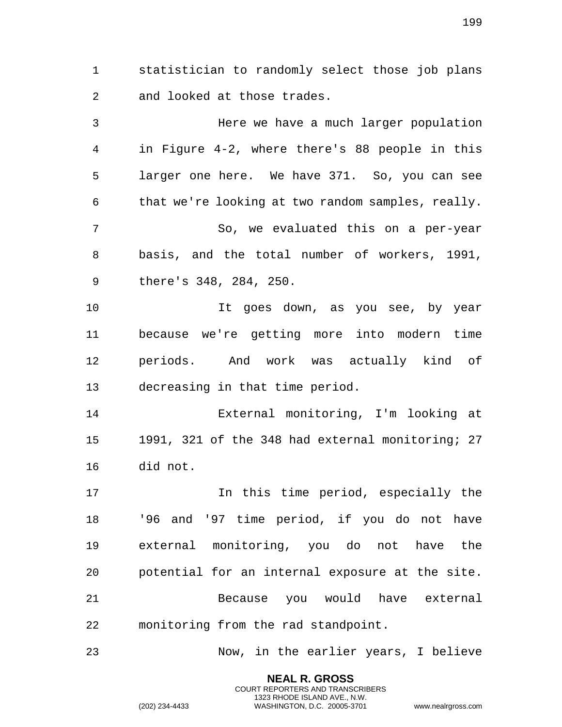statistician to randomly select those job plans and looked at those trades.

 Here we have a much larger population in Figure 4-2, where there's 88 people in this larger one here. We have 371. So, you can see that we're looking at two random samples, really. So, we evaluated this on a per-year basis, and the total number of workers, 1991, there's 348, 284, 250. It goes down, as you see, by year because we're getting more into modern time periods. And work was actually kind of decreasing in that time period. External monitoring, I'm looking at 1991, 321 of the 348 had external monitoring; 27 did not. 17 17 In this time period, especially the '96 and '97 time period, if you do not have external monitoring, you do not have the potential for an internal exposure at the site. Because you would have external monitoring from the rad standpoint. Now, in the earlier years, I believe

> **NEAL R. GROSS** COURT REPORTERS AND TRANSCRIBERS 1323 RHODE ISLAND AVE., N.W.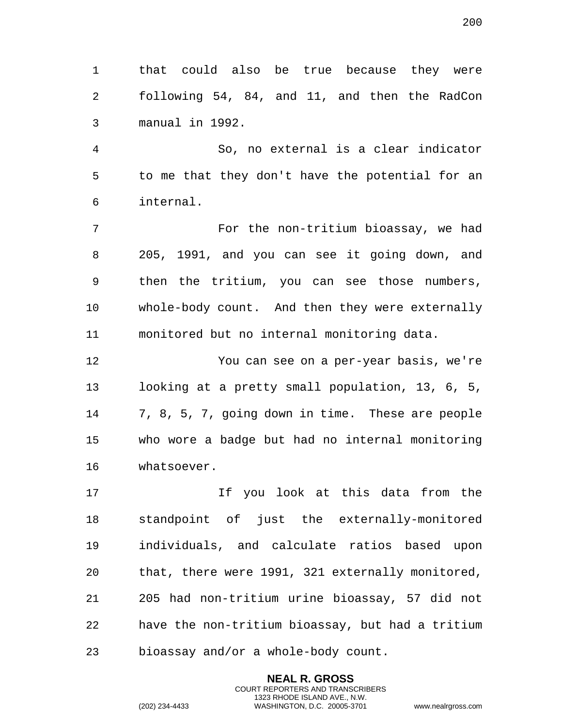that could also be true because they were following 54, 84, and 11, and then the RadCon manual in 1992.

 So, no external is a clear indicator to me that they don't have the potential for an internal.

 For the non-tritium bioassay, we had 205, 1991, and you can see it going down, and then the tritium, you can see those numbers, whole-body count. And then they were externally monitored but no internal monitoring data.

 You can see on a per-year basis, we're looking at a pretty small population, 13, 6, 5, 7, 8, 5, 7, going down in time. These are people who wore a badge but had no internal monitoring whatsoever.

 If you look at this data from the standpoint of just the externally-monitored individuals, and calculate ratios based upon that, there were 1991, 321 externally monitored, 205 had non-tritium urine bioassay, 57 did not have the non-tritium bioassay, but had a tritium bioassay and/or a whole-body count.

> **NEAL R. GROSS** COURT REPORTERS AND TRANSCRIBERS 1323 RHODE ISLAND AVE., N.W.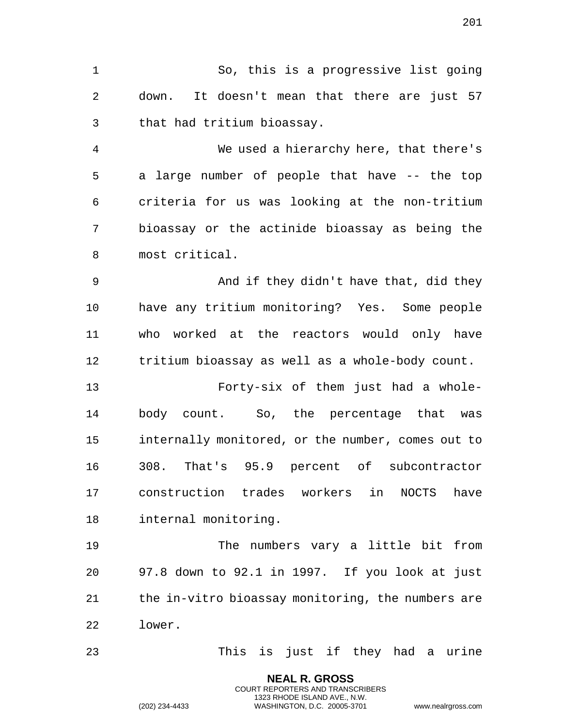So, this is a progressive list going down. It doesn't mean that there are just 57 that had tritium bioassay.

 We used a hierarchy here, that there's a large number of people that have -- the top criteria for us was looking at the non-tritium bioassay or the actinide bioassay as being the most critical.

 And if they didn't have that, did they have any tritium monitoring? Yes. Some people who worked at the reactors would only have tritium bioassay as well as a whole-body count.

 Forty-six of them just had a whole- body count. So, the percentage that was internally monitored, or the number, comes out to 308. That's 95.9 percent of subcontractor construction trades workers in NOCTS have internal monitoring.

 The numbers vary a little bit from 97.8 down to 92.1 in 1997. If you look at just the in-vitro bioassay monitoring, the numbers are lower.

This is just if they had a urine

**NEAL R. GROSS** COURT REPORTERS AND TRANSCRIBERS 1323 RHODE ISLAND AVE., N.W.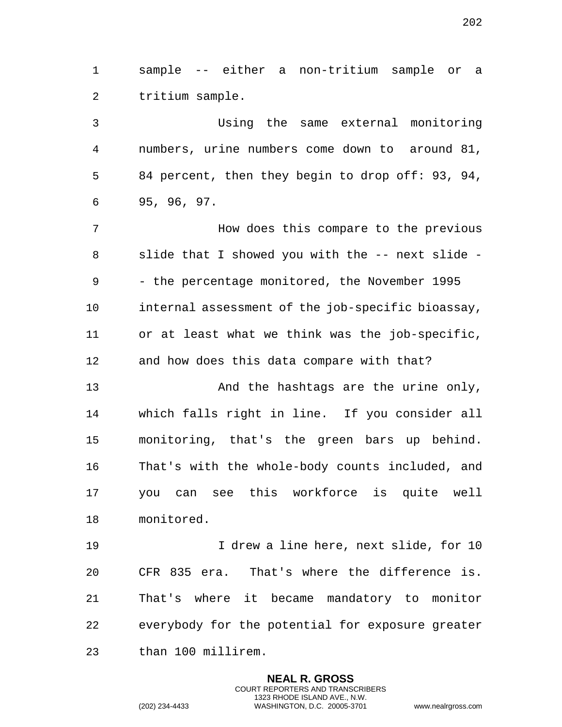sample -- either a non-tritium sample or a tritium sample.

 Using the same external monitoring numbers, urine numbers come down to around 81, 84 percent, then they begin to drop off: 93, 94, 95, 96, 97.

 How does this compare to the previous slide that I showed you with the -- next slide - - the percentage monitored, the November 1995 internal assessment of the job-specific bioassay, or at least what we think was the job-specific, and how does this data compare with that?

 And the hashtags are the urine only, which falls right in line. If you consider all monitoring, that's the green bars up behind. That's with the whole-body counts included, and you can see this workforce is quite well monitored.

 I drew a line here, next slide, for 10 CFR 835 era. That's where the difference is. That's where it became mandatory to monitor everybody for the potential for exposure greater than 100 millirem.

> **NEAL R. GROSS** COURT REPORTERS AND TRANSCRIBERS 1323 RHODE ISLAND AVE., N.W.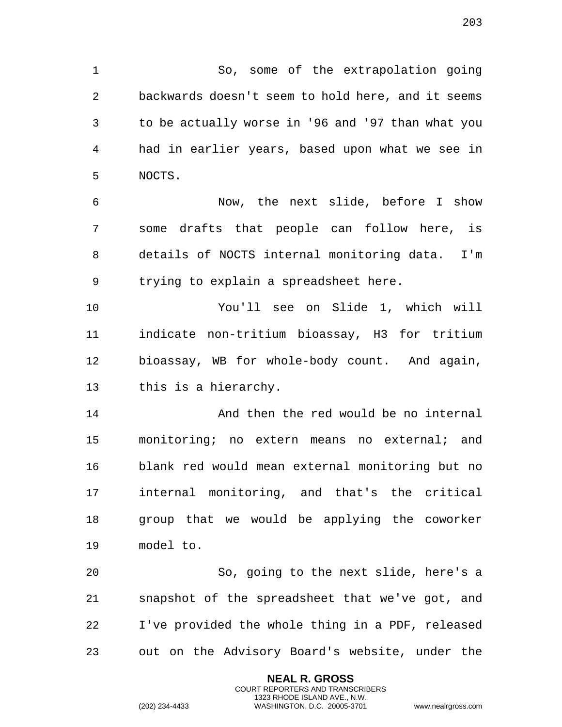So, some of the extrapolation going backwards doesn't seem to hold here, and it seems to be actually worse in '96 and '97 than what you had in earlier years, based upon what we see in NOCTS.

 Now, the next slide, before I show some drafts that people can follow here, is details of NOCTS internal monitoring data. I'm trying to explain a spreadsheet here.

 You'll see on Slide 1, which will indicate non-tritium bioassay, H3 for tritium bioassay, WB for whole-body count. And again, this is a hierarchy.

14 And then the red would be no internal monitoring; no extern means no external; and blank red would mean external monitoring but no internal monitoring, and that's the critical group that we would be applying the coworker model to.

 So, going to the next slide, here's a snapshot of the spreadsheet that we've got, and I've provided the whole thing in a PDF, released out on the Advisory Board's website, under the

> **NEAL R. GROSS** COURT REPORTERS AND TRANSCRIBERS 1323 RHODE ISLAND AVE., N.W.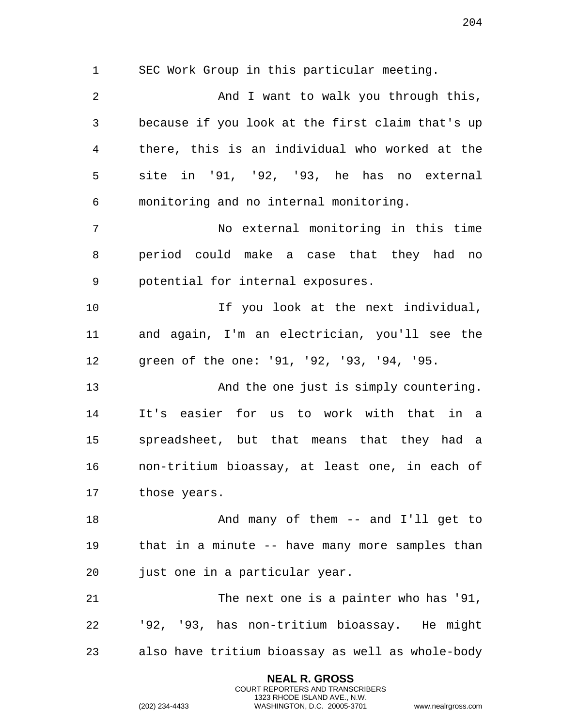SEC Work Group in this particular meeting.

 And I want to walk you through this, because if you look at the first claim that's up there, this is an individual who worked at the site in '91, '92, '93, he has no external monitoring and no internal monitoring. No external monitoring in this time period could make a case that they had no potential for internal exposures. If you look at the next individual, and again, I'm an electrician, you'll see the green of the one: '91, '92, '93, '94, '95. And the one just is simply countering. It's easier for us to work with that in a spreadsheet, but that means that they had a non-tritium bioassay, at least one, in each of those years. 18 And many of them -- and I'll get to that in a minute -- have many more samples than just one in a particular year. 21 The next one is a painter who has '91, '92, '93, has non-tritium bioassay. He might also have tritium bioassay as well as whole-body

> **NEAL R. GROSS** COURT REPORTERS AND TRANSCRIBERS 1323 RHODE ISLAND AVE., N.W.

(202) 234-4433 WASHINGTON, D.C. 20005-3701 www.nealrgross.com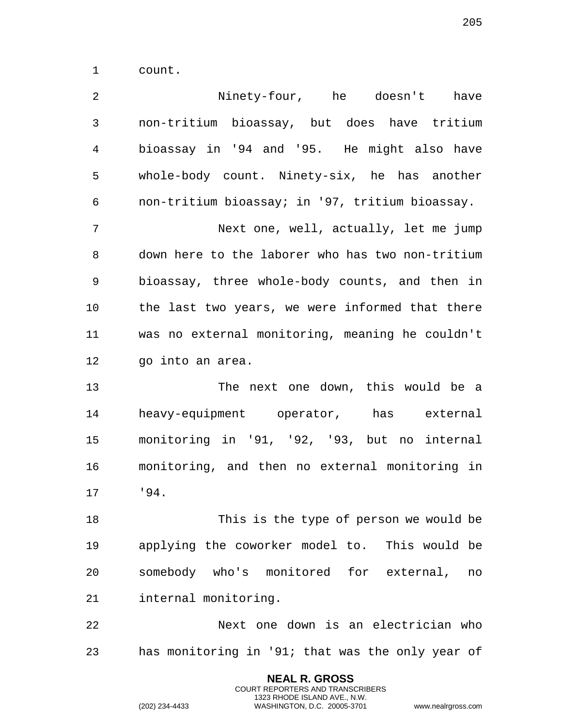count.

| 2              | Ninety-four, he doesn't have                     |
|----------------|--------------------------------------------------|
| $\mathfrak{Z}$ | non-tritium bioassay, but does have tritium      |
| $\overline{4}$ | bioassay in '94 and '95. He might also have      |
| 5              | whole-body count. Ninety-six, he has another     |
| 6              | non-tritium bioassay; in '97, tritium bioassay.  |
| 7              | Next one, well, actually, let me jump            |
| 8              | down here to the laborer who has two non-tritium |
| 9              | bioassay, three whole-body counts, and then in   |
| 10             | the last two years, we were informed that there  |
| 11             | was no external monitoring, meaning he couldn't  |
| 12             | go into an area.                                 |
| 13             | The next one down, this would be a               |
| 14             | heavy-equipment operator, has external           |
| 15             | monitoring in '91, '92, '93, but no internal     |
| 16             | monitoring, and then no external monitoring in   |
| 17             | 194.                                             |
| 18             | This is the type of person we would be           |
| 19             | applying the coworker model to. This would be    |
| 20             | somebody who's monitored for external,<br>no     |
| 21             | internal monitoring.                             |
| 22             | Next one down is an electrician who              |
| 23             | has monitoring in '91; that was the only year of |

**NEAL R. GROSS** COURT REPORTERS AND TRANSCRIBERS 1323 RHODE ISLAND AVE., N.W.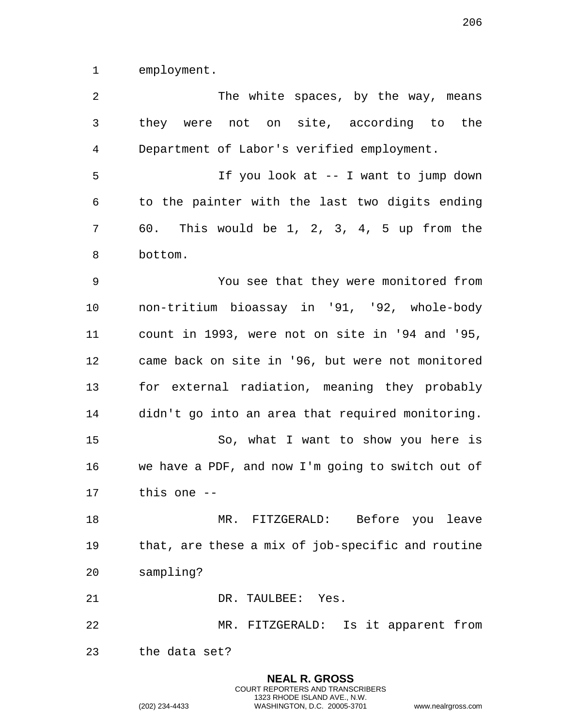employment.

| 2  | The white spaces, by the way, means               |
|----|---------------------------------------------------|
| 3  | they were not on site, according to the           |
| 4  | Department of Labor's verified employment.        |
| 5  | If you look at -- I want to jump down             |
| 6  | to the painter with the last two digits ending    |
| 7  | 60. This would be 1, 2, 3, 4, 5 up from the       |
| 8  | bottom.                                           |
| 9  | You see that they were monitored from             |
| 10 | non-tritium bioassay in '91, '92, whole-body      |
| 11 | count in 1993, were not on site in '94 and '95,   |
| 12 | came back on site in '96, but were not monitored  |
| 13 | for external radiation, meaning they probably     |
| 14 | didn't go into an area that required monitoring.  |
| 15 | So, what I want to show you here is               |
| 16 | we have a PDF, and now I'm going to switch out of |
| 17 | this one $-$                                      |
| 18 | MR. FITZGERALD: Before you leave                  |
| 19 | that, are these a mix of job-specific and routine |
| 20 | sampling?                                         |
| 21 | DR. TAULBEE: Yes.                                 |
| 22 | MR. FITZGERALD: Is it apparent from               |
| 23 | the data set?                                     |
|    | <b>NEAL R. GROSS</b>                              |

COURT REPORTERS AND TRANSCRIBERS 1323 RHODE ISLAND AVE., N.W.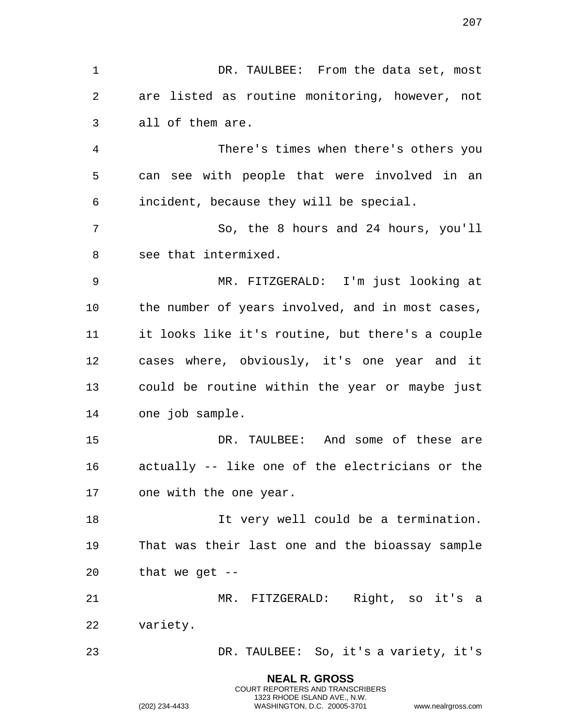**NEAL R. GROSS** DR. TAULBEE: From the data set, most are listed as routine monitoring, however, not all of them are. There's times when there's others you can see with people that were involved in an incident, because they will be special. So, the 8 hours and 24 hours, you'll see that intermixed. MR. FITZGERALD: I'm just looking at the number of years involved, and in most cases, it looks like it's routine, but there's a couple cases where, obviously, it's one year and it could be routine within the year or maybe just one job sample. DR. TAULBEE: And some of these are actually -- like one of the electricians or the one with the one year. It very well could be a termination. That was their last one and the bioassay sample that we get -- MR. FITZGERALD: Right, so it's a variety. DR. TAULBEE: So, it's a variety, it's

> COURT REPORTERS AND TRANSCRIBERS 1323 RHODE ISLAND AVE., N.W.

(202) 234-4433 WASHINGTON, D.C. 20005-3701 www.nealrgross.com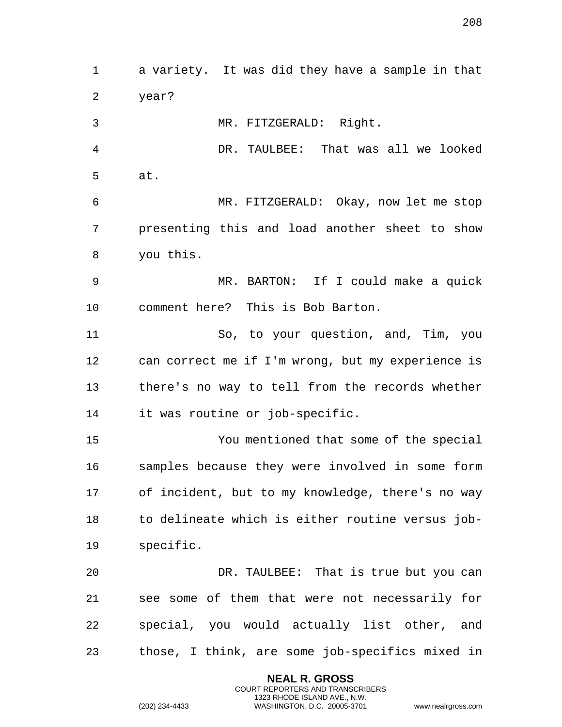a variety. It was did they have a sample in that year? MR. FITZGERALD: Right. DR. TAULBEE: That was all we looked at. MR. FITZGERALD: Okay, now let me stop presenting this and load another sheet to show you this. MR. BARTON: If I could make a quick comment here? This is Bob Barton. So, to your question, and, Tim, you can correct me if I'm wrong, but my experience is there's no way to tell from the records whether it was routine or job-specific. You mentioned that some of the special samples because they were involved in some form of incident, but to my knowledge, there's no way to delineate which is either routine versus job- specific. DR. TAULBEE: That is true but you can see some of them that were not necessarily for special, you would actually list other, and those, I think, are some job-specifics mixed in

> **NEAL R. GROSS** COURT REPORTERS AND TRANSCRIBERS 1323 RHODE ISLAND AVE., N.W.

(202) 234-4433 WASHINGTON, D.C. 20005-3701 www.nealrgross.com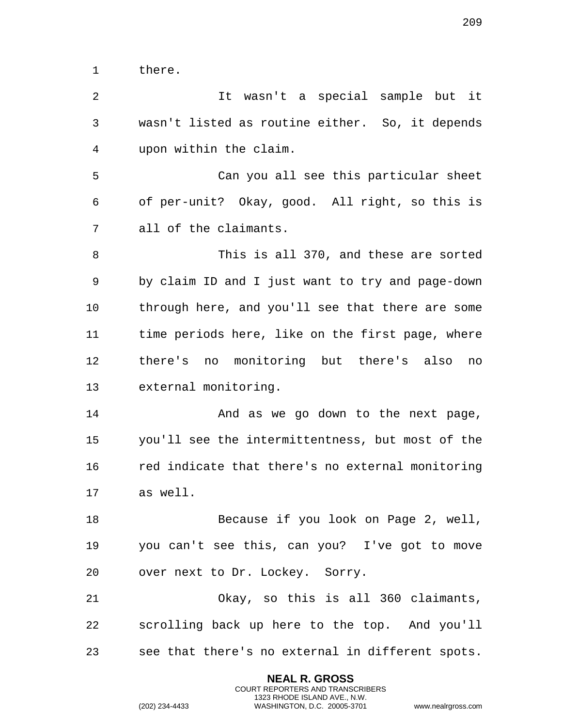there.

 It wasn't a special sample but it wasn't listed as routine either. So, it depends upon within the claim. Can you all see this particular sheet of per-unit? Okay, good. All right, so this is all of the claimants. This is all 370, and these are sorted by claim ID and I just want to try and page-down through here, and you'll see that there are some time periods here, like on the first page, where there's no monitoring but there's also no external monitoring. 14 And as we go down to the next page, you'll see the intermittentness, but most of the red indicate that there's no external monitoring as well. Because if you look on Page 2, well, you can't see this, can you? I've got to move over next to Dr. Lockey. Sorry. Okay, so this is all 360 claimants, scrolling back up here to the top. And you'll see that there's no external in different spots.

> **NEAL R. GROSS** COURT REPORTERS AND TRANSCRIBERS 1323 RHODE ISLAND AVE., N.W.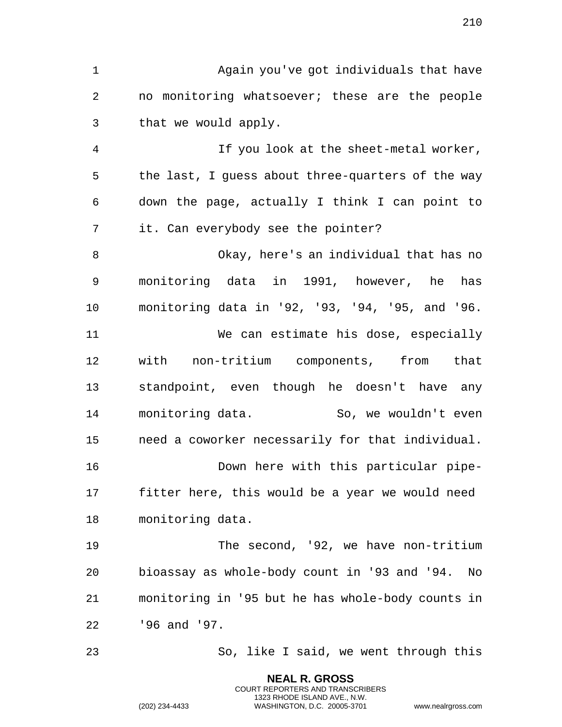Again you've got individuals that have no monitoring whatsoever; these are the people that we would apply.

 If you look at the sheet-metal worker, the last, I guess about three-quarters of the way down the page, actually I think I can point to it. Can everybody see the pointer?

 Okay, here's an individual that has no monitoring data in 1991, however, he has monitoring data in '92, '93, '94, '95, and '96. We can estimate his dose, especially with non-tritium components, from that standpoint, even though he doesn't have any 14 monitoring data. So, we wouldn't even need a coworker necessarily for that individual. Down here with this particular pipe- fitter here, this would be a year we would need monitoring data.

 The second, '92, we have non-tritium bioassay as whole-body count in '93 and '94. No monitoring in '95 but he has whole-body counts in '96 and '97.

So, like I said, we went through this

**NEAL R. GROSS** COURT REPORTERS AND TRANSCRIBERS 1323 RHODE ISLAND AVE., N.W.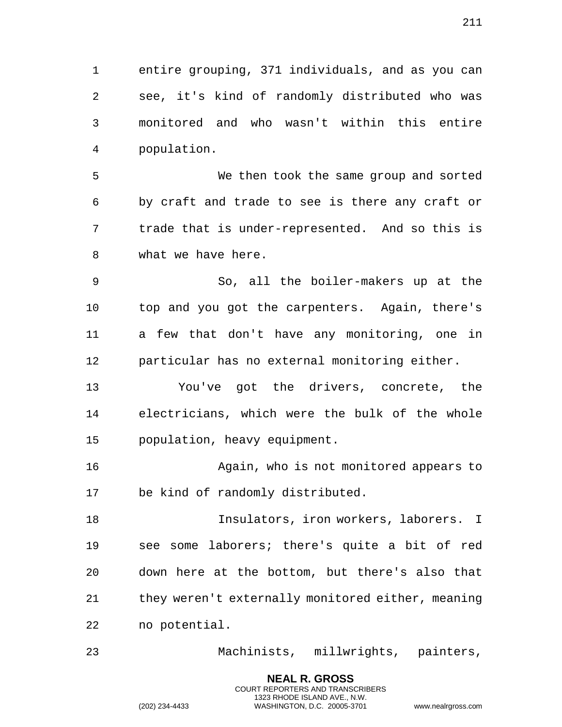entire grouping, 371 individuals, and as you can see, it's kind of randomly distributed who was monitored and who wasn't within this entire population.

 We then took the same group and sorted by craft and trade to see is there any craft or trade that is under-represented. And so this is what we have here.

 So, all the boiler-makers up at the top and you got the carpenters. Again, there's a few that don't have any monitoring, one in particular has no external monitoring either.

 You've got the drivers, concrete, the electricians, which were the bulk of the whole population, heavy equipment.

 Again, who is not monitored appears to be kind of randomly distributed.

 Insulators, iron workers, laborers. I see some laborers; there's quite a bit of red down here at the bottom, but there's also that they weren't externally monitored either, meaning no potential.

Machinists, millwrights, painters,

**NEAL R. GROSS** COURT REPORTERS AND TRANSCRIBERS 1323 RHODE ISLAND AVE., N.W.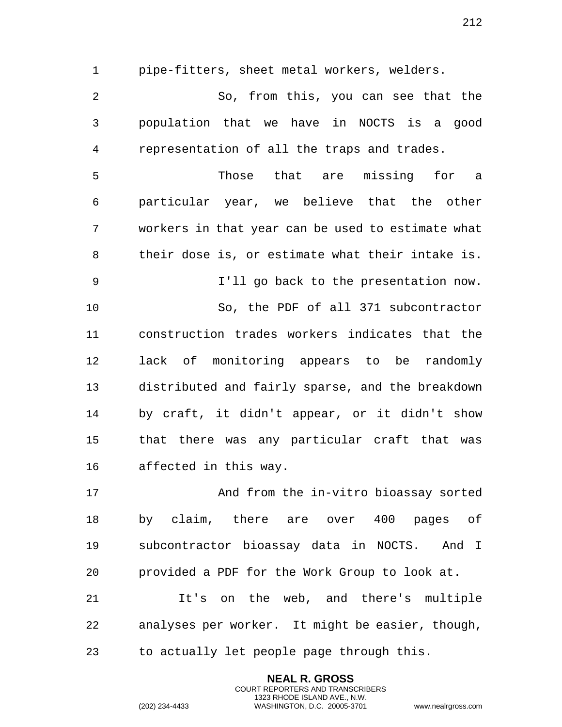pipe-fitters, sheet metal workers, welders.

 So, from this, you can see that the population that we have in NOCTS is a good representation of all the traps and trades.

 Those that are missing for a particular year, we believe that the other workers in that year can be used to estimate what their dose is, or estimate what their intake is. I'll go back to the presentation now. So, the PDF of all 371 subcontractor construction trades workers indicates that the lack of monitoring appears to be randomly distributed and fairly sparse, and the breakdown by craft, it didn't appear, or it didn't show that there was any particular craft that was affected in this way.

 And from the in-vitro bioassay sorted by claim, there are over 400 pages of subcontractor bioassay data in NOCTS. And I provided a PDF for the Work Group to look at.

 It's on the web, and there's multiple analyses per worker. It might be easier, though, to actually let people page through this.

> **NEAL R. GROSS** COURT REPORTERS AND TRANSCRIBERS 1323 RHODE ISLAND AVE., N.W.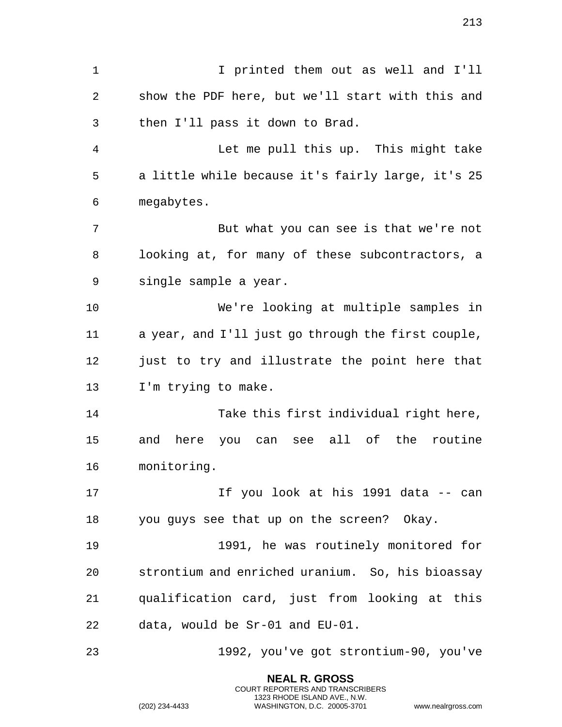I printed them out as well and I'll show the PDF here, but we'll start with this and then I'll pass it down to Brad. Let me pull this up. This might take a little while because it's fairly large, it's 25 megabytes. But what you can see is that we're not looking at, for many of these subcontractors, a single sample a year. We're looking at multiple samples in a year, and I'll just go through the first couple, 12 just to try and illustrate the point here that I'm trying to make. Take this first individual right here, and here you can see all of the routine monitoring. If you look at his 1991 data -- can you guys see that up on the screen? Okay. 1991, he was routinely monitored for strontium and enriched uranium. So, his bioassay qualification card, just from looking at this data, would be Sr-01 and EU-01. 1992, you've got strontium-90, you've

> **NEAL R. GROSS** COURT REPORTERS AND TRANSCRIBERS 1323 RHODE ISLAND AVE., N.W.

(202) 234-4433 WASHINGTON, D.C. 20005-3701 www.nealrgross.com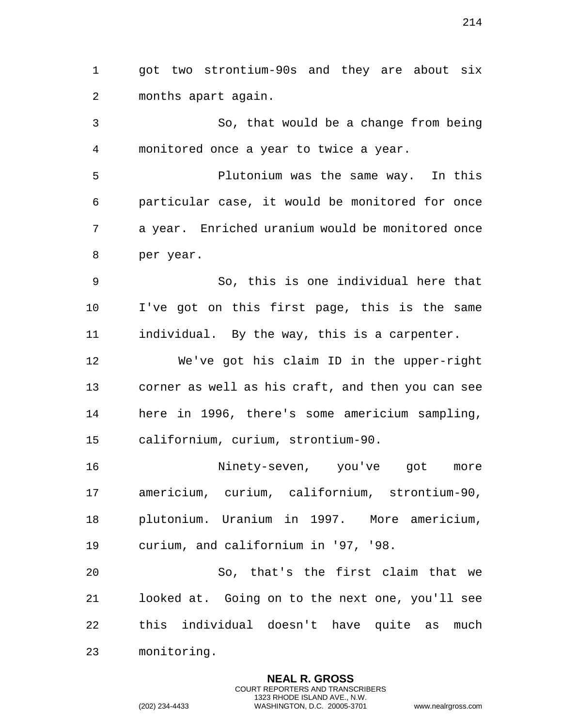got two strontium-90s and they are about six months apart again.

 So, that would be a change from being monitored once a year to twice a year.

 Plutonium was the same way. In this particular case, it would be monitored for once a year. Enriched uranium would be monitored once per year.

 So, this is one individual here that I've got on this first page, this is the same individual. By the way, this is a carpenter.

 We've got his claim ID in the upper-right corner as well as his craft, and then you can see here in 1996, there's some americium sampling, californium, curium, strontium-90.

 Ninety-seven, you've got more americium, curium, californium, strontium-90, plutonium. Uranium in 1997. More americium, curium, and californium in '97, '98.

 So, that's the first claim that we looked at. Going on to the next one, you'll see this individual doesn't have quite as much monitoring.

> **NEAL R. GROSS** COURT REPORTERS AND TRANSCRIBERS 1323 RHODE ISLAND AVE., N.W.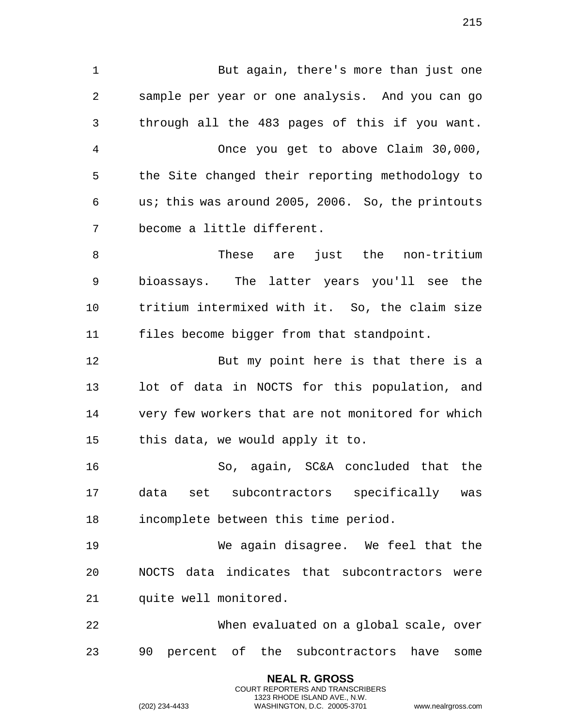But again, there's more than just one sample per year or one analysis. And you can go through all the 483 pages of this if you want. Once you get to above Claim 30,000, the Site changed their reporting methodology to us; this was around 2005, 2006. So, the printouts become a little different. These are just the non-tritium bioassays. The latter years you'll see the tritium intermixed with it. So, the claim size files become bigger from that standpoint. But my point here is that there is a lot of data in NOCTS for this population, and very few workers that are not monitored for which this data, we would apply it to. So, again, SC&A concluded that the data set subcontractors specifically was incomplete between this time period. We again disagree. We feel that the NOCTS data indicates that subcontractors were quite well monitored. When evaluated on a global scale, over

90 percent of the subcontractors have some

**NEAL R. GROSS** COURT REPORTERS AND TRANSCRIBERS 1323 RHODE ISLAND AVE., N.W.

(202) 234-4433 WASHINGTON, D.C. 20005-3701 www.nealrgross.com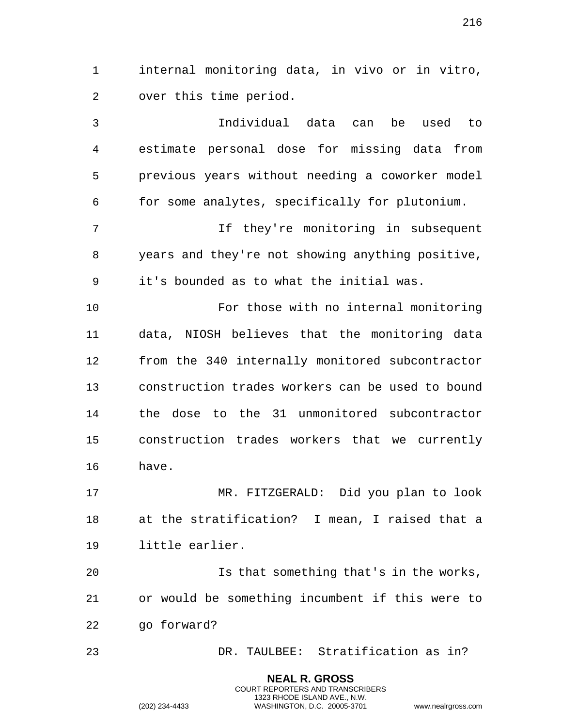internal monitoring data, in vivo or in vitro, over this time period.

 Individual data can be used to estimate personal dose for missing data from previous years without needing a coworker model for some analytes, specifically for plutonium.

 If they're monitoring in subsequent years and they're not showing anything positive, it's bounded as to what the initial was.

 For those with no internal monitoring data, NIOSH believes that the monitoring data from the 340 internally monitored subcontractor construction trades workers can be used to bound the dose to the 31 unmonitored subcontractor construction trades workers that we currently have.

 MR. FITZGERALD: Did you plan to look at the stratification? I mean, I raised that a little earlier.

 Is that something that's in the works, or would be something incumbent if this were to go forward?

DR. TAULBEE: Stratification as in?

**NEAL R. GROSS** COURT REPORTERS AND TRANSCRIBERS 1323 RHODE ISLAND AVE., N.W.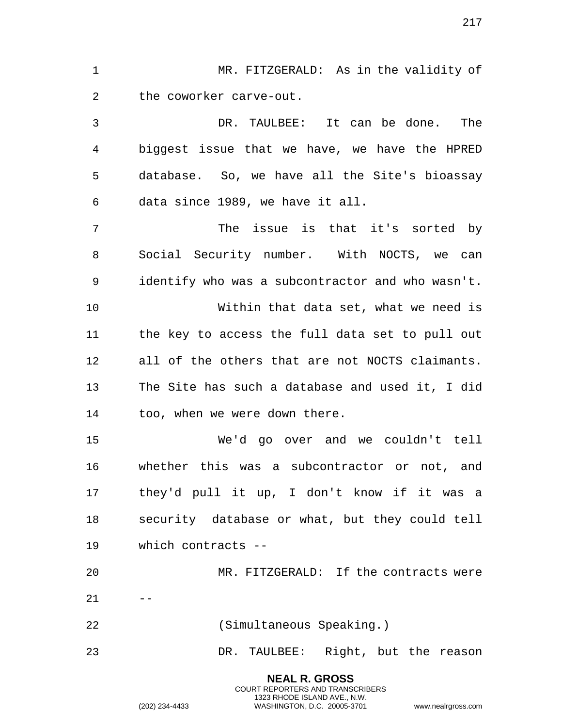MR. FITZGERALD: As in the validity of the coworker carve-out.

 DR. TAULBEE: It can be done. The biggest issue that we have, we have the HPRED database. So, we have all the Site's bioassay data since 1989, we have it all.

 The issue is that it's sorted by Social Security number. With NOCTS, we can identify who was a subcontractor and who wasn't.

 Within that data set, what we need is the key to access the full data set to pull out all of the others that are not NOCTS claimants. The Site has such a database and used it, I did too, when we were down there.

 We'd go over and we couldn't tell whether this was a subcontractor or not, and they'd pull it up, I don't know if it was a security database or what, but they could tell which contracts --

 MR. FITZGERALD: If the contracts were  $21 - -$ (Simultaneous Speaking.)

DR. TAULBEE: Right, but the reason

**NEAL R. GROSS** COURT REPORTERS AND TRANSCRIBERS 1323 RHODE ISLAND AVE., N.W.

(202) 234-4433 WASHINGTON, D.C. 20005-3701 www.nealrgross.com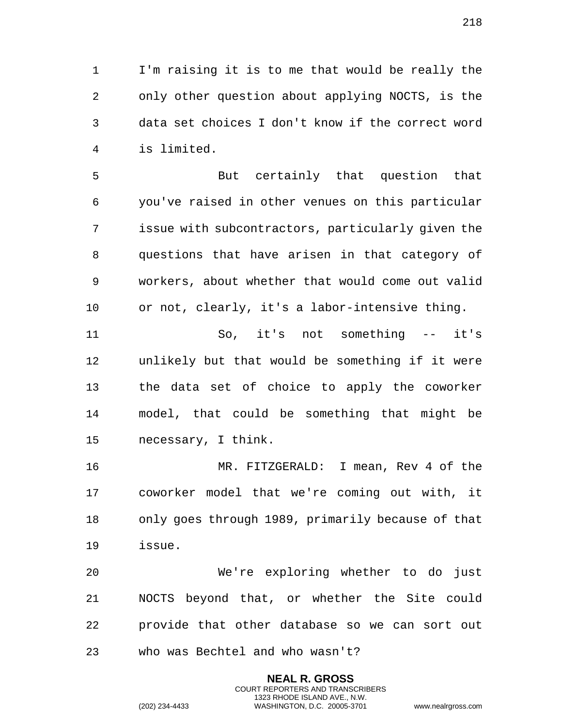I'm raising it is to me that would be really the only other question about applying NOCTS, is the data set choices I don't know if the correct word is limited.

 But certainly that question that you've raised in other venues on this particular issue with subcontractors, particularly given the questions that have arisen in that category of workers, about whether that would come out valid or not, clearly, it's a labor-intensive thing.

 So, it's not something -- it's unlikely but that would be something if it were the data set of choice to apply the coworker model, that could be something that might be necessary, I think.

 MR. FITZGERALD: I mean, Rev 4 of the coworker model that we're coming out with, it only goes through 1989, primarily because of that issue.

 We're exploring whether to do just NOCTS beyond that, or whether the Site could provide that other database so we can sort out who was Bechtel and who wasn't?

> **NEAL R. GROSS** COURT REPORTERS AND TRANSCRIBERS 1323 RHODE ISLAND AVE., N.W.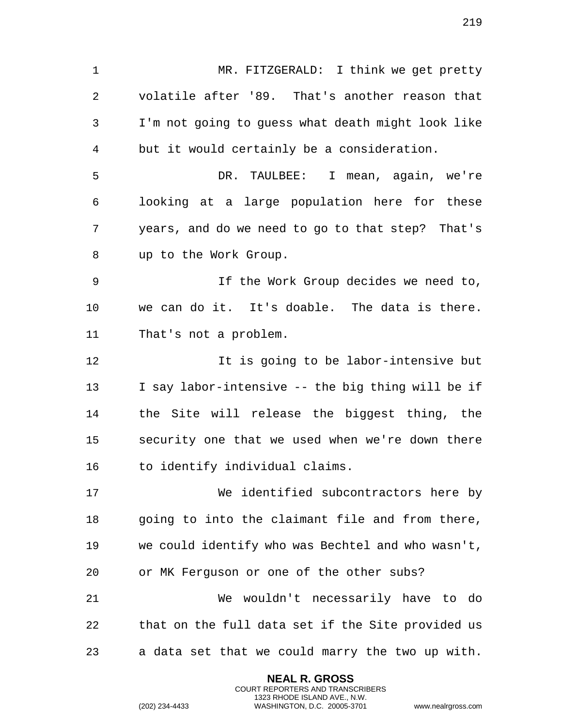MR. FITZGERALD: I think we get pretty volatile after '89. That's another reason that I'm not going to guess what death might look like but it would certainly be a consideration. DR. TAULBEE: I mean, again, we're looking at a large population here for these years, and do we need to go to that step? That's up to the Work Group. If the Work Group decides we need to, we can do it. It's doable. The data is there. That's not a problem. It is going to be labor-intensive but I say labor-intensive -- the big thing will be if the Site will release the biggest thing, the security one that we used when we're down there to identify individual claims. We identified subcontractors here by going to into the claimant file and from there, we could identify who was Bechtel and who wasn't, or MK Ferguson or one of the other subs? We wouldn't necessarily have to do that on the full data set if the Site provided us a data set that we could marry the two up with.

> **NEAL R. GROSS** COURT REPORTERS AND TRANSCRIBERS 1323 RHODE ISLAND AVE., N.W.

(202) 234-4433 WASHINGTON, D.C. 20005-3701 www.nealrgross.com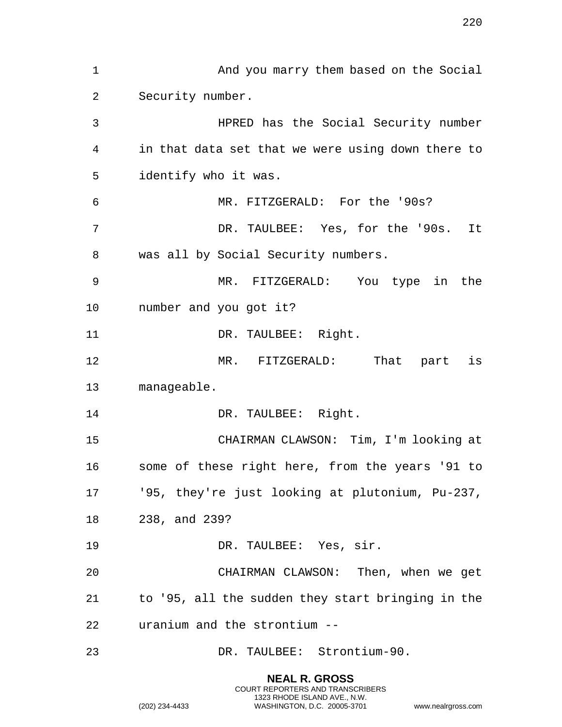And you marry them based on the Social Security number. HPRED has the Social Security number in that data set that we were using down there to identify who it was. MR. FITZGERALD: For the '90s? DR. TAULBEE: Yes, for the '90s. It was all by Social Security numbers. MR. FITZGERALD: You type in the number and you got it? 11 DR. TAULBEE: Right. MR. FITZGERALD: That part is manageable. 14 DR. TAULBEE: Right. CHAIRMAN CLAWSON: Tim, I'm looking at some of these right here, from the years '91 to '95, they're just looking at plutonium, Pu-237, 238, and 239? 19 DR. TAULBEE: Yes, sir. CHAIRMAN CLAWSON: Then, when we get to '95, all the sudden they start bringing in the uranium and the strontium -- DR. TAULBEE: Strontium-90.

> **NEAL R. GROSS** COURT REPORTERS AND TRANSCRIBERS 1323 RHODE ISLAND AVE., N.W.

(202) 234-4433 WASHINGTON, D.C. 20005-3701 www.nealrgross.com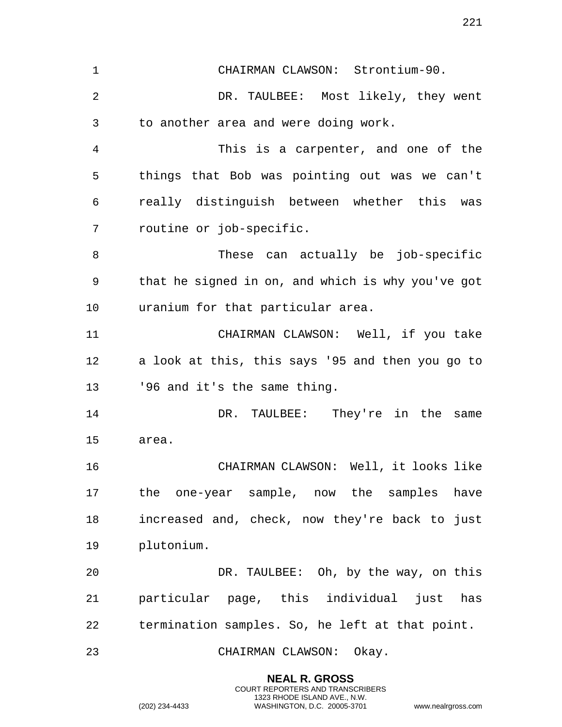CHAIRMAN CLAWSON: Strontium-90. DR. TAULBEE: Most likely, they went to another area and were doing work. This is a carpenter, and one of the things that Bob was pointing out was we can't really distinguish between whether this was routine or job-specific. These can actually be job-specific that he signed in on, and which is why you've got uranium for that particular area. CHAIRMAN CLAWSON: Well, if you take a look at this, this says '95 and then you go to '96 and it's the same thing. DR. TAULBEE: They're in the same area. CHAIRMAN CLAWSON: Well, it looks like the one-year sample, now the samples have increased and, check, now they're back to just plutonium. DR. TAULBEE: Oh, by the way, on this particular page, this individual just has termination samples. So, he left at that point. CHAIRMAN CLAWSON: Okay.

> **NEAL R. GROSS** COURT REPORTERS AND TRANSCRIBERS 1323 RHODE ISLAND AVE., N.W.

(202) 234-4433 WASHINGTON, D.C. 20005-3701 www.nealrgross.com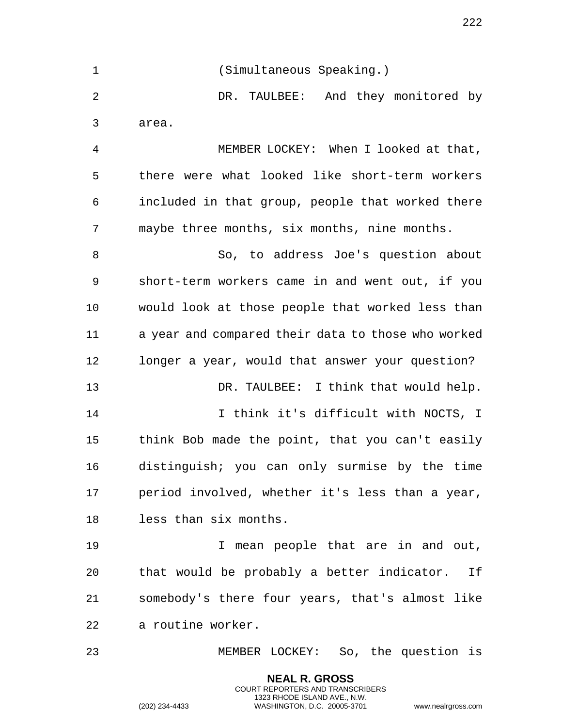(Simultaneous Speaking.) DR. TAULBEE: And they monitored by area. MEMBER LOCKEY: When I looked at that, there were what looked like short-term workers included in that group, people that worked there maybe three months, six months, nine months. So, to address Joe's question about short-term workers came in and went out, if you would look at those people that worked less than a year and compared their data to those who worked longer a year, would that answer your question? DR. TAULBEE: I think that would help. I think it's difficult with NOCTS, I think Bob made the point, that you can't easily distinguish; you can only surmise by the time period involved, whether it's less than a year, less than six months. I mean people that are in and out, that would be probably a better indicator. If somebody's there four years, that's almost like a routine worker. MEMBER LOCKEY: So, the question is

> **NEAL R. GROSS** COURT REPORTERS AND TRANSCRIBERS 1323 RHODE ISLAND AVE., N.W.

(202) 234-4433 WASHINGTON, D.C. 20005-3701 www.nealrgross.com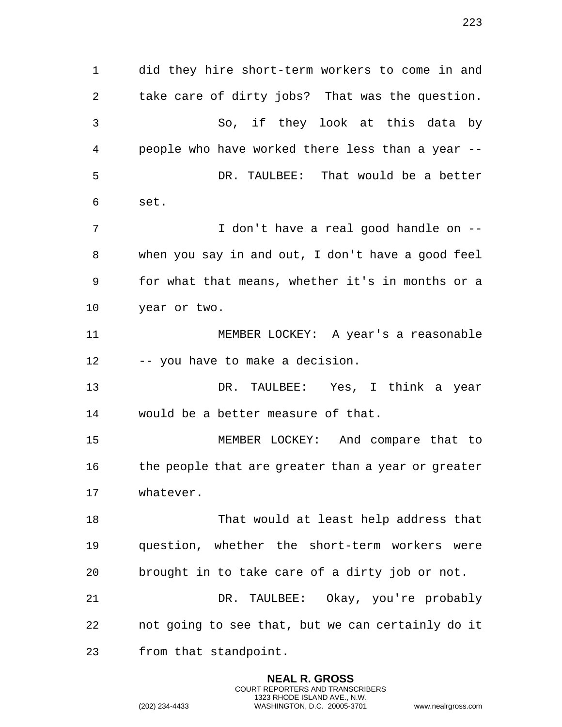did they hire short-term workers to come in and take care of dirty jobs? That was the question. So, if they look at this data by people who have worked there less than a year -- DR. TAULBEE: That would be a better set. I don't have a real good handle on -- when you say in and out, I don't have a good feel for what that means, whether it's in months or a year or two. MEMBER LOCKEY: A year's a reasonable -- you have to make a decision. DR. TAULBEE: Yes, I think a year would be a better measure of that. MEMBER LOCKEY: And compare that to 16 the people that are greater than a year or greater whatever. That would at least help address that question, whether the short-term workers were brought in to take care of a dirty job or not. DR. TAULBEE: Okay, you're probably not going to see that, but we can certainly do it from that standpoint.

> **NEAL R. GROSS** COURT REPORTERS AND TRANSCRIBERS 1323 RHODE ISLAND AVE., N.W.

(202) 234-4433 WASHINGTON, D.C. 20005-3701 www.nealrgross.com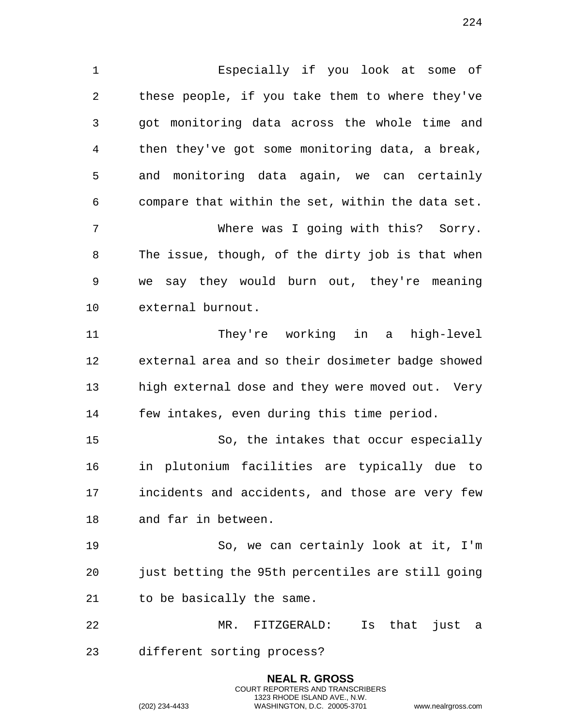Especially if you look at some of these people, if you take them to where they've got monitoring data across the whole time and then they've got some monitoring data, a break, and monitoring data again, we can certainly compare that within the set, within the data set. Where was I going with this? Sorry. The issue, though, of the dirty job is that when we say they would burn out, they're meaning external burnout. They're working in a high-level external area and so their dosimeter badge showed high external dose and they were moved out. Very few intakes, even during this time period. So, the intakes that occur especially in plutonium facilities are typically due to incidents and accidents, and those are very few and far in between.

 So, we can certainly look at it, I'm just betting the 95th percentiles are still going to be basically the same.

 MR. FITZGERALD: Is that just a different sorting process?

> **NEAL R. GROSS** COURT REPORTERS AND TRANSCRIBERS 1323 RHODE ISLAND AVE., N.W.

(202) 234-4433 WASHINGTON, D.C. 20005-3701 www.nealrgross.com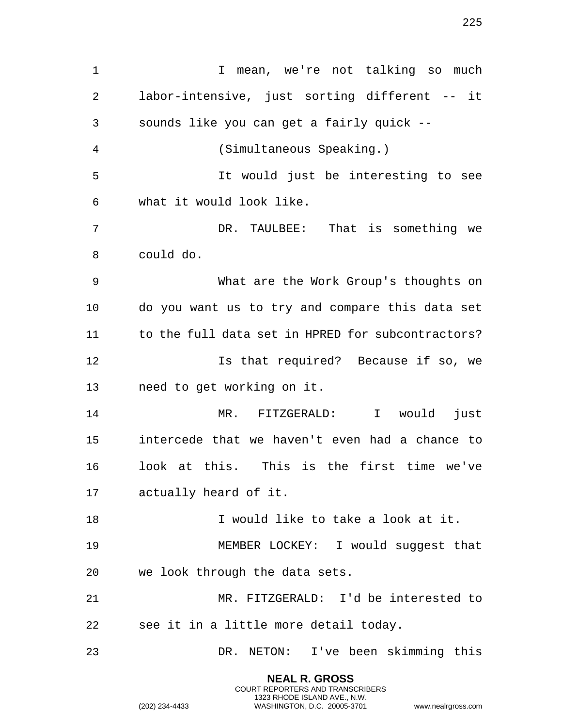1 1 I mean, we're not talking so much labor-intensive, just sorting different -- it sounds like you can get a fairly quick -- (Simultaneous Speaking.) It would just be interesting to see what it would look like. DR. TAULBEE: That is something we could do. What are the Work Group's thoughts on do you want us to try and compare this data set to the full data set in HPRED for subcontractors? Is that required? Because if so, we need to get working on it. MR. FITZGERALD: I would just intercede that we haven't even had a chance to look at this. This is the first time we've actually heard of it. I would like to take a look at it. MEMBER LOCKEY: I would suggest that we look through the data sets. MR. FITZGERALD: I'd be interested to see it in a little more detail today. DR. NETON: I've been skimming this

> **NEAL R. GROSS** COURT REPORTERS AND TRANSCRIBERS 1323 RHODE ISLAND AVE., N.W.

(202) 234-4433 WASHINGTON, D.C. 20005-3701 www.nealrgross.com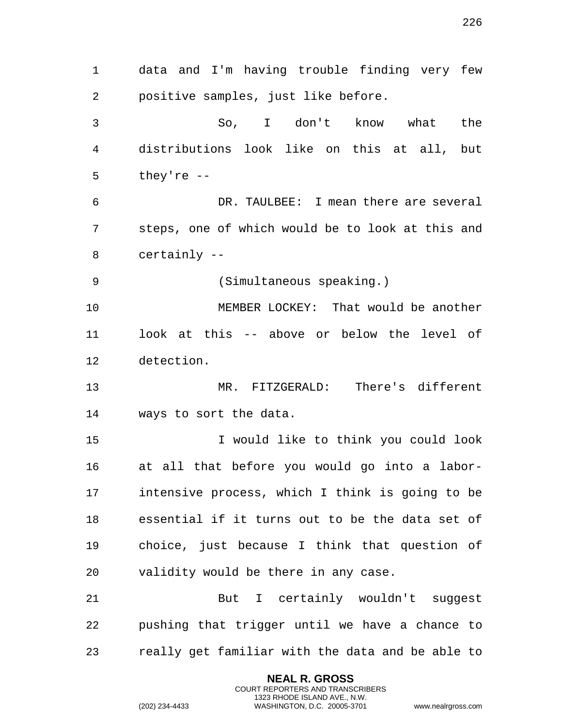data and I'm having trouble finding very few positive samples, just like before. So, I don't know what the distributions look like on this at all, but they're -- DR. TAULBEE: I mean there are several steps, one of which would be to look at this and certainly -- (Simultaneous speaking.) MEMBER LOCKEY: That would be another look at this -- above or below the level of detection. MR. FITZGERALD: There's different ways to sort the data. I would like to think you could look at all that before you would go into a labor- intensive process, which I think is going to be essential if it turns out to be the data set of choice, just because I think that question of validity would be there in any case. But I certainly wouldn't suggest pushing that trigger until we have a chance to really get familiar with the data and be able to

> **NEAL R. GROSS** COURT REPORTERS AND TRANSCRIBERS 1323 RHODE ISLAND AVE., N.W.

(202) 234-4433 WASHINGTON, D.C. 20005-3701 www.nealrgross.com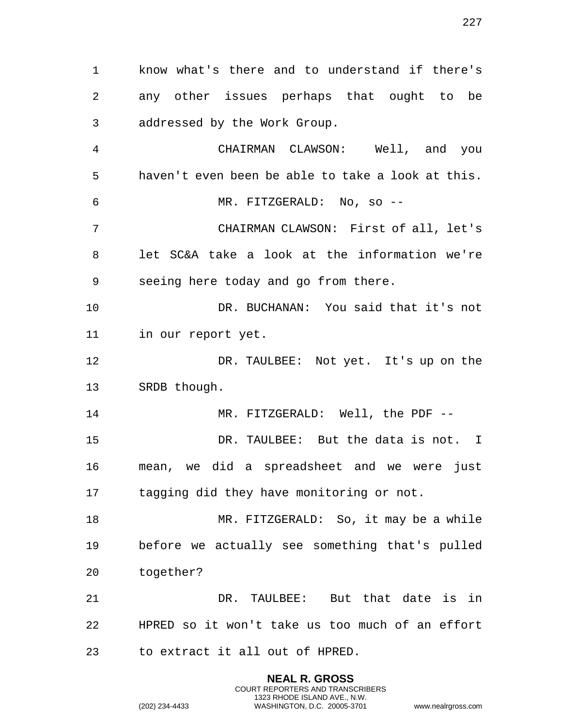know what's there and to understand if there's any other issues perhaps that ought to be addressed by the Work Group. CHAIRMAN CLAWSON: Well, and you haven't even been be able to take a look at this. MR. FITZGERALD: No, so -- CHAIRMAN CLAWSON: First of all, let's let SC&A take a look at the information we're seeing here today and go from there. DR. BUCHANAN: You said that it's not in our report yet. DR. TAULBEE: Not yet. It's up on the SRDB though. MR. FITZGERALD: Well, the PDF -- DR. TAULBEE: But the data is not. I mean, we did a spreadsheet and we were just 17 tagging did they have monitoring or not. MR. FITZGERALD: So, it may be a while before we actually see something that's pulled together? DR. TAULBEE: But that date is in HPRED so it won't take us too much of an effort to extract it all out of HPRED.

> **NEAL R. GROSS** COURT REPORTERS AND TRANSCRIBERS 1323 RHODE ISLAND AVE., N.W.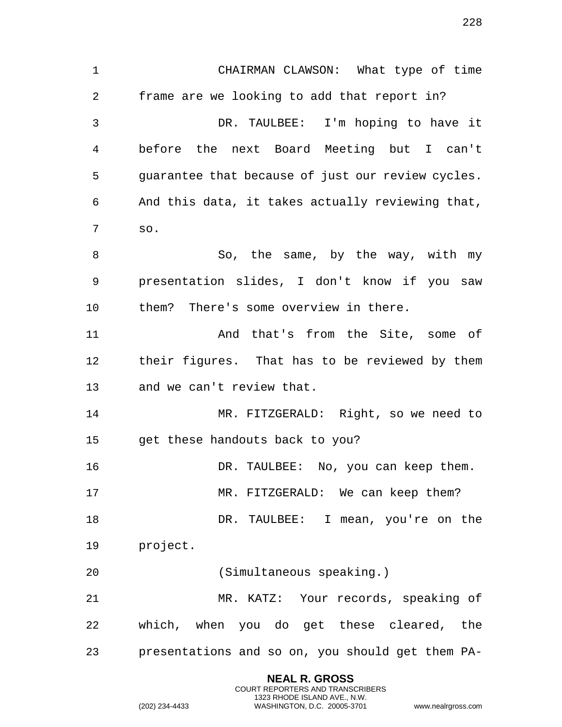CHAIRMAN CLAWSON: What type of time frame are we looking to add that report in? DR. TAULBEE: I'm hoping to have it before the next Board Meeting but I can't guarantee that because of just our review cycles. And this data, it takes actually reviewing that, so. 8 So, the same, by the way, with my presentation slides, I don't know if you saw them? There's some overview in there. And that's from the Site, some of their figures. That has to be reviewed by them and we can't review that. MR. FITZGERALD: Right, so we need to get these handouts back to you? DR. TAULBEE: No, you can keep them. MR. FITZGERALD: We can keep them? 18 DR. TAULBEE: I mean, you're on the project. (Simultaneous speaking.) MR. KATZ: Your records, speaking of which, when you do get these cleared, the presentations and so on, you should get them PA-

> **NEAL R. GROSS** COURT REPORTERS AND TRANSCRIBERS 1323 RHODE ISLAND AVE., N.W.

(202) 234-4433 WASHINGTON, D.C. 20005-3701 www.nealrgross.com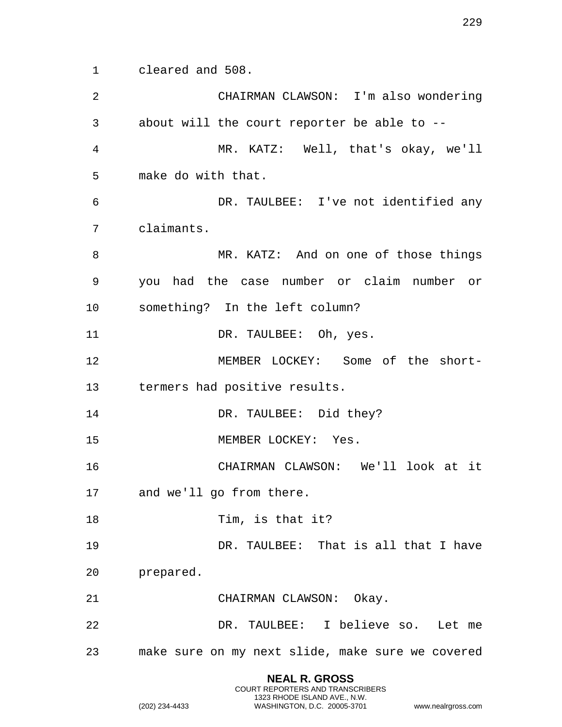cleared and 508.

| 2  | CHAIRMAN CLAWSON: I'm also wondering             |
|----|--------------------------------------------------|
| 3  | about will the court reporter be able to --      |
| 4  | MR. KATZ: Well, that's okay, we'll               |
| 5  | make do with that.                               |
| 6  | DR. TAULBEE: I've not identified any             |
| 7  | claimants.                                       |
| 8  | MR. KATZ: And on one of those things             |
| 9  | you had the case number or claim number or       |
| 10 | something? In the left column?                   |
| 11 | DR. TAULBEE: Oh, yes.                            |
| 12 | MEMBER LOCKEY: Some of the short-                |
| 13 | termers had positive results.                    |
| 14 | DR. TAULBEE: Did they?                           |
| 15 | MEMBER LOCKEY: Yes.                              |
| 16 | CHAIRMAN CLAWSON: We'll look at it               |
| 17 | and we'll go from there.                         |
| 18 | Tim, is that it?                                 |
| 19 | DR. TAULBEE: That is all that I have             |
| 20 | prepared.                                        |
| 21 | CHAIRMAN CLAWSON: Okay.                          |
| 22 | DR. TAULBEE: I believe so. Let me                |
| 23 | make sure on my next slide, make sure we covered |

**NEAL R. GROSS** COURT REPORTERS AND TRANSCRIBERS 1323 RHODE ISLAND AVE., N.W.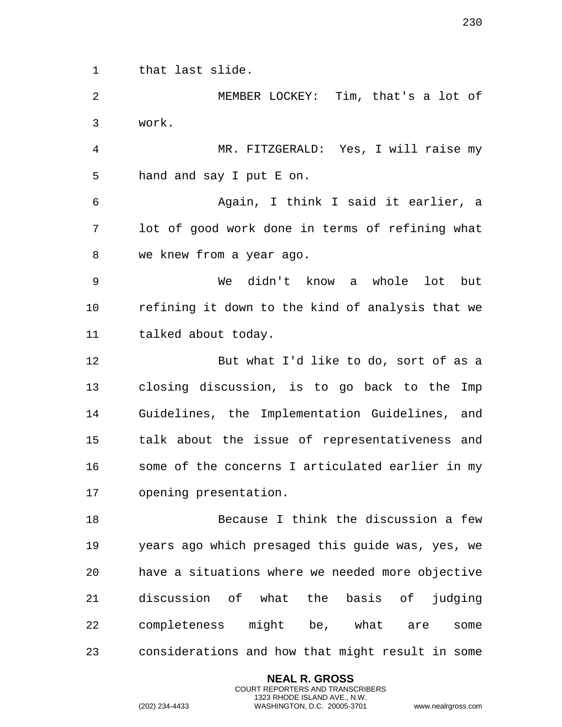that last slide.

 MEMBER LOCKEY: Tim, that's a lot of work.

 MR. FITZGERALD: Yes, I will raise my hand and say I put E on.

 Again, I think I said it earlier, a lot of good work done in terms of refining what we knew from a year ago.

 We didn't know a whole lot but refining it down to the kind of analysis that we talked about today.

 But what I'd like to do, sort of as a closing discussion, is to go back to the Imp Guidelines, the Implementation Guidelines, and talk about the issue of representativeness and some of the concerns I articulated earlier in my opening presentation.

 Because I think the discussion a few years ago which presaged this guide was, yes, we have a situations where we needed more objective discussion of what the basis of judging completeness might be, what are some considerations and how that might result in some

> **NEAL R. GROSS** COURT REPORTERS AND TRANSCRIBERS 1323 RHODE ISLAND AVE., N.W.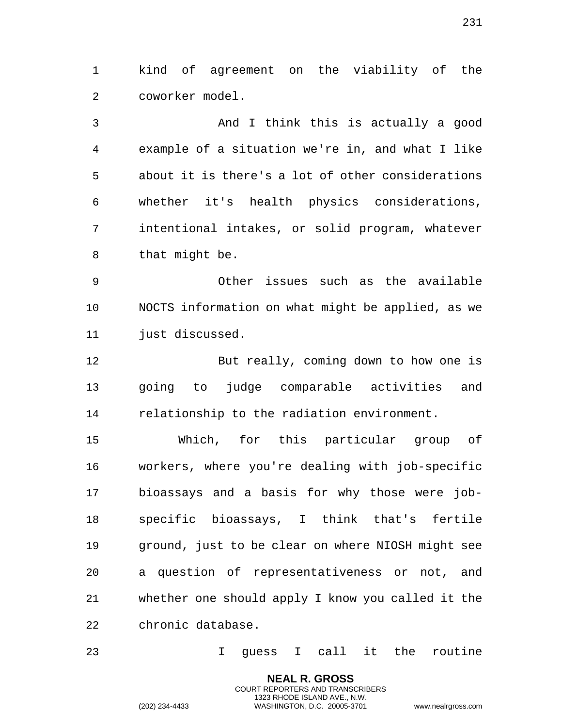kind of agreement on the viability of the coworker model.

 And I think this is actually a good example of a situation we're in, and what I like about it is there's a lot of other considerations whether it's health physics considerations, intentional intakes, or solid program, whatever that might be.

 Other issues such as the available NOCTS information on what might be applied, as we 11 just discussed.

 But really, coming down to how one is going to judge comparable activities and relationship to the radiation environment.

 Which, for this particular group of workers, where you're dealing with job-specific bioassays and a basis for why those were job- specific bioassays, I think that's fertile ground, just to be clear on where NIOSH might see a question of representativeness or not, and whether one should apply I know you called it the chronic database.

I guess I call it the routine

**NEAL R. GROSS** COURT REPORTERS AND TRANSCRIBERS 1323 RHODE ISLAND AVE., N.W.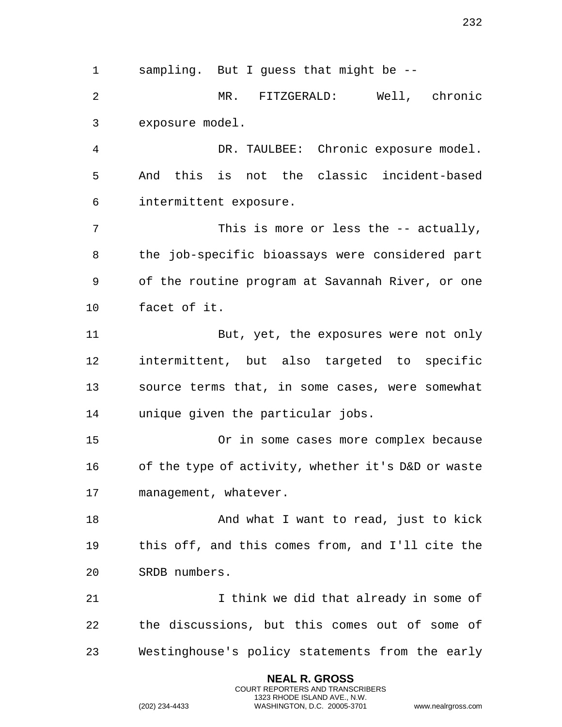**NEAL R. GROSS** sampling. But I guess that might be -- MR. FITZGERALD: Well, chronic exposure model. DR. TAULBEE: Chronic exposure model. And this is not the classic incident-based intermittent exposure. This is more or less the -- actually, the job-specific bioassays were considered part of the routine program at Savannah River, or one facet of it. But, yet, the exposures were not only intermittent, but also targeted to specific source terms that, in some cases, were somewhat unique given the particular jobs. Or in some cases more complex because of the type of activity, whether it's D&D or waste management, whatever. 18 And what I want to read, just to kick this off, and this comes from, and I'll cite the SRDB numbers. I think we did that already in some of the discussions, but this comes out of some of Westinghouse's policy statements from the early

> COURT REPORTERS AND TRANSCRIBERS 1323 RHODE ISLAND AVE., N.W.

(202) 234-4433 WASHINGTON, D.C. 20005-3701 www.nealrgross.com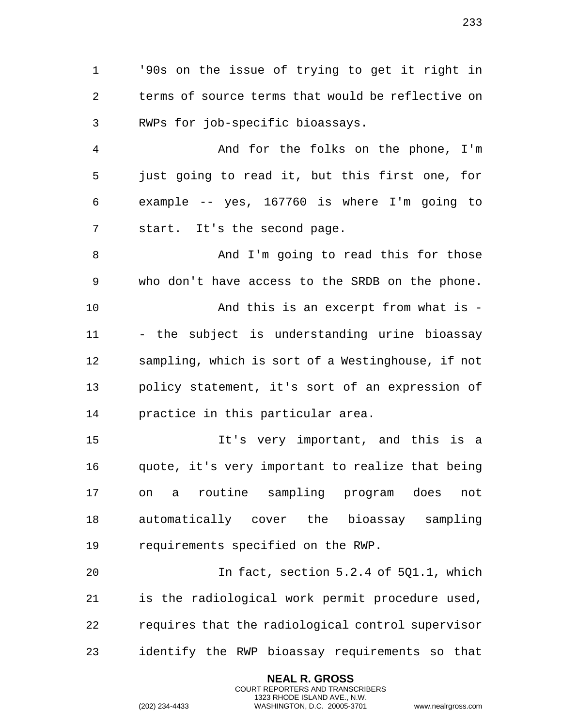'90s on the issue of trying to get it right in terms of source terms that would be reflective on RWPs for job-specific bioassays.

 And for the folks on the phone, I'm just going to read it, but this first one, for example -- yes, 167760 is where I'm going to start. It's the second page.

8 And I'm going to read this for those who don't have access to the SRDB on the phone. And this is an excerpt from what is - - the subject is understanding urine bioassay sampling, which is sort of a Westinghouse, if not policy statement, it's sort of an expression of practice in this particular area.

 It's very important, and this is a quote, it's very important to realize that being on a routine sampling program does not automatically cover the bioassay sampling requirements specified on the RWP.

 In fact, section 5.2.4 of 5Q1.1, which is the radiological work permit procedure used, requires that the radiological control supervisor identify the RWP bioassay requirements so that

> **NEAL R. GROSS** COURT REPORTERS AND TRANSCRIBERS 1323 RHODE ISLAND AVE., N.W.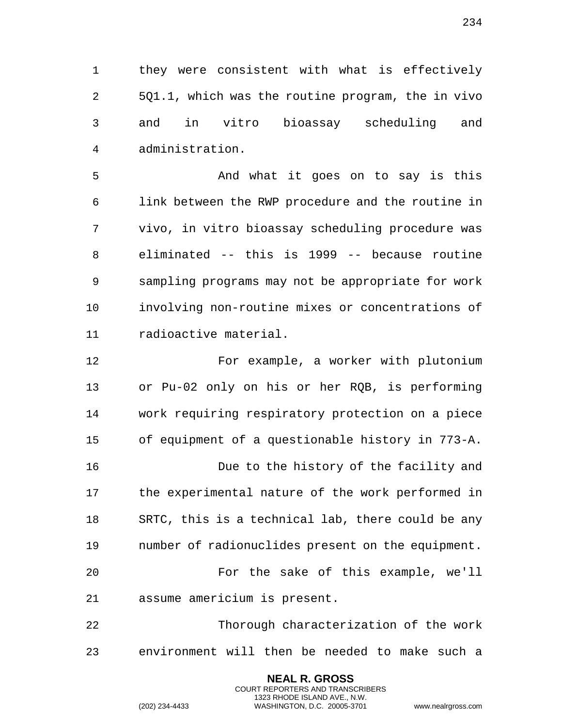they were consistent with what is effectively 5Q1.1, which was the routine program, the in vivo and in vitro bioassay scheduling and administration.

5 And what it goes on to say is this link between the RWP procedure and the routine in vivo, in vitro bioassay scheduling procedure was eliminated -- this is 1999 -- because routine sampling programs may not be appropriate for work involving non-routine mixes or concentrations of radioactive material.

 For example, a worker with plutonium or Pu-02 only on his or her RQB, is performing work requiring respiratory protection on a piece of equipment of a questionable history in 773-A. Due to the history of the facility and the experimental nature of the work performed in SRTC, this is a technical lab, there could be any number of radionuclides present on the equipment. For the sake of this example, we'll assume americium is present. Thorough characterization of the work

environment will then be needed to make such a

**NEAL R. GROSS** COURT REPORTERS AND TRANSCRIBERS 1323 RHODE ISLAND AVE., N.W.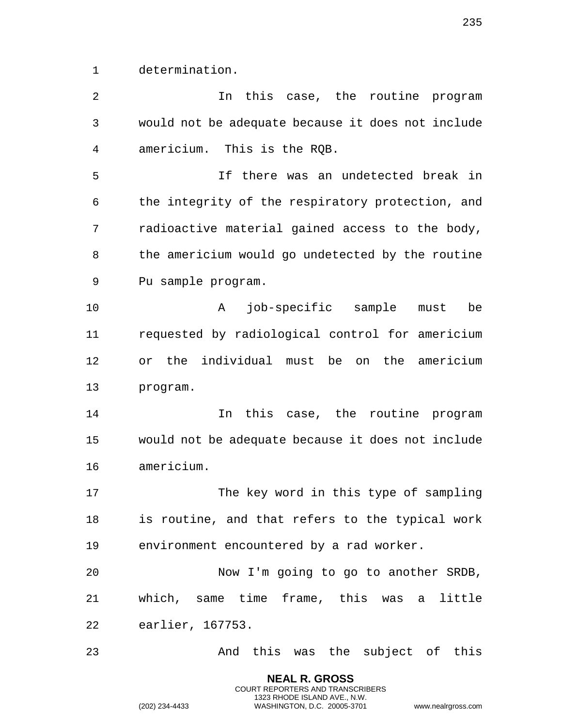determination.

 In this case, the routine program would not be adequate because it does not include americium. This is the RQB. If there was an undetected break in the integrity of the respiratory protection, and radioactive material gained access to the body, the americium would go undetected by the routine Pu sample program. A job-specific sample must be requested by radiological control for americium or the individual must be on the americium program. In this case, the routine program would not be adequate because it does not include americium. 17 The key word in this type of sampling is routine, and that refers to the typical work environment encountered by a rad worker. Now I'm going to go to another SRDB, which, same time frame, this was a little earlier, 167753. And this was the subject of this

> **NEAL R. GROSS** COURT REPORTERS AND TRANSCRIBERS 1323 RHODE ISLAND AVE., N.W.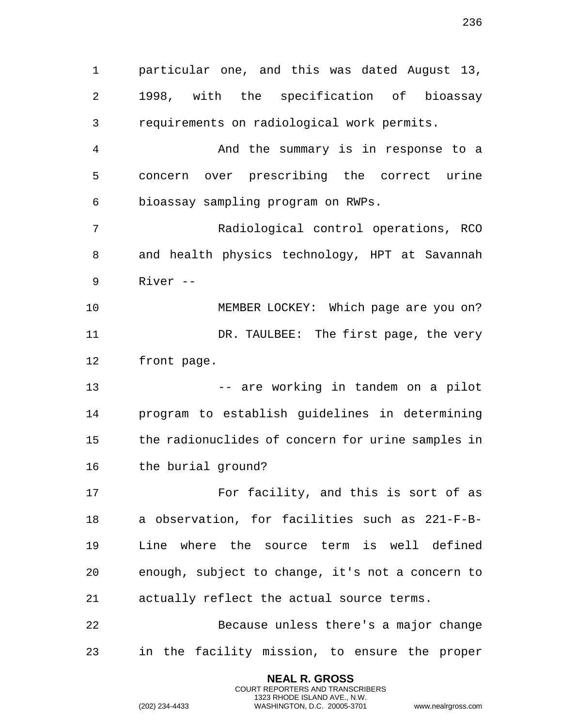particular one, and this was dated August 13, 1998, with the specification of bioassay requirements on radiological work permits. And the summary is in response to a concern over prescribing the correct urine bioassay sampling program on RWPs. Radiological control operations, RCO and health physics technology, HPT at Savannah River -- MEMBER LOCKEY: Which page are you on? DR. TAULBEE: The first page, the very front page. 13 and the vorking in tandem on a pilot that the vertex of the set of the set of the set of the set of the set o program to establish guidelines in determining the radionuclides of concern for urine samples in the burial ground? 17 For facility, and this is sort of as a observation, for facilities such as 221-F-B- Line where the source term is well defined enough, subject to change, it's not a concern to actually reflect the actual source terms. Because unless there's a major change in the facility mission, to ensure the proper

> **NEAL R. GROSS** COURT REPORTERS AND TRANSCRIBERS 1323 RHODE ISLAND AVE., N.W.

(202) 234-4433 WASHINGTON, D.C. 20005-3701 www.nealrgross.com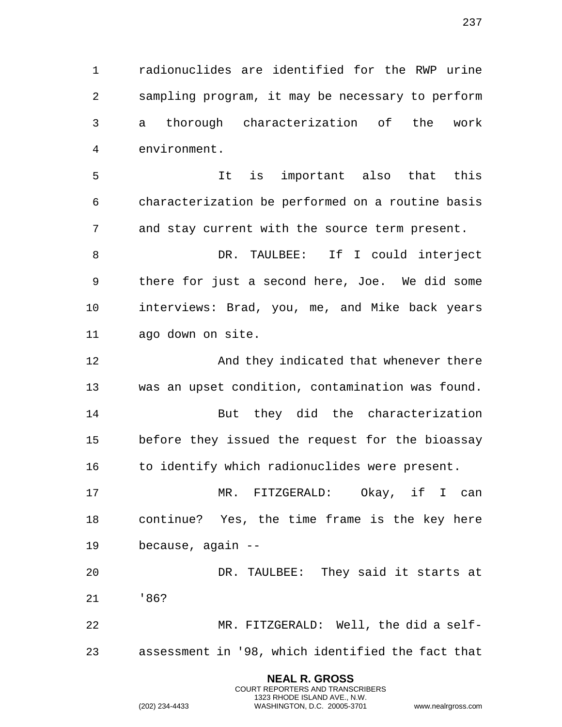radionuclides are identified for the RWP urine sampling program, it may be necessary to perform a thorough characterization of the work environment.

 It is important also that this characterization be performed on a routine basis and stay current with the source term present.

 DR. TAULBEE: If I could interject there for just a second here, Joe. We did some interviews: Brad, you, me, and Mike back years ago down on site.

**And they indicated that whenever there** was an upset condition, contamination was found.

 But they did the characterization before they issued the request for the bioassay 16 to identify which radionuclides were present.

 MR. FITZGERALD: Okay, if I can continue? Yes, the time frame is the key here because, again --

 DR. TAULBEE: They said it starts at '86?

 MR. FITZGERALD: Well, the did a self-assessment in '98, which identified the fact that

> **NEAL R. GROSS** COURT REPORTERS AND TRANSCRIBERS 1323 RHODE ISLAND AVE., N.W.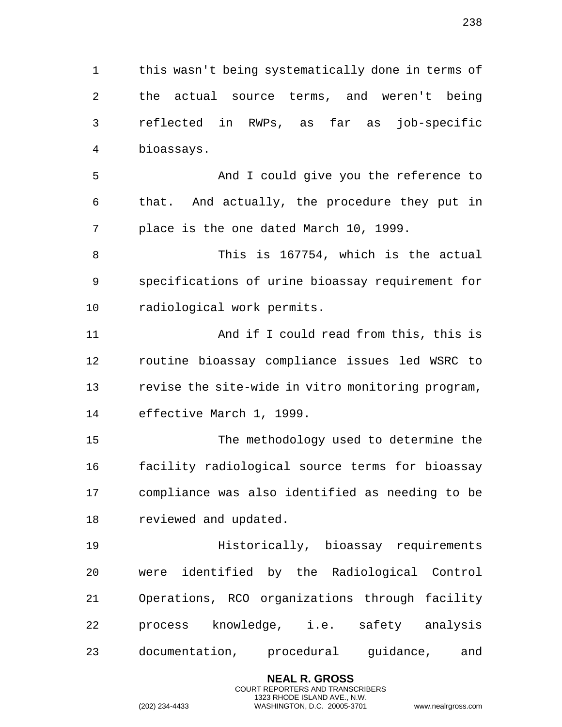this wasn't being systematically done in terms of the actual source terms, and weren't being reflected in RWPs, as far as job-specific bioassays.

 And I could give you the reference to that. And actually, the procedure they put in place is the one dated March 10, 1999.

 This is 167754, which is the actual specifications of urine bioassay requirement for radiological work permits.

 And if I could read from this, this is routine bioassay compliance issues led WSRC to revise the site-wide in vitro monitoring program, effective March 1, 1999.

 The methodology used to determine the facility radiological source terms for bioassay compliance was also identified as needing to be reviewed and updated.

 Historically, bioassay requirements were identified by the Radiological Control Operations, RCO organizations through facility process knowledge, i.e. safety analysis documentation, procedural guidance, and

> **NEAL R. GROSS** COURT REPORTERS AND TRANSCRIBERS 1323 RHODE ISLAND AVE., N.W.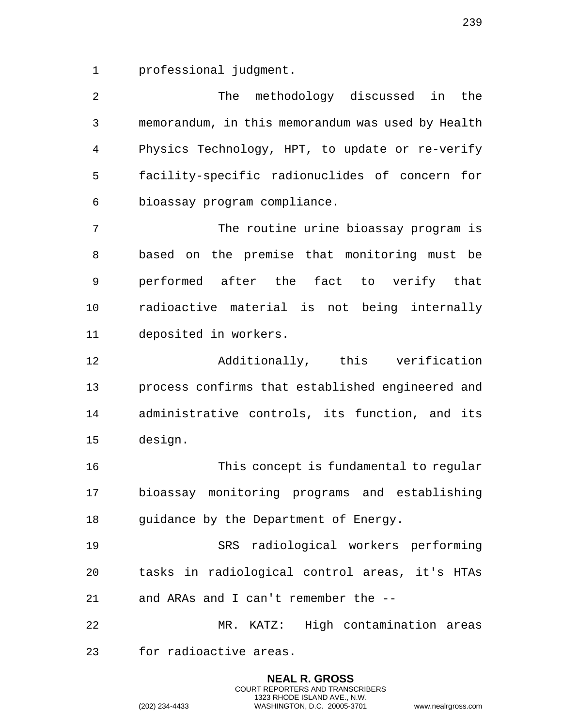professional judgment.

 The methodology discussed in the memorandum, in this memorandum was used by Health Physics Technology, HPT, to update or re-verify facility-specific radionuclides of concern for bioassay program compliance.

 The routine urine bioassay program is based on the premise that monitoring must be performed after the fact to verify that radioactive material is not being internally deposited in workers.

 Additionally, this verification process confirms that established engineered and administrative controls, its function, and its design.

 This concept is fundamental to regular bioassay monitoring programs and establishing guidance by the Department of Energy.

 SRS radiological workers performing tasks in radiological control areas, it's HTAs and ARAs and I can't remember the --

 MR. KATZ: High contamination areas for radioactive areas.

> **NEAL R. GROSS** COURT REPORTERS AND TRANSCRIBERS 1323 RHODE ISLAND AVE., N.W.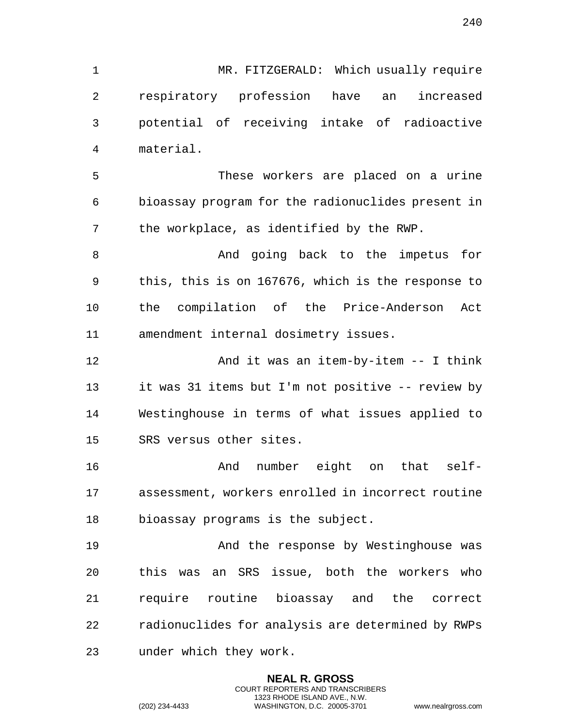MR. FITZGERALD: Which usually require respiratory profession have an increased potential of receiving intake of radioactive material.

 These workers are placed on a urine bioassay program for the radionuclides present in the workplace, as identified by the RWP.

8 And going back to the impetus for this, this is on 167676, which is the response to the compilation of the Price-Anderson Act amendment internal dosimetry issues.

 And it was an item-by-item -- I think it was 31 items but I'm not positive -- review by Westinghouse in terms of what issues applied to SRS versus other sites.

 And number eight on that self- assessment, workers enrolled in incorrect routine bioassay programs is the subject.

 And the response by Westinghouse was this was an SRS issue, both the workers who require routine bioassay and the correct radionuclides for analysis are determined by RWPs under which they work.

> **NEAL R. GROSS** COURT REPORTERS AND TRANSCRIBERS 1323 RHODE ISLAND AVE., N.W.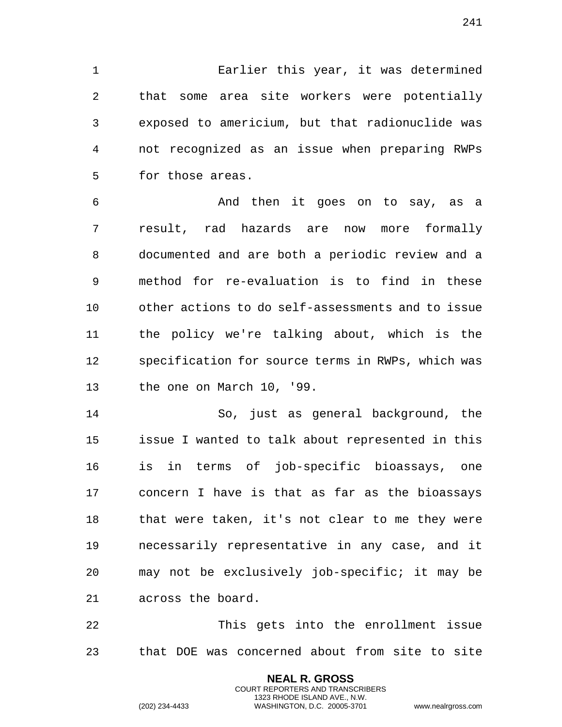Earlier this year, it was determined that some area site workers were potentially exposed to americium, but that radionuclide was not recognized as an issue when preparing RWPs for those areas.

 And then it goes on to say, as a result, rad hazards are now more formally documented and are both a periodic review and a method for re-evaluation is to find in these other actions to do self-assessments and to issue the policy we're talking about, which is the specification for source terms in RWPs, which was the one on March 10, '99.

 So, just as general background, the issue I wanted to talk about represented in this is in terms of job-specific bioassays, one concern I have is that as far as the bioassays that were taken, it's not clear to me they were necessarily representative in any case, and it may not be exclusively job-specific; it may be across the board.

 This gets into the enrollment issue that DOE was concerned about from site to site

> **NEAL R. GROSS** COURT REPORTERS AND TRANSCRIBERS 1323 RHODE ISLAND AVE., N.W.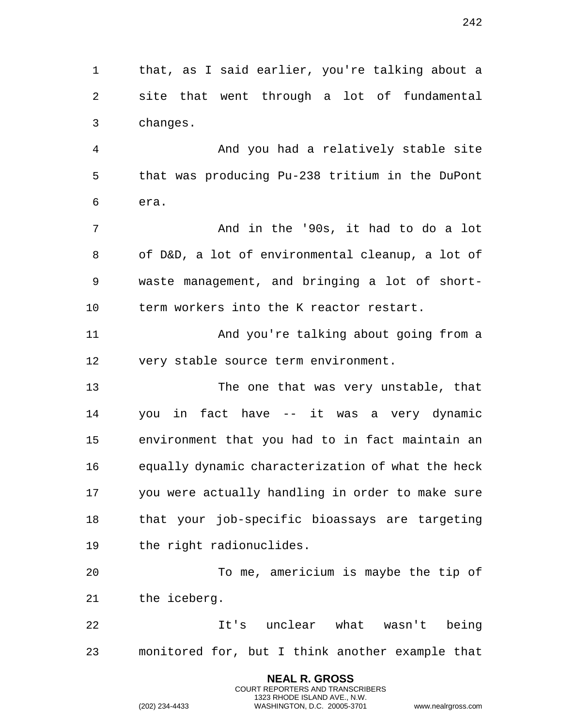that, as I said earlier, you're talking about a site that went through a lot of fundamental changes.

 And you had a relatively stable site that was producing Pu-238 tritium in the DuPont era.

 And in the '90s, it had to do a lot of D&D, a lot of environmental cleanup, a lot of waste management, and bringing a lot of short-term workers into the K reactor restart.

 And you're talking about going from a very stable source term environment.

 The one that was very unstable, that you in fact have -- it was a very dynamic environment that you had to in fact maintain an equally dynamic characterization of what the heck you were actually handling in order to make sure that your job-specific bioassays are targeting the right radionuclides.

 To me, americium is maybe the tip of the iceberg.

 It's unclear what wasn't being monitored for, but I think another example that

> **NEAL R. GROSS** COURT REPORTERS AND TRANSCRIBERS 1323 RHODE ISLAND AVE., N.W.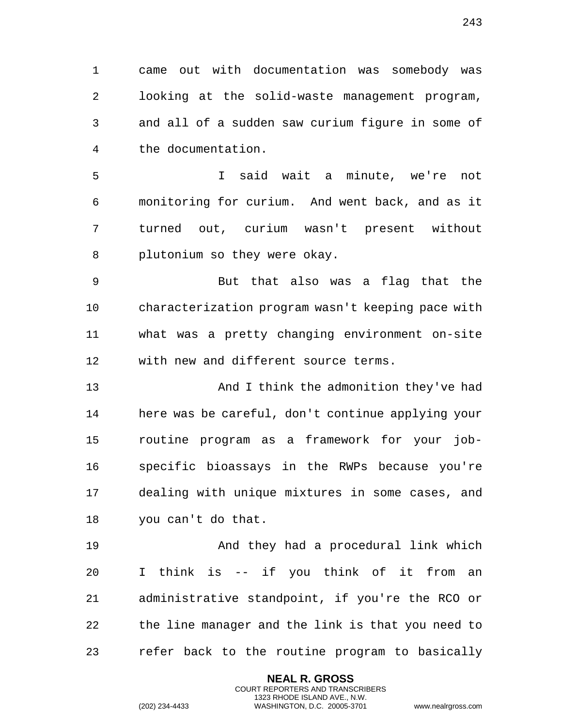came out with documentation was somebody was looking at the solid-waste management program, and all of a sudden saw curium figure in some of the documentation.

 I said wait a minute, we're not monitoring for curium. And went back, and as it turned out, curium wasn't present without plutonium so they were okay.

 But that also was a flag that the characterization program wasn't keeping pace with what was a pretty changing environment on-site with new and different source terms.

 And I think the admonition they've had here was be careful, don't continue applying your routine program as a framework for your job- specific bioassays in the RWPs because you're dealing with unique mixtures in some cases, and you can't do that.

 And they had a procedural link which I think is -- if you think of it from an administrative standpoint, if you're the RCO or the line manager and the link is that you need to refer back to the routine program to basically

> **NEAL R. GROSS** COURT REPORTERS AND TRANSCRIBERS 1323 RHODE ISLAND AVE., N.W.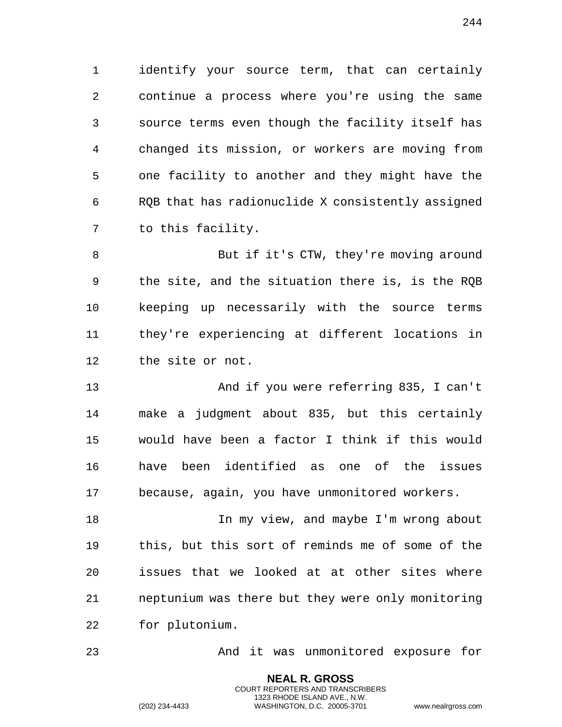identify your source term, that can certainly continue a process where you're using the same source terms even though the facility itself has changed its mission, or workers are moving from one facility to another and they might have the RQB that has radionuclide X consistently assigned to this facility.

 But if it's CTW, they're moving around the site, and the situation there is, is the RQB keeping up necessarily with the source terms they're experiencing at different locations in the site or not.

 And if you were referring 835, I can't make a judgment about 835, but this certainly would have been a factor I think if this would have been identified as one of the issues because, again, you have unmonitored workers.

18 In my view, and maybe I'm wrong about this, but this sort of reminds me of some of the issues that we looked at at other sites where neptunium was there but they were only monitoring for plutonium.

And it was unmonitored exposure for

**NEAL R. GROSS** COURT REPORTERS AND TRANSCRIBERS 1323 RHODE ISLAND AVE., N.W.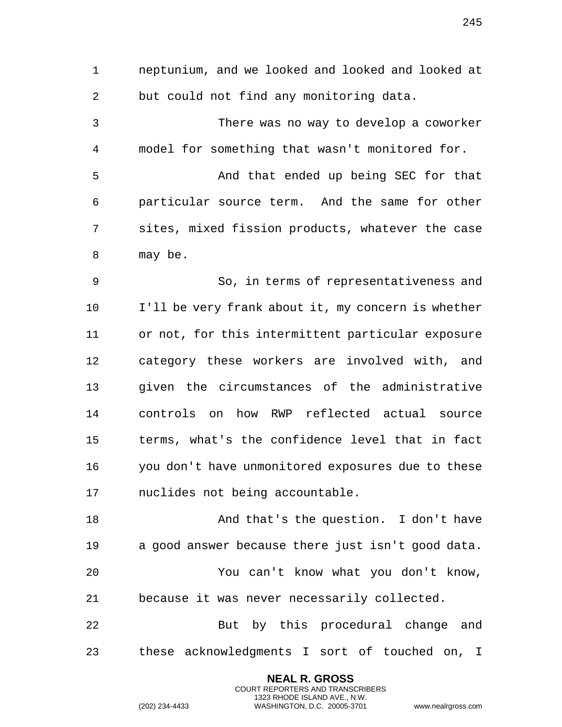but could not find any monitoring data. There was no way to develop a coworker model for something that wasn't monitored for. And that ended up being SEC for that particular source term. And the same for other sites, mixed fission products, whatever the case may be. So, in terms of representativeness and I'll be very frank about it, my concern is whether or not, for this intermittent particular exposure category these workers are involved with, and given the circumstances of the administrative controls on how RWP reflected actual source terms, what's the confidence level that in fact you don't have unmonitored exposures due to these nuclides not being accountable. 18 And that's the question. I don't have a good answer because there just isn't good data. You can't know what you don't know, because it was never necessarily collected. 22 But by this procedural change and these acknowledgments I sort of touched on, I

neptunium, and we looked and looked and looked at

**NEAL R. GROSS** COURT REPORTERS AND TRANSCRIBERS 1323 RHODE ISLAND AVE., N.W.

(202) 234-4433 WASHINGTON, D.C. 20005-3701 www.nealrgross.com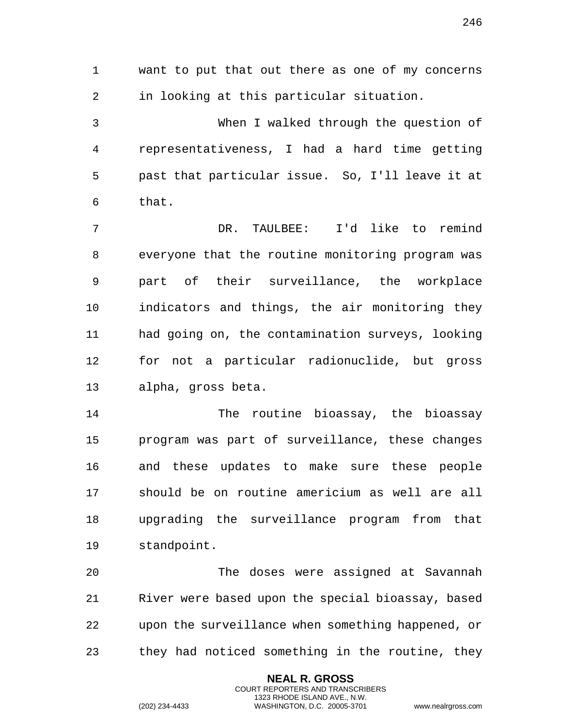want to put that out there as one of my concerns in looking at this particular situation. When I walked through the question of

 representativeness, I had a hard time getting past that particular issue. So, I'll leave it at that.

 DR. TAULBEE: I'd like to remind everyone that the routine monitoring program was part of their surveillance, the workplace indicators and things, the air monitoring they had going on, the contamination surveys, looking for not a particular radionuclide, but gross alpha, gross beta.

 The routine bioassay, the bioassay program was part of surveillance, these changes and these updates to make sure these people should be on routine americium as well are all upgrading the surveillance program from that standpoint.

 The doses were assigned at Savannah River were based upon the special bioassay, based upon the surveillance when something happened, or they had noticed something in the routine, they

> **NEAL R. GROSS** COURT REPORTERS AND TRANSCRIBERS 1323 RHODE ISLAND AVE., N.W.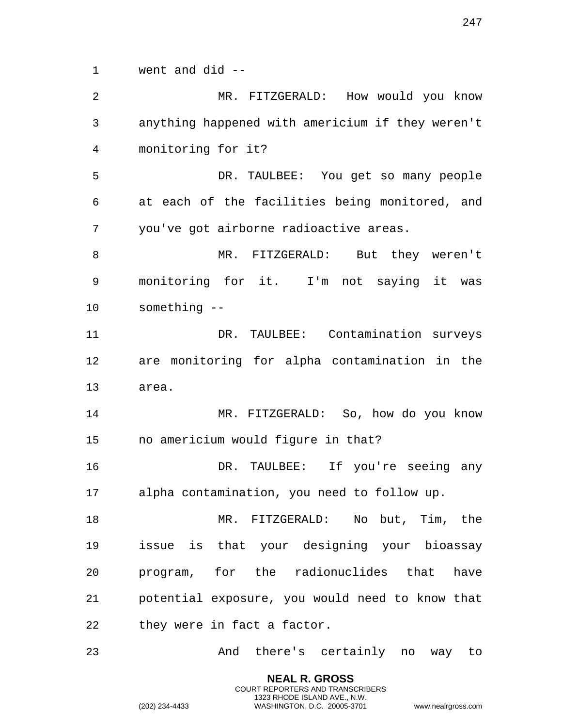went and did -- MR. FITZGERALD: How would you know anything happened with americium if they weren't monitoring for it? DR. TAULBEE: You get so many people at each of the facilities being monitored, and you've got airborne radioactive areas. MR. FITZGERALD: But they weren't monitoring for it. I'm not saying it was something -- DR. TAULBEE: Contamination surveys are monitoring for alpha contamination in the area. MR. FITZGERALD: So, how do you know no americium would figure in that? DR. TAULBEE: If you're seeing any alpha contamination, you need to follow up. MR. FITZGERALD: No but, Tim, the issue is that your designing your bioassay program, for the radionuclides that have potential exposure, you would need to know that 22 they were in fact a factor. And there's certainly no way to

> **NEAL R. GROSS** COURT REPORTERS AND TRANSCRIBERS 1323 RHODE ISLAND AVE., N.W.

(202) 234-4433 WASHINGTON, D.C. 20005-3701 www.nealrgross.com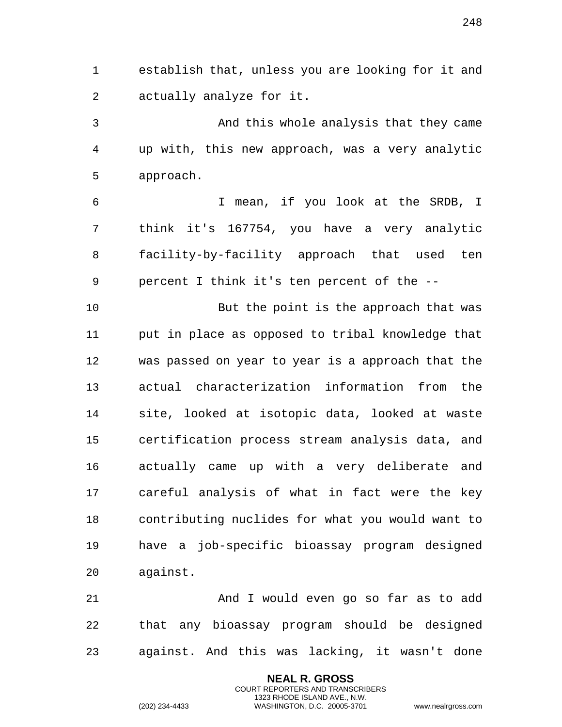establish that, unless you are looking for it and actually analyze for it.

 And this whole analysis that they came up with, this new approach, was a very analytic approach.

 I mean, if you look at the SRDB, I think it's 167754, you have a very analytic facility-by-facility approach that used ten percent I think it's ten percent of the --

 But the point is the approach that was put in place as opposed to tribal knowledge that was passed on year to year is a approach that the actual characterization information from the site, looked at isotopic data, looked at waste certification process stream analysis data, and actually came up with a very deliberate and careful analysis of what in fact were the key contributing nuclides for what you would want to have a job-specific bioassay program designed against.

 And I would even go so far as to add that any bioassay program should be designed against. And this was lacking, it wasn't done

> **NEAL R. GROSS** COURT REPORTERS AND TRANSCRIBERS 1323 RHODE ISLAND AVE., N.W.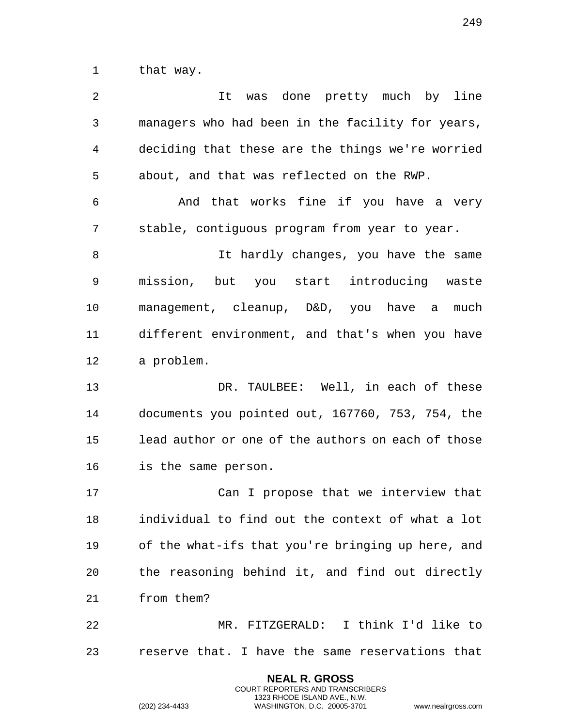that way.

| $\overline{a}$ | was done pretty much by line<br>It                 |
|----------------|----------------------------------------------------|
| 3              | managers who had been in the facility for years,   |
| 4              | deciding that these are the things we're worried   |
| 5              | about, and that was reflected on the RWP.          |
| 6              | And that works fine if you have a very             |
| 7              | stable, contiguous program from year to year.      |
| 8              | It hardly changes, you have the same               |
| 9              | mission, but you start introducing waste           |
| 10             | management, cleanup, D&D, you have a<br>much       |
| 11             | different environment, and that's when you have    |
| 12             | a problem.                                         |
| 13             | DR. TAULBEE: Well, in each of these                |
| 14             | documents you pointed out, 167760, 753, 754, the   |
| 15             | lead author or one of the authors on each of those |
| 16             | is the same person.                                |
| 17             | Can I propose that we interview that               |
| 18             | individual to find out the context of what a lot   |
| 19             | of the what-ifs that you're bringing up here, and  |
| 20             | the reasoning behind it, and find out directly     |
| 21             | from them?                                         |
| 22             | MR. FITZGERALD: I think I'd like to                |
| 23             | reserve that. I have the same reservations that    |

**NEAL R. GROSS** COURT REPORTERS AND TRANSCRIBERS 1323 RHODE ISLAND AVE., N.W.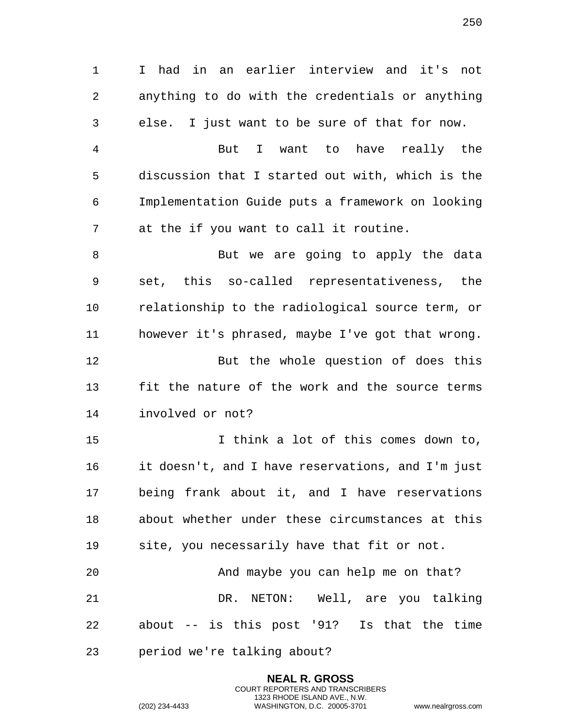I had in an earlier interview and it's not anything to do with the credentials or anything else. I just want to be sure of that for now. But I want to have really the discussion that I started out with, which is the Implementation Guide puts a framework on looking at the if you want to call it routine. 8 But we are going to apply the data set, this so-called representativeness, the relationship to the radiological source term, or however it's phrased, maybe I've got that wrong. But the whole question of does this fit the nature of the work and the source terms involved or not? I think a lot of this comes down to, it doesn't, and I have reservations, and I'm just being frank about it, and I have reservations about whether under these circumstances at this site, you necessarily have that fit or not. And maybe you can help me on that? DR. NETON: Well, are you talking about -- is this post '91? Is that the time

> **NEAL R. GROSS** COURT REPORTERS AND TRANSCRIBERS 1323 RHODE ISLAND AVE., N.W.

period we're talking about?

(202) 234-4433 WASHINGTON, D.C. 20005-3701 www.nealrgross.com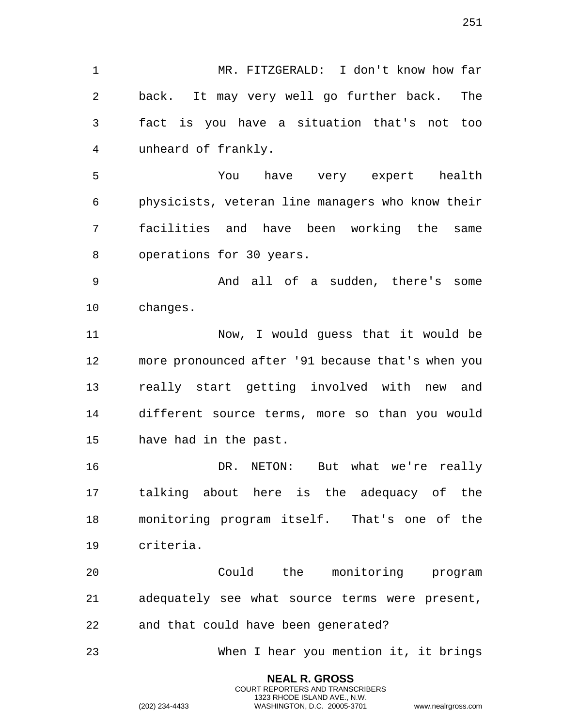MR. FITZGERALD: I don't know how far back. It may very well go further back. The fact is you have a situation that's not too unheard of frankly.

 You have very expert health physicists, veteran line managers who know their facilities and have been working the same operations for 30 years.

 And all of a sudden, there's some changes.

 Now, I would guess that it would be more pronounced after '91 because that's when you really start getting involved with new and different source terms, more so than you would have had in the past.

 DR. NETON: But what we're really talking about here is the adequacy of the monitoring program itself. That's one of the criteria.

 Could the monitoring program adequately see what source terms were present, and that could have been generated?

When I hear you mention it, it brings

**NEAL R. GROSS** COURT REPORTERS AND TRANSCRIBERS 1323 RHODE ISLAND AVE., N.W.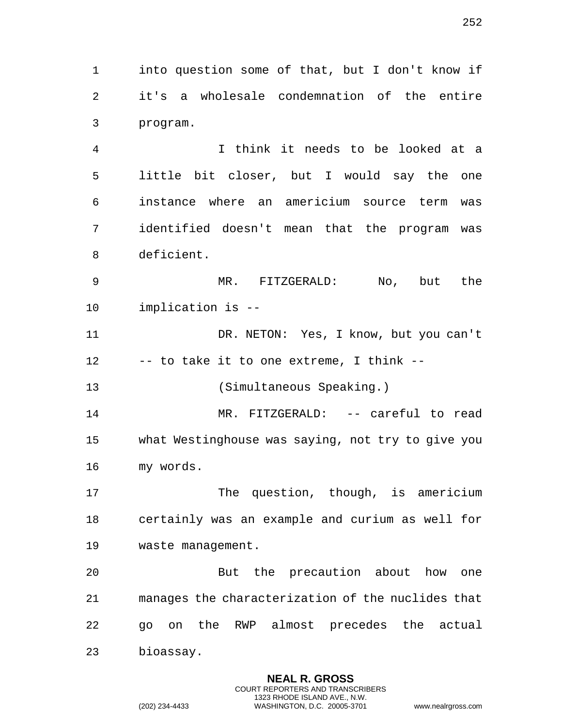into question some of that, but I don't know if it's a wholesale condemnation of the entire program.

 I think it needs to be looked at a little bit closer, but I would say the one instance where an americium source term was identified doesn't mean that the program was deficient.

 MR. FITZGERALD: No, but the implication is --

 DR. NETON: Yes, I know, but you can't -- to take it to one extreme, I think --

(Simultaneous Speaking.)

 MR. FITZGERALD: -- careful to read what Westinghouse was saying, not try to give you my words.

17 The question, though, is americium certainly was an example and curium as well for waste management.

 But the precaution about how one manages the characterization of the nuclides that go on the RWP almost precedes the actual bioassay.

> **NEAL R. GROSS** COURT REPORTERS AND TRANSCRIBERS 1323 RHODE ISLAND AVE., N.W.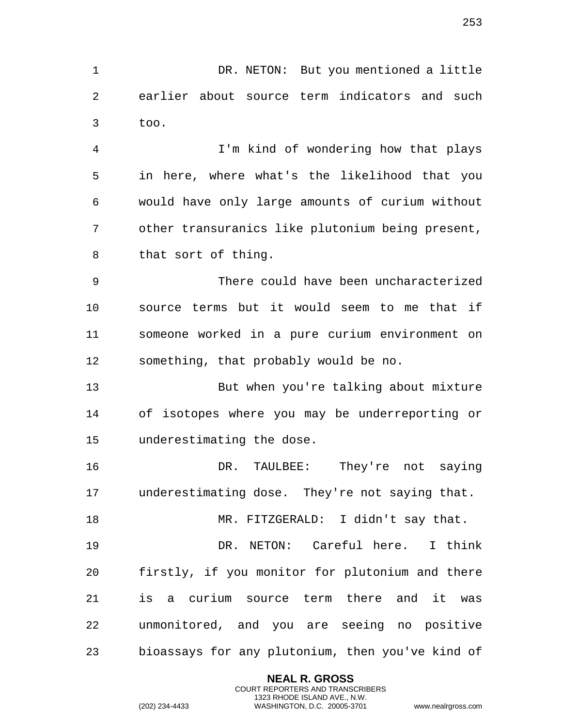DR. NETON: But you mentioned a little earlier about source term indicators and such too.

 I'm kind of wondering how that plays in here, where what's the likelihood that you would have only large amounts of curium without other transuranics like plutonium being present, that sort of thing.

 There could have been uncharacterized source terms but it would seem to me that if someone worked in a pure curium environment on something, that probably would be no.

 But when you're talking about mixture of isotopes where you may be underreporting or underestimating the dose.

 DR. TAULBEE: They're not saying underestimating dose. They're not saying that.

MR. FITZGERALD: I didn't say that.

 DR. NETON: Careful here. I think firstly, if you monitor for plutonium and there is a curium source term there and it was unmonitored, and you are seeing no positive bioassays for any plutonium, then you've kind of

> **NEAL R. GROSS** COURT REPORTERS AND TRANSCRIBERS 1323 RHODE ISLAND AVE., N.W.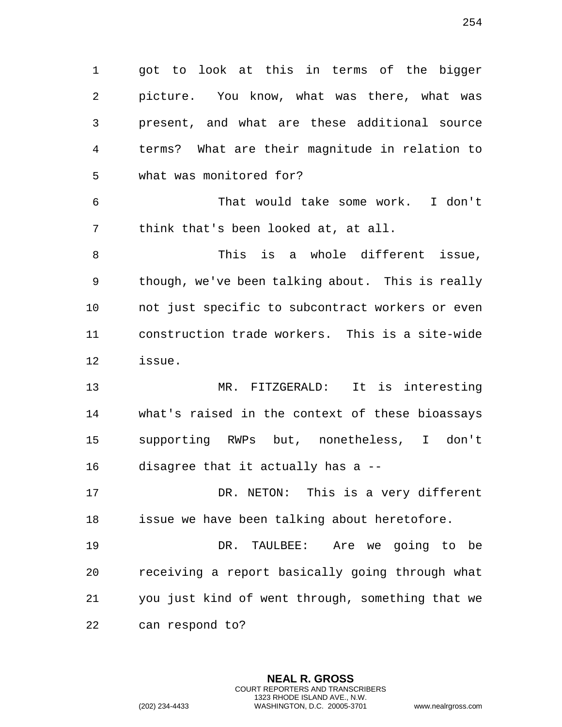got to look at this in terms of the bigger picture. You know, what was there, what was present, and what are these additional source terms? What are their magnitude in relation to what was monitored for?

 That would take some work. I don't think that's been looked at, at all.

 This is a whole different issue, though, we've been talking about. This is really not just specific to subcontract workers or even construction trade workers. This is a site-wide issue.

 MR. FITZGERALD: It is interesting what's raised in the context of these bioassays supporting RWPs but, nonetheless, I don't disagree that it actually has a --

 DR. NETON: This is a very different issue we have been talking about heretofore.

 DR. TAULBEE: Are we going to be receiving a report basically going through what you just kind of went through, something that we can respond to?

> **NEAL R. GROSS** COURT REPORTERS AND TRANSCRIBERS 1323 RHODE ISLAND AVE., N.W.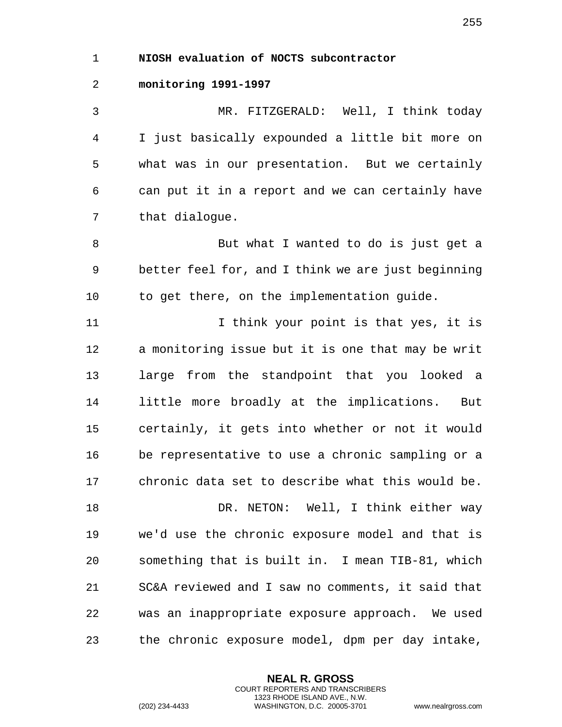1 **NIOSH evaluation of NOCTS subcontractor** 

## 2 **monitoring 1991-1997**

3 MR. FITZGERALD: Well, I think today 4 I just basically expounded a little bit more on 5 what was in our presentation. But we certainly 6 can put it in a report and we can certainly have 7 that dialogue.

8 But what I wanted to do is just get a 9 better feel for, and I think we are just beginning 10 to get there, on the implementation guide.

11 11 I think your point is that yes, it is 12 a monitoring issue but it is one that may be writ 13 large from the standpoint that you looked a 14 little more broadly at the implications. But 15 certainly, it gets into whether or not it would 16 be representative to use a chronic sampling or a 17 chronic data set to describe what this would be. 18 DR. NETON: Well, I think either way 19 we'd use the chronic exposure model and that is 20 something that is built in. I mean TIB-81, which 21 SC&A reviewed and I saw no comments, it said that 22 was an inappropriate exposure approach. We used

23 the chronic exposure model, dpm per day intake,

**NEAL R. GROSS** COURT REPORTERS AND TRANSCRIBERS 1323 RHODE ISLAND AVE., N.W.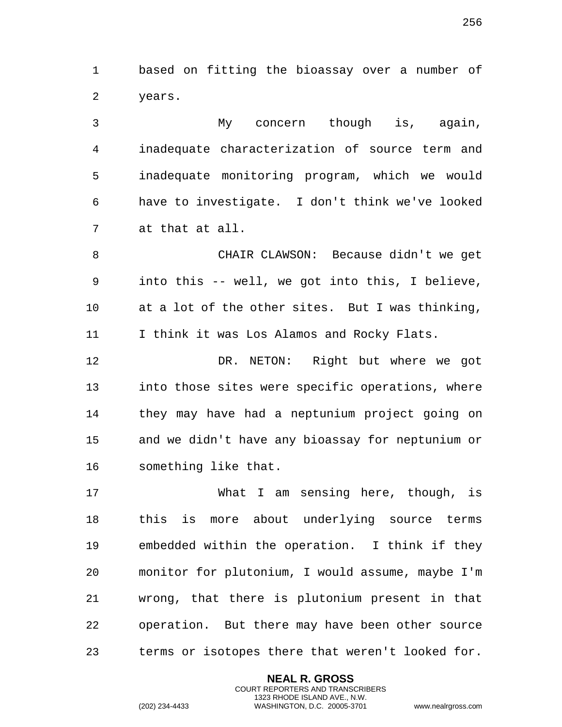based on fitting the bioassay over a number of years.

 My concern though is, again, inadequate characterization of source term and inadequate monitoring program, which we would have to investigate. I don't think we've looked at that at all.

 CHAIR CLAWSON: Because didn't we get into this -- well, we got into this, I believe, at a lot of the other sites. But I was thinking, I think it was Los Alamos and Rocky Flats.

 DR. NETON: Right but where we got into those sites were specific operations, where they may have had a neptunium project going on and we didn't have any bioassay for neptunium or something like that.

 What I am sensing here, though, is this is more about underlying source terms embedded within the operation. I think if they monitor for plutonium, I would assume, maybe I'm wrong, that there is plutonium present in that operation. But there may have been other source terms or isotopes there that weren't looked for.

> **NEAL R. GROSS** COURT REPORTERS AND TRANSCRIBERS 1323 RHODE ISLAND AVE., N.W.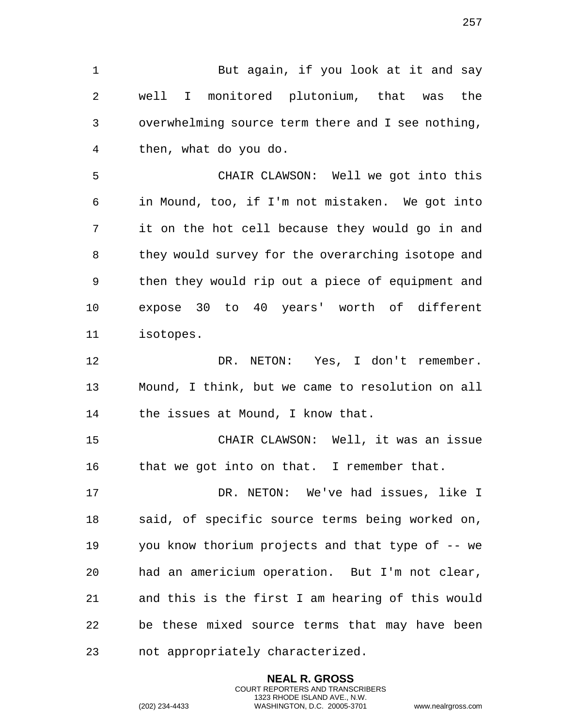1 But again, if you look at it and say well I monitored plutonium, that was the overwhelming source term there and I see nothing, then, what do you do.

 CHAIR CLAWSON: Well we got into this in Mound, too, if I'm not mistaken. We got into it on the hot cell because they would go in and they would survey for the overarching isotope and then they would rip out a piece of equipment and expose 30 to 40 years' worth of different isotopes.

 DR. NETON: Yes, I don't remember. Mound, I think, but we came to resolution on all 14 the issues at Mound, I know that.

 CHAIR CLAWSON: Well, it was an issue that we got into on that. I remember that.

 DR. NETON: We've had issues, like I said, of specific source terms being worked on, you know thorium projects and that type of -- we had an americium operation. But I'm not clear, and this is the first I am hearing of this would be these mixed source terms that may have been not appropriately characterized.

> **NEAL R. GROSS** COURT REPORTERS AND TRANSCRIBERS 1323 RHODE ISLAND AVE., N.W.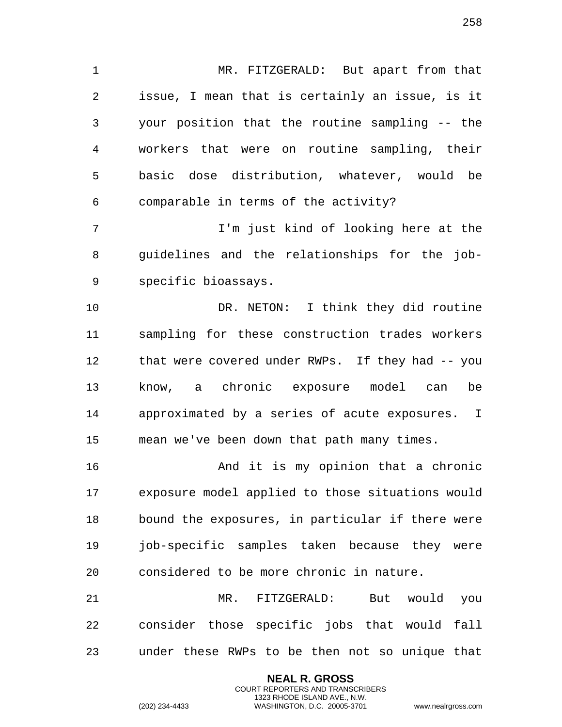MR. FITZGERALD: But apart from that issue, I mean that is certainly an issue, is it your position that the routine sampling -- the workers that were on routine sampling, their basic dose distribution, whatever, would be comparable in terms of the activity?

 I'm just kind of looking here at the guidelines and the relationships for the job-specific bioassays.

 DR. NETON: I think they did routine sampling for these construction trades workers that were covered under RWPs. If they had -- you know, a chronic exposure model can be approximated by a series of acute exposures. I mean we've been down that path many times.

 And it is my opinion that a chronic exposure model applied to those situations would bound the exposures, in particular if there were job-specific samples taken because they were considered to be more chronic in nature.

 MR. FITZGERALD: But would you consider those specific jobs that would fall under these RWPs to be then not so unique that

> **NEAL R. GROSS** COURT REPORTERS AND TRANSCRIBERS 1323 RHODE ISLAND AVE., N.W.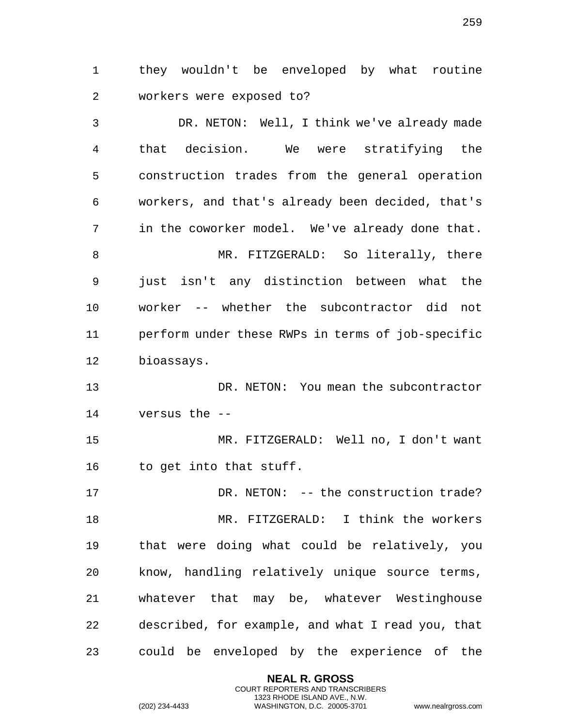they wouldn't be enveloped by what routine workers were exposed to?

 DR. NETON: Well, I think we've already made that decision. We were stratifying the construction trades from the general operation workers, and that's already been decided, that's in the coworker model. We've already done that. MR. FITZGERALD: So literally, there just isn't any distinction between what the worker -- whether the subcontractor did not perform under these RWPs in terms of job-specific bioassays. DR. NETON: You mean the subcontractor versus the -- MR. FITZGERALD: Well no, I don't want to get into that stuff. 17 DR. NETON: -- the construction trade? MR. FITZGERALD: I think the workers that were doing what could be relatively, you know, handling relatively unique source terms, whatever that may be, whatever Westinghouse described, for example, and what I read you, that could be enveloped by the experience of the

> **NEAL R. GROSS** COURT REPORTERS AND TRANSCRIBERS 1323 RHODE ISLAND AVE., N.W.

(202) 234-4433 WASHINGTON, D.C. 20005-3701 www.nealrgross.com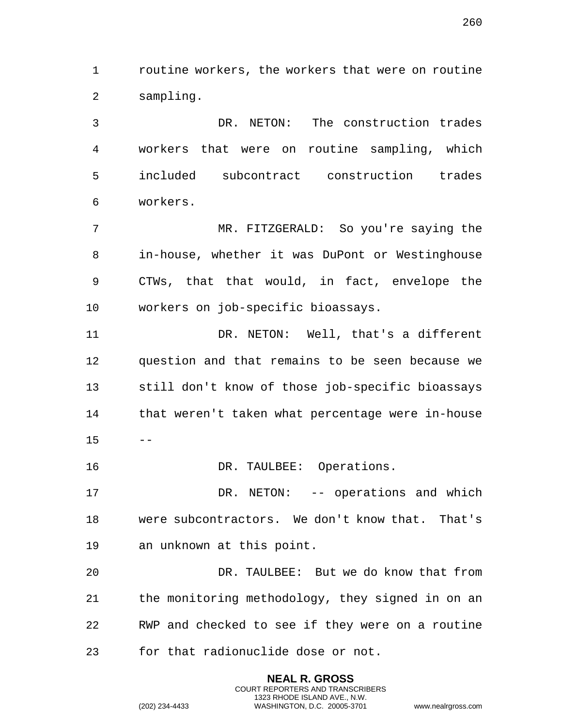routine workers, the workers that were on routine sampling.

 DR. NETON: The construction trades workers that were on routine sampling, which included subcontract construction trades workers.

 MR. FITZGERALD: So you're saying the in-house, whether it was DuPont or Westinghouse CTWs, that that would, in fact, envelope the workers on job-specific bioassays.

11 DR. NETON: Well, that's a different question and that remains to be seen because we still don't know of those job-specific bioassays that weren't taken what percentage were in-house  $15 - -$ 

16 DR. TAULBEE: Operations.

17 DR. NETON: -- operations and which were subcontractors. We don't know that. That's an unknown at this point.

 DR. TAULBEE: But we do know that from the monitoring methodology, they signed in on an RWP and checked to see if they were on a routine for that radionuclide dose or not.

> **NEAL R. GROSS** COURT REPORTERS AND TRANSCRIBERS 1323 RHODE ISLAND AVE., N.W.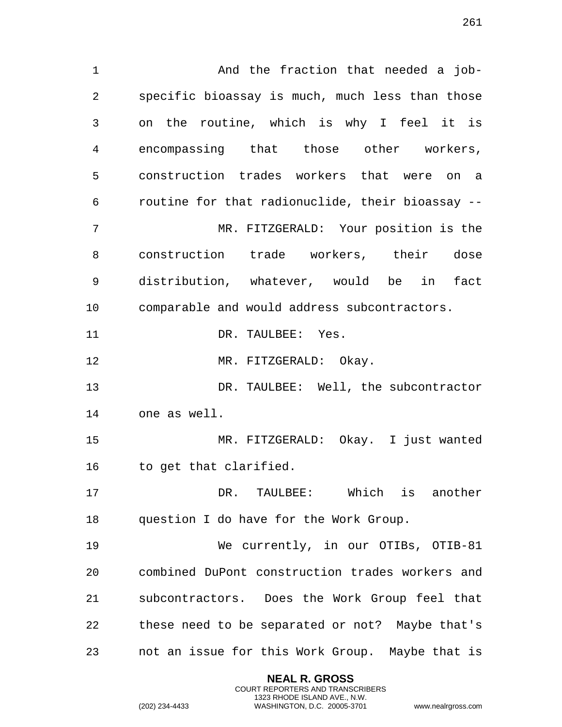1 And the fraction that needed a job- specific bioassay is much, much less than those on the routine, which is why I feel it is encompassing that those other workers, construction trades workers that were on a routine for that radionuclide, their bioassay -- MR. FITZGERALD: Your position is the construction trade workers, their dose distribution, whatever, would be in fact comparable and would address subcontractors. 11 DR. TAULBEE: Yes. 12 MR. FITZGERALD: Okay. DR. TAULBEE: Well, the subcontractor one as well. MR. FITZGERALD: Okay. I just wanted to get that clarified. DR. TAULBEE: Which is another question I do have for the Work Group. We currently, in our OTIBs, OTIB-81 combined DuPont construction trades workers and subcontractors. Does the Work Group feel that these need to be separated or not? Maybe that's not an issue for this Work Group. Maybe that is

> **NEAL R. GROSS** COURT REPORTERS AND TRANSCRIBERS 1323 RHODE ISLAND AVE., N.W.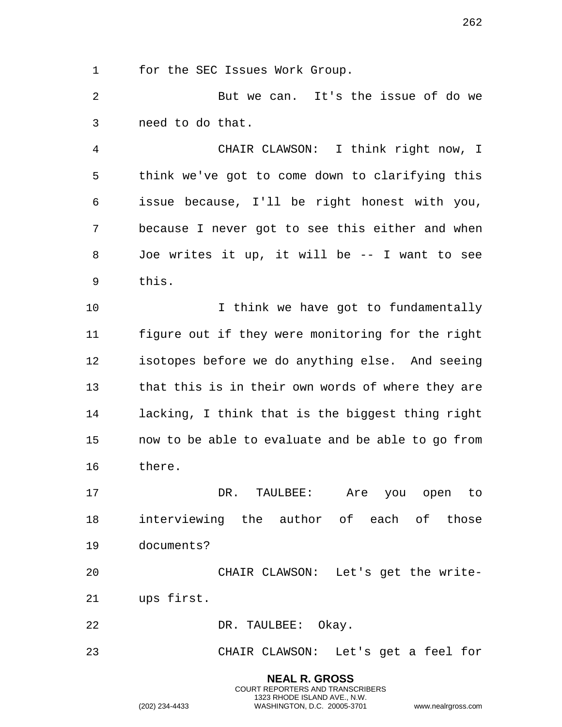for the SEC Issues Work Group.

 But we can. It's the issue of do we need to do that.

 CHAIR CLAWSON: I think right now, I think we've got to come down to clarifying this issue because, I'll be right honest with you, because I never got to see this either and when Joe writes it up, it will be -- I want to see this.

10 10 I think we have got to fundamentally figure out if they were monitoring for the right isotopes before we do anything else. And seeing that this is in their own words of where they are lacking, I think that is the biggest thing right now to be able to evaluate and be able to go from there.

 DR. TAULBEE: Are you open to interviewing the author of each of those documents?

 CHAIR CLAWSON: Let's get the write-ups first.

DR. TAULBEE: Okay.

CHAIR CLAWSON: Let's get a feel for

**NEAL R. GROSS** COURT REPORTERS AND TRANSCRIBERS 1323 RHODE ISLAND AVE., N.W.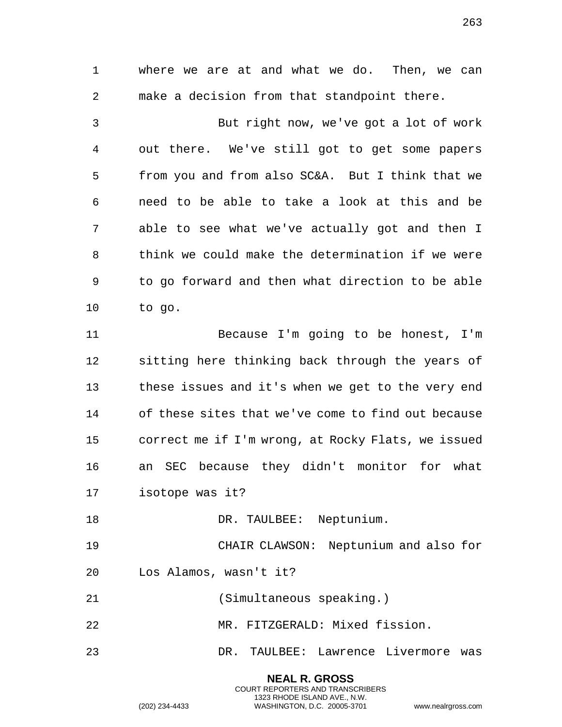where we are at and what we do. Then, we can make a decision from that standpoint there. But right now, we've got a lot of work out there. We've still got to get some papers from you and from also SC&A. But I think that we need to be able to take a look at this and be able to see what we've actually got and then I think we could make the determination if we were to go forward and then what direction to be able to go. Because I'm going to be honest, I'm sitting here thinking back through the years of

 these issues and it's when we get to the very end of these sites that we've come to find out because correct me if I'm wrong, at Rocky Flats, we issued an SEC because they didn't monitor for what isotope was it?

18 DR. TAULBEE: Neptunium.

 CHAIR CLAWSON: Neptunium and also for Los Alamos, wasn't it?

- (Simultaneous speaking.)
- MR. FITZGERALD: Mixed fission.
- DR. TAULBEE: Lawrence Livermore was

**NEAL R. GROSS** COURT REPORTERS AND TRANSCRIBERS 1323 RHODE ISLAND AVE., N.W.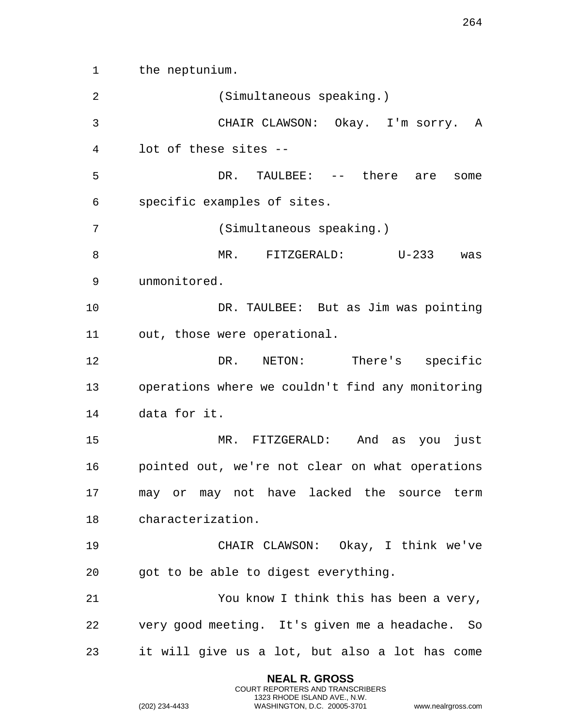the neptunium. (Simultaneous speaking.) CHAIR CLAWSON: Okay. I'm sorry. A lot of these sites -- 5 DR. TAULBEE: -- there are some specific examples of sites. (Simultaneous speaking.) MR. FITZGERALD: U-233 was unmonitored. DR. TAULBEE: But as Jim was pointing out, those were operational. DR. NETON: There's specific operations where we couldn't find any monitoring data for it. MR. FITZGERALD: And as you just pointed out, we're not clear on what operations may or may not have lacked the source term characterization. CHAIR CLAWSON: Okay, I think we've got to be able to digest everything. You know I think this has been a very, very good meeting. It's given me a headache. So it will give us a lot, but also a lot has come

> **NEAL R. GROSS** COURT REPORTERS AND TRANSCRIBERS 1323 RHODE ISLAND AVE., N.W.

(202) 234-4433 WASHINGTON, D.C. 20005-3701 www.nealrgross.com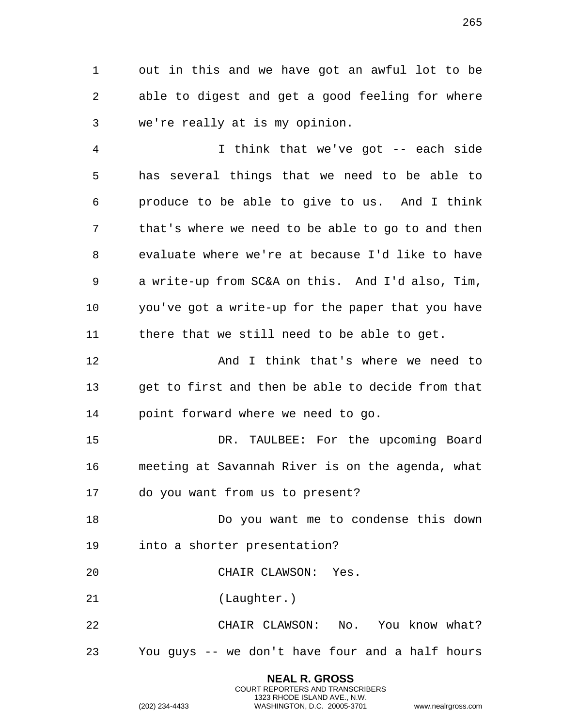out in this and we have got an awful lot to be able to digest and get a good feeling for where we're really at is my opinion.

 I think that we've got -- each side has several things that we need to be able to produce to be able to give to us. And I think that's where we need to be able to go to and then evaluate where we're at because I'd like to have a write-up from SC&A on this. And I'd also, Tim, you've got a write-up for the paper that you have there that we still need to be able to get.

**And I think that's where we need to**  get to first and then be able to decide from that point forward where we need to go.

 DR. TAULBEE: For the upcoming Board meeting at Savannah River is on the agenda, what do you want from us to present?

 Do you want me to condense this down into a shorter presentation?

CHAIR CLAWSON: Yes.

(Laughter.)

 CHAIR CLAWSON: No. You know what? You guys -- we don't have four and a half hours

> **NEAL R. GROSS** COURT REPORTERS AND TRANSCRIBERS 1323 RHODE ISLAND AVE., N.W.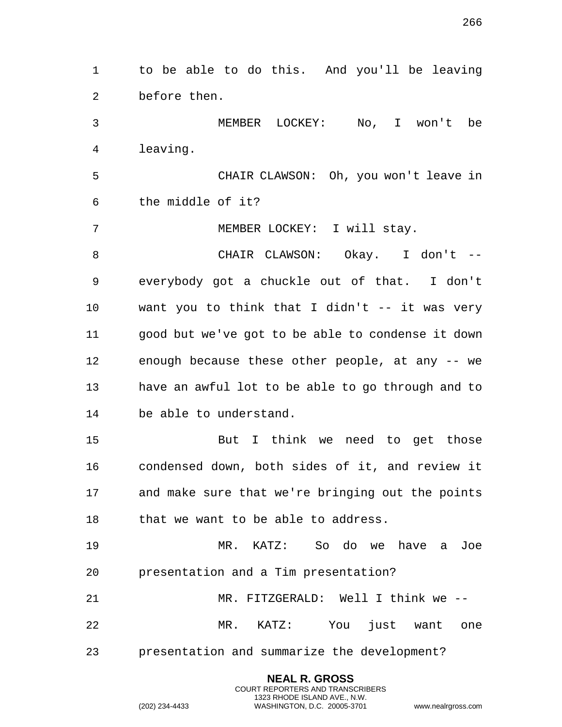to be able to do this. And you'll be leaving before then. MEMBER LOCKEY: No, I won't be leaving. CHAIR CLAWSON: Oh, you won't leave in the middle of it? MEMBER LOCKEY: I will stay. CHAIR CLAWSON: Okay. I don't -- everybody got a chuckle out of that. I don't want you to think that I didn't -- it was very good but we've got to be able to condense it down enough because these other people, at any -- we have an awful lot to be able to go through and to be able to understand. But I think we need to get those condensed down, both sides of it, and review it and make sure that we're bringing out the points 18 that we want to be able to address. MR. KATZ: So do we have a Joe presentation and a Tim presentation? MR. FITZGERALD: Well I think we -- MR. KATZ: You just want one presentation and summarize the development?

> **NEAL R. GROSS** COURT REPORTERS AND TRANSCRIBERS 1323 RHODE ISLAND AVE., N.W.

(202) 234-4433 WASHINGTON, D.C. 20005-3701 www.nealrgross.com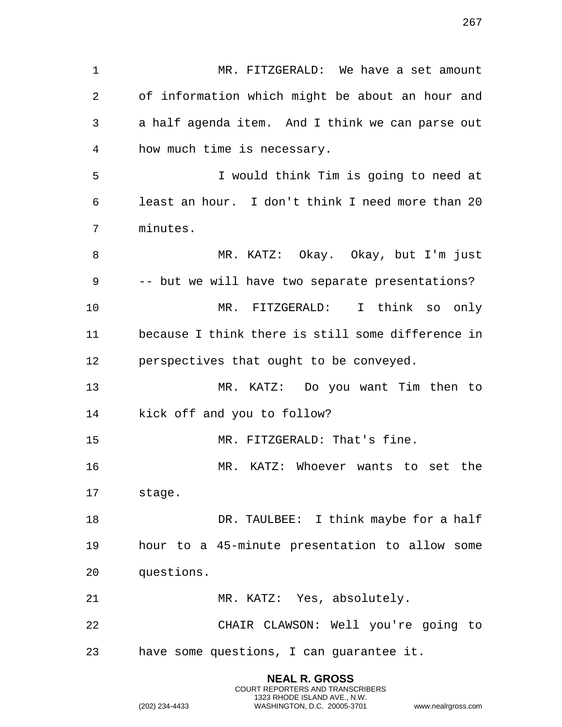MR. FITZGERALD: We have a set amount of information which might be about an hour and a half agenda item. And I think we can parse out how much time is necessary. I would think Tim is going to need at least an hour. I don't think I need more than 20 minutes. MR. KATZ: Okay. Okay, but I'm just -- but we will have two separate presentations? MR. FITZGERALD: I think so only because I think there is still some difference in perspectives that ought to be conveyed. MR. KATZ: Do you want Tim then to kick off and you to follow? 15 MR. FITZGERALD: That's fine. MR. KATZ: Whoever wants to set the stage. 18 DR. TAULBEE: I think maybe for a half hour to a 45-minute presentation to allow some questions. MR. KATZ: Yes, absolutely. CHAIR CLAWSON: Well you're going to have some questions, I can guarantee it.

> **NEAL R. GROSS** COURT REPORTERS AND TRANSCRIBERS 1323 RHODE ISLAND AVE., N.W.

(202) 234-4433 WASHINGTON, D.C. 20005-3701 www.nealrgross.com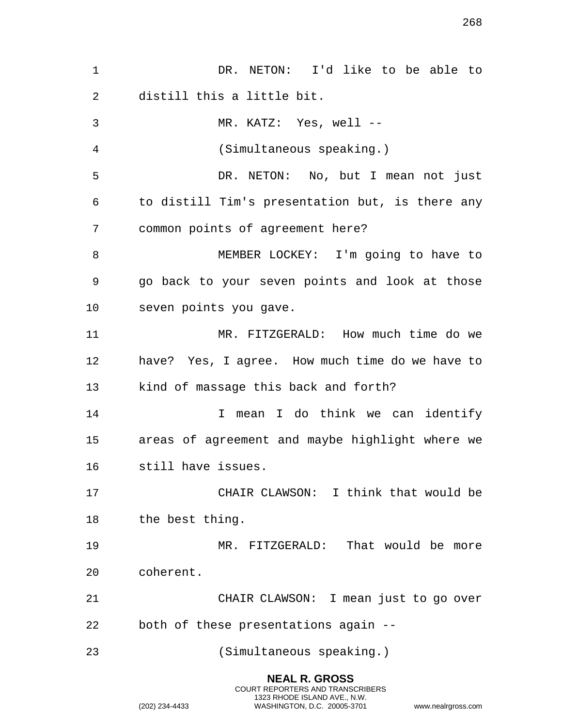| $\mathbf 1$ | DR. NETON: I'd like to be able to               |
|-------------|-------------------------------------------------|
| 2           | distill this a little bit.                      |
| 3           | MR. KATZ: Yes, well --                          |
| 4           | (Simultaneous speaking.)                        |
| 5           | DR. NETON: No, but I mean not just              |
| 6           | to distill Tim's presentation but, is there any |
| 7           | common points of agreement here?                |
| 8           | MEMBER LOCKEY: I'm going to have to             |
| 9           | go back to your seven points and look at those  |
| 10          | seven points you gave.                          |
| 11          | MR. FITZGERALD: How much time do we             |
| 12          | have? Yes, I agree. How much time do we have to |
| 13          | kind of massage this back and forth?            |
| 14          | mean I do think we can identify<br>I.           |
| 15          | areas of agreement and maybe highlight where we |
| 16          | still have issues.                              |
| 17          | CHAIR CLAWSON: I think that would be            |
| 18          | the best thing.                                 |
| 19          | MR. FITZGERALD: That would be more              |
| 20          | coherent.                                       |
| 21          | CHAIR CLAWSON: I mean just to go over           |
| 22          | both of these presentations again --            |
| 23          | (Simultaneous speaking.)                        |
|             |                                                 |

**NEAL R. GROSS** COURT REPORTERS AND TRANSCRIBERS 1323 RHODE ISLAND AVE., N.W.

(202) 234-4433 WASHINGTON, D.C. 20005-3701 www.nealrgross.com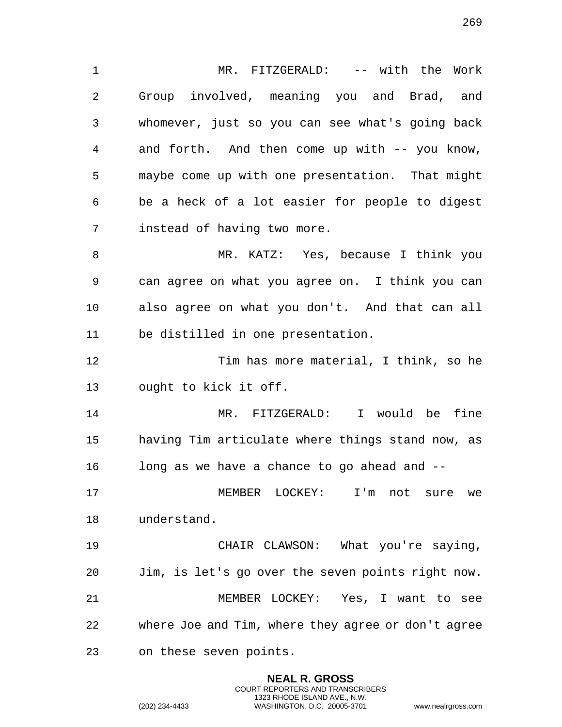MR. FITZGERALD: -- with the Work Group involved, meaning you and Brad, and whomever, just so you can see what's going back and forth. And then come up with -- you know, maybe come up with one presentation. That might be a heck of a lot easier for people to digest instead of having two more.

 MR. KATZ: Yes, because I think you can agree on what you agree on. I think you can also agree on what you don't. And that can all be distilled in one presentation.

 Tim has more material, I think, so he ought to kick it off.

 MR. FITZGERALD: I would be fine having Tim articulate where things stand now, as long as we have a chance to go ahead and --

 MEMBER LOCKEY: I'm not sure we understand.

 CHAIR CLAWSON: What you're saying, Jim, is let's go over the seven points right now. MEMBER LOCKEY: Yes, I want to see where Joe and Tim, where they agree or don't agree on these seven points.

> **NEAL R. GROSS** COURT REPORTERS AND TRANSCRIBERS 1323 RHODE ISLAND AVE., N.W.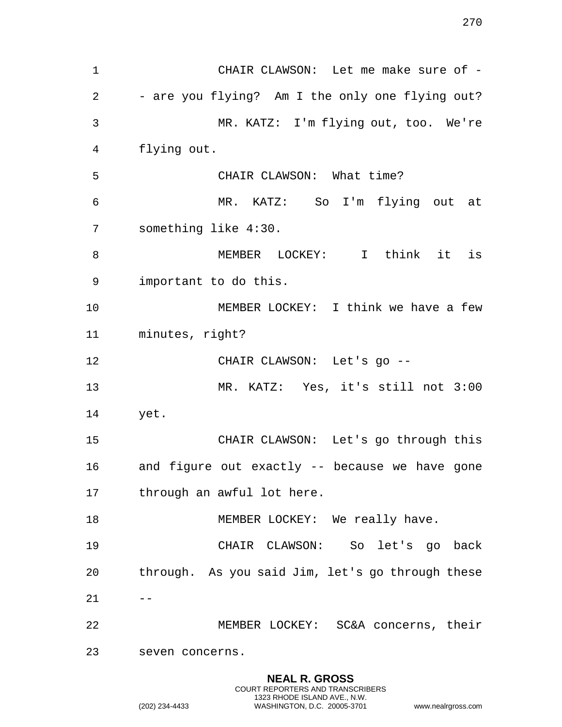CHAIR CLAWSON: Let me make sure of - - are you flying? Am I the only one flying out? MR. KATZ: I'm flying out, too. We're flying out. CHAIR CLAWSON: What time? MR. KATZ: So I'm flying out at something like 4:30. MEMBER LOCKEY: I think it is important to do this. MEMBER LOCKEY: I think we have a few minutes, right? CHAIR CLAWSON: Let's go -- MR. KATZ: Yes, it's still not 3:00 yet. CHAIR CLAWSON: Let's go through this and figure out exactly -- because we have gone through an awful lot here. 18 MEMBER LOCKEY: We really have. CHAIR CLAWSON: So let's go back through. As you said Jim, let's go through these  $21 - -$  MEMBER LOCKEY: SC&A concerns, their seven concerns.

> **NEAL R. GROSS** COURT REPORTERS AND TRANSCRIBERS 1323 RHODE ISLAND AVE., N.W.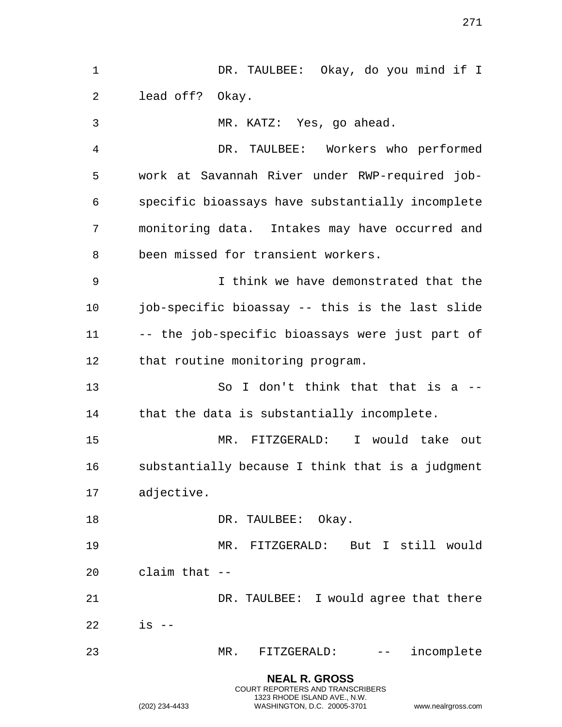| $\mathbf 1$ | DR. TAULBEE: Okay, do you mind if I                                                                                                                                                                                                                                                                                                                                                                                              |
|-------------|----------------------------------------------------------------------------------------------------------------------------------------------------------------------------------------------------------------------------------------------------------------------------------------------------------------------------------------------------------------------------------------------------------------------------------|
| 2           | lead off? Okay.                                                                                                                                                                                                                                                                                                                                                                                                                  |
| 3           | MR. KATZ: Yes, go ahead.                                                                                                                                                                                                                                                                                                                                                                                                         |
| 4           | DR. TAULBEE: Workers who performed                                                                                                                                                                                                                                                                                                                                                                                               |
| 5           | work at Savannah River under RWP-required job-                                                                                                                                                                                                                                                                                                                                                                                   |
| 6           | specific bioassays have substantially incomplete                                                                                                                                                                                                                                                                                                                                                                                 |
| 7           | monitoring data. Intakes may have occurred and                                                                                                                                                                                                                                                                                                                                                                                   |
| 8           | been missed for transient workers.                                                                                                                                                                                                                                                                                                                                                                                               |
| 9           | I think we have demonstrated that the                                                                                                                                                                                                                                                                                                                                                                                            |
| 10          | job-specific bioassay -- this is the last slide                                                                                                                                                                                                                                                                                                                                                                                  |
| 11          | -- the job-specific bioassays were just part of                                                                                                                                                                                                                                                                                                                                                                                  |
| 12          | that routine monitoring program.                                                                                                                                                                                                                                                                                                                                                                                                 |
| 13          | So I don't think that that is a --                                                                                                                                                                                                                                                                                                                                                                                               |
| 14          | that the data is substantially incomplete.                                                                                                                                                                                                                                                                                                                                                                                       |
| 15          | MR. FITZGERALD: I would take out                                                                                                                                                                                                                                                                                                                                                                                                 |
| 16          | substantially because I think that is a judgment                                                                                                                                                                                                                                                                                                                                                                                 |
| 17          | adjective.                                                                                                                                                                                                                                                                                                                                                                                                                       |
| 18          | DR. TAULBEE: Okay.                                                                                                                                                                                                                                                                                                                                                                                                               |
| 19          | MR. FITZGERALD: But I still would                                                                                                                                                                                                                                                                                                                                                                                                |
| 20          | claim that $-$                                                                                                                                                                                                                                                                                                                                                                                                                   |
| 21          | DR. TAULBEE: I would agree that there                                                                                                                                                                                                                                                                                                                                                                                            |
| 22          | $is$ --                                                                                                                                                                                                                                                                                                                                                                                                                          |
| 23          | incomplete<br>MR.<br>FITZGERALD:<br>$\frac{1}{2} \frac{1}{2} \frac{1}{2} \frac{1}{2} \frac{1}{2} \frac{1}{2} \frac{1}{2} \frac{1}{2} \frac{1}{2} \frac{1}{2} \frac{1}{2} \frac{1}{2} \frac{1}{2} \frac{1}{2} \frac{1}{2} \frac{1}{2} \frac{1}{2} \frac{1}{2} \frac{1}{2} \frac{1}{2} \frac{1}{2} \frac{1}{2} \frac{1}{2} \frac{1}{2} \frac{1}{2} \frac{1}{2} \frac{1}{2} \frac{1}{2} \frac{1}{2} \frac{1}{2} \frac{1}{2} \frac{$ |
|             | <b>NEAL R. GROSS</b><br>COURT REPORTERS AND TRANSCRIBERS                                                                                                                                                                                                                                                                                                                                                                         |

1323 RHODE ISLAND AVE., N.W.

(202) 234-4433 WASHINGTON, D.C. 20005-3701 www.nealrgross.com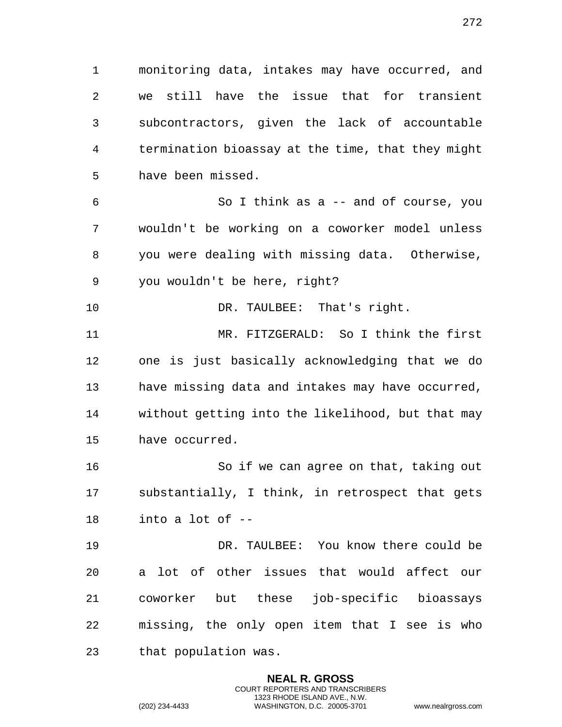monitoring data, intakes may have occurred, and we still have the issue that for transient subcontractors, given the lack of accountable termination bioassay at the time, that they might have been missed. So I think as a -- and of course, you

 wouldn't be working on a coworker model unless you were dealing with missing data. Otherwise, you wouldn't be here, right?

10 DR. TAULBEE: That's right.

 MR. FITZGERALD: So I think the first one is just basically acknowledging that we do have missing data and intakes may have occurred, without getting into the likelihood, but that may have occurred.

 So if we can agree on that, taking out substantially, I think, in retrospect that gets into a lot of --

 DR. TAULBEE: You know there could be a lot of other issues that would affect our coworker but these job-specific bioassays missing, the only open item that I see is who that population was.

> **NEAL R. GROSS** COURT REPORTERS AND TRANSCRIBERS 1323 RHODE ISLAND AVE., N.W.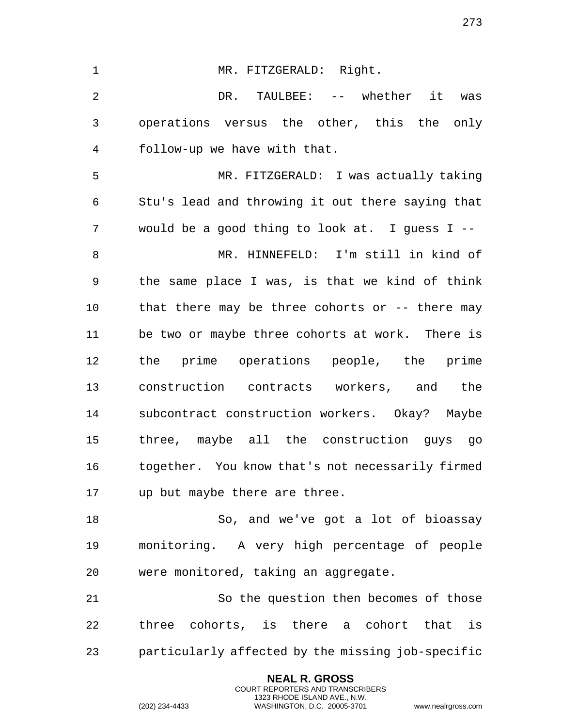1 MR. FITZGERALD: Right. DR. TAULBEE: -- whether it was operations versus the other, this the only follow-up we have with that. MR. FITZGERALD: I was actually taking Stu's lead and throwing it out there saying that would be a good thing to look at. I guess I -- MR. HINNEFELD: I'm still in kind of the same place I was, is that we kind of think that there may be three cohorts or -- there may be two or maybe three cohorts at work. There is the prime operations people, the prime construction contracts workers, and the subcontract construction workers. Okay? Maybe three, maybe all the construction guys go together. You know that's not necessarily firmed up but maybe there are three. So, and we've got a lot of bioassay monitoring. A very high percentage of people were monitored, taking an aggregate. So the question then becomes of those three cohorts, is there a cohort that is

particularly affected by the missing job-specific

**NEAL R. GROSS** COURT REPORTERS AND TRANSCRIBERS 1323 RHODE ISLAND AVE., N.W.

(202) 234-4433 WASHINGTON, D.C. 20005-3701 www.nealrgross.com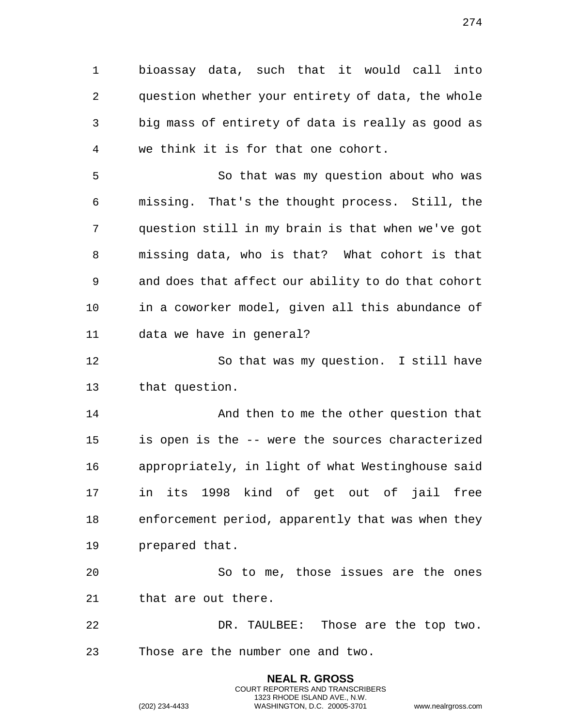bioassay data, such that it would call into question whether your entirety of data, the whole big mass of entirety of data is really as good as we think it is for that one cohort.

 So that was my question about who was missing. That's the thought process. Still, the question still in my brain is that when we've got missing data, who is that? What cohort is that and does that affect our ability to do that cohort in a coworker model, given all this abundance of data we have in general?

 So that was my question. I still have that question.

14 And then to me the other question that is open is the -- were the sources characterized appropriately, in light of what Westinghouse said in its 1998 kind of get out of jail free enforcement period, apparently that was when they prepared that.

 So to me, those issues are the ones that are out there.

 DR. TAULBEE: Those are the top two. Those are the number one and two.

> **NEAL R. GROSS** COURT REPORTERS AND TRANSCRIBERS 1323 RHODE ISLAND AVE., N.W.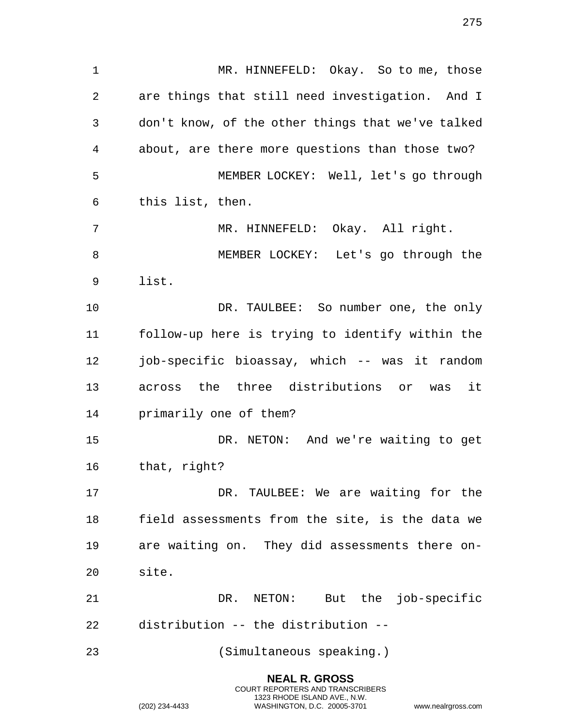1 MR. HINNEFELD: Okay. So to me, those are things that still need investigation. And I don't know, of the other things that we've talked about, are there more questions than those two? MEMBER LOCKEY: Well, let's go through this list, then. MR. HINNEFELD: Okay. All right. MEMBER LOCKEY: Let's go through the list. DR. TAULBEE: So number one, the only follow-up here is trying to identify within the job-specific bioassay, which -- was it random across the three distributions or was it primarily one of them? DR. NETON: And we're waiting to get that, right? 17 DR. TAULBEE: We are waiting for the field assessments from the site, is the data we are waiting on. They did assessments there on- site. DR. NETON: But the job-specific distribution -- the distribution -- (Simultaneous speaking.)

> **NEAL R. GROSS** COURT REPORTERS AND TRANSCRIBERS 1323 RHODE ISLAND AVE., N.W.

(202) 234-4433 WASHINGTON, D.C. 20005-3701 www.nealrgross.com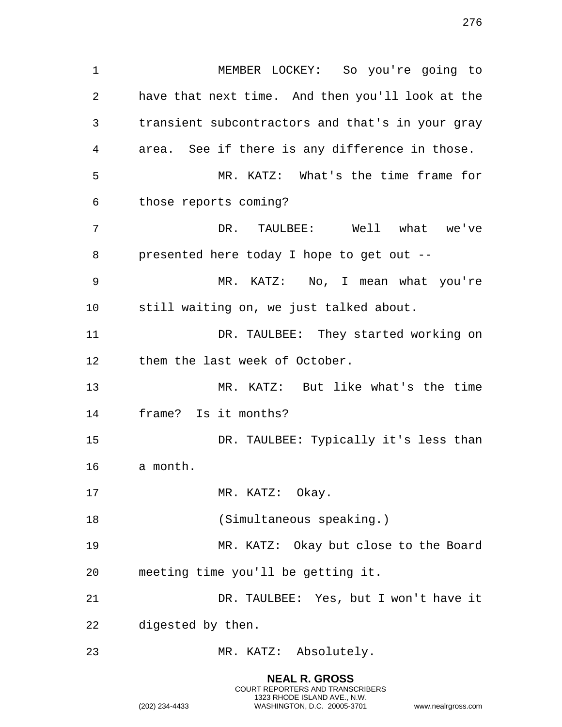MEMBER LOCKEY: So you're going to have that next time. And then you'll look at the transient subcontractors and that's in your gray area. See if there is any difference in those. MR. KATZ: What's the time frame for those reports coming? DR. TAULBEE: Well what we've presented here today I hope to get out -- MR. KATZ: No, I mean what you're still waiting on, we just talked about. DR. TAULBEE: They started working on them the last week of October. MR. KATZ: But like what's the time frame? Is it months? DR. TAULBEE: Typically it's less than a month. 17 MR. KATZ: Okay. (Simultaneous speaking.) MR. KATZ: Okay but close to the Board meeting time you'll be getting it. DR. TAULBEE: Yes, but I won't have it digested by then. MR. KATZ: Absolutely.

> **NEAL R. GROSS** COURT REPORTERS AND TRANSCRIBERS 1323 RHODE ISLAND AVE., N.W.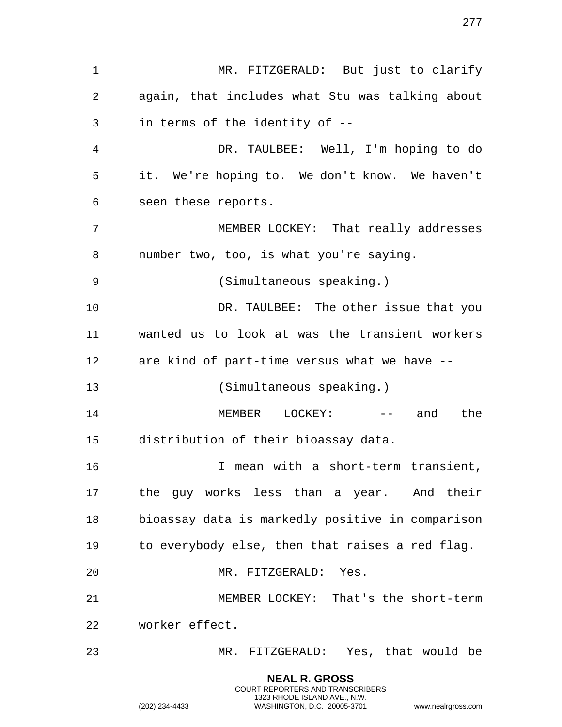MR. FITZGERALD: But just to clarify again, that includes what Stu was talking about in terms of the identity of -- DR. TAULBEE: Well, I'm hoping to do it. We're hoping to. We don't know. We haven't seen these reports. MEMBER LOCKEY: That really addresses number two, too, is what you're saying. (Simultaneous speaking.) DR. TAULBEE: The other issue that you wanted us to look at was the transient workers are kind of part-time versus what we have -- (Simultaneous speaking.) 14 MEMBER LOCKEY: -- and the distribution of their bioassay data. I mean with a short-term transient, the guy works less than a year. And their bioassay data is markedly positive in comparison to everybody else, then that raises a red flag. MR. FITZGERALD: Yes. MEMBER LOCKEY: That's the short-term worker effect. MR. FITZGERALD: Yes, that would be

> **NEAL R. GROSS** COURT REPORTERS AND TRANSCRIBERS 1323 RHODE ISLAND AVE., N.W.

(202) 234-4433 WASHINGTON, D.C. 20005-3701 www.nealrgross.com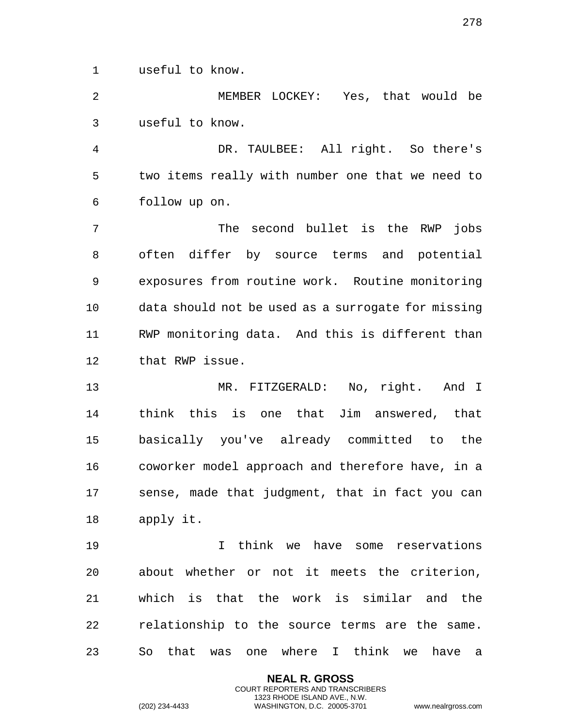useful to know.

 MEMBER LOCKEY: Yes, that would be useful to know.

 DR. TAULBEE: All right. So there's two items really with number one that we need to follow up on.

 The second bullet is the RWP jobs often differ by source terms and potential exposures from routine work. Routine monitoring data should not be used as a surrogate for missing RWP monitoring data. And this is different than that RWP issue.

 MR. FITZGERALD: No, right. And I think this is one that Jim answered, that basically you've already committed to the coworker model approach and therefore have, in a sense, made that judgment, that in fact you can apply it.

 I think we have some reservations about whether or not it meets the criterion, which is that the work is similar and the relationship to the source terms are the same. So that was one where I think we have a

> **NEAL R. GROSS** COURT REPORTERS AND TRANSCRIBERS 1323 RHODE ISLAND AVE., N.W.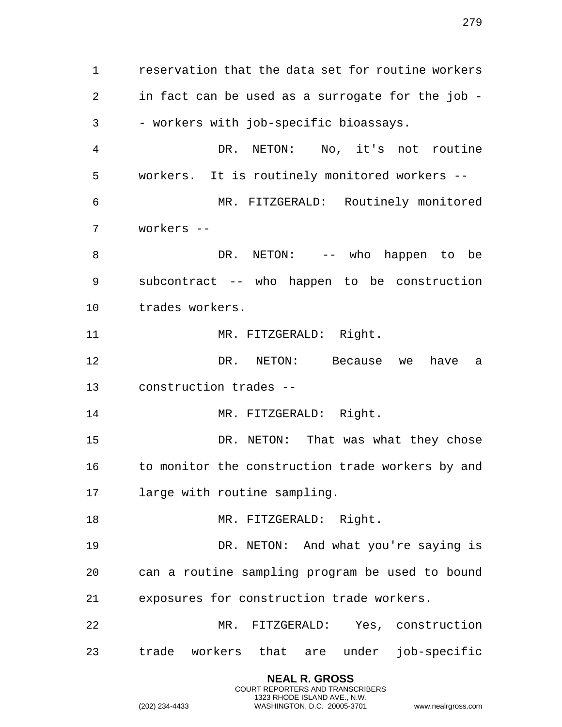reservation that the data set for routine workers in fact can be used as a surrogate for the job - - workers with job-specific bioassays. DR. NETON: No, it's not routine workers. It is routinely monitored workers -- MR. FITZGERALD: Routinely monitored workers -- DR. NETON: -- who happen to be subcontract -- who happen to be construction trades workers. 11 MR. FITZGERALD: Right. DR. NETON: Because we have a construction trades -- 14 MR. FITZGERALD: Right. DR. NETON: That was what they chose 16 to monitor the construction trade workers by and large with routine sampling. 18 MR. FITZGERALD: Right. DR. NETON: And what you're saying is can a routine sampling program be used to bound exposures for construction trade workers. MR. FITZGERALD: Yes, construction trade workers that are under job-specific

> **NEAL R. GROSS** COURT REPORTERS AND TRANSCRIBERS 1323 RHODE ISLAND AVE., N.W.

(202) 234-4433 WASHINGTON, D.C. 20005-3701 www.nealrgross.com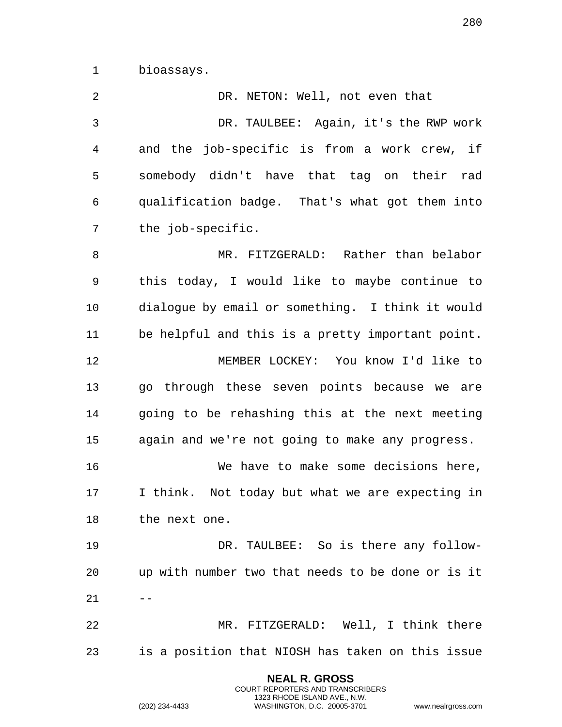bioassays.

2 DR. NETON: Well, not even that DR. TAULBEE: Again, it's the RWP work and the job-specific is from a work crew, if somebody didn't have that tag on their rad qualification badge. That's what got them into the job-specific. MR. FITZGERALD: Rather than belabor this today, I would like to maybe continue to dialogue by email or something. I think it would be helpful and this is a pretty important point. MEMBER LOCKEY: You know I'd like to go through these seven points because we are going to be rehashing this at the next meeting again and we're not going to make any progress. We have to make some decisions here, I think. Not today but what we are expecting in the next one. DR. TAULBEE: So is there any follow- up with number two that needs to be done or is it  $21 - -$  MR. FITZGERALD: Well, I think there is a position that NIOSH has taken on this issue

> **NEAL R. GROSS** COURT REPORTERS AND TRANSCRIBERS 1323 RHODE ISLAND AVE., N.W.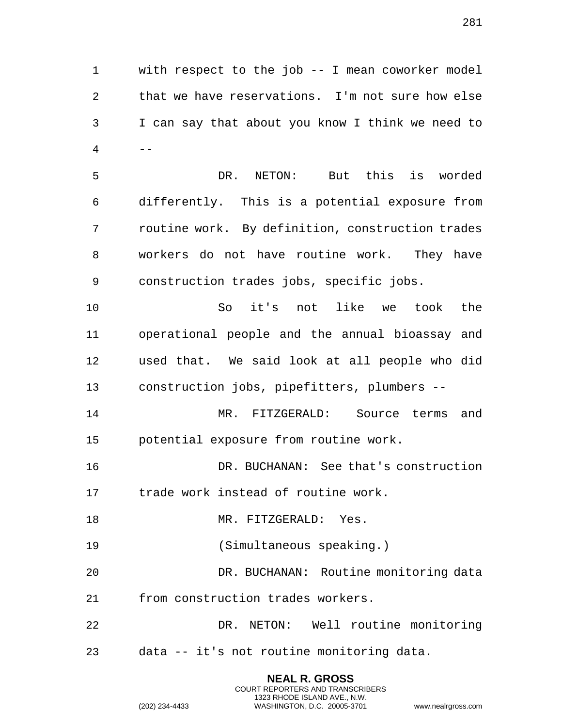with respect to the job -- I mean coworker model that we have reservations. I'm not sure how else I can say that about you know I think we need to  $4 \qquad -$ 

 DR. NETON: But this is worded differently. This is a potential exposure from routine work. By definition, construction trades workers do not have routine work. They have construction trades jobs, specific jobs.

 So it's not like we took the operational people and the annual bioassay and used that. We said look at all people who did construction jobs, pipefitters, plumbers --

 MR. FITZGERALD: Source terms and potential exposure from routine work.

 DR. BUCHANAN: See that's construction trade work instead of routine work.

18 MR. FITZGERALD: Yes.

(Simultaneous speaking.)

 DR. BUCHANAN: Routine monitoring data from construction trades workers.

 DR. NETON: Well routine monitoring data -- it's not routine monitoring data.

> **NEAL R. GROSS** COURT REPORTERS AND TRANSCRIBERS

1323 RHODE ISLAND AVE., N.W. (202) 234-4433 WASHINGTON, D.C. 20005-3701 www.nealrgross.com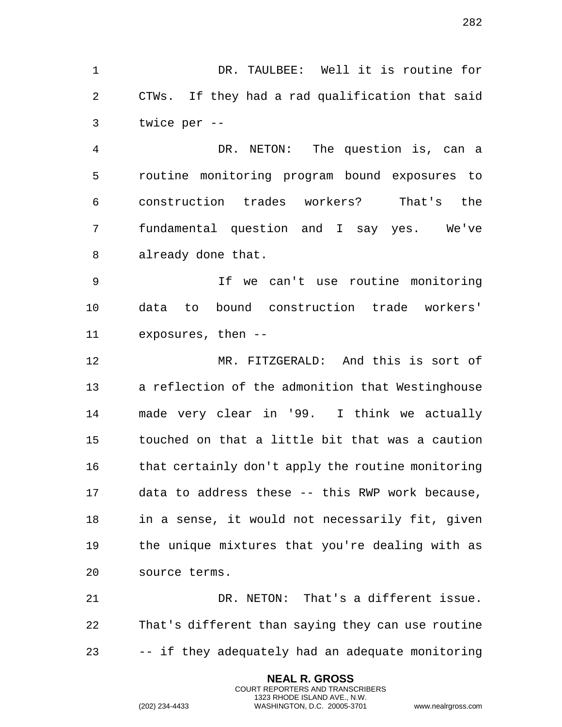DR. TAULBEE: Well it is routine for CTWs. If they had a rad qualification that said twice per --

 DR. NETON: The question is, can a routine monitoring program bound exposures to construction trades workers? That's the fundamental question and I say yes. We've already done that.

 If we can't use routine monitoring data to bound construction trade workers' exposures, then --

 MR. FITZGERALD: And this is sort of a reflection of the admonition that Westinghouse made very clear in '99. I think we actually touched on that a little bit that was a caution that certainly don't apply the routine monitoring data to address these -- this RWP work because, in a sense, it would not necessarily fit, given the unique mixtures that you're dealing with as source terms.

 DR. NETON: That's a different issue. That's different than saying they can use routine -- if they adequately had an adequate monitoring

> **NEAL R. GROSS** COURT REPORTERS AND TRANSCRIBERS 1323 RHODE ISLAND AVE., N.W.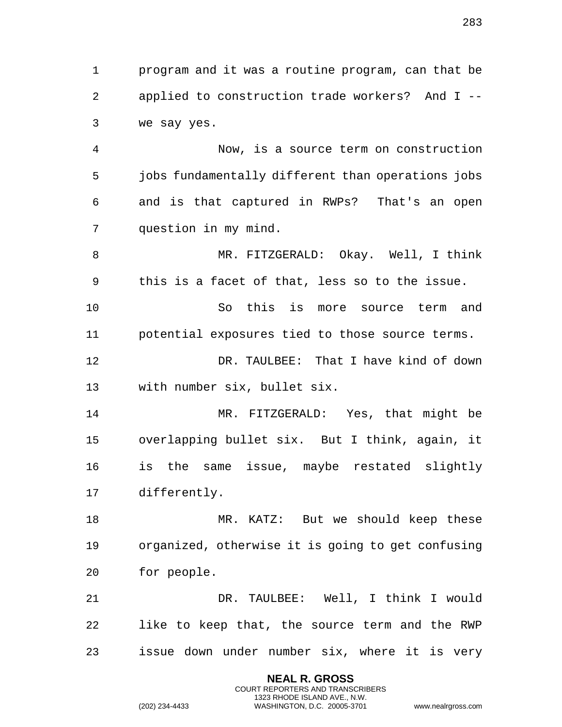program and it was a routine program, can that be applied to construction trade workers? And I -- we say yes.

 Now, is a source term on construction jobs fundamentally different than operations jobs and is that captured in RWPs? That's an open question in my mind.

 MR. FITZGERALD: Okay. Well, I think this is a facet of that, less so to the issue.

 So this is more source term and potential exposures tied to those source terms.

 DR. TAULBEE: That I have kind of down with number six, bullet six.

 MR. FITZGERALD: Yes, that might be overlapping bullet six. But I think, again, it is the same issue, maybe restated slightly differently.

18 MR. KATZ: But we should keep these organized, otherwise it is going to get confusing for people.

 DR. TAULBEE: Well, I think I would like to keep that, the source term and the RWP issue down under number six, where it is very

> **NEAL R. GROSS** COURT REPORTERS AND TRANSCRIBERS 1323 RHODE ISLAND AVE., N.W.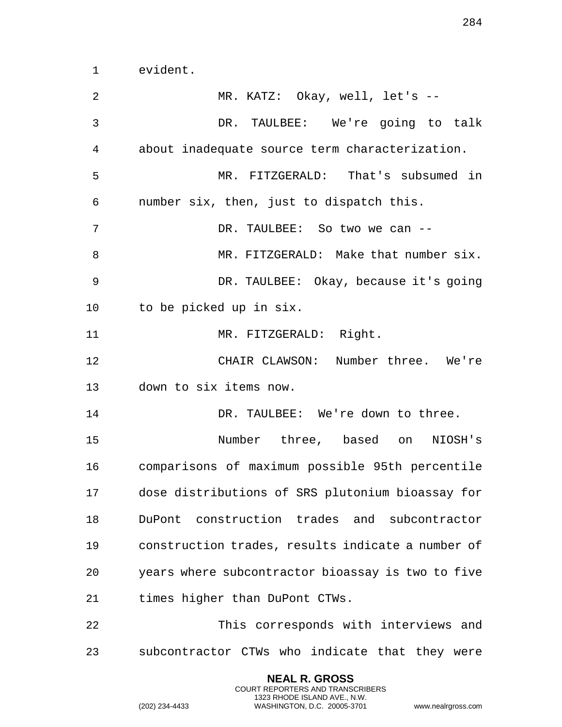evident.

**NEAL R. GROSS** MR. KATZ: Okay, well, let's -- DR. TAULBEE: We're going to talk about inadequate source term characterization. MR. FITZGERALD: That's subsumed in number six, then, just to dispatch this. DR. TAULBEE: So two we can -- MR. FITZGERALD: Make that number six. DR. TAULBEE: Okay, because it's going to be picked up in six. 11 MR. FITZGERALD: Right. CHAIR CLAWSON: Number three. We're down to six items now. 14 DR. TAULBEE: We're down to three. Number three, based on NIOSH's comparisons of maximum possible 95th percentile dose distributions of SRS plutonium bioassay for DuPont construction trades and subcontractor construction trades, results indicate a number of years where subcontractor bioassay is two to five times higher than DuPont CTWs. This corresponds with interviews and subcontractor CTWs who indicate that they were

> COURT REPORTERS AND TRANSCRIBERS 1323 RHODE ISLAND AVE., N.W.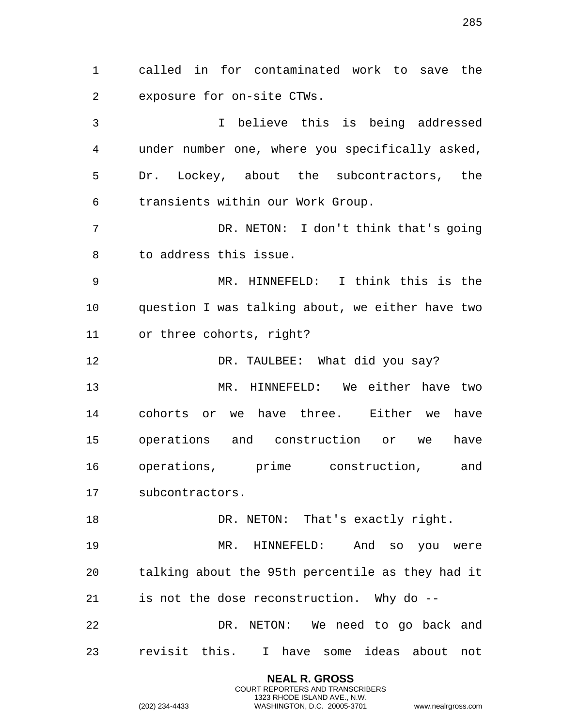called in for contaminated work to save the exposure for on-site CTWs. I believe this is being addressed under number one, where you specifically asked, Dr. Lockey, about the subcontractors, the transients within our Work Group. DR. NETON: I don't think that's going to address this issue. MR. HINNEFELD: I think this is the question I was talking about, we either have two or three cohorts, right? DR. TAULBEE: What did you say? MR. HINNEFELD: We either have two cohorts or we have three. Either we have operations and construction or we have operations, prime construction, and subcontractors. 18 DR. NETON: That's exactly right. MR. HINNEFELD: And so you were talking about the 95th percentile as they had it is not the dose reconstruction. Why do -- DR. NETON: We need to go back and revisit this. I have some ideas about not

> **NEAL R. GROSS** COURT REPORTERS AND TRANSCRIBERS 1323 RHODE ISLAND AVE., N.W.

(202) 234-4433 WASHINGTON, D.C. 20005-3701 www.nealrgross.com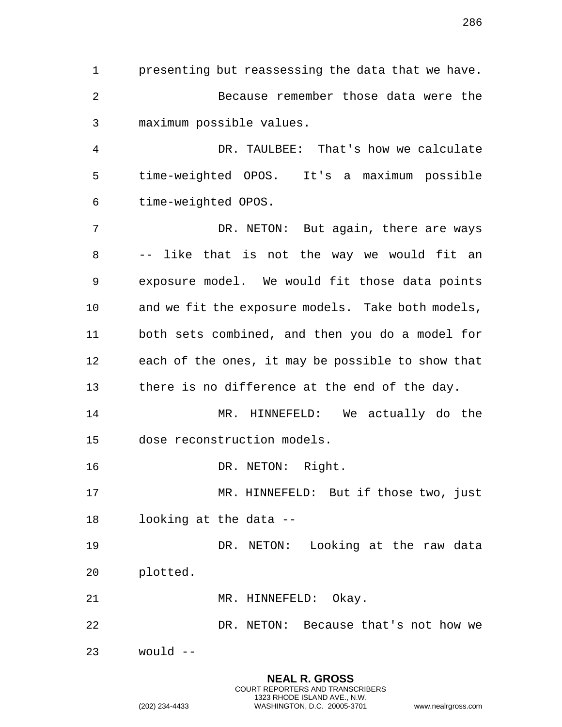presenting but reassessing the data that we have. Because remember those data were the maximum possible values.

 DR. TAULBEE: That's how we calculate time-weighted OPOS. It's a maximum possible time-weighted OPOS.

 DR. NETON: But again, there are ways -- like that is not the way we would fit an exposure model. We would fit those data points and we fit the exposure models. Take both models, both sets combined, and then you do a model for each of the ones, it may be possible to show that there is no difference at the end of the day.

 MR. HINNEFELD: We actually do the dose reconstruction models.

16 DR. NETON: Right.

 MR. HINNEFELD: But if those two, just looking at the data --

 DR. NETON: Looking at the raw data plotted.

21 MR. HINNEFELD: Okay.

DR. NETON: Because that's not how we

would --

**NEAL R. GROSS** COURT REPORTERS AND TRANSCRIBERS 1323 RHODE ISLAND AVE., N.W. (202) 234-4433 WASHINGTON, D.C. 20005-3701 www.nealrgross.com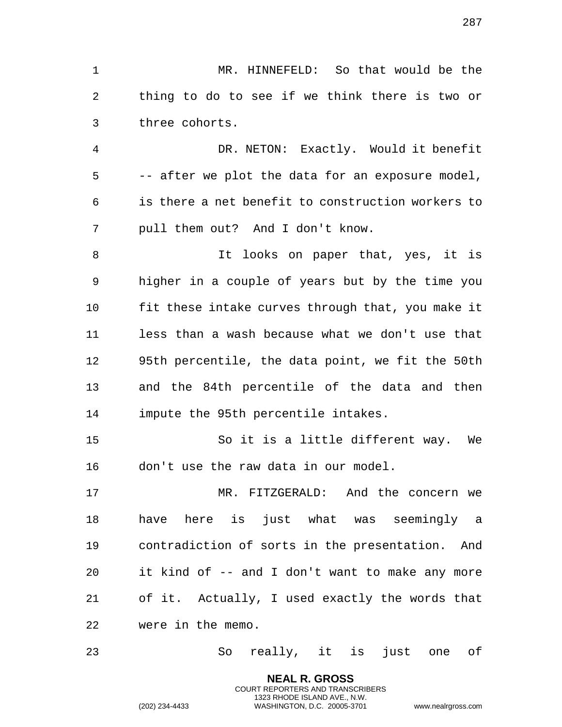MR. HINNEFELD: So that would be the thing to do to see if we think there is two or three cohorts.

 DR. NETON: Exactly. Would it benefit -- after we plot the data for an exposure model, is there a net benefit to construction workers to pull them out? And I don't know.

 It looks on paper that, yes, it is higher in a couple of years but by the time you fit these intake curves through that, you make it less than a wash because what we don't use that 95th percentile, the data point, we fit the 50th and the 84th percentile of the data and then impute the 95th percentile intakes.

 So it is a little different way. We don't use the raw data in our model.

 MR. FITZGERALD: And the concern we have here is just what was seemingly a contradiction of sorts in the presentation. And it kind of -- and I don't want to make any more of it. Actually, I used exactly the words that were in the memo.

So really, it is just one of

**NEAL R. GROSS** COURT REPORTERS AND TRANSCRIBERS 1323 RHODE ISLAND AVE., N.W.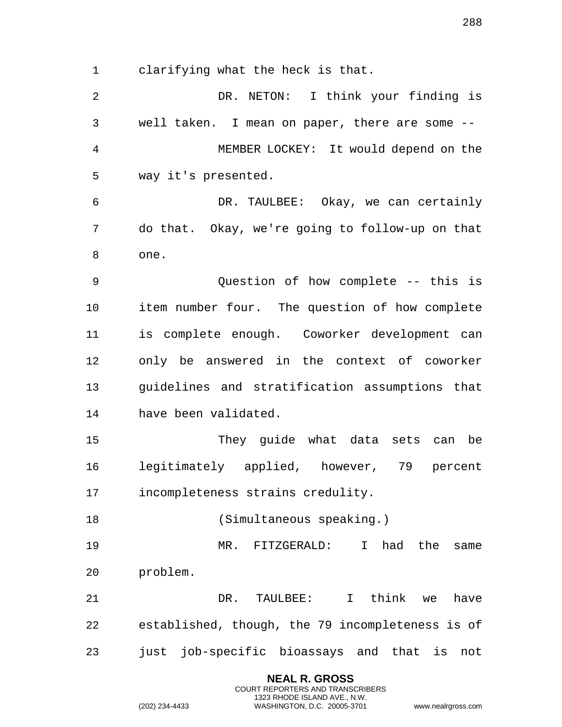clarifying what the heck is that.

 DR. NETON: I think your finding is well taken. I mean on paper, there are some -- MEMBER LOCKEY: It would depend on the way it's presented. DR. TAULBEE: Okay, we can certainly do that. Okay, we're going to follow-up on that one. Question of how complete -- this is item number four. The question of how complete is complete enough. Coworker development can only be answered in the context of coworker guidelines and stratification assumptions that have been validated. They guide what data sets can be legitimately applied, however, 79 percent incompleteness strains credulity. (Simultaneous speaking.) MR. FITZGERALD: I had the same problem. DR. TAULBEE: I think we have established, though, the 79 incompleteness is of just job-specific bioassays and that is not

> **NEAL R. GROSS** COURT REPORTERS AND TRANSCRIBERS 1323 RHODE ISLAND AVE., N.W.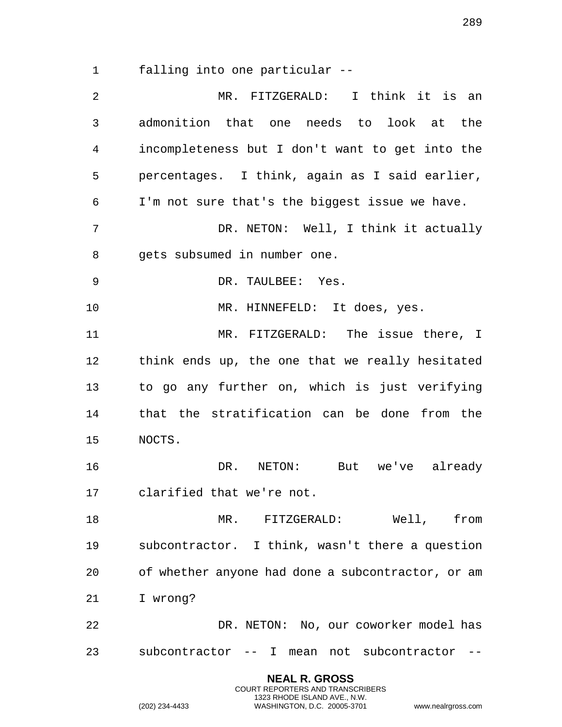falling into one particular --

| $\overline{2}$ | I think it is an<br>MR. FITZGERALD:               |
|----------------|---------------------------------------------------|
| 3              | admonition that one needs to look at the          |
| 4              | incompleteness but I don't want to get into the   |
| 5              | percentages. I think, again as I said earlier,    |
| 6              | I'm not sure that's the biggest issue we have.    |
| 7              | DR. NETON: Well, I think it actually              |
| 8              | gets subsumed in number one.                      |
| 9              | DR. TAULBEE: Yes.                                 |
| 10             | MR. HINNEFELD: It does, yes.                      |
| 11             | MR. FITZGERALD: The issue there, I                |
| 12             | think ends up, the one that we really hesitated   |
| 13             | to go any further on, which is just verifying     |
| 14             | that the stratification can be done from the      |
| 15             | NOCTS.                                            |
| 16             | DR.<br>NETON: But we've already                   |
| 17             | clarified that we're not.                         |
| 18             | MR. FITZGERALD: Well, from                        |
| 19             | subcontractor. I think, wasn't there a question   |
| 20             | of whether anyone had done a subcontractor, or am |
| 21             | I wrong?                                          |
| 22             | DR. NETON: No, our coworker model has             |
| 23             | subcontractor -- I mean not subcontractor         |

**NEAL R. GROSS** COURT REPORTERS AND TRANSCRIBERS 1323 RHODE ISLAND AVE., N.W.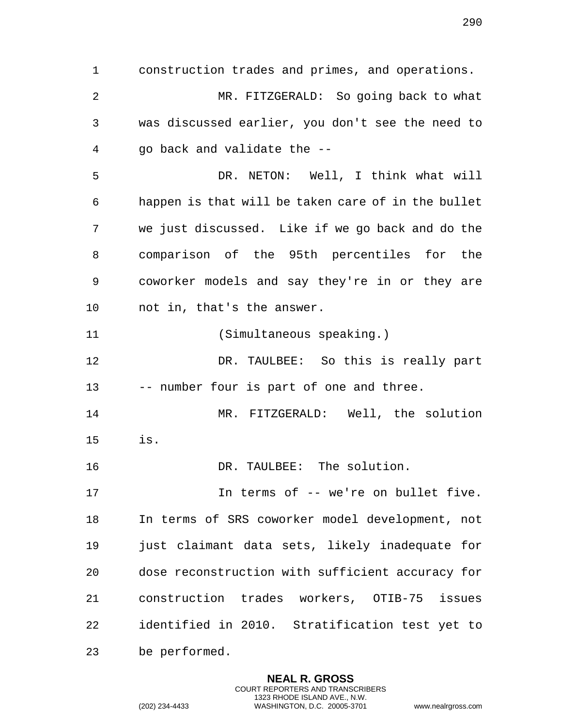construction trades and primes, and operations. MR. FITZGERALD: So going back to what was discussed earlier, you don't see the need to go back and validate the -- DR. NETON: Well, I think what will happen is that will be taken care of in the bullet we just discussed. Like if we go back and do the comparison of the 95th percentiles for the coworker models and say they're in or they are not in, that's the answer. (Simultaneous speaking.) DR. TAULBEE: So this is really part -- number four is part of one and three. MR. FITZGERALD: Well, the solution is. DR. TAULBEE: The solution. In terms of -- we're on bullet five. In terms of SRS coworker model development, not just claimant data sets, likely inadequate for dose reconstruction with sufficient accuracy for construction trades workers, OTIB-75 issues identified in 2010. Stratification test yet to be performed.

> **NEAL R. GROSS** COURT REPORTERS AND TRANSCRIBERS 1323 RHODE ISLAND AVE., N.W.

(202) 234-4433 WASHINGTON, D.C. 20005-3701 www.nealrgross.com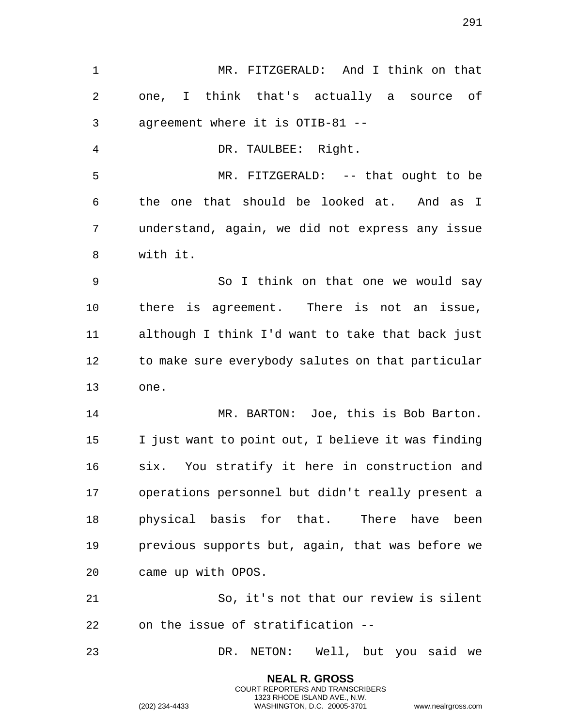MR. FITZGERALD: And I think on that one, I think that's actually a source of agreement where it is OTIB-81 -- DR. TAULBEE: Right. MR. FITZGERALD: -- that ought to be the one that should be looked at. And as I understand, again, we did not express any issue with it. So I think on that one we would say there is agreement. There is not an issue, although I think I'd want to take that back just 12 to make sure everybody salutes on that particular one. MR. BARTON: Joe, this is Bob Barton. I just want to point out, I believe it was finding six. You stratify it here in construction and operations personnel but didn't really present a physical basis for that. There have been previous supports but, again, that was before we came up with OPOS. So, it's not that our review is silent on the issue of stratification -- DR. NETON: Well, but you said we

> **NEAL R. GROSS** COURT REPORTERS AND TRANSCRIBERS 1323 RHODE ISLAND AVE., N.W.

(202) 234-4433 WASHINGTON, D.C. 20005-3701 www.nealrgross.com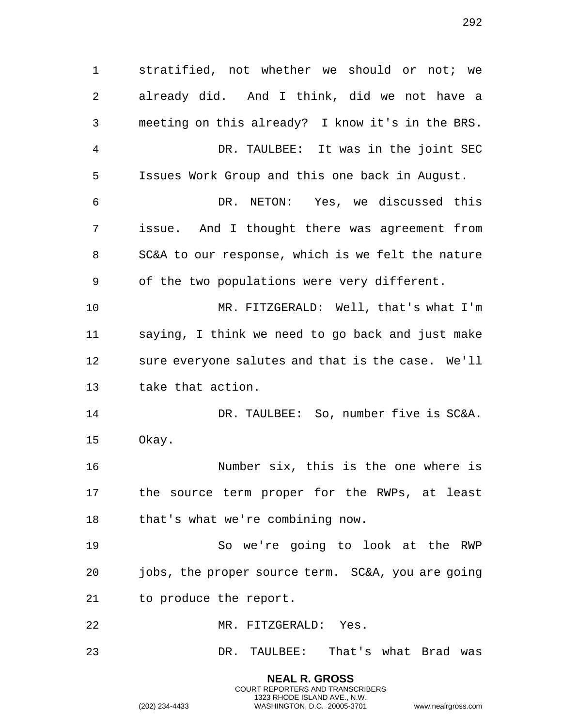stratified, not whether we should or not; we already did. And I think, did we not have a meeting on this already? I know it's in the BRS. DR. TAULBEE: It was in the joint SEC Issues Work Group and this one back in August. DR. NETON: Yes, we discussed this issue. And I thought there was agreement from SC&A to our response, which is we felt the nature of the two populations were very different. MR. FITZGERALD: Well, that's what I'm saying, I think we need to go back and just make sure everyone salutes and that is the case. We'll take that action. 14 DR. TAULBEE: So, number five is SC&A. Okay. Number six, this is the one where is the source term proper for the RWPs, at least that's what we're combining now. So we're going to look at the RWP jobs, the proper source term. SC&A, you are going to produce the report. MR. FITZGERALD: Yes. DR. TAULBEE: That's what Brad was

> **NEAL R. GROSS** COURT REPORTERS AND TRANSCRIBERS 1323 RHODE ISLAND AVE., N.W.

(202) 234-4433 WASHINGTON, D.C. 20005-3701 www.nealrgross.com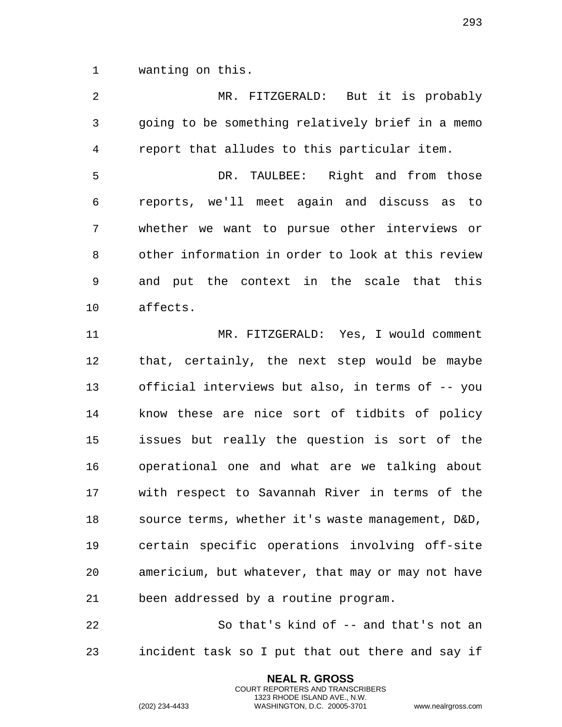wanting on this.

 MR. FITZGERALD: But it is probably going to be something relatively brief in a memo report that alludes to this particular item. DR. TAULBEE: Right and from those reports, we'll meet again and discuss as to whether we want to pursue other interviews or other information in order to look at this review and put the context in the scale that this affects. MR. FITZGERALD: Yes, I would comment that, certainly, the next step would be maybe

 official interviews but also, in terms of -- you know these are nice sort of tidbits of policy issues but really the question is sort of the operational one and what are we talking about with respect to Savannah River in terms of the source terms, whether it's waste management, D&D, certain specific operations involving off-site americium, but whatever, that may or may not have been addressed by a routine program.

 So that's kind of -- and that's not an incident task so I put that out there and say if

> **NEAL R. GROSS** COURT REPORTERS AND TRANSCRIBERS 1323 RHODE ISLAND AVE., N.W.

(202) 234-4433 WASHINGTON, D.C. 20005-3701 www.nealrgross.com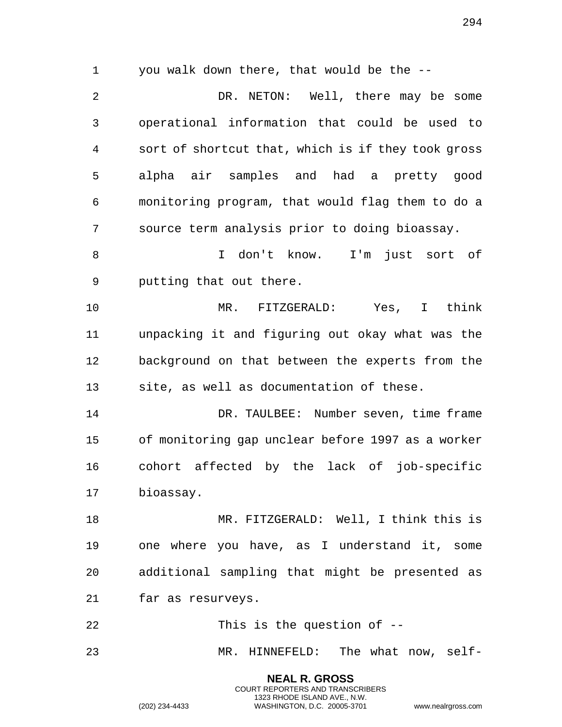you walk down there, that would be the --

 DR. NETON: Well, there may be some operational information that could be used to sort of shortcut that, which is if they took gross alpha air samples and had a pretty good monitoring program, that would flag them to do a source term analysis prior to doing bioassay.

 I don't know. I'm just sort of putting that out there.

 MR. FITZGERALD: Yes, I think unpacking it and figuring out okay what was the background on that between the experts from the site, as well as documentation of these.

 DR. TAULBEE: Number seven, time frame of monitoring gap unclear before 1997 as a worker cohort affected by the lack of job-specific bioassay.

 MR. FITZGERALD: Well, I think this is one where you have, as I understand it, some additional sampling that might be presented as far as resurveys.

 This is the question of -- MR. HINNEFELD: The what now, self-

> **NEAL R. GROSS** COURT REPORTERS AND TRANSCRIBERS 1323 RHODE ISLAND AVE., N.W.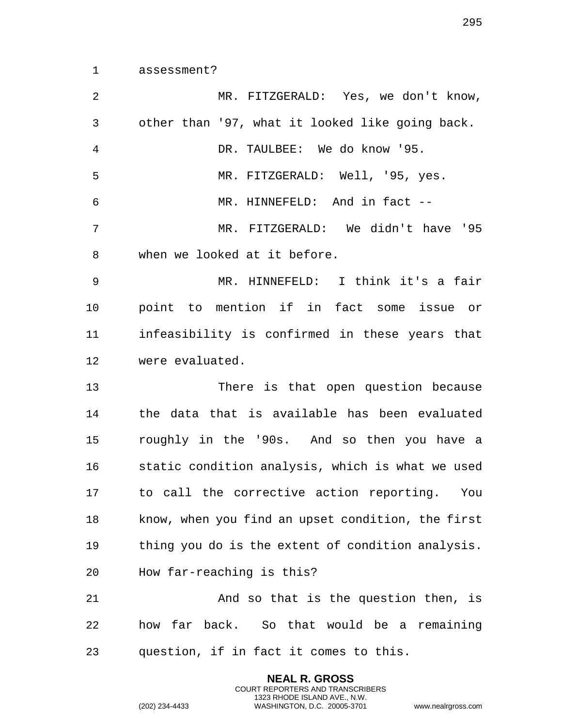assessment?

 MR. FITZGERALD: Yes, we don't know, other than '97, what it looked like going back. DR. TAULBEE: We do know '95. MR. FITZGERALD: Well, '95, yes. MR. HINNEFELD: And in fact -- MR. FITZGERALD: We didn't have '95 when we looked at it before. MR. HINNEFELD: I think it's a fair point to mention if in fact some issue or infeasibility is confirmed in these years that were evaluated. There is that open question because the data that is available has been evaluated roughly in the '90s. And so then you have a static condition analysis, which is what we used to call the corrective action reporting. You know, when you find an upset condition, the first thing you do is the extent of condition analysis. How far-reaching is this? 21 And so that is the question then, is how far back. So that would be a remaining question, if in fact it comes to this.

> **NEAL R. GROSS** COURT REPORTERS AND TRANSCRIBERS 1323 RHODE ISLAND AVE., N.W.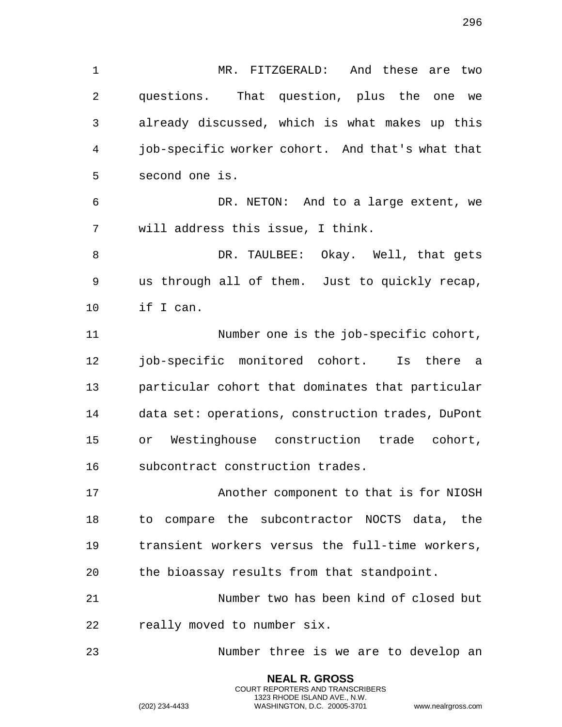MR. FITZGERALD: And these are two questions. That question, plus the one we already discussed, which is what makes up this job-specific worker cohort. And that's what that second one is. DR. NETON: And to a large extent, we will address this issue, I think. DR. TAULBEE: Okay. Well, that gets us through all of them. Just to quickly recap, if I can. Number one is the job-specific cohort, 12 job-specific monitored cohort. Is there a particular cohort that dominates that particular data set: operations, construction trades, DuPont or Westinghouse construction trade cohort, subcontract construction trades. Another component to that is for NIOSH to compare the subcontractor NOCTS data, the transient workers versus the full-time workers, the bioassay results from that standpoint. Number two has been kind of closed but really moved to number six. Number three is we are to develop an

> **NEAL R. GROSS** COURT REPORTERS AND TRANSCRIBERS 1323 RHODE ISLAND AVE., N.W.

(202) 234-4433 WASHINGTON, D.C. 20005-3701 www.nealrgross.com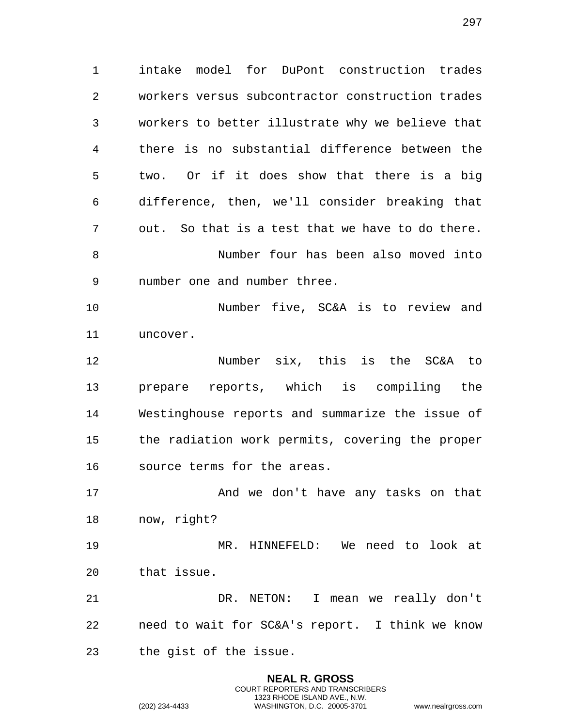intake model for DuPont construction trades workers versus subcontractor construction trades workers to better illustrate why we believe that there is no substantial difference between the two. Or if it does show that there is a big difference, then, we'll consider breaking that out. So that is a test that we have to do there. Number four has been also moved into number one and number three. Number five, SC&A is to review and uncover. Number six, this is the SC&A to prepare reports, which is compiling the Westinghouse reports and summarize the issue of the radiation work permits, covering the proper source terms for the areas. And we don't have any tasks on that now, right?

 MR. HINNEFELD: We need to look at that issue.

 DR. NETON: I mean we really don't need to wait for SC&A's report. I think we know the gist of the issue.

> **NEAL R. GROSS** COURT REPORTERS AND TRANSCRIBERS 1323 RHODE ISLAND AVE., N.W.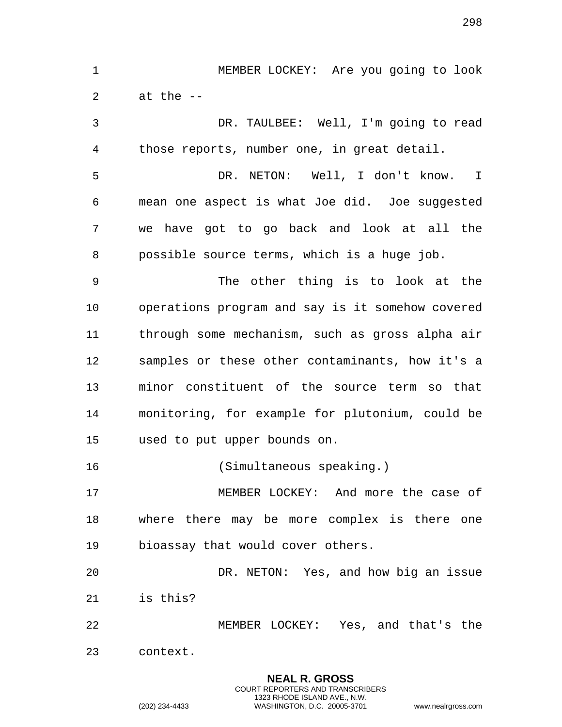MEMBER LOCKEY: Are you going to look 2 at the  $-$ DR. TAULBEE: Well, I'm going to read

 those reports, number one, in great detail. DR. NETON: Well, I don't know. I mean one aspect is what Joe did. Joe suggested we have got to go back and look at all the possible source terms, which is a huge job. The other thing is to look at the operations program and say is it somehow covered through some mechanism, such as gross alpha air samples or these other contaminants, how it's a minor constituent of the source term so that monitoring, for example for plutonium, could be used to put upper bounds on. (Simultaneous speaking.) MEMBER LOCKEY: And more the case of

 where there may be more complex is there one bioassay that would cover others.

 DR. NETON: Yes, and how big an issue is this?

 MEMBER LOCKEY: Yes, and that's the context.

> **NEAL R. GROSS** COURT REPORTERS AND TRANSCRIBERS 1323 RHODE ISLAND AVE., N.W.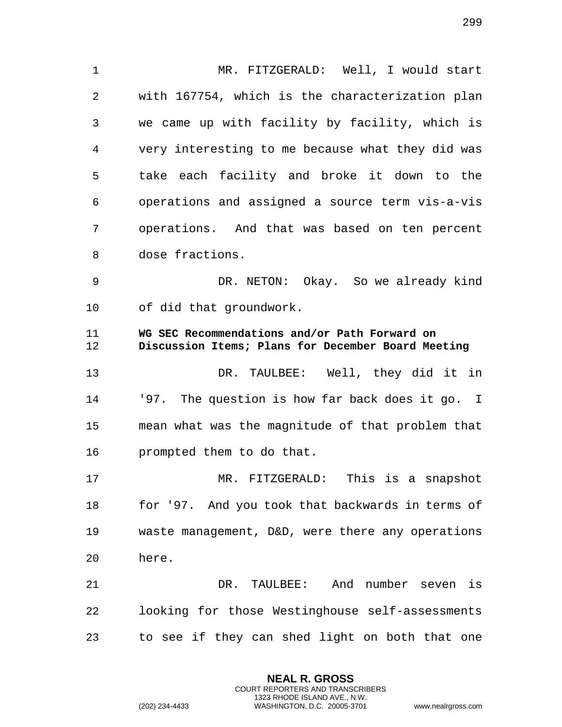1 MR. FITZGERALD: Well, I would start 2 with 167754, which is the characterization plan 3 we came up with facility by facility, which is 4 very interesting to me because what they did was 5 take each facility and broke it down to the 6 operations and assigned a source term vis-a-vis 7 operations. And that was based on ten percent 8 dose fractions. 9 DR. NETON: Okay. So we already kind 10 of did that groundwork. 11 **WG SEC Recommendations and/or Path Forward on**  12 **Discussion Items; Plans for December Board Meeting**  13 DR. TAULBEE: Well, they did it in 14 '97. The question is how far back does it go. I 15 mean what was the magnitude of that problem that 16 prompted them to do that. 17 MR. FITZGERALD: This is a snapshot 18 for '97. And you took that backwards in terms of 19 waste management, D&D, were there any operations 20 here. 21 DR. TAULBEE: And number seven is 22 looking for those Westinghouse self-assessments 23 to see if they can shed light on both that one

> **NEAL R. GROSS** COURT REPORTERS AND TRANSCRIBERS 1323 RHODE ISLAND AVE., N.W.

(202) 234-4433 WASHINGTON, D.C. 20005-3701 www.nealrgross.com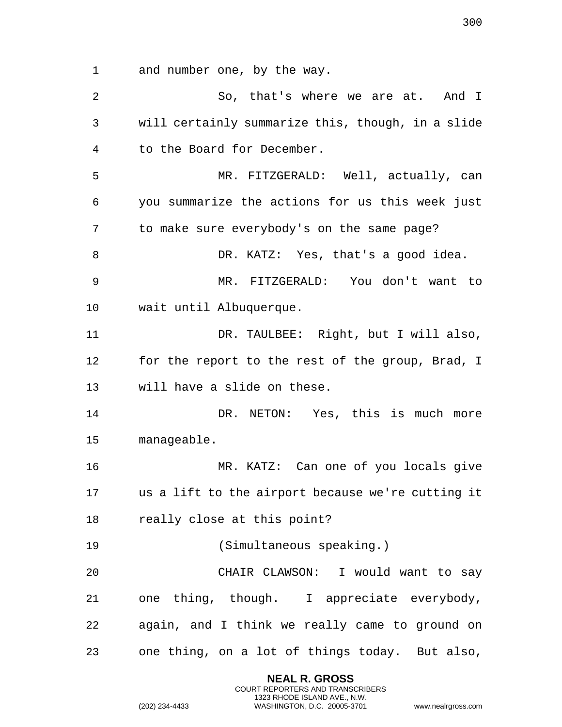and number one, by the way.

2 So, that's where we are at. And I will certainly summarize this, though, in a slide to the Board for December. MR. FITZGERALD: Well, actually, can you summarize the actions for us this week just to make sure everybody's on the same page? 8 DR. KATZ: Yes, that's a good idea. MR. FITZGERALD: You don't want to wait until Albuquerque. DR. TAULBEE: Right, but I will also, for the report to the rest of the group, Brad, I will have a slide on these. DR. NETON: Yes, this is much more manageable. MR. KATZ: Can one of you locals give us a lift to the airport because we're cutting it really close at this point? (Simultaneous speaking.) CHAIR CLAWSON: I would want to say one thing, though. I appreciate everybody, again, and I think we really came to ground on one thing, on a lot of things today. But also,

> **NEAL R. GROSS** COURT REPORTERS AND TRANSCRIBERS 1323 RHODE ISLAND AVE., N.W.

(202) 234-4433 WASHINGTON, D.C. 20005-3701 www.nealrgross.com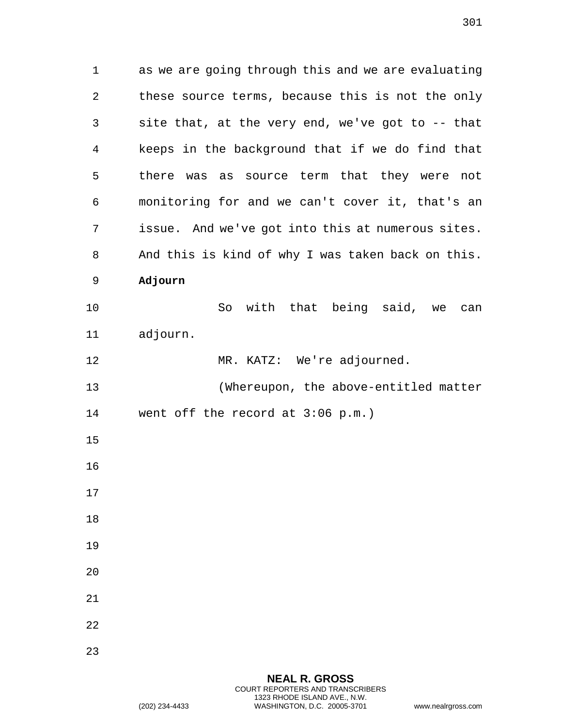1 as we are going through this and we are evaluating 2 these source terms, because this is not the only 3 site that, at the very end, we've got to -- that 4 keeps in the background that if we do find that 5 there was as source term that they were not 6 monitoring for and we can't cover it, that's an 7 issue. And we've got into this at numerous sites. 8 And this is kind of why I was taken back on this. 9 **Adjourn** 10 So with that being said, we can 11 adjourn. 12 MR. KATZ: We're adjourned. 13 (Whereupon, the above-entitled matter 14 went off the record at 3:06 p.m.) 15 16 17 18 19 20 21 22 23